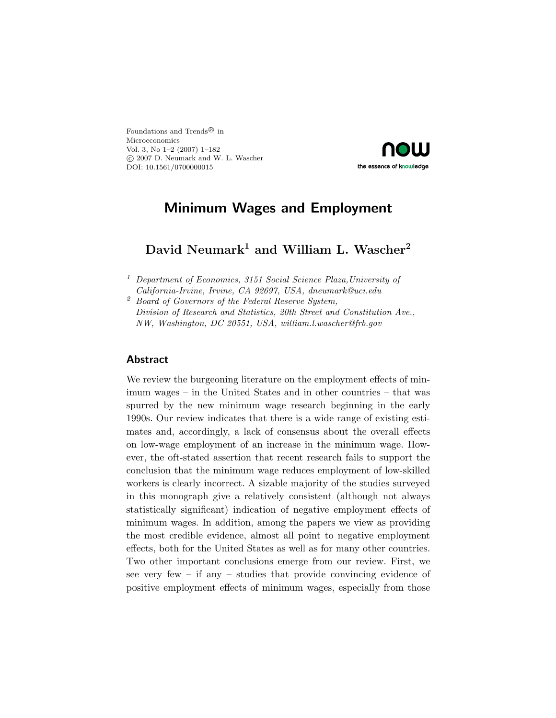Foundations and Trends<sup>®</sup> in Microeconomics Vol. 3, No 1–2 (2007) 1–182 c 2007 D. Neumark and W. L. Wascher DOI: 10.1561/0700000015



### **Minimum Wages and Employment**

**David Neumark1 and William L. Wascher2**

<sup>2</sup> *Board of Governors of the Federal Reserve System, Division of Research and Statistics, 20th Street and Constitution Ave., NW, Washington, DC 20551, USA, william.l.wascher@frb.gov*

#### **Abstract**

We review the burgeoning literature on the employment effects of minimum wages – in the United States and in other countries – that was spurred by the new minimum wage research beginning in the early 1990s. Our review indicates that there is a wide range of existing estimates and, accordingly, a lack of consensus about the overall effects on low-wage employment of an increase in the minimum wage. However, the oft-stated assertion that recent research fails to support the conclusion that the minimum wage reduces employment of low-skilled workers is clearly incorrect. A sizable majority of the studies surveyed in this monograph give a relatively consistent (although not always statistically significant) indication of negative employment effects of minimum wages. In addition, among the papers we view as providing the most credible evidence, almost all point to negative employment effects, both for the United States as well as for many other countries. Two other important conclusions emerge from our review. First, we see very few – if any – studies that provide convincing evidence of positive employment effects of minimum wages, especially from those

<sup>1</sup> *Department of Economics, 3151 Social Science Plaza,University of California-Irvine, Irvine, CA 92697, USA, dneumark@uci.edu*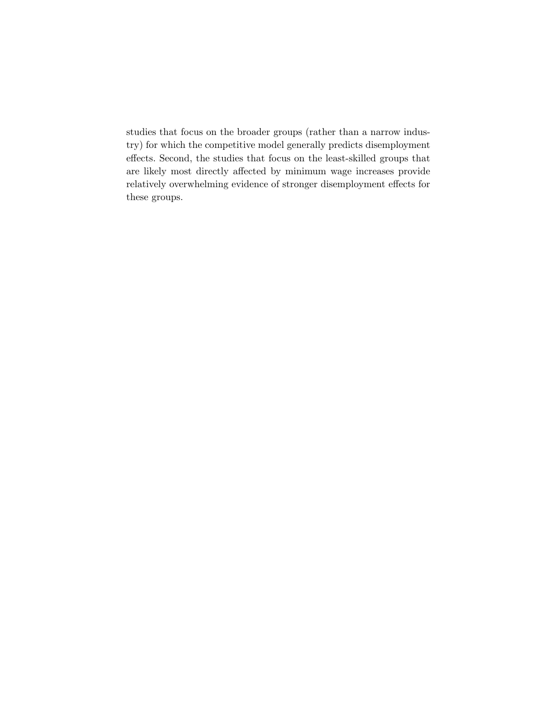studies that focus on the broader groups (rather than a narrow industry) for which the competitive model generally predicts disemployment effects. Second, the studies that focus on the least-skilled groups that are likely most directly affected by minimum wage increases provide relatively overwhelming evidence of stronger disemployment effects for these groups.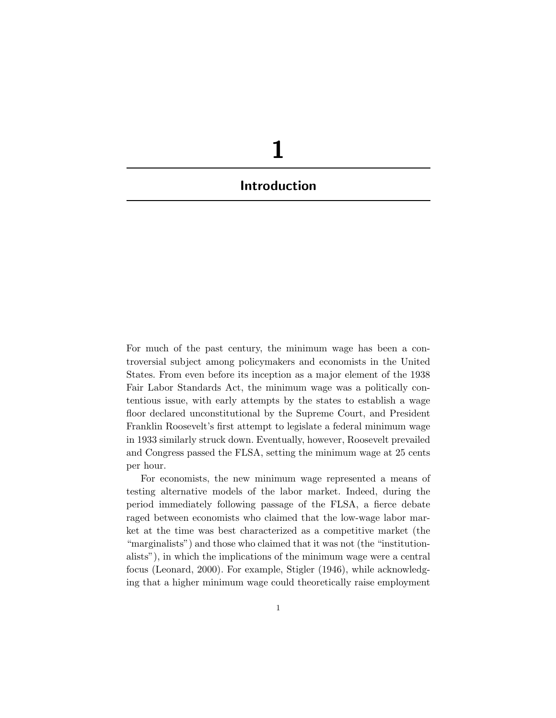# **1 Introduction**

For much of the past century, the minimum wage has been a controversial subject among policymakers and economists in the United States. From even before its inception as a major element of the 1938 Fair Labor Standards Act, the minimum wage was a politically contentious issue, with early attempts by the states to establish a wage floor declared unconstitutional by the Supreme Court, and President Franklin Roosevelt's first attempt to legislate a federal minimum wage in 1933 similarly struck down. Eventually, however, Roosevelt prevailed and Congress passed the FLSA, setting the minimum wage at 25 cents per hour.

For economists, the new minimum wage represented a means of testing alternative models of the labor market. Indeed, during the period immediately following passage of the FLSA, a fierce debate raged between economists who claimed that the low-wage labor market at the time was best characterized as a competitive market (the "marginalists") and those who claimed that it was not (the "institutionalists"), in which the implications of the minimum wage were a central focus (Leonard, 2000). For example, Stigler (1946), while acknowledging that a higher minimum wage could theoretically raise employment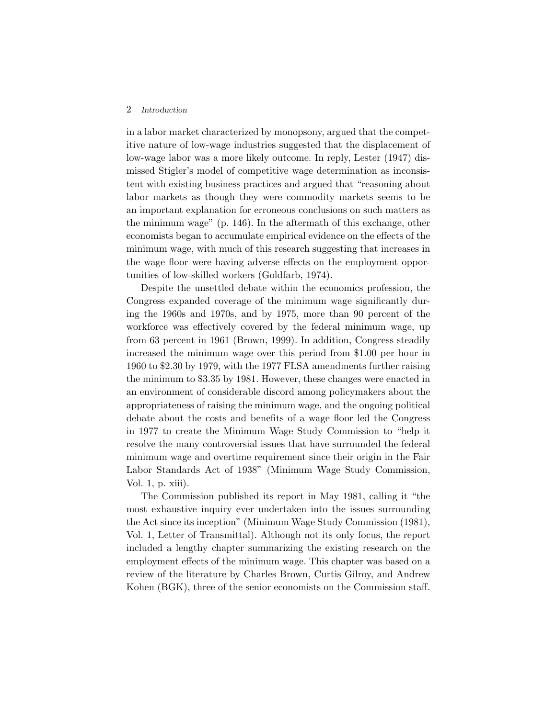#### 2 *Introduction*

in a labor market characterized by monopsony, argued that the competitive nature of low-wage industries suggested that the displacement of low-wage labor was a more likely outcome. In reply, Lester (1947) dismissed Stigler's model of competitive wage determination as inconsistent with existing business practices and argued that "reasoning about labor markets as though they were commodity markets seems to be an important explanation for erroneous conclusions on such matters as the minimum wage" (p. 146). In the aftermath of this exchange, other economists began to accumulate empirical evidence on the effects of the minimum wage, with much of this research suggesting that increases in the wage floor were having adverse effects on the employment opportunities of low-skilled workers (Goldfarb, 1974).

Despite the unsettled debate within the economics profession, the Congress expanded coverage of the minimum wage significantly during the 1960s and 1970s, and by 1975, more than 90 percent of the workforce was effectively covered by the federal minimum wage, up from 63 percent in 1961 (Brown, 1999). In addition, Congress steadily increased the minimum wage over this period from \$1.00 per hour in 1960 to \$2.30 by 1979, with the 1977 FLSA amendments further raising the minimum to \$3.35 by 1981. However, these changes were enacted in an environment of considerable discord among policymakers about the appropriateness of raising the minimum wage, and the ongoing political debate about the costs and benefits of a wage floor led the Congress in 1977 to create the Minimum Wage Study Commission to "help it resolve the many controversial issues that have surrounded the federal minimum wage and overtime requirement since their origin in the Fair Labor Standards Act of 1938" (Minimum Wage Study Commission, Vol. 1, p. xiii).

The Commission published its report in May 1981, calling it "the most exhaustive inquiry ever undertaken into the issues surrounding the Act since its inception" (Minimum Wage Study Commission (1981), Vol. 1, Letter of Transmittal). Although not its only focus, the report included a lengthy chapter summarizing the existing research on the employment effects of the minimum wage. This chapter was based on a review of the literature by Charles Brown, Curtis Gilroy, and Andrew Kohen (BGK), three of the senior economists on the Commission staff.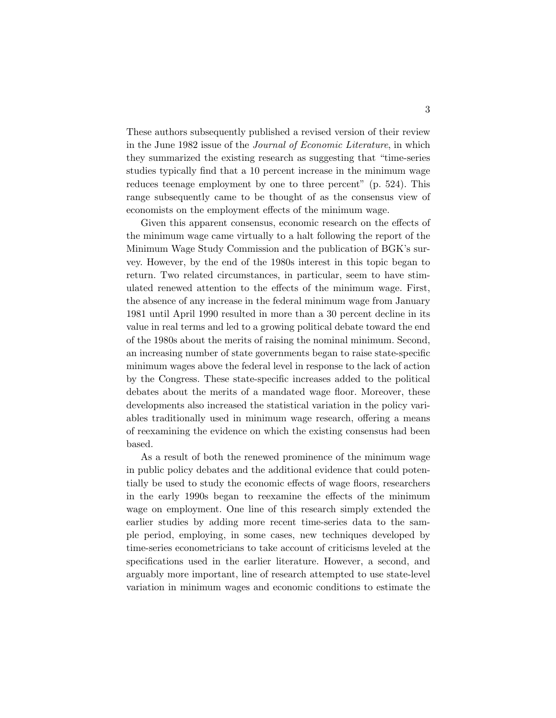These authors subsequently published a revised version of their review in the June 1982 issue of the *Journal of Economic Literature*, in which they summarized the existing research as suggesting that "time-series studies typically find that a 10 percent increase in the minimum wage reduces teenage employment by one to three percent" (p. 524). This range subsequently came to be thought of as the consensus view of economists on the employment effects of the minimum wage.

Given this apparent consensus, economic research on the effects of the minimum wage came virtually to a halt following the report of the Minimum Wage Study Commission and the publication of BGK's survey. However, by the end of the 1980s interest in this topic began to return. Two related circumstances, in particular, seem to have stimulated renewed attention to the effects of the minimum wage. First, the absence of any increase in the federal minimum wage from January 1981 until April 1990 resulted in more than a 30 percent decline in its value in real terms and led to a growing political debate toward the end of the 1980s about the merits of raising the nominal minimum. Second, an increasing number of state governments began to raise state-specific minimum wages above the federal level in response to the lack of action by the Congress. These state-specific increases added to the political debates about the merits of a mandated wage floor. Moreover, these developments also increased the statistical variation in the policy variables traditionally used in minimum wage research, offering a means of reexamining the evidence on which the existing consensus had been based.

As a result of both the renewed prominence of the minimum wage in public policy debates and the additional evidence that could potentially be used to study the economic effects of wage floors, researchers in the early 1990s began to reexamine the effects of the minimum wage on employment. One line of this research simply extended the earlier studies by adding more recent time-series data to the sample period, employing, in some cases, new techniques developed by time-series econometricians to take account of criticisms leveled at the specifications used in the earlier literature. However, a second, and arguably more important, line of research attempted to use state-level variation in minimum wages and economic conditions to estimate the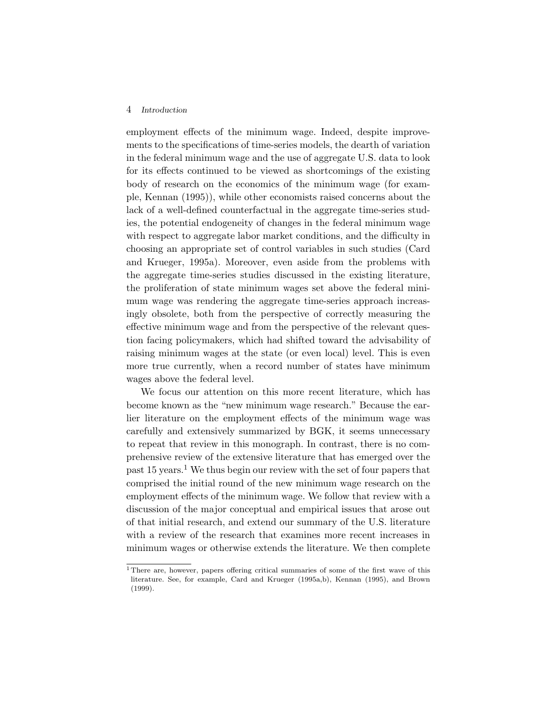#### 4 *Introduction*

employment effects of the minimum wage. Indeed, despite improvements to the specifications of time-series models, the dearth of variation in the federal minimum wage and the use of aggregate U.S. data to look for its effects continued to be viewed as shortcomings of the existing body of research on the economics of the minimum wage (for example, Kennan (1995)), while other economists raised concerns about the lack of a well-defined counterfactual in the aggregate time-series studies, the potential endogeneity of changes in the federal minimum wage with respect to aggregate labor market conditions, and the difficulty in choosing an appropriate set of control variables in such studies (Card and Krueger, 1995a). Moreover, even aside from the problems with the aggregate time-series studies discussed in the existing literature, the proliferation of state minimum wages set above the federal minimum wage was rendering the aggregate time-series approach increasingly obsolete, both from the perspective of correctly measuring the effective minimum wage and from the perspective of the relevant question facing policymakers, which had shifted toward the advisability of raising minimum wages at the state (or even local) level. This is even more true currently, when a record number of states have minimum wages above the federal level.

We focus our attention on this more recent literature, which has become known as the "new minimum wage research." Because the earlier literature on the employment effects of the minimum wage was carefully and extensively summarized by BGK, it seems unnecessary to repeat that review in this monograph. In contrast, there is no comprehensive review of the extensive literature that has emerged over the past 15 years.<sup>1</sup> We thus begin our review with the set of four papers that comprised the initial round of the new minimum wage research on the employment effects of the minimum wage. We follow that review with a discussion of the major conceptual and empirical issues that arose out of that initial research, and extend our summary of the U.S. literature with a review of the research that examines more recent increases in minimum wages or otherwise extends the literature. We then complete

<sup>&</sup>lt;sup>1</sup> There are, however, papers offering critical summaries of some of the first wave of this literature. See, for example, Card and Krueger (1995a,b), Kennan (1995), and Brown (1999).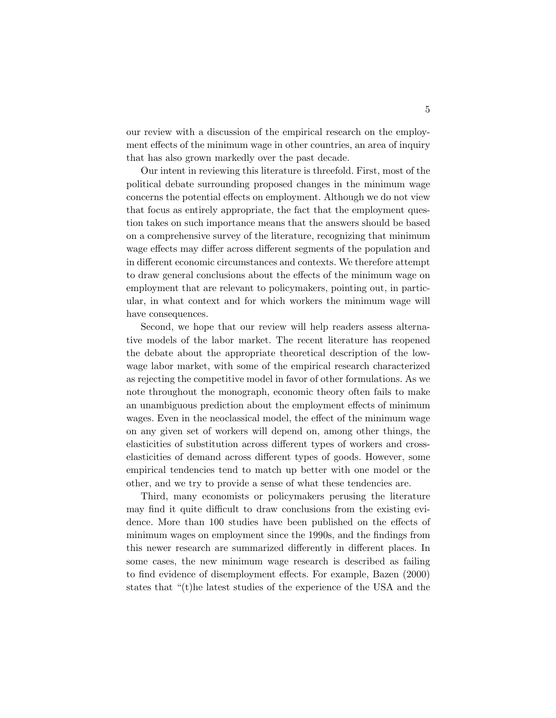our review with a discussion of the empirical research on the employment effects of the minimum wage in other countries, an area of inquiry that has also grown markedly over the past decade.

Our intent in reviewing this literature is threefold. First, most of the political debate surrounding proposed changes in the minimum wage concerns the potential effects on employment. Although we do not view that focus as entirely appropriate, the fact that the employment question takes on such importance means that the answers should be based on a comprehensive survey of the literature, recognizing that minimum wage effects may differ across different segments of the population and in different economic circumstances and contexts. We therefore attempt to draw general conclusions about the effects of the minimum wage on employment that are relevant to policymakers, pointing out, in particular, in what context and for which workers the minimum wage will have consequences.

Second, we hope that our review will help readers assess alternative models of the labor market. The recent literature has reopened the debate about the appropriate theoretical description of the lowwage labor market, with some of the empirical research characterized as rejecting the competitive model in favor of other formulations. As we note throughout the monograph, economic theory often fails to make an unambiguous prediction about the employment effects of minimum wages. Even in the neoclassical model, the effect of the minimum wage on any given set of workers will depend on, among other things, the elasticities of substitution across different types of workers and crosselasticities of demand across different types of goods. However, some empirical tendencies tend to match up better with one model or the other, and we try to provide a sense of what these tendencies are.

Third, many economists or policymakers perusing the literature may find it quite difficult to draw conclusions from the existing evidence. More than 100 studies have been published on the effects of minimum wages on employment since the 1990s, and the findings from this newer research are summarized differently in different places. In some cases, the new minimum wage research is described as failing to find evidence of disemployment effects. For example, Bazen (2000) states that "(t)he latest studies of the experience of the USA and the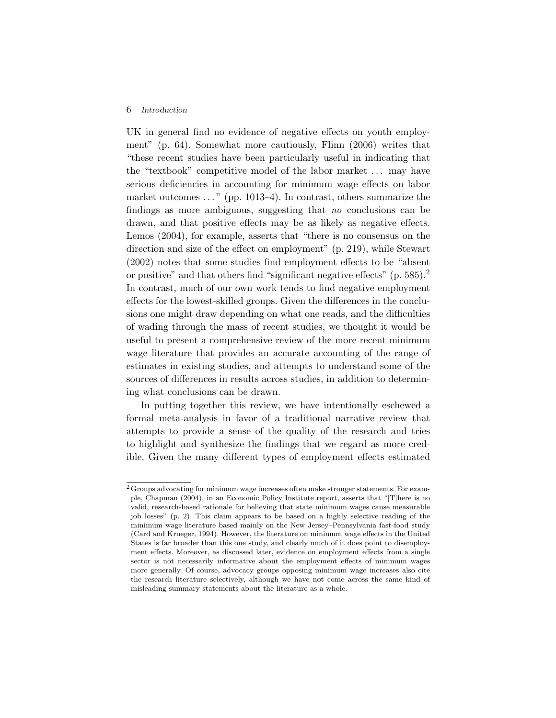#### 6 *Introduction*

UK in general find no evidence of negative effects on youth employment" (p. 64). Somewhat more cautiously, Flinn (2006) writes that "these recent studies have been particularly useful in indicating that the "textbook" competitive model of the labor market . . . may have serious deficiencies in accounting for minimum wage effects on labor market outcomes ..." (pp. 1013–4). In contrast, others summarize the findings as more ambiguous, suggesting that *no* conclusions can be drawn, and that positive effects may be as likely as negative effects. Lemos (2004), for example, asserts that "there is no consensus on the direction and size of the effect on employment" (p. 219), while Stewart (2002) notes that some studies find employment effects to be "absent or positive" and that others find "significant negative effects" (p. 585).<sup>2</sup> In contrast, much of our own work tends to find negative employment effects for the lowest-skilled groups. Given the differences in the conclusions one might draw depending on what one reads, and the difficulties of wading through the mass of recent studies, we thought it would be useful to present a comprehensive review of the more recent minimum wage literature that provides an accurate accounting of the range of estimates in existing studies, and attempts to understand some of the sources of differences in results across studies, in addition to determining what conclusions can be drawn.

In putting together this review, we have intentionally eschewed a formal meta-analysis in favor of a traditional narrative review that attempts to provide a sense of the quality of the research and tries to highlight and synthesize the findings that we regard as more credible. Given the many different types of employment effects estimated

<sup>2</sup> Groups advocating for minimum wage increases often make stronger statements. For example, Chapman (2004), in an Economic Policy Institute report, asserts that "[T]here is no valid, research-based rationale for believing that state minimum wages cause measurable job losses" (p. 2). This claim appears to be based on a highly selective reading of the minimum wage literature based mainly on the New Jersey–Pennsylvania fast-food study (Card and Krueger, 1994). However, the literature on minimum wage effects in the United States is far broader than this one study, and clearly much of it does point to disemployment effects. Moreover, as discussed later, evidence on employment effects from a single sector is not necessarily informative about the employment effects of minimum wages more generally. Of course, advocacy groups opposing minimum wage increases also cite the research literature selectively, although we have not come across the same kind of misleading summary statements about the literature as a whole.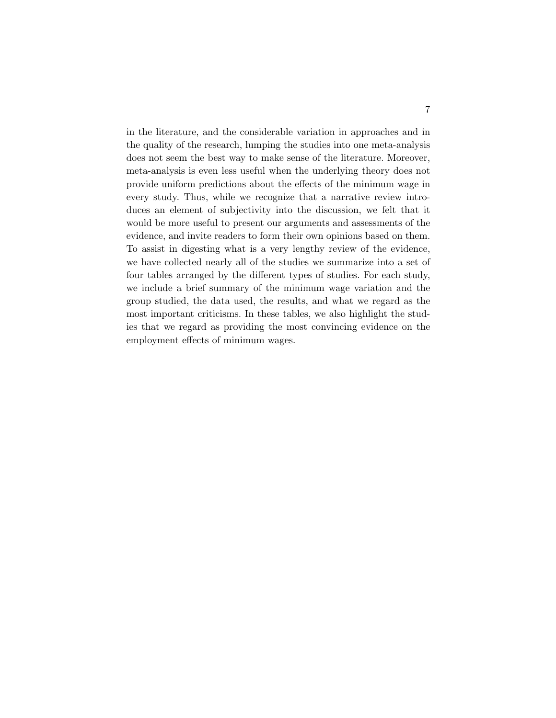in the literature, and the considerable variation in approaches and in the quality of the research, lumping the studies into one meta-analysis does not seem the best way to make sense of the literature. Moreover, meta-analysis is even less useful when the underlying theory does not provide uniform predictions about the effects of the minimum wage in every study. Thus, while we recognize that a narrative review introduces an element of subjectivity into the discussion, we felt that it would be more useful to present our arguments and assessments of the evidence, and invite readers to form their own opinions based on them. To assist in digesting what is a very lengthy review of the evidence, we have collected nearly all of the studies we summarize into a set of four tables arranged by the different types of studies. For each study, we include a brief summary of the minimum wage variation and the group studied, the data used, the results, and what we regard as the most important criticisms. In these tables, we also highlight the studies that we regard as providing the most convincing evidence on the employment effects of minimum wages.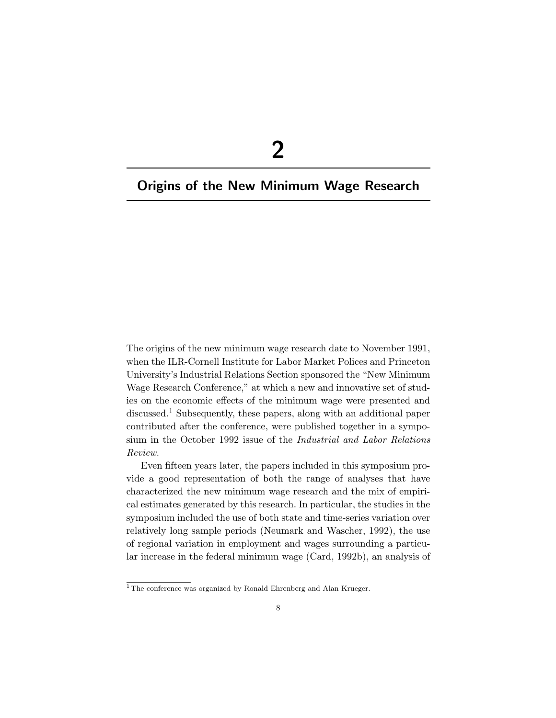## **2**

### **Origins of the New Minimum Wage Research**

The origins of the new minimum wage research date to November 1991, when the ILR-Cornell Institute for Labor Market Polices and Princeton University's Industrial Relations Section sponsored the "New Minimum Wage Research Conference," at which a new and innovative set of studies on the economic effects of the minimum wage were presented and discussed.<sup>1</sup> Subsequently, these papers, along with an additional paper contributed after the conference, were published together in a symposium in the October 1992 issue of the *Industrial and Labor Relations Review.*

Even fifteen years later, the papers included in this symposium provide a good representation of both the range of analyses that have characterized the new minimum wage research and the mix of empirical estimates generated by this research. In particular, the studies in the symposium included the use of both state and time-series variation over relatively long sample periods (Neumark and Wascher, 1992), the use of regional variation in employment and wages surrounding a particular increase in the federal minimum wage (Card, 1992b), an analysis of

<sup>&</sup>lt;sup>1</sup>The conference was organized by Ronald Ehrenberg and Alan Krueger.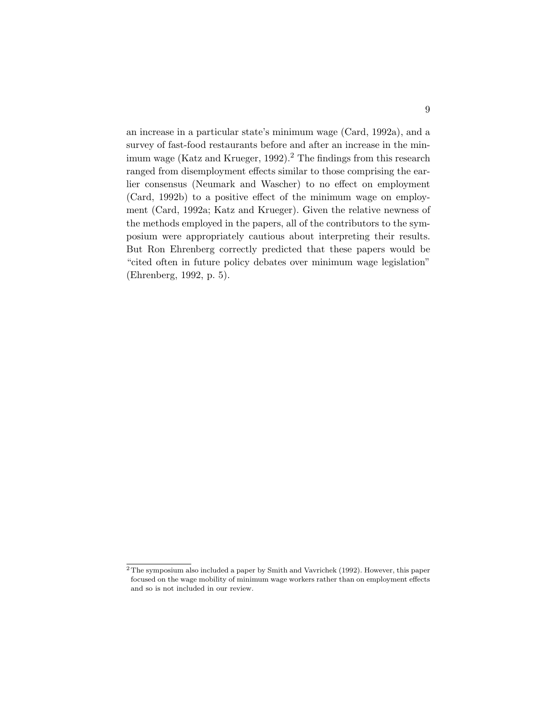an increase in a particular state's minimum wage (Card, 1992a), and a survey of fast-food restaurants before and after an increase in the minimum wage (Katz and Krueger, 1992).<sup>2</sup> The findings from this research ranged from disemployment effects similar to those comprising the earlier consensus (Neumark and Wascher) to no effect on employment (Card, 1992b) to a positive effect of the minimum wage on employment (Card, 1992a; Katz and Krueger). Given the relative newness of the methods employed in the papers, all of the contributors to the symposium were appropriately cautious about interpreting their results. But Ron Ehrenberg correctly predicted that these papers would be "cited often in future policy debates over minimum wage legislation" (Ehrenberg, 1992, p. 5).

<sup>2</sup> The symposium also included a paper by Smith and Vavrichek (1992). However, this paper focused on the wage mobility of minimum wage workers rather than on employment effects and so is not included in our review.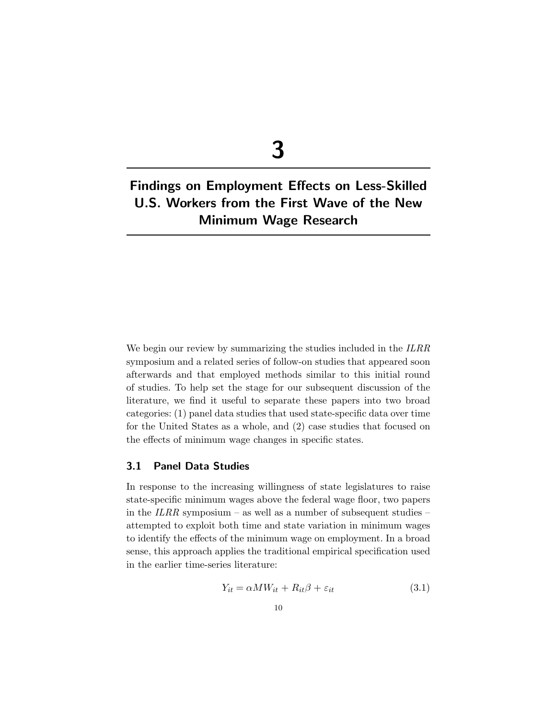## **3**

## **Findings on Employment Effects on Less-Skilled U.S. Workers from the First Wave of the New Minimum Wage Research**

We begin our review by summarizing the studies included in the *ILRR* symposium and a related series of follow-on studies that appeared soon afterwards and that employed methods similar to this initial round of studies. To help set the stage for our subsequent discussion of the literature, we find it useful to separate these papers into two broad categories: (1) panel data studies that used state-specific data over time for the United States as a whole, and (2) case studies that focused on the effects of minimum wage changes in specific states.

#### **3.1 Panel Data Studies**

In response to the increasing willingness of state legislatures to raise state-specific minimum wages above the federal wage floor, two papers in the *ILRR* symposium – as well as a number of subsequent studies – attempted to exploit both time and state variation in minimum wages to identify the effects of the minimum wage on employment. In a broad sense, this approach applies the traditional empirical specification used in the earlier time-series literature:

$$
Y_{it} = \alpha M W_{it} + R_{it}\beta + \varepsilon_{it} \tag{3.1}
$$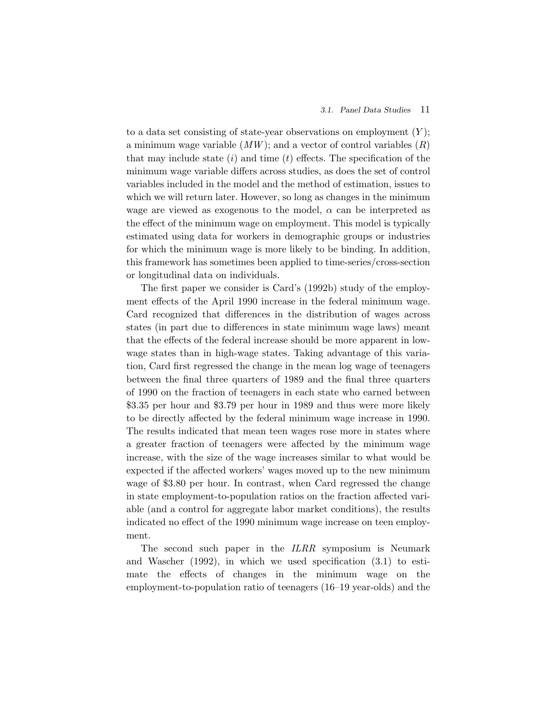#### *3.1. Panel Data Studies* 11

to a data set consisting of state-year observations on employment  $(Y)$ ; a minimum wage variable  $(MW)$ ; and a vector of control variables  $(R)$ that may include state  $(i)$  and time  $(t)$  effects. The specification of the minimum wage variable differs across studies, as does the set of control variables included in the model and the method of estimation, issues to which we will return later. However, so long as changes in the minimum wage are viewed as exogenous to the model,  $\alpha$  can be interpreted as the effect of the minimum wage on employment. This model is typically estimated using data for workers in demographic groups or industries for which the minimum wage is more likely to be binding. In addition, this framework has sometimes been applied to time-series/cross-section or longitudinal data on individuals.

The first paper we consider is Card's (1992b) study of the employment effects of the April 1990 increase in the federal minimum wage. Card recognized that differences in the distribution of wages across states (in part due to differences in state minimum wage laws) meant that the effects of the federal increase should be more apparent in lowwage states than in high-wage states. Taking advantage of this variation, Card first regressed the change in the mean log wage of teenagers between the final three quarters of 1989 and the final three quarters of 1990 on the fraction of teenagers in each state who earned between \$3.35 per hour and \$3.79 per hour in 1989 and thus were more likely to be directly affected by the federal minimum wage increase in 1990. The results indicated that mean teen wages rose more in states where a greater fraction of teenagers were affected by the minimum wage increase, with the size of the wage increases similar to what would be expected if the affected workers' wages moved up to the new minimum wage of \$3.80 per hour. In contrast, when Card regressed the change in state employment-to-population ratios on the fraction affected variable (and a control for aggregate labor market conditions), the results indicated no effect of the 1990 minimum wage increase on teen employment.

The second such paper in the *ILRR* symposium is Neumark and Wascher (1992), in which we used specification (3.1) to estimate the effects of changes in the minimum wage on the employment-to-population ratio of teenagers (16–19 year-olds) and the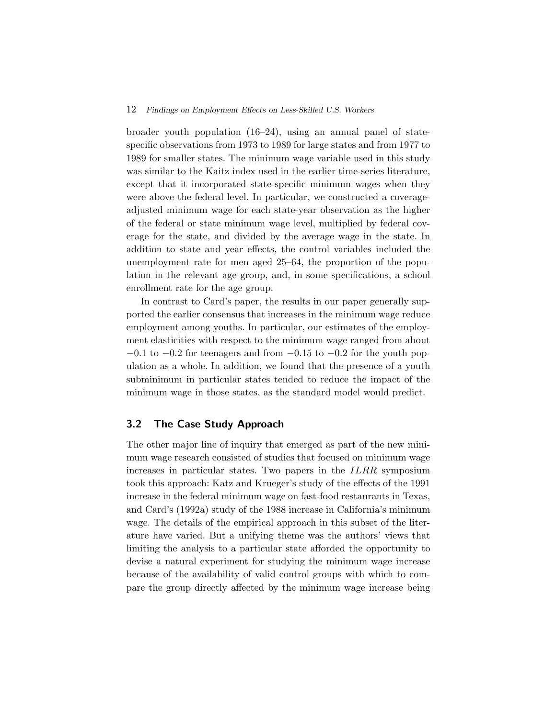broader youth population (16–24), using an annual panel of statespecific observations from 1973 to 1989 for large states and from 1977 to 1989 for smaller states. The minimum wage variable used in this study was similar to the Kaitz index used in the earlier time-series literature, except that it incorporated state-specific minimum wages when they were above the federal level. In particular, we constructed a coverageadjusted minimum wage for each state-year observation as the higher of the federal or state minimum wage level, multiplied by federal coverage for the state, and divided by the average wage in the state. In addition to state and year effects, the control variables included the unemployment rate for men aged 25–64, the proportion of the population in the relevant age group, and, in some specifications, a school enrollment rate for the age group.

In contrast to Card's paper, the results in our paper generally supported the earlier consensus that increases in the minimum wage reduce employment among youths. In particular, our estimates of the employment elasticities with respect to the minimum wage ranged from about  $-0.1$  to  $-0.2$  for teenagers and from  $-0.15$  to  $-0.2$  for the youth population as a whole. In addition, we found that the presence of a youth subminimum in particular states tended to reduce the impact of the minimum wage in those states, as the standard model would predict.

#### **3.2 The Case Study Approach**

The other major line of inquiry that emerged as part of the new minimum wage research consisted of studies that focused on minimum wage increases in particular states. Two papers in the ILRR symposium took this approach: Katz and Krueger's study of the effects of the 1991 increase in the federal minimum wage on fast-food restaurants in Texas, and Card's (1992a) study of the 1988 increase in California's minimum wage. The details of the empirical approach in this subset of the literature have varied. But a unifying theme was the authors' views that limiting the analysis to a particular state afforded the opportunity to devise a natural experiment for studying the minimum wage increase because of the availability of valid control groups with which to compare the group directly affected by the minimum wage increase being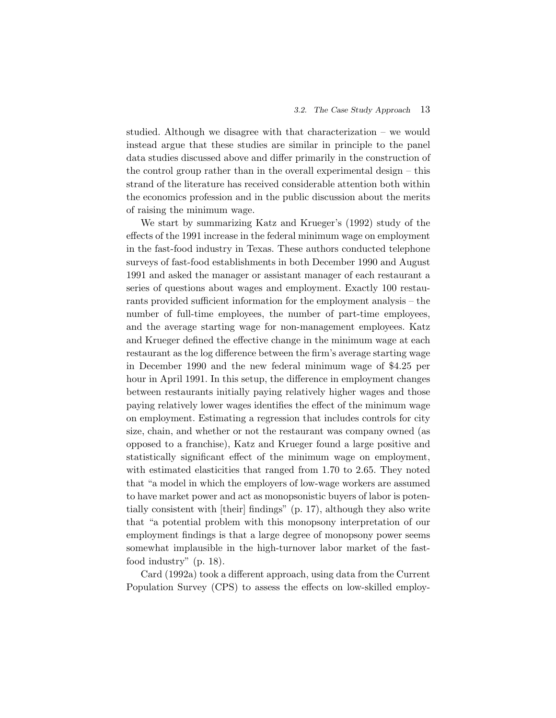studied. Although we disagree with that characterization – we would instead argue that these studies are similar in principle to the panel data studies discussed above and differ primarily in the construction of the control group rather than in the overall experimental design – this strand of the literature has received considerable attention both within the economics profession and in the public discussion about the merits of raising the minimum wage.

We start by summarizing Katz and Krueger's (1992) study of the effects of the 1991 increase in the federal minimum wage on employment in the fast-food industry in Texas. These authors conducted telephone surveys of fast-food establishments in both December 1990 and August 1991 and asked the manager or assistant manager of each restaurant a series of questions about wages and employment. Exactly 100 restaurants provided sufficient information for the employment analysis – the number of full-time employees, the number of part-time employees, and the average starting wage for non-management employees. Katz and Krueger defined the effective change in the minimum wage at each restaurant as the log difference between the firm's average starting wage in December 1990 and the new federal minimum wage of \$4.25 per hour in April 1991. In this setup, the difference in employment changes between restaurants initially paying relatively higher wages and those paying relatively lower wages identifies the effect of the minimum wage on employment. Estimating a regression that includes controls for city size, chain, and whether or not the restaurant was company owned (as opposed to a franchise), Katz and Krueger found a large positive and statistically significant effect of the minimum wage on employment, with estimated elasticities that ranged from 1.70 to 2.65. They noted that "a model in which the employers of low-wage workers are assumed to have market power and act as monopsonistic buyers of labor is potentially consistent with [their] findings" (p. 17), although they also write that "a potential problem with this monopsony interpretation of our employment findings is that a large degree of monopsony power seems somewhat implausible in the high-turnover labor market of the fastfood industry" (p. 18).

Card (1992a) took a different approach, using data from the Current Population Survey (CPS) to assess the effects on low-skilled employ-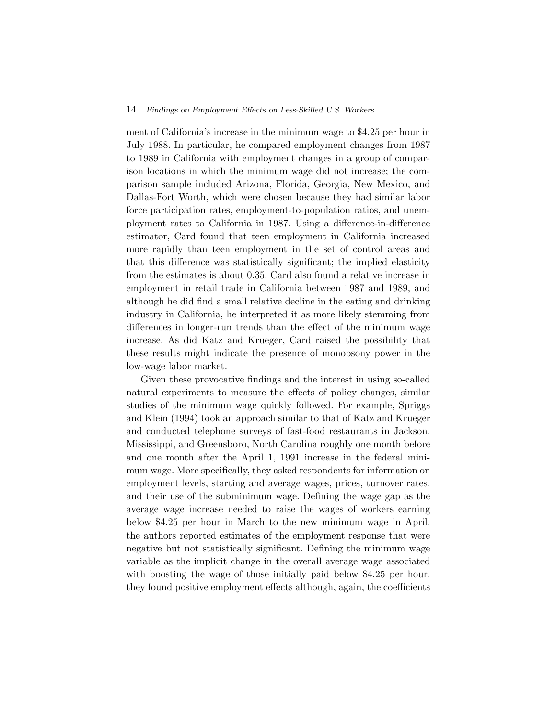#### 14 *Findings on Employment Effects on Less-Skilled U.S. Workers*

ment of California's increase in the minimum wage to \$4.25 per hour in July 1988. In particular, he compared employment changes from 1987 to 1989 in California with employment changes in a group of comparison locations in which the minimum wage did not increase; the comparison sample included Arizona, Florida, Georgia, New Mexico, and Dallas-Fort Worth, which were chosen because they had similar labor force participation rates, employment-to-population ratios, and unemployment rates to California in 1987. Using a difference-in-difference estimator, Card found that teen employment in California increased more rapidly than teen employment in the set of control areas and that this difference was statistically significant; the implied elasticity from the estimates is about 0.35. Card also found a relative increase in employment in retail trade in California between 1987 and 1989, and although he did find a small relative decline in the eating and drinking industry in California, he interpreted it as more likely stemming from differences in longer-run trends than the effect of the minimum wage increase. As did Katz and Krueger, Card raised the possibility that these results might indicate the presence of monopsony power in the low-wage labor market.

Given these provocative findings and the interest in using so-called natural experiments to measure the effects of policy changes, similar studies of the minimum wage quickly followed. For example, Spriggs and Klein (1994) took an approach similar to that of Katz and Krueger and conducted telephone surveys of fast-food restaurants in Jackson, Mississippi, and Greensboro, North Carolina roughly one month before and one month after the April 1, 1991 increase in the federal minimum wage. More specifically, they asked respondents for information on employment levels, starting and average wages, prices, turnover rates, and their use of the subminimum wage. Defining the wage gap as the average wage increase needed to raise the wages of workers earning below \$4.25 per hour in March to the new minimum wage in April, the authors reported estimates of the employment response that were negative but not statistically significant. Defining the minimum wage variable as the implicit change in the overall average wage associated with boosting the wage of those initially paid below \$4.25 per hour, they found positive employment effects although, again, the coefficients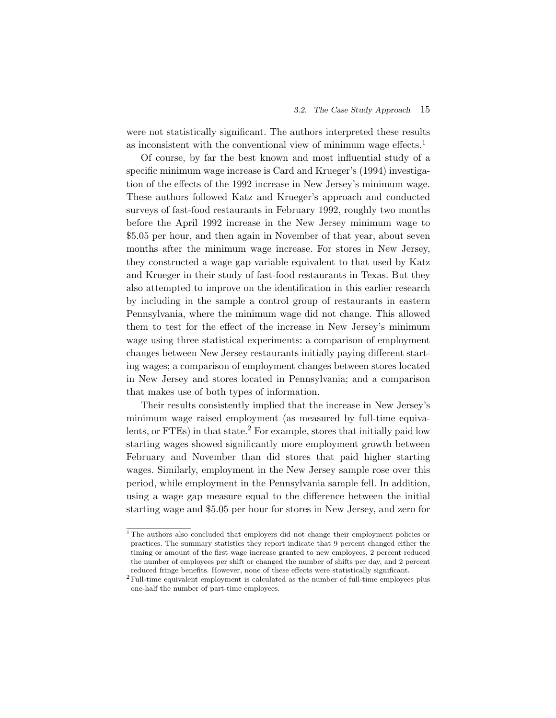#### *3.2. The Case Study Approach* 15

were not statistically significant. The authors interpreted these results as inconsistent with the conventional view of minimum wage effects.<sup>1</sup>

Of course, by far the best known and most influential study of a specific minimum wage increase is Card and Krueger's (1994) investigation of the effects of the 1992 increase in New Jersey's minimum wage. These authors followed Katz and Krueger's approach and conducted surveys of fast-food restaurants in February 1992, roughly two months before the April 1992 increase in the New Jersey minimum wage to \$5.05 per hour, and then again in November of that year, about seven months after the minimum wage increase. For stores in New Jersey, they constructed a wage gap variable equivalent to that used by Katz and Krueger in their study of fast-food restaurants in Texas. But they also attempted to improve on the identification in this earlier research by including in the sample a control group of restaurants in eastern Pennsylvania, where the minimum wage did not change. This allowed them to test for the effect of the increase in New Jersey's minimum wage using three statistical experiments: a comparison of employment changes between New Jersey restaurants initially paying different starting wages; a comparison of employment changes between stores located in New Jersey and stores located in Pennsylvania; and a comparison that makes use of both types of information.

Their results consistently implied that the increase in New Jersey's minimum wage raised employment (as measured by full-time equivalents, or  $FTEs$ ) in that state.<sup>2</sup> For example, stores that initially paid low starting wages showed significantly more employment growth between February and November than did stores that paid higher starting wages. Similarly, employment in the New Jersey sample rose over this period, while employment in the Pennsylvania sample fell. In addition, using a wage gap measure equal to the difference between the initial starting wage and \$5.05 per hour for stores in New Jersey, and zero for

 $^{\rm 1}$  The authors also concluded that employers did not change their employment policies or practices. The summary statistics they report indicate that 9 percent changed either the timing or amount of the first wage increase granted to new employees, 2 percent reduced the number of employees per shift or changed the number of shifts per day, and 2 percent reduced fringe benefits. However, none of these effects were statistically significant.

<sup>2</sup>Full-time equivalent employment is calculated as the number of full-time employees plus one-half the number of part-time employees.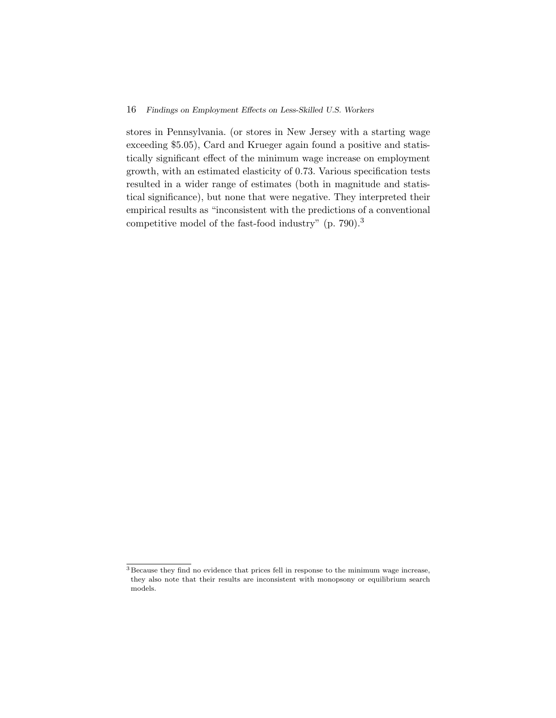stores in Pennsylvania. (or stores in New Jersey with a starting wage exceeding \$5.05), Card and Krueger again found a positive and statistically significant effect of the minimum wage increase on employment growth, with an estimated elasticity of 0.73. Various specification tests resulted in a wider range of estimates (both in magnitude and statistical significance), but none that were negative. They interpreted their empirical results as "inconsistent with the predictions of a conventional competitive model of the fast-food industry" (p. 790).<sup>3</sup>

<sup>&</sup>lt;sup>3</sup> Because they find no evidence that prices fell in response to the minimum wage increase, they also note that their results are inconsistent with monopsony or equilibrium search models.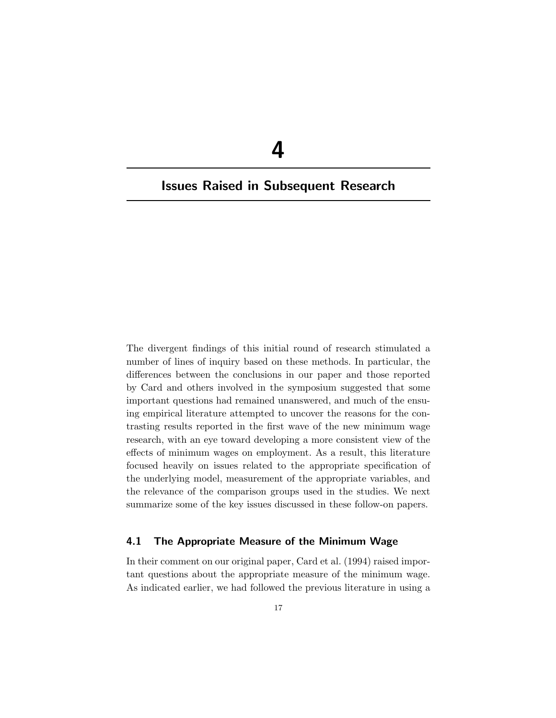## **4**

### **Issues Raised in Subsequent Research**

The divergent findings of this initial round of research stimulated a number of lines of inquiry based on these methods. In particular, the differences between the conclusions in our paper and those reported by Card and others involved in the symposium suggested that some important questions had remained unanswered, and much of the ensuing empirical literature attempted to uncover the reasons for the contrasting results reported in the first wave of the new minimum wage research, with an eye toward developing a more consistent view of the effects of minimum wages on employment. As a result, this literature focused heavily on issues related to the appropriate specification of the underlying model, measurement of the appropriate variables, and the relevance of the comparison groups used in the studies. We next summarize some of the key issues discussed in these follow-on papers.

#### **4.1 The Appropriate Measure of the Minimum Wage**

In their comment on our original paper, Card et al. (1994) raised important questions about the appropriate measure of the minimum wage. As indicated earlier, we had followed the previous literature in using a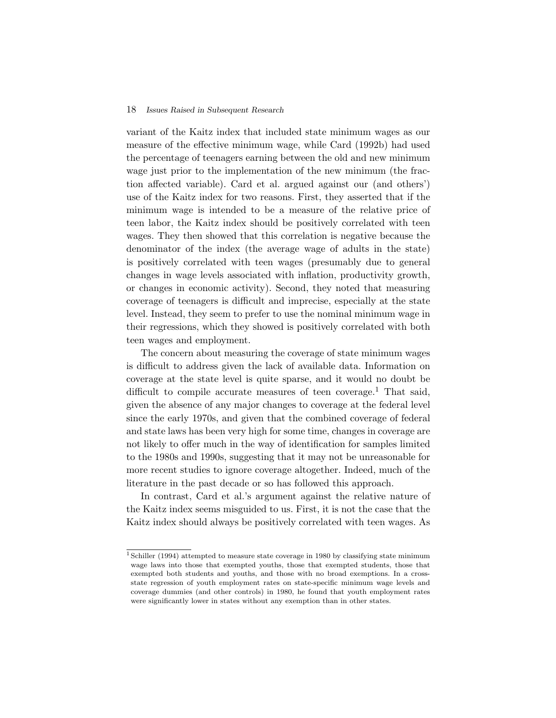variant of the Kaitz index that included state minimum wages as our measure of the effective minimum wage, while Card (1992b) had used the percentage of teenagers earning between the old and new minimum wage just prior to the implementation of the new minimum (the fraction affected variable). Card et al. argued against our (and others') use of the Kaitz index for two reasons. First, they asserted that if the minimum wage is intended to be a measure of the relative price of teen labor, the Kaitz index should be positively correlated with teen wages. They then showed that this correlation is negative because the denominator of the index (the average wage of adults in the state) is positively correlated with teen wages (presumably due to general changes in wage levels associated with inflation, productivity growth, or changes in economic activity). Second, they noted that measuring coverage of teenagers is difficult and imprecise, especially at the state level. Instead, they seem to prefer to use the nominal minimum wage in their regressions, which they showed is positively correlated with both teen wages and employment.

The concern about measuring the coverage of state minimum wages is difficult to address given the lack of available data. Information on coverage at the state level is quite sparse, and it would no doubt be difficult to compile accurate measures of teen coverage.<sup>1</sup> That said, given the absence of any major changes to coverage at the federal level since the early 1970s, and given that the combined coverage of federal and state laws has been very high for some time, changes in coverage are not likely to offer much in the way of identification for samples limited to the 1980s and 1990s, suggesting that it may not be unreasonable for more recent studies to ignore coverage altogether. Indeed, much of the literature in the past decade or so has followed this approach.

In contrast, Card et al.'s argument against the relative nature of the Kaitz index seems misguided to us. First, it is not the case that the Kaitz index should always be positively correlated with teen wages. As

<sup>&</sup>lt;sup>1</sup> Schiller (1994) attempted to measure state coverage in 1980 by classifying state minimum wage laws into those that exempted youths, those that exempted students, those that exempted both students and youths, and those with no broad exemptions. In a crossstate regression of youth employment rates on state-specific minimum wage levels and coverage dummies (and other controls) in 1980, he found that youth employment rates were significantly lower in states without any exemption than in other states.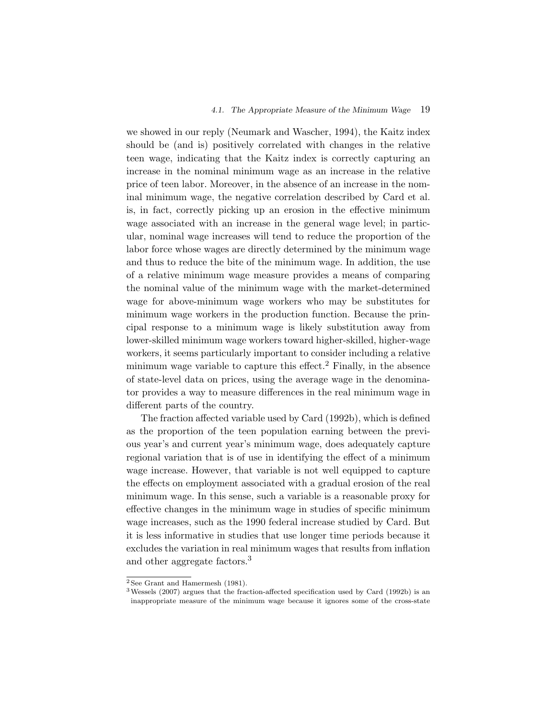#### *4.1. The Appropriate Measure of the Minimum Wage* 19

we showed in our reply (Neumark and Wascher, 1994), the Kaitz index should be (and is) positively correlated with changes in the relative teen wage, indicating that the Kaitz index is correctly capturing an increase in the nominal minimum wage as an increase in the relative price of teen labor. Moreover, in the absence of an increase in the nominal minimum wage, the negative correlation described by Card et al. is, in fact, correctly picking up an erosion in the effective minimum wage associated with an increase in the general wage level; in particular, nominal wage increases will tend to reduce the proportion of the labor force whose wages are directly determined by the minimum wage and thus to reduce the bite of the minimum wage. In addition, the use of a relative minimum wage measure provides a means of comparing the nominal value of the minimum wage with the market-determined wage for above-minimum wage workers who may be substitutes for minimum wage workers in the production function. Because the principal response to a minimum wage is likely substitution away from lower-skilled minimum wage workers toward higher-skilled, higher-wage workers, it seems particularly important to consider including a relative minimum wage variable to capture this effect.<sup>2</sup> Finally, in the absence of state-level data on prices, using the average wage in the denominator provides a way to measure differences in the real minimum wage in different parts of the country.

The fraction affected variable used by Card (1992b), which is defined as the proportion of the teen population earning between the previous year's and current year's minimum wage, does adequately capture regional variation that is of use in identifying the effect of a minimum wage increase. However, that variable is not well equipped to capture the effects on employment associated with a gradual erosion of the real minimum wage. In this sense, such a variable is a reasonable proxy for effective changes in the minimum wage in studies of specific minimum wage increases, such as the 1990 federal increase studied by Card. But it is less informative in studies that use longer time periods because it excludes the variation in real minimum wages that results from inflation and other aggregate factors.<sup>3</sup>

<sup>2</sup> See Grant and Hamermesh (1981).

<sup>3</sup>Wessels (2007) argues that the fraction-affected specification used by Card (1992b) is an inappropriate measure of the minimum wage because it ignores some of the cross-state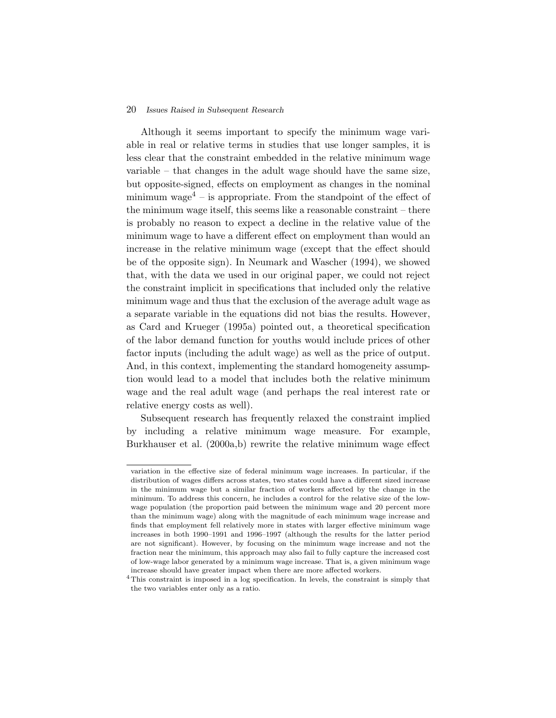Although it seems important to specify the minimum wage variable in real or relative terms in studies that use longer samples, it is less clear that the constraint embedded in the relative minimum wage variable – that changes in the adult wage should have the same size, but opposite-signed, effects on employment as changes in the nominal minimum wage<sup>4</sup> – is appropriate. From the standpoint of the effect of the minimum wage itself, this seems like a reasonable constraint – there is probably no reason to expect a decline in the relative value of the minimum wage to have a different effect on employment than would an increase in the relative minimum wage (except that the effect should be of the opposite sign). In Neumark and Wascher (1994), we showed that, with the data we used in our original paper, we could not reject the constraint implicit in specifications that included only the relative minimum wage and thus that the exclusion of the average adult wage as a separate variable in the equations did not bias the results. However, as Card and Krueger (1995a) pointed out, a theoretical specification of the labor demand function for youths would include prices of other factor inputs (including the adult wage) as well as the price of output. And, in this context, implementing the standard homogeneity assumption would lead to a model that includes both the relative minimum wage and the real adult wage (and perhaps the real interest rate or relative energy costs as well).

Subsequent research has frequently relaxed the constraint implied by including a relative minimum wage measure. For example, Burkhauser et al. (2000a,b) rewrite the relative minimum wage effect

variation in the effective size of federal minimum wage increases. In particular, if the distribution of wages differs across states, two states could have a different sized increase in the minimum wage but a similar fraction of workers affected by the change in the minimum. To address this concern, he includes a control for the relative size of the lowwage population (the proportion paid between the minimum wage and 20 percent more than the minimum wage) along with the magnitude of each minimum wage increase and finds that employment fell relatively more in states with larger effective minimum wage increases in both 1990–1991 and 1996–1997 (although the results for the latter period are not significant). However, by focusing on the minimum wage increase and not the fraction near the minimum, this approach may also fail to fully capture the increased cost of low-wage labor generated by a minimum wage increase. That is, a given minimum wage increase should have greater impact when there are more affected workers.

<sup>4</sup> This constraint is imposed in a log specification. In levels, the constraint is simply that the two variables enter only as a ratio.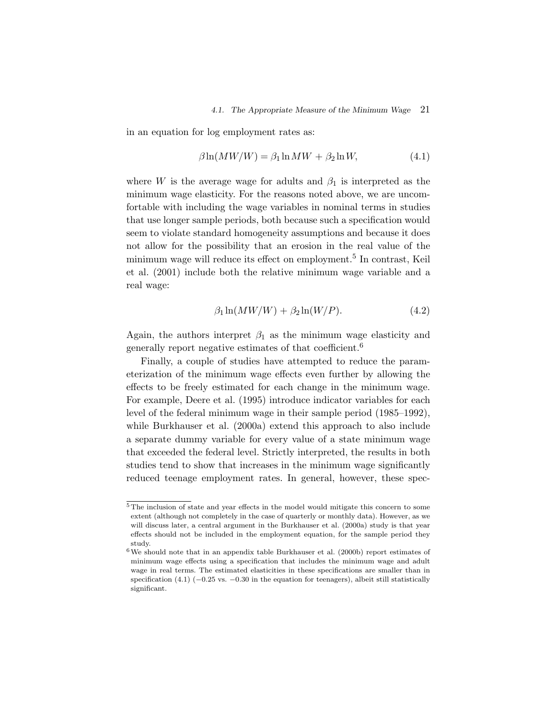in an equation for log employment rates as:

$$
\beta \ln(MW/W) = \beta_1 \ln MW + \beta_2 \ln W, \tag{4.1}
$$

where W is the average wage for adults and  $\beta_1$  is interpreted as the minimum wage elasticity. For the reasons noted above, we are uncomfortable with including the wage variables in nominal terms in studies that use longer sample periods, both because such a specification would seem to violate standard homogeneity assumptions and because it does not allow for the possibility that an erosion in the real value of the minimum wage will reduce its effect on employment.<sup>5</sup> In contrast, Keil et al. (2001) include both the relative minimum wage variable and a real wage:

$$
\beta_1 \ln(MW/W) + \beta_2 \ln(W/P). \tag{4.2}
$$

Again, the authors interpret  $\beta_1$  as the minimum wage elasticity and generally report negative estimates of that coefficient.<sup>6</sup>

Finally, a couple of studies have attempted to reduce the parameterization of the minimum wage effects even further by allowing the effects to be freely estimated for each change in the minimum wage. For example, Deere et al. (1995) introduce indicator variables for each level of the federal minimum wage in their sample period (1985–1992), while Burkhauser et al. (2000a) extend this approach to also include a separate dummy variable for every value of a state minimum wage that exceeded the federal level. Strictly interpreted, the results in both studies tend to show that increases in the minimum wage significantly reduced teenage employment rates. In general, however, these spec-

<sup>5</sup> The inclusion of state and year effects in the model would mitigate this concern to some extent (although not completely in the case of quarterly or monthly data). However, as we will discuss later, a central argument in the Burkhauser et al. (2000a) study is that year effects should not be included in the employment equation, for the sample period they study.

 $6$ We should note that in an appendix table Burkhauser et al. (2000b) report estimates of minimum wage effects using a specification that includes the minimum wage and adult wage in real terms. The estimated elasticities in these specifications are smaller than in specification (4.1) (−0.25 vs. −0.30 in the equation for teenagers), albeit still statistically significant.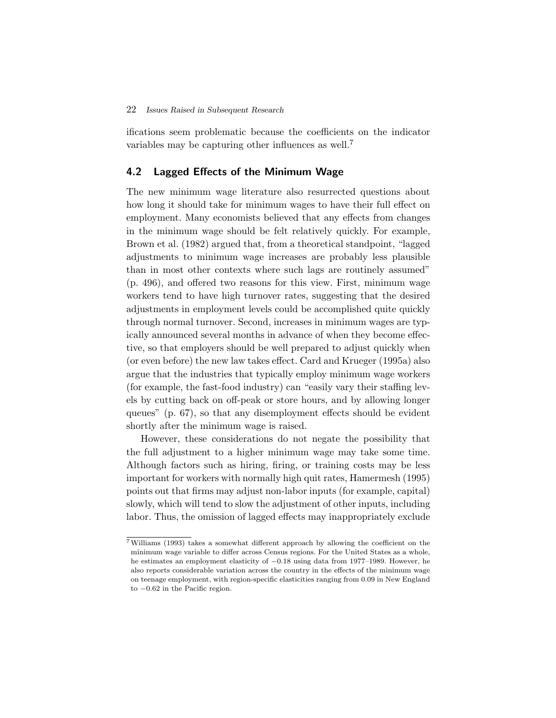ifications seem problematic because the coefficients on the indicator variables may be capturing other influences as well.<sup>7</sup>

#### **4.2 Lagged Effects of the Minimum Wage**

The new minimum wage literature also resurrected questions about how long it should take for minimum wages to have their full effect on employment. Many economists believed that any effects from changes in the minimum wage should be felt relatively quickly. For example, Brown et al. (1982) argued that, from a theoretical standpoint, "lagged adjustments to minimum wage increases are probably less plausible than in most other contexts where such lags are routinely assumed" (p. 496), and offered two reasons for this view. First, minimum wage workers tend to have high turnover rates, suggesting that the desired adjustments in employment levels could be accomplished quite quickly through normal turnover. Second, increases in minimum wages are typically announced several months in advance of when they become effective, so that employers should be well prepared to adjust quickly when (or even before) the new law takes effect. Card and Krueger (1995a) also argue that the industries that typically employ minimum wage workers (for example, the fast-food industry) can "easily vary their staffing levels by cutting back on off-peak or store hours, and by allowing longer queues" (p. 67), so that any disemployment effects should be evident shortly after the minimum wage is raised.

However, these considerations do not negate the possibility that the full adjustment to a higher minimum wage may take some time. Although factors such as hiring, firing, or training costs may be less important for workers with normally high quit rates, Hamermesh (1995) points out that firms may adjust non-labor inputs (for example, capital) slowly, which will tend to slow the adjustment of other inputs, including labor. Thus, the omission of lagged effects may inappropriately exclude

<sup>7</sup>Williams (1993) takes a somewhat different approach by allowing the coefficient on the minimum wage variable to differ across Census regions. For the United States as a whole, he estimates an employment elasticity of −0.18 using data from 1977–1989. However, he also reports considerable variation across the country in the effects of the minimum wage on teenage employment, with region-specific elasticities ranging from 0.09 in New England to −0.62 in the Pacific region.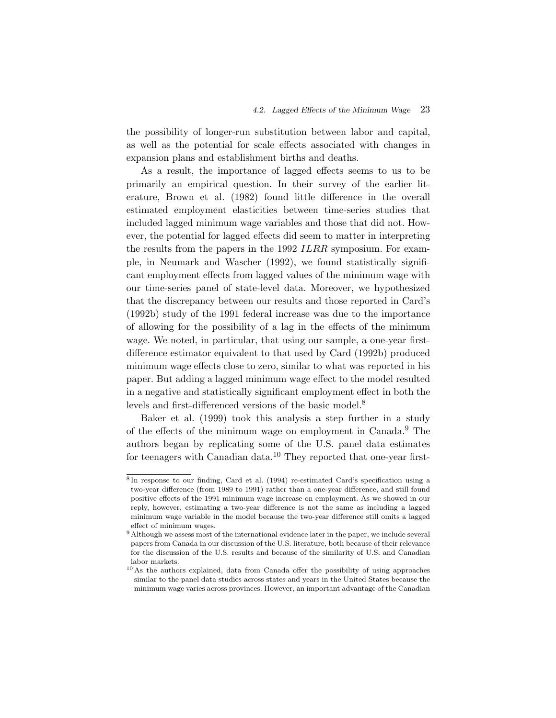the possibility of longer-run substitution between labor and capital, as well as the potential for scale effects associated with changes in expansion plans and establishment births and deaths.

As a result, the importance of lagged effects seems to us to be primarily an empirical question. In their survey of the earlier literature, Brown et al. (1982) found little difference in the overall estimated employment elasticities between time-series studies that included lagged minimum wage variables and those that did not. However, the potential for lagged effects did seem to matter in interpreting the results from the papers in the 1992 ILRR symposium. For example, in Neumark and Wascher (1992), we found statistically significant employment effects from lagged values of the minimum wage with our time-series panel of state-level data. Moreover, we hypothesized that the discrepancy between our results and those reported in Card's (1992b) study of the 1991 federal increase was due to the importance of allowing for the possibility of a lag in the effects of the minimum wage. We noted, in particular, that using our sample, a one-year firstdifference estimator equivalent to that used by Card (1992b) produced minimum wage effects close to zero, similar to what was reported in his paper. But adding a lagged minimum wage effect to the model resulted in a negative and statistically significant employment effect in both the levels and first-differenced versions of the basic model.<sup>8</sup>

Baker et al. (1999) took this analysis a step further in a study of the effects of the minimum wage on employment in Canada.<sup>9</sup> The authors began by replicating some of the U.S. panel data estimates for teenagers with Canadian data.<sup>10</sup> They reported that one-year first-

<sup>8</sup> In response to our finding, Card et al. (1994) re-estimated Card's specification using a two-year difference (from 1989 to 1991) rather than a one-year difference, and still found positive effects of the 1991 minimum wage increase on employment. As we showed in our reply, however, estimating a two-year difference is not the same as including a lagged minimum wage variable in the model because the two-year difference still omits a lagged effect of minimum wages.

 $^9$  Although we assess most of the international evidence later in the paper, we include several papers from Canada in our discussion of the U.S. literature, both because of their relevance for the discussion of the U.S. results and because of the similarity of U.S. and Canadian labor markets.

<sup>&</sup>lt;sup>10</sup> As the authors explained, data from Canada offer the possibility of using approaches similar to the panel data studies across states and years in the United States because the minimum wage varies across provinces. However, an important advantage of the Canadian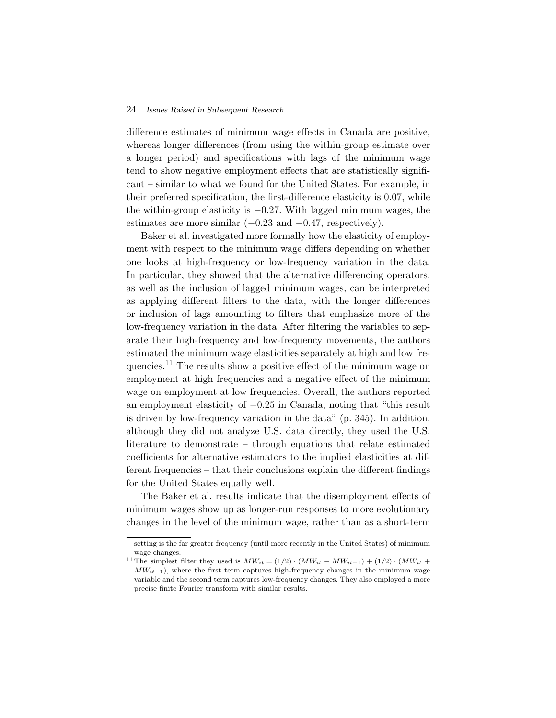difference estimates of minimum wage effects in Canada are positive, whereas longer differences (from using the within-group estimate over a longer period) and specifications with lags of the minimum wage tend to show negative employment effects that are statistically significant – similar to what we found for the United States. For example, in their preferred specification, the first-difference elasticity is 0.07, while the within-group elasticity is −0.27. With lagged minimum wages, the estimates are more similar  $(-0.23 \text{ and } -0.47, \text{ respectively}).$ 

Baker et al. investigated more formally how the elasticity of employment with respect to the minimum wage differs depending on whether one looks at high-frequency or low-frequency variation in the data. In particular, they showed that the alternative differencing operators, as well as the inclusion of lagged minimum wages, can be interpreted as applying different filters to the data, with the longer differences or inclusion of lags amounting to filters that emphasize more of the low-frequency variation in the data. After filtering the variables to separate their high-frequency and low-frequency movements, the authors estimated the minimum wage elasticities separately at high and low frequencies.<sup>11</sup> The results show a positive effect of the minimum wage on employment at high frequencies and a negative effect of the minimum wage on employment at low frequencies. Overall, the authors reported an employment elasticity of −0.25 in Canada, noting that "this result is driven by low-frequency variation in the data" (p. 345). In addition, although they did not analyze U.S. data directly, they used the U.S. literature to demonstrate – through equations that relate estimated coefficients for alternative estimators to the implied elasticities at different frequencies – that their conclusions explain the different findings for the United States equally well.

The Baker et al. results indicate that the disemployment effects of minimum wages show up as longer-run responses to more evolutionary changes in the level of the minimum wage, rather than as a short-term

setting is the far greater frequency (until more recently in the United States) of minimum wage changes.

<sup>&</sup>lt;sup>11</sup> The simplest filter they used is  $MW_{it} = (1/2) \cdot (MW_{it} - MW_{it-1}) + (1/2) \cdot (MW_{it} +$  $MW_{it-1}$ , where the first term captures high-frequency changes in the minimum wage variable and the second term captures low-frequency changes. They also employed a more precise finite Fourier transform with similar results.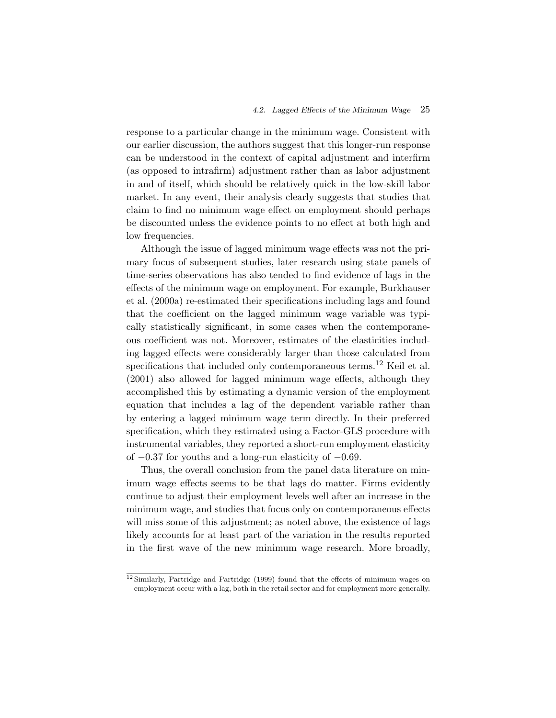response to a particular change in the minimum wage. Consistent with our earlier discussion, the authors suggest that this longer-run response can be understood in the context of capital adjustment and interfirm (as opposed to intrafirm) adjustment rather than as labor adjustment in and of itself, which should be relatively quick in the low-skill labor market. In any event, their analysis clearly suggests that studies that claim to find no minimum wage effect on employment should perhaps be discounted unless the evidence points to no effect at both high and low frequencies.

Although the issue of lagged minimum wage effects was not the primary focus of subsequent studies, later research using state panels of time-series observations has also tended to find evidence of lags in the effects of the minimum wage on employment. For example, Burkhauser et al. (2000a) re-estimated their specifications including lags and found that the coefficient on the lagged minimum wage variable was typically statistically significant, in some cases when the contemporaneous coefficient was not. Moreover, estimates of the elasticities including lagged effects were considerably larger than those calculated from specifications that included only contemporaneous terms.<sup>12</sup> Keil et al. (2001) also allowed for lagged minimum wage effects, although they accomplished this by estimating a dynamic version of the employment equation that includes a lag of the dependent variable rather than by entering a lagged minimum wage term directly. In their preferred specification, which they estimated using a Factor-GLS procedure with instrumental variables, they reported a short-run employment elasticity of −0.37 for youths and a long-run elasticity of −0.69.

Thus, the overall conclusion from the panel data literature on minimum wage effects seems to be that lags do matter. Firms evidently continue to adjust their employment levels well after an increase in the minimum wage, and studies that focus only on contemporaneous effects will miss some of this adjustment; as noted above, the existence of lags likely accounts for at least part of the variation in the results reported in the first wave of the new minimum wage research. More broadly,

 $12$  Similarly, Partridge and Partridge (1999) found that the effects of minimum wages on employment occur with a lag, both in the retail sector and for employment more generally.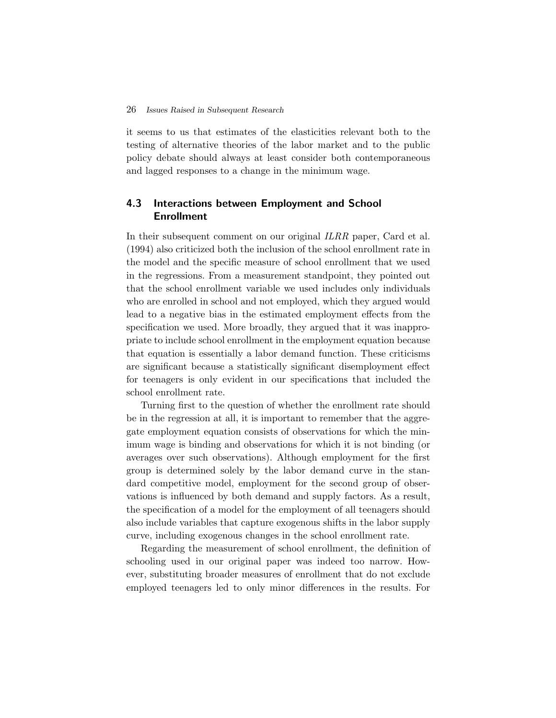it seems to us that estimates of the elasticities relevant both to the testing of alternative theories of the labor market and to the public policy debate should always at least consider both contemporaneous and lagged responses to a change in the minimum wage.

#### **4.3 Interactions between Employment and School Enrollment**

In their subsequent comment on our original *ILRR* paper, Card et al. (1994) also criticized both the inclusion of the school enrollment rate in the model and the specific measure of school enrollment that we used in the regressions. From a measurement standpoint, they pointed out that the school enrollment variable we used includes only individuals who are enrolled in school and not employed, which they argued would lead to a negative bias in the estimated employment effects from the specification we used. More broadly, they argued that it was inappropriate to include school enrollment in the employment equation because that equation is essentially a labor demand function. These criticisms are significant because a statistically significant disemployment effect for teenagers is only evident in our specifications that included the school enrollment rate.

Turning first to the question of whether the enrollment rate should be in the regression at all, it is important to remember that the aggregate employment equation consists of observations for which the minimum wage is binding and observations for which it is not binding (or averages over such observations). Although employment for the first group is determined solely by the labor demand curve in the standard competitive model, employment for the second group of observations is influenced by both demand and supply factors. As a result, the specification of a model for the employment of all teenagers should also include variables that capture exogenous shifts in the labor supply curve, including exogenous changes in the school enrollment rate.

Regarding the measurement of school enrollment, the definition of schooling used in our original paper was indeed too narrow. However, substituting broader measures of enrollment that do not exclude employed teenagers led to only minor differences in the results. For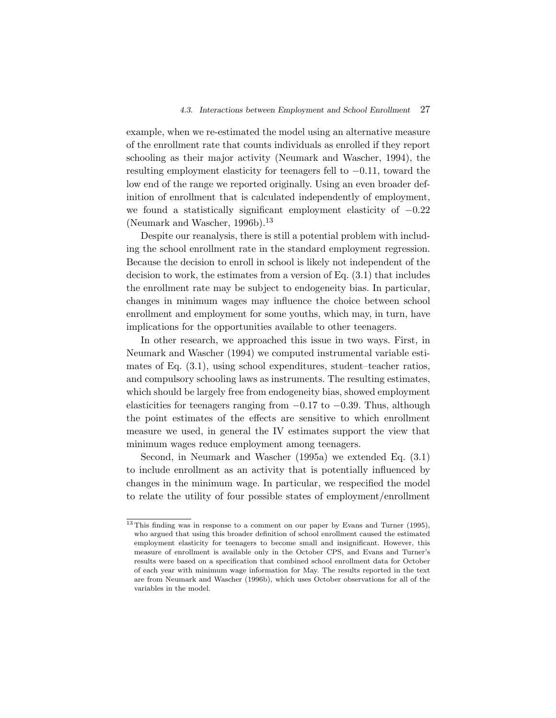example, when we re-estimated the model using an alternative measure of the enrollment rate that counts individuals as enrolled if they report schooling as their major activity (Neumark and Wascher, 1994), the resulting employment elasticity for teenagers fell to −0.11, toward the low end of the range we reported originally. Using an even broader definition of enrollment that is calculated independently of employment, we found a statistically significant employment elasticity of −0.22 (Neumark and Wascher, 1996b).<sup>13</sup>

Despite our reanalysis, there is still a potential problem with including the school enrollment rate in the standard employment regression. Because the decision to enroll in school is likely not independent of the decision to work, the estimates from a version of Eq. (3.1) that includes the enrollment rate may be subject to endogeneity bias. In particular, changes in minimum wages may influence the choice between school enrollment and employment for some youths, which may, in turn, have implications for the opportunities available to other teenagers.

In other research, we approached this issue in two ways. First, in Neumark and Wascher (1994) we computed instrumental variable estimates of Eq. (3.1), using school expenditures, student–teacher ratios, and compulsory schooling laws as instruments. The resulting estimates, which should be largely free from endogeneity bias, showed employment elasticities for teenagers ranging from  $-0.17$  to  $-0.39$ . Thus, although the point estimates of the effects are sensitive to which enrollment measure we used, in general the IV estimates support the view that minimum wages reduce employment among teenagers.

Second, in Neumark and Wascher (1995a) we extended Eq. (3.1) to include enrollment as an activity that is potentially influenced by changes in the minimum wage. In particular, we respecified the model to relate the utility of four possible states of employment/enrollment

<sup>&</sup>lt;sup>13</sup> This finding was in response to a comment on our paper by Evans and Turner (1995), who argued that using this broader definition of school enrollment caused the estimated employment elasticity for teenagers to become small and insignificant. However, this measure of enrollment is available only in the October CPS, and Evans and Turner's results were based on a specification that combined school enrollment data for October of each year with minimum wage information for May. The results reported in the text are from Neumark and Wascher (1996b), which uses October observations for all of the variables in the model.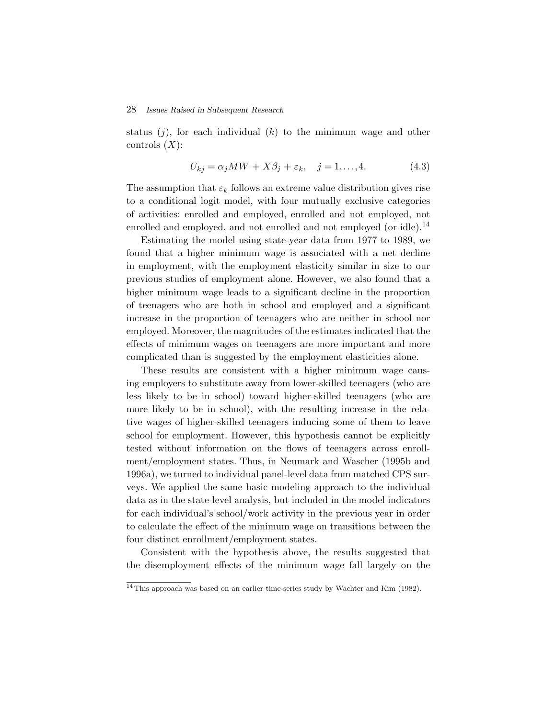status  $(j)$ , for each individual  $(k)$  to the minimum wage and other controls  $(X)$ :

$$
U_{kj} = \alpha_j MW + X\beta_j + \varepsilon_k, \quad j = 1, \dots, 4. \tag{4.3}
$$

The assumption that  $\varepsilon_k$  follows an extreme value distribution gives rise to a conditional logit model, with four mutually exclusive categories of activities: enrolled and employed, enrolled and not employed, not enrolled and employed, and not enrolled and not employed (or idle).<sup>14</sup>

Estimating the model using state-year data from 1977 to 1989, we found that a higher minimum wage is associated with a net decline in employment, with the employment elasticity similar in size to our previous studies of employment alone. However, we also found that a higher minimum wage leads to a significant decline in the proportion of teenagers who are both in school and employed and a significant increase in the proportion of teenagers who are neither in school nor employed. Moreover, the magnitudes of the estimates indicated that the effects of minimum wages on teenagers are more important and more complicated than is suggested by the employment elasticities alone.

These results are consistent with a higher minimum wage causing employers to substitute away from lower-skilled teenagers (who are less likely to be in school) toward higher-skilled teenagers (who are more likely to be in school), with the resulting increase in the relative wages of higher-skilled teenagers inducing some of them to leave school for employment. However, this hypothesis cannot be explicitly tested without information on the flows of teenagers across enrollment/employment states. Thus, in Neumark and Wascher (1995b and 1996a), we turned to individual panel-level data from matched CPS surveys. We applied the same basic modeling approach to the individual data as in the state-level analysis, but included in the model indicators for each individual's school/work activity in the previous year in order to calculate the effect of the minimum wage on transitions between the four distinct enrollment/employment states.

Consistent with the hypothesis above, the results suggested that the disemployment effects of the minimum wage fall largely on the

<sup>&</sup>lt;sup>14</sup> This approach was based on an earlier time-series study by Wachter and Kim (1982).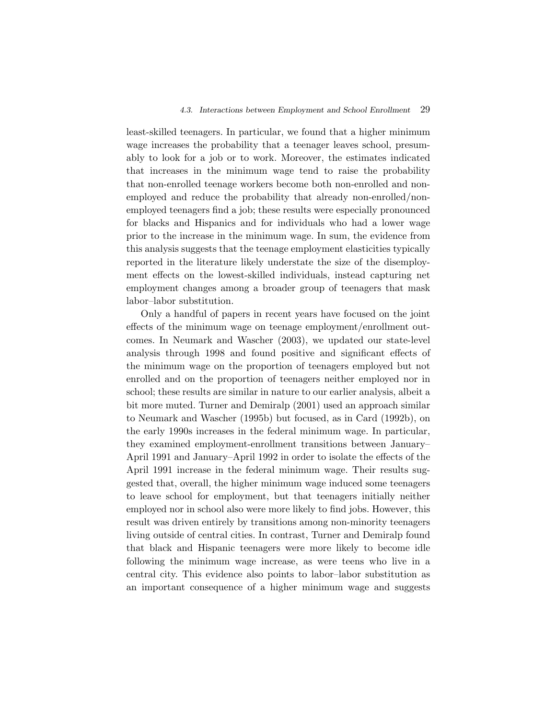least-skilled teenagers. In particular, we found that a higher minimum wage increases the probability that a teenager leaves school, presumably to look for a job or to work. Moreover, the estimates indicated that increases in the minimum wage tend to raise the probability that non-enrolled teenage workers become both non-enrolled and nonemployed and reduce the probability that already non-enrolled/nonemployed teenagers find a job; these results were especially pronounced for blacks and Hispanics and for individuals who had a lower wage prior to the increase in the minimum wage. In sum, the evidence from this analysis suggests that the teenage employment elasticities typically reported in the literature likely understate the size of the disemployment effects on the lowest-skilled individuals, instead capturing net employment changes among a broader group of teenagers that mask labor–labor substitution.

Only a handful of papers in recent years have focused on the joint effects of the minimum wage on teenage employment/enrollment outcomes. In Neumark and Wascher (2003), we updated our state-level analysis through 1998 and found positive and significant effects of the minimum wage on the proportion of teenagers employed but not enrolled and on the proportion of teenagers neither employed nor in school; these results are similar in nature to our earlier analysis, albeit a bit more muted. Turner and Demiralp (2001) used an approach similar to Neumark and Wascher (1995b) but focused, as in Card (1992b), on the early 1990s increases in the federal minimum wage. In particular, they examined employment-enrollment transitions between January– April 1991 and January–April 1992 in order to isolate the effects of the April 1991 increase in the federal minimum wage. Their results suggested that, overall, the higher minimum wage induced some teenagers to leave school for employment, but that teenagers initially neither employed nor in school also were more likely to find jobs. However, this result was driven entirely by transitions among non-minority teenagers living outside of central cities. In contrast, Turner and Demiralp found that black and Hispanic teenagers were more likely to become idle following the minimum wage increase, as were teens who live in a central city. This evidence also points to labor–labor substitution as an important consequence of a higher minimum wage and suggests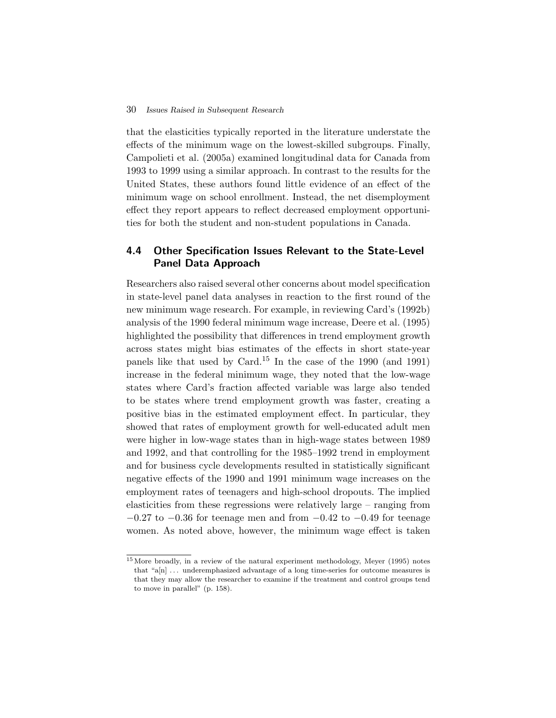that the elasticities typically reported in the literature understate the effects of the minimum wage on the lowest-skilled subgroups. Finally, Campolieti et al. (2005a) examined longitudinal data for Canada from 1993 to 1999 using a similar approach. In contrast to the results for the United States, these authors found little evidence of an effect of the minimum wage on school enrollment. Instead, the net disemployment effect they report appears to reflect decreased employment opportunities for both the student and non-student populations in Canada.

#### **4.4 Other Specification Issues Relevant to the State-Level Panel Data Approach**

Researchers also raised several other concerns about model specification in state-level panel data analyses in reaction to the first round of the new minimum wage research. For example, in reviewing Card's (1992b) analysis of the 1990 federal minimum wage increase, Deere et al. (1995) highlighted the possibility that differences in trend employment growth across states might bias estimates of the effects in short state-year panels like that used by Card.<sup>15</sup> In the case of the 1990 (and 1991) increase in the federal minimum wage, they noted that the low-wage states where Card's fraction affected variable was large also tended to be states where trend employment growth was faster, creating a positive bias in the estimated employment effect. In particular, they showed that rates of employment growth for well-educated adult men were higher in low-wage states than in high-wage states between 1989 and 1992, and that controlling for the 1985–1992 trend in employment and for business cycle developments resulted in statistically significant negative effects of the 1990 and 1991 minimum wage increases on the employment rates of teenagers and high-school dropouts. The implied elasticities from these regressions were relatively large – ranging from  $-0.27$  to  $-0.36$  for teenage men and from  $-0.42$  to  $-0.49$  for teenage women. As noted above, however, the minimum wage effect is taken

<sup>15</sup> More broadly, in a review of the natural experiment methodology, Meyer (1995) notes that "a[n]  $\dots$  underemphasized advantage of a long time-series for outcome measures is that they may allow the researcher to examine if the treatment and control groups tend to move in parallel" (p. 158).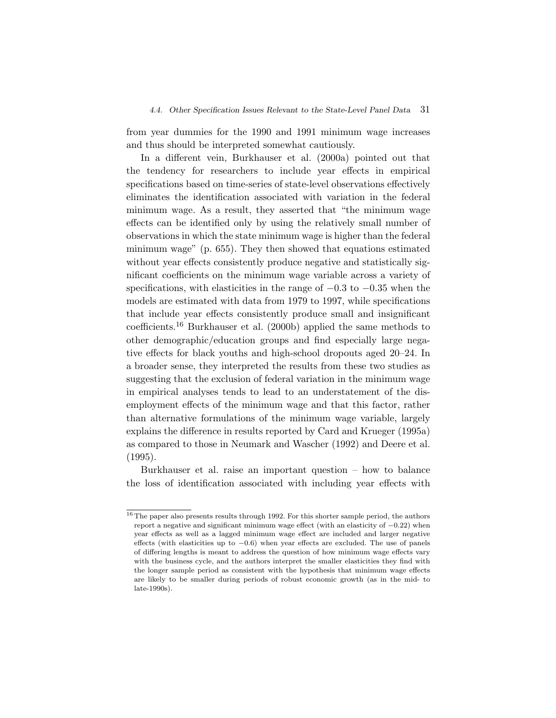#### *4.4. Other Specification Issues Relevant to the State-Level Panel Data* 31

from year dummies for the 1990 and 1991 minimum wage increases and thus should be interpreted somewhat cautiously.

In a different vein, Burkhauser et al. (2000a) pointed out that the tendency for researchers to include year effects in empirical specifications based on time-series of state-level observations effectively eliminates the identification associated with variation in the federal minimum wage. As a result, they asserted that "the minimum wage effects can be identified only by using the relatively small number of observations in which the state minimum wage is higher than the federal minimum wage" (p. 655). They then showed that equations estimated without year effects consistently produce negative and statistically significant coefficients on the minimum wage variable across a variety of specifications, with elasticities in the range of  $-0.3$  to  $-0.35$  when the models are estimated with data from 1979 to 1997, while specifications that include year effects consistently produce small and insignificant coefficients.<sup>16</sup> Burkhauser et al. (2000b) applied the same methods to other demographic/education groups and find especially large negative effects for black youths and high-school dropouts aged 20–24. In a broader sense, they interpreted the results from these two studies as suggesting that the exclusion of federal variation in the minimum wage in empirical analyses tends to lead to an understatement of the disemployment effects of the minimum wage and that this factor, rather than alternative formulations of the minimum wage variable, largely explains the difference in results reported by Card and Krueger (1995a) as compared to those in Neumark and Wascher (1992) and Deere et al. (1995).

Burkhauser et al. raise an important question – how to balance the loss of identification associated with including year effects with

 $^{16}\mathrm{The}$  paper also presents results through 1992. For this shorter sample period, the authors report a negative and significant minimum wage effect (with an elasticity of  $-0.22$ ) when year effects as well as a lagged minimum wage effect are included and larger negative effects (with elasticities up to  $-0.6$ ) when year effects are excluded. The use of panels of differing lengths is meant to address the question of how minimum wage effects vary with the business cycle, and the authors interpret the smaller elasticities they find with the longer sample period as consistent with the hypothesis that minimum wage effects are likely to be smaller during periods of robust economic growth (as in the mid- to late-1990s).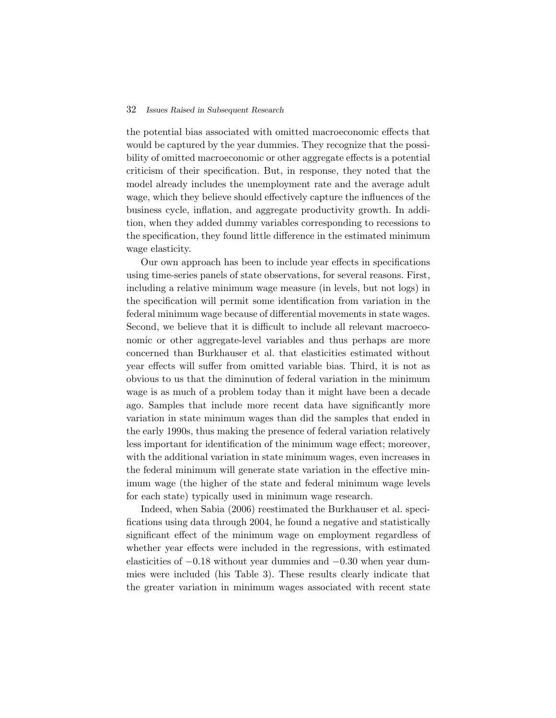the potential bias associated with omitted macroeconomic effects that would be captured by the year dummies. They recognize that the possibility of omitted macroeconomic or other aggregate effects is a potential criticism of their specification. But, in response, they noted that the model already includes the unemployment rate and the average adult wage, which they believe should effectively capture the influences of the business cycle, inflation, and aggregate productivity growth. In addition, when they added dummy variables corresponding to recessions to the specification, they found little difference in the estimated minimum wage elasticity.

Our own approach has been to include year effects in specifications using time-series panels of state observations, for several reasons. First, including a relative minimum wage measure (in levels, but not logs) in the specification will permit some identification from variation in the federal minimum wage because of differential movements in state wages. Second, we believe that it is difficult to include all relevant macroeconomic or other aggregate-level variables and thus perhaps are more concerned than Burkhauser et al. that elasticities estimated without year effects will suffer from omitted variable bias. Third, it is not as obvious to us that the diminution of federal variation in the minimum wage is as much of a problem today than it might have been a decade ago. Samples that include more recent data have significantly more variation in state minimum wages than did the samples that ended in the early 1990s, thus making the presence of federal variation relatively less important for identification of the minimum wage effect; moreover, with the additional variation in state minimum wages, even increases in the federal minimum will generate state variation in the effective minimum wage (the higher of the state and federal minimum wage levels for each state) typically used in minimum wage research.

Indeed, when Sabia (2006) reestimated the Burkhauser et al. specifications using data through 2004, he found a negative and statistically significant effect of the minimum wage on employment regardless of whether year effects were included in the regressions, with estimated elasticities of −0.18 without year dummies and −0.30 when year dummies were included (his Table 3). These results clearly indicate that the greater variation in minimum wages associated with recent state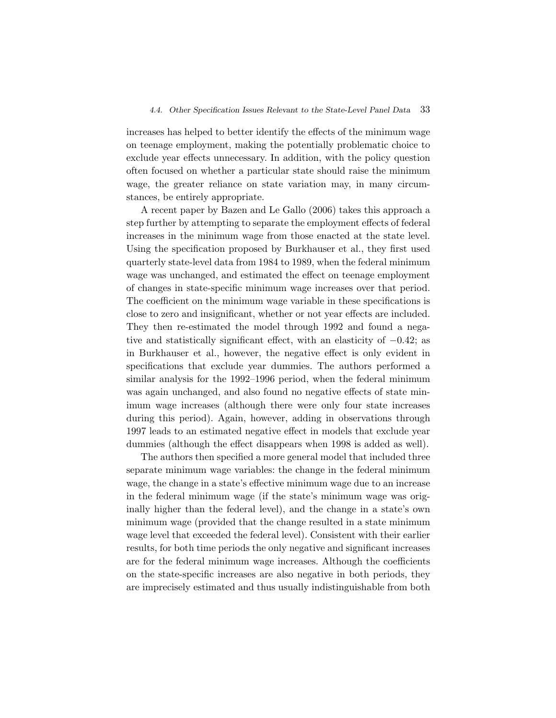increases has helped to better identify the effects of the minimum wage on teenage employment, making the potentially problematic choice to exclude year effects unnecessary. In addition, with the policy question often focused on whether a particular state should raise the minimum wage, the greater reliance on state variation may, in many circumstances, be entirely appropriate.

A recent paper by Bazen and Le Gallo (2006) takes this approach a step further by attempting to separate the employment effects of federal increases in the minimum wage from those enacted at the state level. Using the specification proposed by Burkhauser et al., they first used quarterly state-level data from 1984 to 1989, when the federal minimum wage was unchanged, and estimated the effect on teenage employment of changes in state-specific minimum wage increases over that period. The coefficient on the minimum wage variable in these specifications is close to zero and insignificant, whether or not year effects are included. They then re-estimated the model through 1992 and found a negative and statistically significant effect, with an elasticity of −0.42; as in Burkhauser et al., however, the negative effect is only evident in specifications that exclude year dummies. The authors performed a similar analysis for the 1992–1996 period, when the federal minimum was again unchanged, and also found no negative effects of state minimum wage increases (although there were only four state increases during this period). Again, however, adding in observations through 1997 leads to an estimated negative effect in models that exclude year dummies (although the effect disappears when 1998 is added as well).

The authors then specified a more general model that included three separate minimum wage variables: the change in the federal minimum wage, the change in a state's effective minimum wage due to an increase in the federal minimum wage (if the state's minimum wage was originally higher than the federal level), and the change in a state's own minimum wage (provided that the change resulted in a state minimum wage level that exceeded the federal level). Consistent with their earlier results, for both time periods the only negative and significant increases are for the federal minimum wage increases. Although the coefficients on the state-specific increases are also negative in both periods, they are imprecisely estimated and thus usually indistinguishable from both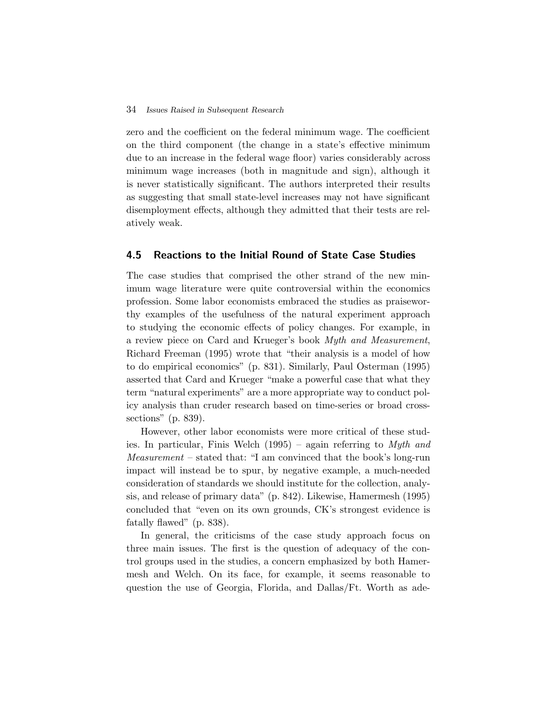zero and the coefficient on the federal minimum wage. The coefficient on the third component (the change in a state's effective minimum due to an increase in the federal wage floor) varies considerably across minimum wage increases (both in magnitude and sign), although it is never statistically significant. The authors interpreted their results as suggesting that small state-level increases may not have significant disemployment effects, although they admitted that their tests are relatively weak.

#### **4.5 Reactions to the Initial Round of State Case Studies**

The case studies that comprised the other strand of the new minimum wage literature were quite controversial within the economics profession. Some labor economists embraced the studies as praiseworthy examples of the usefulness of the natural experiment approach to studying the economic effects of policy changes. For example, in a review piece on Card and Krueger's book *Myth and Measurement*, Richard Freeman (1995) wrote that "their analysis is a model of how to do empirical economics" (p. 831). Similarly, Paul Osterman (1995) asserted that Card and Krueger "make a powerful case that what they term "natural experiments" are a more appropriate way to conduct policy analysis than cruder research based on time-series or broad crosssections" (p. 839).

However, other labor economists were more critical of these studies. In particular, Finis Welch (1995) – again referring to *Myth and Measurement* – stated that: "I am convinced that the book's long-run impact will instead be to spur, by negative example, a much-needed consideration of standards we should institute for the collection, analysis, and release of primary data" (p. 842). Likewise, Hamermesh (1995) concluded that "even on its own grounds, CK's strongest evidence is fatally flawed" (p. 838).

In general, the criticisms of the case study approach focus on three main issues. The first is the question of adequacy of the control groups used in the studies, a concern emphasized by both Hamermesh and Welch. On its face, for example, it seems reasonable to question the use of Georgia, Florida, and Dallas/Ft. Worth as ade-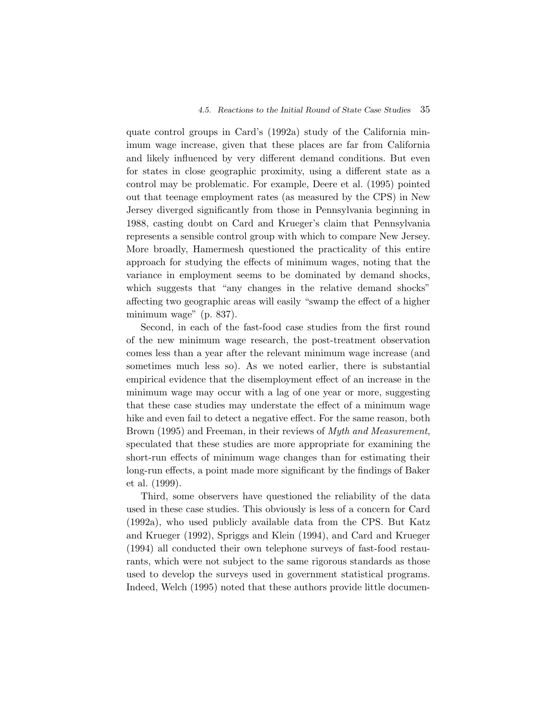quate control groups in Card's (1992a) study of the California minimum wage increase, given that these places are far from California and likely influenced by very different demand conditions. But even for states in close geographic proximity, using a different state as a control may be problematic. For example, Deere et al. (1995) pointed out that teenage employment rates (as measured by the CPS) in New Jersey diverged significantly from those in Pennsylvania beginning in 1988, casting doubt on Card and Krueger's claim that Pennsylvania represents a sensible control group with which to compare New Jersey. More broadly, Hamermesh questioned the practicality of this entire approach for studying the effects of minimum wages, noting that the variance in employment seems to be dominated by demand shocks, which suggests that "any changes in the relative demand shocks" affecting two geographic areas will easily "swamp the effect of a higher minimum wage" (p. 837).

Second, in each of the fast-food case studies from the first round of the new minimum wage research, the post-treatment observation comes less than a year after the relevant minimum wage increase (and sometimes much less so). As we noted earlier, there is substantial empirical evidence that the disemployment effect of an increase in the minimum wage may occur with a lag of one year or more, suggesting that these case studies may understate the effect of a minimum wage hike and even fail to detect a negative effect. For the same reason, both Brown (1995) and Freeman, in their reviews of *Myth and Measurement*, speculated that these studies are more appropriate for examining the short-run effects of minimum wage changes than for estimating their long-run effects, a point made more significant by the findings of Baker et al. (1999).

Third, some observers have questioned the reliability of the data used in these case studies. This obviously is less of a concern for Card (1992a), who used publicly available data from the CPS. But Katz and Krueger (1992), Spriggs and Klein (1994), and Card and Krueger (1994) all conducted their own telephone surveys of fast-food restaurants, which were not subject to the same rigorous standards as those used to develop the surveys used in government statistical programs. Indeed, Welch (1995) noted that these authors provide little documen-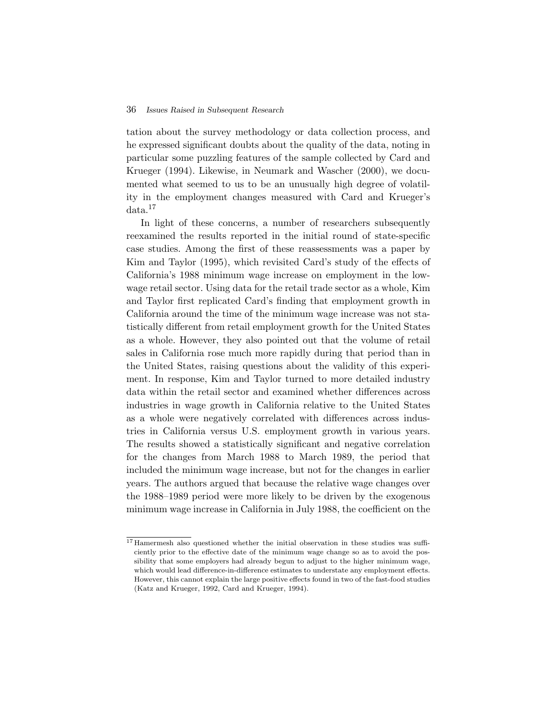## 36 *Issues Raised in Subsequent Research*

tation about the survey methodology or data collection process, and he expressed significant doubts about the quality of the data, noting in particular some puzzling features of the sample collected by Card and Krueger (1994). Likewise, in Neumark and Wascher (2000), we documented what seemed to us to be an unusually high degree of volatility in the employment changes measured with Card and Krueger's data.<sup>17</sup>

In light of these concerns, a number of researchers subsequently reexamined the results reported in the initial round of state-specific case studies. Among the first of these reassessments was a paper by Kim and Taylor (1995), which revisited Card's study of the effects of California's 1988 minimum wage increase on employment in the lowwage retail sector. Using data for the retail trade sector as a whole, Kim and Taylor first replicated Card's finding that employment growth in California around the time of the minimum wage increase was not statistically different from retail employment growth for the United States as a whole. However, they also pointed out that the volume of retail sales in California rose much more rapidly during that period than in the United States, raising questions about the validity of this experiment. In response, Kim and Taylor turned to more detailed industry data within the retail sector and examined whether differences across industries in wage growth in California relative to the United States as a whole were negatively correlated with differences across industries in California versus U.S. employment growth in various years. The results showed a statistically significant and negative correlation for the changes from March 1988 to March 1989, the period that included the minimum wage increase, but not for the changes in earlier years. The authors argued that because the relative wage changes over the 1988–1989 period were more likely to be driven by the exogenous minimum wage increase in California in July 1988, the coefficient on the

 $17$  Hamermesh also questioned whether the initial observation in these studies was sufficiently prior to the effective date of the minimum wage change so as to avoid the possibility that some employers had already begun to adjust to the higher minimum wage, which would lead difference-in-difference estimates to understate any employment effects. However, this cannot explain the large positive effects found in two of the fast-food studies (Katz and Krueger, 1992, Card and Krueger, 1994).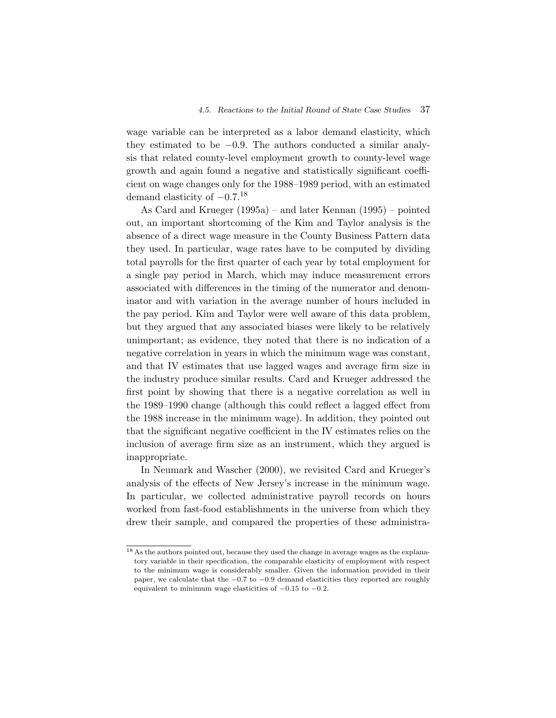wage variable can be interpreted as a labor demand elasticity, which they estimated to be −0.9. The authors conducted a similar analysis that related county-level employment growth to county-level wage growth and again found a negative and statistically significant coefficient on wage changes only for the 1988–1989 period, with an estimated demand elasticity of  $-0.7$ <sup>18</sup>

As Card and Krueger (1995a) – and later Kennan (1995) – pointed out, an important shortcoming of the Kim and Taylor analysis is the absence of a direct wage measure in the County Business Pattern data they used. In particular, wage rates have to be computed by dividing total payrolls for the first quarter of each year by total employment for a single pay period in March, which may induce measurement errors associated with differences in the timing of the numerator and denominator and with variation in the average number of hours included in the pay period. Kim and Taylor were well aware of this data problem, but they argued that any associated biases were likely to be relatively unimportant; as evidence, they noted that there is no indication of a negative correlation in years in which the minimum wage was constant, and that IV estimates that use lagged wages and average firm size in the industry produce similar results. Card and Krueger addressed the first point by showing that there is a negative correlation as well in the 1989–1990 change (although this could reflect a lagged effect from the 1988 increase in the minimum wage). In addition, they pointed out that the significant negative coefficient in the IV estimates relies on the inclusion of average firm size as an instrument, which they argued is inappropriate.

In Neumark and Wascher (2000), we revisited Card and Krueger's analysis of the effects of New Jersey's increase in the minimum wage. In particular, we collected administrative payroll records on hours worked from fast-food establishments in the universe from which they drew their sample, and compared the properties of these administra-

 $^{18}\, \mathrm{As}$  the authors pointed out, because they used the change in average wages as the explanatory variable in their specification, the comparable elasticity of employment with respect to the minimum wage is considerably smaller. Given the information provided in their paper, we calculate that the −0.7 to −0.9 demand elasticities they reported are roughly equivalent to minimum wage elasticities of  $-0.15$  to  $-0.2$ .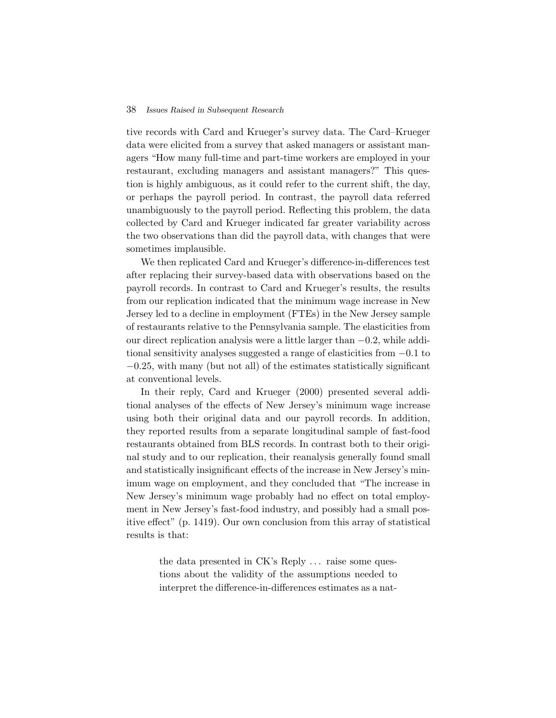## 38 *Issues Raised in Subsequent Research*

tive records with Card and Krueger's survey data. The Card–Krueger data were elicited from a survey that asked managers or assistant managers "How many full-time and part-time workers are employed in your restaurant, excluding managers and assistant managers?" This question is highly ambiguous, as it could refer to the current shift, the day, or perhaps the payroll period. In contrast, the payroll data referred unambiguously to the payroll period. Reflecting this problem, the data collected by Card and Krueger indicated far greater variability across the two observations than did the payroll data, with changes that were sometimes implausible.

We then replicated Card and Krueger's difference-in-differences test after replacing their survey-based data with observations based on the payroll records. In contrast to Card and Krueger's results, the results from our replication indicated that the minimum wage increase in New Jersey led to a decline in employment (FTEs) in the New Jersey sample of restaurants relative to the Pennsylvania sample. The elasticities from our direct replication analysis were a little larger than −0.2, while additional sensitivity analyses suggested a range of elasticities from −0.1 to  $-0.25$ , with many (but not all) of the estimates statistically significant at conventional levels.

In their reply, Card and Krueger (2000) presented several additional analyses of the effects of New Jersey's minimum wage increase using both their original data and our payroll records. In addition, they reported results from a separate longitudinal sample of fast-food restaurants obtained from BLS records. In contrast both to their original study and to our replication, their reanalysis generally found small and statistically insignificant effects of the increase in New Jersey's minimum wage on employment, and they concluded that "The increase in New Jersey's minimum wage probably had no effect on total employment in New Jersey's fast-food industry, and possibly had a small positive effect" (p. 1419). Our own conclusion from this array of statistical results is that:

> the data presented in CK's Reply . . . raise some questions about the validity of the assumptions needed to interpret the difference-in-differences estimates as a nat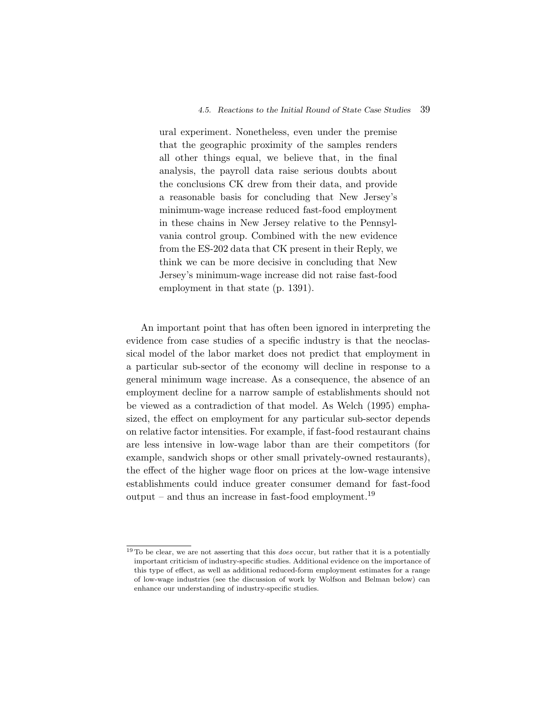ural experiment. Nonetheless, even under the premise that the geographic proximity of the samples renders all other things equal, we believe that, in the final analysis, the payroll data raise serious doubts about the conclusions CK drew from their data, and provide a reasonable basis for concluding that New Jersey's minimum-wage increase reduced fast-food employment in these chains in New Jersey relative to the Pennsylvania control group. Combined with the new evidence from the ES-202 data that CK present in their Reply, we think we can be more decisive in concluding that New Jersey's minimum-wage increase did not raise fast-food employment in that state (p. 1391).

An important point that has often been ignored in interpreting the evidence from case studies of a specific industry is that the neoclassical model of the labor market does not predict that employment in a particular sub-sector of the economy will decline in response to a general minimum wage increase. As a consequence, the absence of an employment decline for a narrow sample of establishments should not be viewed as a contradiction of that model. As Welch (1995) emphasized, the effect on employment for any particular sub-sector depends on relative factor intensities. For example, if fast-food restaurant chains are less intensive in low-wage labor than are their competitors (for example, sandwich shops or other small privately-owned restaurants), the effect of the higher wage floor on prices at the low-wage intensive establishments could induce greater consumer demand for fast-food output – and thus an increase in fast-food employment.<sup>19</sup>

 $19$  To be clear, we are not asserting that this *does* occur, but rather that it is a potentially important criticism of industry-specific studies. Additional evidence on the importance of this type of effect, as well as additional reduced-form employment estimates for a range of low-wage industries (see the discussion of work by Wolfson and Belman below) can enhance our understanding of industry-specific studies.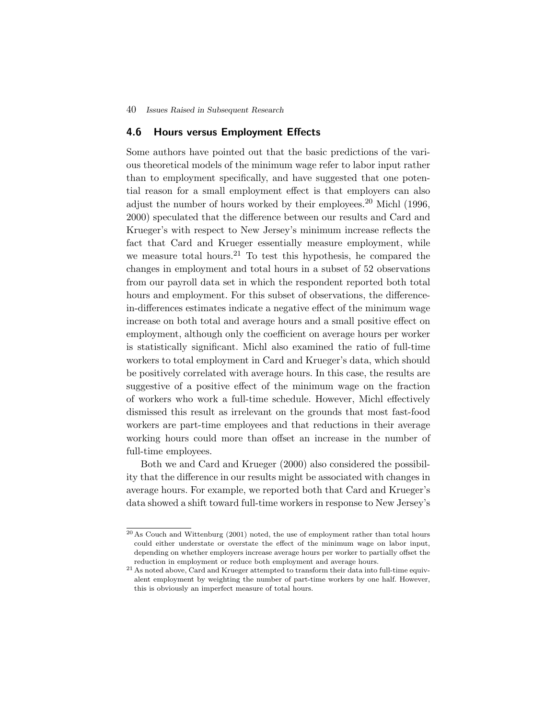## 40 *Issues Raised in Subsequent Research*

## **4.6 Hours versus Employment Effects**

Some authors have pointed out that the basic predictions of the various theoretical models of the minimum wage refer to labor input rather than to employment specifically, and have suggested that one potential reason for a small employment effect is that employers can also adjust the number of hours worked by their employees.<sup>20</sup> Michl (1996, 2000) speculated that the difference between our results and Card and Krueger's with respect to New Jersey's minimum increase reflects the fact that Card and Krueger essentially measure employment, while we measure total hours. $^{21}$  To test this hypothesis, he compared the changes in employment and total hours in a subset of 52 observations from our payroll data set in which the respondent reported both total hours and employment. For this subset of observations, the differencein-differences estimates indicate a negative effect of the minimum wage increase on both total and average hours and a small positive effect on employment, although only the coefficient on average hours per worker is statistically significant. Michl also examined the ratio of full-time workers to total employment in Card and Krueger's data, which should be positively correlated with average hours. In this case, the results are suggestive of a positive effect of the minimum wage on the fraction of workers who work a full-time schedule. However, Michl effectively dismissed this result as irrelevant on the grounds that most fast-food workers are part-time employees and that reductions in their average working hours could more than offset an increase in the number of full-time employees.

Both we and Card and Krueger (2000) also considered the possibility that the difference in our results might be associated with changes in average hours. For example, we reported both that Card and Krueger's data showed a shift toward full-time workers in response to New Jersey's

 $20$  As Couch and Wittenburg (2001) noted, the use of employment rather than total hours could either understate or overstate the effect of the minimum wage on labor input, depending on whether employers increase average hours per worker to partially offset the reduction in employment or reduce both employment and average hours.

 $^{21}$  As noted above, Card and Krueger attempted to transform their data into full-time equivalent employment by weighting the number of part-time workers by one half. However, this is obviously an imperfect measure of total hours.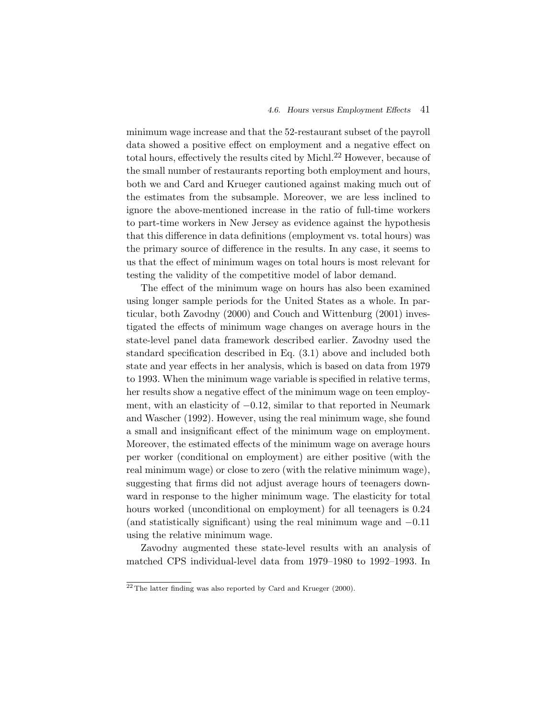## *4.6. Hours versus Employment Effects* 41

minimum wage increase and that the 52-restaurant subset of the payroll data showed a positive effect on employment and a negative effect on total hours, effectively the results cited by Michl.<sup>22</sup> However, because of the small number of restaurants reporting both employment and hours, both we and Card and Krueger cautioned against making much out of the estimates from the subsample. Moreover, we are less inclined to ignore the above-mentioned increase in the ratio of full-time workers to part-time workers in New Jersey as evidence against the hypothesis that this difference in data definitions (employment vs. total hours) was the primary source of difference in the results. In any case, it seems to us that the effect of minimum wages on total hours is most relevant for testing the validity of the competitive model of labor demand.

The effect of the minimum wage on hours has also been examined using longer sample periods for the United States as a whole. In particular, both Zavodny (2000) and Couch and Wittenburg (2001) investigated the effects of minimum wage changes on average hours in the state-level panel data framework described earlier. Zavodny used the standard specification described in Eq. (3.1) above and included both state and year effects in her analysis, which is based on data from 1979 to 1993. When the minimum wage variable is specified in relative terms, her results show a negative effect of the minimum wage on teen employment, with an elasticity of  $-0.12$ , similar to that reported in Neumark and Wascher (1992). However, using the real minimum wage, she found a small and insignificant effect of the minimum wage on employment. Moreover, the estimated effects of the minimum wage on average hours per worker (conditional on employment) are either positive (with the real minimum wage) or close to zero (with the relative minimum wage), suggesting that firms did not adjust average hours of teenagers downward in response to the higher minimum wage. The elasticity for total hours worked (unconditional on employment) for all teenagers is 0.24 (and statistically significant) using the real minimum wage and −0.11 using the relative minimum wage.

Zavodny augmented these state-level results with an analysis of matched CPS individual-level data from 1979–1980 to 1992–1993. In

 $22$  The latter finding was also reported by Card and Krueger (2000).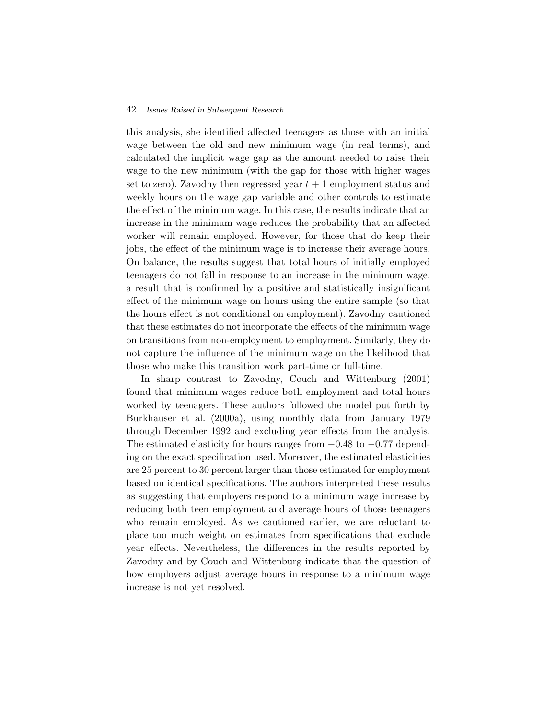## 42 *Issues Raised in Subsequent Research*

this analysis, she identified affected teenagers as those with an initial wage between the old and new minimum wage (in real terms), and calculated the implicit wage gap as the amount needed to raise their wage to the new minimum (with the gap for those with higher wages set to zero). Zavodny then regressed year  $t + 1$  employment status and weekly hours on the wage gap variable and other controls to estimate the effect of the minimum wage. In this case, the results indicate that an increase in the minimum wage reduces the probability that an affected worker will remain employed. However, for those that do keep their jobs, the effect of the minimum wage is to increase their average hours. On balance, the results suggest that total hours of initially employed teenagers do not fall in response to an increase in the minimum wage, a result that is confirmed by a positive and statistically insignificant effect of the minimum wage on hours using the entire sample (so that the hours effect is not conditional on employment). Zavodny cautioned that these estimates do not incorporate the effects of the minimum wage on transitions from non-employment to employment. Similarly, they do not capture the influence of the minimum wage on the likelihood that those who make this transition work part-time or full-time.

In sharp contrast to Zavodny, Couch and Wittenburg (2001) found that minimum wages reduce both employment and total hours worked by teenagers. These authors followed the model put forth by Burkhauser et al. (2000a), using monthly data from January 1979 through December 1992 and excluding year effects from the analysis. The estimated elasticity for hours ranges from  $-0.48$  to  $-0.77$  depending on the exact specification used. Moreover, the estimated elasticities are 25 percent to 30 percent larger than those estimated for employment based on identical specifications. The authors interpreted these results as suggesting that employers respond to a minimum wage increase by reducing both teen employment and average hours of those teenagers who remain employed. As we cautioned earlier, we are reluctant to place too much weight on estimates from specifications that exclude year effects. Nevertheless, the differences in the results reported by Zavodny and by Couch and Wittenburg indicate that the question of how employers adjust average hours in response to a minimum wage increase is not yet resolved.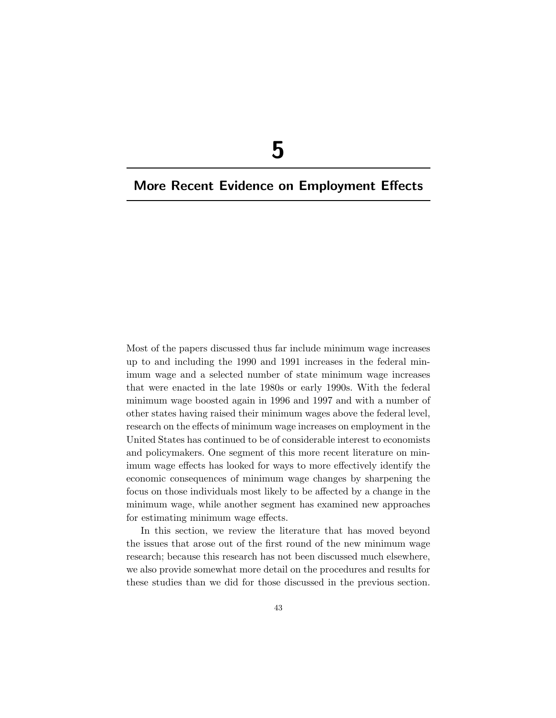# **5**

## **More Recent Evidence on Employment Effects**

Most of the papers discussed thus far include minimum wage increases up to and including the 1990 and 1991 increases in the federal minimum wage and a selected number of state minimum wage increases that were enacted in the late 1980s or early 1990s. With the federal minimum wage boosted again in 1996 and 1997 and with a number of other states having raised their minimum wages above the federal level, research on the effects of minimum wage increases on employment in the United States has continued to be of considerable interest to economists and policymakers. One segment of this more recent literature on minimum wage effects has looked for ways to more effectively identify the economic consequences of minimum wage changes by sharpening the focus on those individuals most likely to be affected by a change in the minimum wage, while another segment has examined new approaches for estimating minimum wage effects.

In this section, we review the literature that has moved beyond the issues that arose out of the first round of the new minimum wage research; because this research has not been discussed much elsewhere, we also provide somewhat more detail on the procedures and results for these studies than we did for those discussed in the previous section.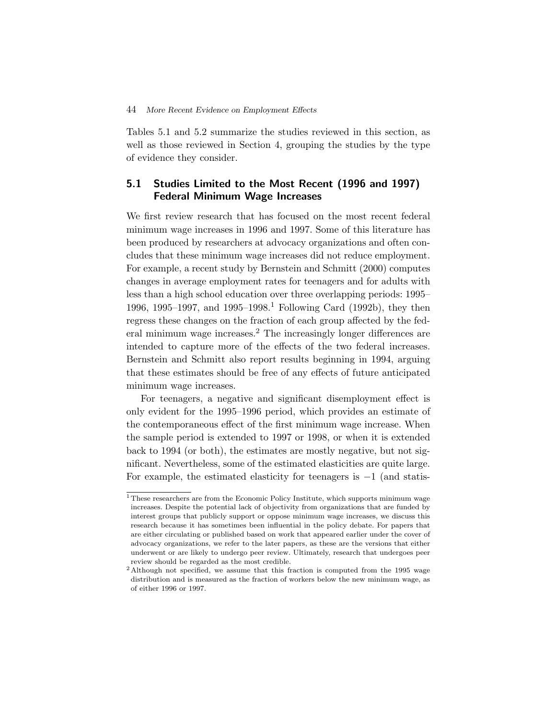Tables 5.1 and 5.2 summarize the studies reviewed in this section, as well as those reviewed in Section 4, grouping the studies by the type of evidence they consider.

## **5.1 Studies Limited to the Most Recent (1996 and 1997) Federal Minimum Wage Increases**

We first review research that has focused on the most recent federal minimum wage increases in 1996 and 1997. Some of this literature has been produced by researchers at advocacy organizations and often concludes that these minimum wage increases did not reduce employment. For example, a recent study by Bernstein and Schmitt (2000) computes changes in average employment rates for teenagers and for adults with less than a high school education over three overlapping periods: 1995– 1996, 1995–1997, and 1995–1998.<sup>1</sup> Following Card (1992b), they then regress these changes on the fraction of each group affected by the federal minimum wage increases.<sup>2</sup> The increasingly longer differences are intended to capture more of the effects of the two federal increases. Bernstein and Schmitt also report results beginning in 1994, arguing that these estimates should be free of any effects of future anticipated minimum wage increases.

For teenagers, a negative and significant disemployment effect is only evident for the 1995–1996 period, which provides an estimate of the contemporaneous effect of the first minimum wage increase. When the sample period is extended to 1997 or 1998, or when it is extended back to 1994 (or both), the estimates are mostly negative, but not significant. Nevertheless, some of the estimated elasticities are quite large. For example, the estimated elasticity for teenagers is  $-1$  (and statis-

<sup>1</sup> These researchers are from the Economic Policy Institute, which supports minimum wage increases. Despite the potential lack of objectivity from organizations that are funded by interest groups that publicly support or oppose minimum wage increases, we discuss this research because it has sometimes been influential in the policy debate. For papers that are either circulating or published based on work that appeared earlier under the cover of advocacy organizations, we refer to the later papers, as these are the versions that either underwent or are likely to undergo peer review. Ultimately, research that undergoes peer review should be regarded as the most credible.

<sup>&</sup>lt;sup>2</sup> Although not specified, we assume that this fraction is computed from the 1995 wage distribution and is measured as the fraction of workers below the new minimum wage, as of either 1996 or 1997.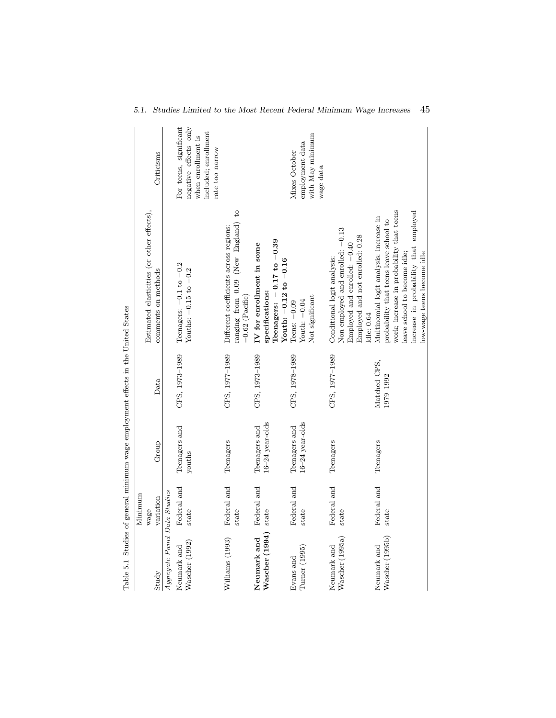|                                |                              | Table 5.1 Studies of general minimum wage employment effects in the United States |                           |                                                                                                                                                                                                                                      |                                                                                                                  |
|--------------------------------|------------------------------|-----------------------------------------------------------------------------------|---------------------------|--------------------------------------------------------------------------------------------------------------------------------------------------------------------------------------------------------------------------------------|------------------------------------------------------------------------------------------------------------------|
| Study                          | Minimum<br>variation<br>wage | Group                                                                             | Data                      | Estimated elasticities (or other effects),<br>comments on methods                                                                                                                                                                    | Criticisms                                                                                                       |
| Aggregate Panel Data Studies   |                              |                                                                                   |                           |                                                                                                                                                                                                                                      |                                                                                                                  |
| Wascher (1992)<br>Neumark and  | Federal and<br>state         | Teenagers and<br>youths                                                           | CPS, 1973-1989            | Teenagers: $-0.1$ to $-0.2$<br>Youths: $-0.15$ to $-0.2$                                                                                                                                                                             | For teens, significant<br>negative effects only<br>included; enrollment<br>when enrollment is<br>rate too narrow |
| Williams (1993)                | Federal and<br>state         | Teenagers                                                                         | CPS, 1977-1989            | ranging from 0.09 (New England) to<br>Different coefficients across regions:<br>$-0.62$ (Pacific)                                                                                                                                    |                                                                                                                  |
| Wascher (1994)<br>Neumark and  | Federal and<br>state         | $16 - 24$ year-olds<br>Teenagers and                                              | CPS, 1973-1989            | Teenagers: $-0.17$ to $-0.39$<br>IV for enrollment in some<br>Youth: $-0.12$ to $-0.16$<br>specifications:                                                                                                                           |                                                                                                                  |
| Turner (1995)<br>Evans and     | Federal and<br>state         | $16 - 24$ year-olds<br>Teenagers and                                              | CPS, 1978-1989            | Not significant<br>Youth: $-0.04$<br>Teens: $-0.09$                                                                                                                                                                                  | with May minimum<br>employment data<br>Mixes October<br>wage data                                                |
| Wascher (1995a)<br>Neumark and | Federal and<br>state         | Teenagers                                                                         | CPS, 1977-1989            | Non-employed and enrolled: -0.13<br>Employed and not enrolled: 0.28<br>Employed and enrolled: -0.40<br>Conditional logit analysis:<br>Idle: 0.64                                                                                     |                                                                                                                  |
| Wascher (1995b)<br>Neumark and | Federal and<br>state         | Teenagers                                                                         | Matched CPS,<br>1979-1992 | work; increase in probability that teens<br>increase in probability that employed<br>Multinomial logit analysis: increase in<br>probability that teens leave school to<br>leave school to become idle;<br>low-wage teens become idle |                                                                                                                  |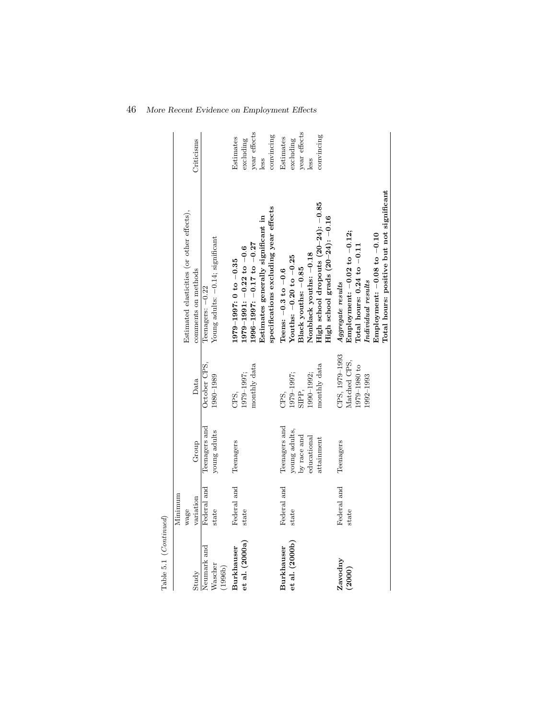| Table 5.1 (Continued)             |                      |                                                                            |                                                             |                                                                                                                                                                                              |                                                              |
|-----------------------------------|----------------------|----------------------------------------------------------------------------|-------------------------------------------------------------|----------------------------------------------------------------------------------------------------------------------------------------------------------------------------------------------|--------------------------------------------------------------|
|                                   | Minimum              |                                                                            |                                                             |                                                                                                                                                                                              |                                                              |
| Study                             | wage                 | Group                                                                      | Data                                                        | Estimated elasticities (or other effects),                                                                                                                                                   | Criticisms                                                   |
|                                   | variation            |                                                                            |                                                             | comments on methods                                                                                                                                                                          |                                                              |
| Neumark and<br>Wascher<br>(1996b) | Federal and<br>state | Teenagers and<br>young adults                                              | October CPS,<br>1980-1989                                   | Young adults: -0.14; significant<br>Teenagers: $-0.22$                                                                                                                                       |                                                              |
| Burkhauser                        | Federal and          | Teenagers                                                                  | CPS,                                                        | $1979 - 1997$ : 0 to $-0.35$                                                                                                                                                                 | Estimates                                                    |
| et al. $(2000a)$                  | state                |                                                                            | monthly data<br>1979-1997;                                  | specifications excluding year effects<br>Estimates generally significant in<br>$1996 - 1997$ : $-0.17$ to $-0.27$<br>$1979 - 1991: -0.22$ to $-0.6$                                          | year effects<br>convincing<br>excluding<br>less              |
| et al. $(2000b)$<br>Burkhauser    | Federal and<br>state | Teenagers and<br>young adults,<br>by race and<br>educational<br>attainment | monthly data<br>1979-1997;<br>1990-1992;<br>SIPP,<br>CPS,   | High school dropouts $(20-24): -0.85$<br>High school grads $(20-24):$ -0.16<br>Nonblack youths: -0.18<br>Youths: $-0.20$ to $-0.25$<br>Black youths: -0.85<br>Teens: $-0.3$ to $-0.6$        | year effects<br>convincing<br>Estimates<br>excluding<br>less |
| Zavodny<br>(2000)                 | Federal and<br>state | Teenagers                                                                  | CPS, 1979-1993<br>Matched CPS,<br>t979-1980 to<br>1992-1993 | Total hours: positive but not significant<br>Employment: $-0.02$ to $-0.12$ ;<br>Employment: $-0.08$ to $-0.10$<br>Total hours: $0.24$ to $-0.11$<br>Individual results<br>Aggregate results |                                                              |
|                                   |                      |                                                                            |                                                             |                                                                                                                                                                                              |                                                              |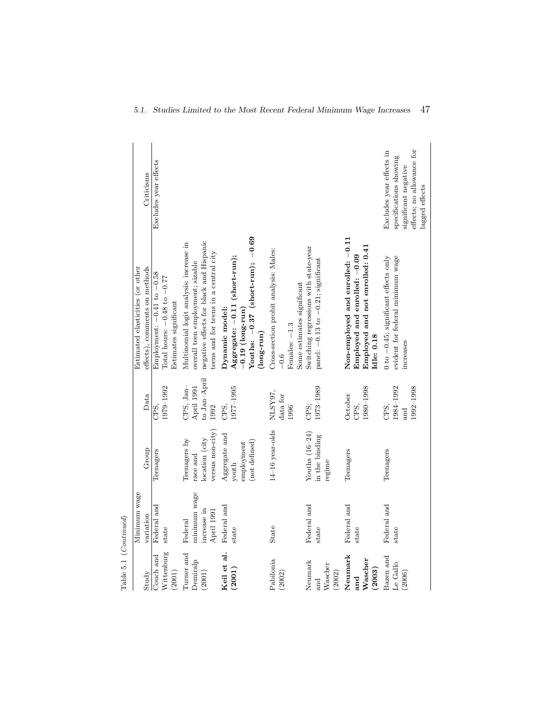|                                     | Minimum wage                                         |                                                                |                                                 | Estimated elasticities (or other                                                                                                                                |                                                                                                                           |
|-------------------------------------|------------------------------------------------------|----------------------------------------------------------------|-------------------------------------------------|-----------------------------------------------------------------------------------------------------------------------------------------------------------------|---------------------------------------------------------------------------------------------------------------------------|
| Study                               | variation                                            | Group                                                          | Data                                            | effects), comments on methods                                                                                                                                   | Criticisms                                                                                                                |
| Wittenburg<br>Couch and<br>$(2001)$ | Federal and<br>state                                 | Teenagers                                                      | 1979-1992<br>CPS,                               | Employment: $-0.41$ to $-0.58$<br>Total hours: $-0.48$ to $-0.77$<br>Estimates significant                                                                      | Excludes year effects                                                                                                     |
| Turner and<br>Demiralp<br>$(2001)$  | minimum wage<br>increase in<br>April 1991<br>Federal | versus non-city)<br>location (city<br>Teenagers by<br>race and | to Jan-April<br>CPS, Jan-<br>April 1991<br>1992 | negative effects for black and Hispanic<br>Multinomial logit analysis: increase in<br>teens and for teens in a central city<br>overall teen employment; sizable |                                                                                                                           |
| Keil et al.<br>(2001)               | Federal and<br>state                                 | Aggregate and<br>(not defined)<br>employment<br>youth          | 1977-1995<br>CPS,                               | Youths: $-0.37$ (short-run); $-0.69$<br>Aggregate: -0.11 (short-run);<br>Dynamic model:<br>$-0.19$ (long-run)<br>(long-run)                                     |                                                                                                                           |
| Pabilonia<br>$(2002)$               | State                                                | $14-16$ year-olds                                              | NLSY97,<br>data for<br>1996                     | Cross-section probit analysis: Males:<br>Some estimates significant<br>Females: $-1.3$<br>$-0.6$                                                                |                                                                                                                           |
| Neumark<br>Wascher<br>(2002)<br>and | Federal and<br>state                                 | Youths $(16-24)$<br>in the binding<br>regime                   | 1973-1989<br>CPS;                               | Switching regressions with state-year<br>panel: $-0.13$ to $-0.21$ ; significant                                                                                |                                                                                                                           |
| Neumark<br>Wascher<br>(2003)<br>and | Federal and<br>state                                 | Teenagers                                                      | 1980-1998<br>October<br>CPS,                    | Non-employed and enrolled: -0.11<br>Employed and not enrolled: 0.41<br>Employed and enrolled: -0.09<br>Idle: 0.18                                               |                                                                                                                           |
| Bazen and<br>Le Gallo<br>(2006)     | Federal and<br>state                                 | Teenagers                                                      | 1984-1992<br>1992-1998<br>CPS,<br>and           | evident for federal minimum wage<br>$0$ to $-0.45$ ; significant effects only<br>increases                                                                      | effects; no allowance for<br>Excludes year effects in<br>specifications showing<br>significant negative<br>lagged effects |

Table 5.1 (Continued)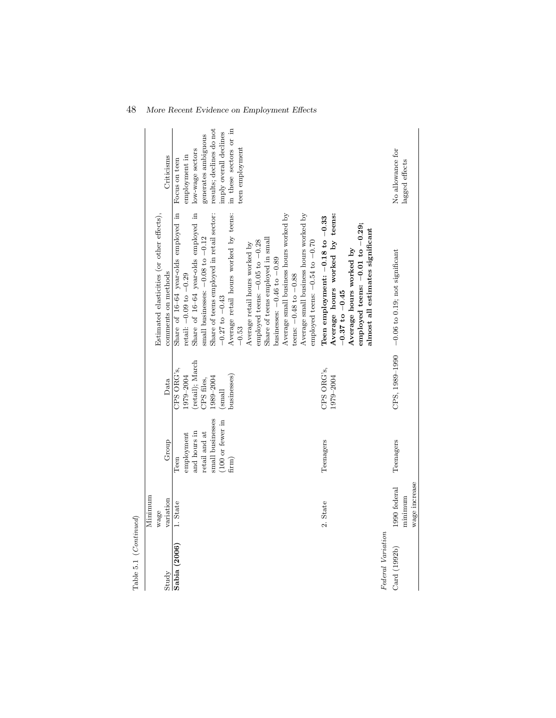| Table 5.1 (Continued) |               |                  |                 |                                            |                          |
|-----------------------|---------------|------------------|-----------------|--------------------------------------------|--------------------------|
|                       | Minimum       |                  |                 |                                            |                          |
|                       | wage          |                  |                 | Estimated elasticities (or other effects), |                          |
| Study                 | variation     | Group            | Data            | comments on methods                        | Criticisms               |
| Sabia (2006)          | 1. State      | Teen             | CPS ORG's,      | Share of 16-64 year-olds employed in       | Focus on teen            |
|                       |               | employment       | 1979-2004       | retail: $-0.09$ to $-0.29$                 | employment in            |
|                       |               | and hours in     | (retail); March | Share of 16-64 year-olds employed in       | low-wage sectors         |
|                       |               | retail and at    | CPS files,      | small businesses: $-0.08$ to $-0.12$       | generates ambiguous      |
|                       |               | small businesses | 1989-2004       | Share of teens employed in retail sector:  | results; declines do not |
|                       |               | (100 or fewer in | [small]         | $-0.27$ to $-0.43$                         | imply overall declines   |
|                       |               | firm)            | businesses)     | Average retail hours worked by teens:      | in these sectors or in   |
|                       |               |                  |                 | $-0.53$                                    | teen employment          |
|                       |               |                  |                 | Average retail hours worked by             |                          |
|                       |               |                  |                 | employed teens: $-0.05$ to $-0.28$         |                          |
|                       |               |                  |                 | Share of teens employed in small           |                          |
|                       |               |                  |                 | businesses: $-0.46$ to $-0.89$             |                          |
|                       |               |                  |                 | Average small business hours worked by     |                          |
|                       |               |                  |                 | teens: $-0.48$ to $-0.88$                  |                          |
|                       |               |                  |                 | Average small business hours worked by     |                          |
|                       |               |                  |                 | employed teens: -0.54 to -0.70             |                          |
|                       | 2. State      | Teenagers        | CPS ORG's,      | Teen employment: $-0.18$ to $-0.33$        |                          |
|                       |               |                  | 1979-2004       | Average hours worked by teens:             |                          |
|                       |               |                  |                 | $-0.37$ to $-0.45$                         |                          |
|                       |               |                  |                 | Average hours worked by                    |                          |
|                       |               |                  |                 | employed teens: $-0.01$ to $-0.29$ ;       |                          |
|                       |               |                  |                 |                                            |                          |
|                       |               |                  |                 | almost all estimates significant           |                          |
| Federal Variation     |               |                  |                 |                                            |                          |
| Card (1992b)          | 1990 federal  | Teenagers        | CPS, 1989-1990  | $-0.06$ to 0.19; not significant           | No allowance for         |
|                       | minimum       |                  |                 |                                            | lagged effects           |
|                       | wage increase |                  |                 |                                            |                          |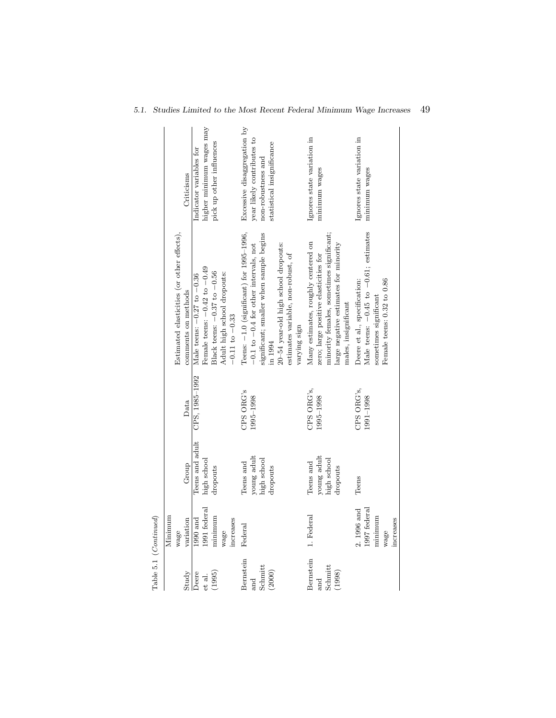|                                       | Table 5.1 (Continued)                                        |                                                            |                         |                                                                                                                                                                                                                                           |                                                                                                               |
|---------------------------------------|--------------------------------------------------------------|------------------------------------------------------------|-------------------------|-------------------------------------------------------------------------------------------------------------------------------------------------------------------------------------------------------------------------------------------|---------------------------------------------------------------------------------------------------------------|
| Study                                 | Minimum<br>variation<br>wage                                 | Group                                                      | Data                    | Estimated elasticities (or other effects),<br>comments on methods                                                                                                                                                                         | Criticisms                                                                                                    |
| (1995)<br>Deere<br>et al.             | 1991 federal<br>minimum<br>$1990$ and<br>increases<br>wage   | Teens and adult<br>high school<br>dropouts                 | CPS, 1985-1992          | Female teens: $-0.42$ to $-0.49$<br>Black teens: $-0.37$ to $-0.56$<br>Adult high school dropouts:<br>Male teens: $-0.27$ to $-0.36$<br>$-0.11$ to $-0.33$                                                                                | higher minimum wages may<br>pick up other influences<br>Indicator variables for                               |
| Bernstein<br>Schmitt<br>(2000)<br>and | Federal                                                      | $\,$ young adult $\,$ high school<br>Teens and<br>dropouts | CPS ORG's<br>1995-1998  | Teens: -1.0 (significant) for 1995-1996,<br>significant; smaller when sample begins<br>20-54 year-old high school dropouts:<br>$-0.1$ to $-0.4$ for other intervals, not<br>estimates variable, non-robust, of<br>varying sign<br>in 1994 | Excessive disaggregation by<br>year likely contributes to<br>statistical insignificance<br>non-robustness and |
| Bernstein<br>Schmitt<br>(1998)<br>and | 1. Federal                                                   | $\,$ young adult $\,$ high school<br>Teens and<br>dropouts | CPS ORG's,<br>1995-1998 | minority females, sometimes significant;<br>Many estimates, roughly centered on<br>large negative estimates for minority<br>zero; large positive elasticities for<br>males, insignificant                                                 | Ignores state variation in<br>minimum wages                                                                   |
|                                       | $2.1996$ and<br>1997 federal<br>minimum<br>increases<br>wage | Teens                                                      | CPS ORG's,<br>1991-1998 | Male teens: $-0.45$ to $-0.61$ ; estimates<br>Female teens: 0.32 to 0.86<br>Deere et al., specification:<br>sometimes significant                                                                                                         | gnores state variation in<br>minimum wages                                                                    |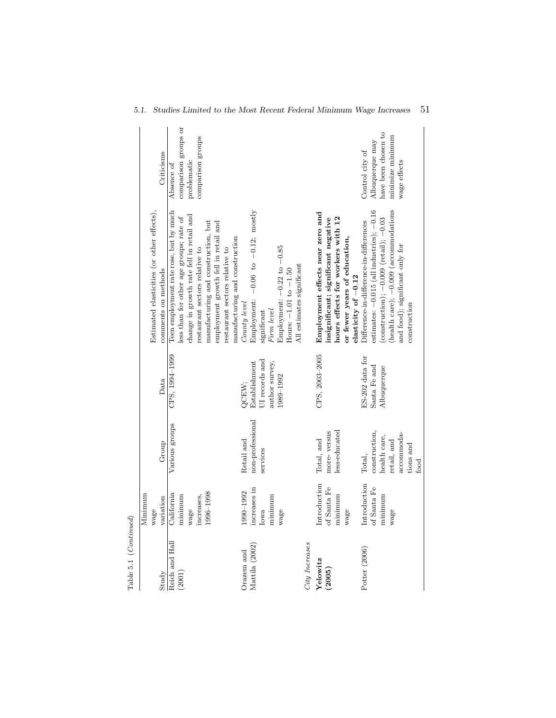| Estimated elasticities (or other effects),<br>estimates: $-0.015$ (all industries); $-0.16$<br>(health care); -0.009 (accommodations<br>Employment: $-0.06$ to $-0.12$ ; mostly<br>Teen employment rate rose, but by much<br>Employment effects near zero and<br>change in growth rate fell in retail and<br>less than for other age groups; rate of<br>hours effects for workers with 12<br>construction); $-0.09$ (retail); $-0.03$<br>insignificant; significant negative<br>Difference-in-difference-in-differences<br>manufacturing and construction, but<br>employment growth fell in retail and<br>or fewer years of education,<br>manufacturing and construction<br>and food); significant only for<br>Employment: $-0.22$ to $-0.85$<br>restaurant sectors relative to<br>restaurant sectors relative to<br>All estimates significant<br>comments on methods<br>Hours: $-1.01$ to $-1.50$<br>elasticity of $-0.12$<br>County level<br>construction<br>Firm level<br>significant<br>CPS, 2003-2005<br>CPS, 1994-1999<br>ES-202 data for<br>UI records and<br>Establishment<br>author survey,<br>Santa Fe and<br>Albuquerque<br>1989-1992<br>Data<br>QCEW;<br>non-professional<br>Various groups<br>less-educated<br>more-versus<br>construction,<br>accommoda-<br>health care,<br>Retail and<br>Total, and<br>retail, and<br>Group<br>tions and<br>services<br>Total,<br>food<br>Introduction<br>Introduction<br>of Santa Fe<br>of Santa Fe<br>increases in<br>1990-1992<br>1996-1998<br>California<br>Minimum<br>minimum<br>minimum<br>minimum<br>minimum<br>increases,<br>variation<br>wage<br>wage<br>wage<br>Iowa<br>wage<br>wage<br>Reich and Hall<br>City Increases<br>Mattila (2002)<br>Potter (2006)<br>Orazem and<br>Yelowitz<br>(2005)<br>Study<br>(2001) | Table 5.1 (Continued) |  |  |                                     |
|-----------------------------------------------------------------------------------------------------------------------------------------------------------------------------------------------------------------------------------------------------------------------------------------------------------------------------------------------------------------------------------------------------------------------------------------------------------------------------------------------------------------------------------------------------------------------------------------------------------------------------------------------------------------------------------------------------------------------------------------------------------------------------------------------------------------------------------------------------------------------------------------------------------------------------------------------------------------------------------------------------------------------------------------------------------------------------------------------------------------------------------------------------------------------------------------------------------------------------------------------------------------------------------------------------------------------------------------------------------------------------------------------------------------------------------------------------------------------------------------------------------------------------------------------------------------------------------------------------------------------------------------------------------------------------------------------------------------------------------------------------------------------------|-----------------------|--|--|-------------------------------------|
|                                                                                                                                                                                                                                                                                                                                                                                                                                                                                                                                                                                                                                                                                                                                                                                                                                                                                                                                                                                                                                                                                                                                                                                                                                                                                                                                                                                                                                                                                                                                                                                                                                                                                                                                                                             |                       |  |  |                                     |
|                                                                                                                                                                                                                                                                                                                                                                                                                                                                                                                                                                                                                                                                                                                                                                                                                                                                                                                                                                                                                                                                                                                                                                                                                                                                                                                                                                                                                                                                                                                                                                                                                                                                                                                                                                             |                       |  |  |                                     |
|                                                                                                                                                                                                                                                                                                                                                                                                                                                                                                                                                                                                                                                                                                                                                                                                                                                                                                                                                                                                                                                                                                                                                                                                                                                                                                                                                                                                                                                                                                                                                                                                                                                                                                                                                                             |                       |  |  | Criticisms                          |
|                                                                                                                                                                                                                                                                                                                                                                                                                                                                                                                                                                                                                                                                                                                                                                                                                                                                                                                                                                                                                                                                                                                                                                                                                                                                                                                                                                                                                                                                                                                                                                                                                                                                                                                                                                             |                       |  |  | Absence of                          |
|                                                                                                                                                                                                                                                                                                                                                                                                                                                                                                                                                                                                                                                                                                                                                                                                                                                                                                                                                                                                                                                                                                                                                                                                                                                                                                                                                                                                                                                                                                                                                                                                                                                                                                                                                                             |                       |  |  | comparison groups or<br>problematic |
|                                                                                                                                                                                                                                                                                                                                                                                                                                                                                                                                                                                                                                                                                                                                                                                                                                                                                                                                                                                                                                                                                                                                                                                                                                                                                                                                                                                                                                                                                                                                                                                                                                                                                                                                                                             |                       |  |  | comparison groups                   |
|                                                                                                                                                                                                                                                                                                                                                                                                                                                                                                                                                                                                                                                                                                                                                                                                                                                                                                                                                                                                                                                                                                                                                                                                                                                                                                                                                                                                                                                                                                                                                                                                                                                                                                                                                                             |                       |  |  |                                     |
|                                                                                                                                                                                                                                                                                                                                                                                                                                                                                                                                                                                                                                                                                                                                                                                                                                                                                                                                                                                                                                                                                                                                                                                                                                                                                                                                                                                                                                                                                                                                                                                                                                                                                                                                                                             |                       |  |  |                                     |
|                                                                                                                                                                                                                                                                                                                                                                                                                                                                                                                                                                                                                                                                                                                                                                                                                                                                                                                                                                                                                                                                                                                                                                                                                                                                                                                                                                                                                                                                                                                                                                                                                                                                                                                                                                             |                       |  |  |                                     |
|                                                                                                                                                                                                                                                                                                                                                                                                                                                                                                                                                                                                                                                                                                                                                                                                                                                                                                                                                                                                                                                                                                                                                                                                                                                                                                                                                                                                                                                                                                                                                                                                                                                                                                                                                                             |                       |  |  |                                     |
|                                                                                                                                                                                                                                                                                                                                                                                                                                                                                                                                                                                                                                                                                                                                                                                                                                                                                                                                                                                                                                                                                                                                                                                                                                                                                                                                                                                                                                                                                                                                                                                                                                                                                                                                                                             |                       |  |  |                                     |
|                                                                                                                                                                                                                                                                                                                                                                                                                                                                                                                                                                                                                                                                                                                                                                                                                                                                                                                                                                                                                                                                                                                                                                                                                                                                                                                                                                                                                                                                                                                                                                                                                                                                                                                                                                             |                       |  |  |                                     |
|                                                                                                                                                                                                                                                                                                                                                                                                                                                                                                                                                                                                                                                                                                                                                                                                                                                                                                                                                                                                                                                                                                                                                                                                                                                                                                                                                                                                                                                                                                                                                                                                                                                                                                                                                                             |                       |  |  |                                     |
|                                                                                                                                                                                                                                                                                                                                                                                                                                                                                                                                                                                                                                                                                                                                                                                                                                                                                                                                                                                                                                                                                                                                                                                                                                                                                                                                                                                                                                                                                                                                                                                                                                                                                                                                                                             |                       |  |  |                                     |
|                                                                                                                                                                                                                                                                                                                                                                                                                                                                                                                                                                                                                                                                                                                                                                                                                                                                                                                                                                                                                                                                                                                                                                                                                                                                                                                                                                                                                                                                                                                                                                                                                                                                                                                                                                             |                       |  |  |                                     |
|                                                                                                                                                                                                                                                                                                                                                                                                                                                                                                                                                                                                                                                                                                                                                                                                                                                                                                                                                                                                                                                                                                                                                                                                                                                                                                                                                                                                                                                                                                                                                                                                                                                                                                                                                                             |                       |  |  |                                     |
|                                                                                                                                                                                                                                                                                                                                                                                                                                                                                                                                                                                                                                                                                                                                                                                                                                                                                                                                                                                                                                                                                                                                                                                                                                                                                                                                                                                                                                                                                                                                                                                                                                                                                                                                                                             |                       |  |  |                                     |
|                                                                                                                                                                                                                                                                                                                                                                                                                                                                                                                                                                                                                                                                                                                                                                                                                                                                                                                                                                                                                                                                                                                                                                                                                                                                                                                                                                                                                                                                                                                                                                                                                                                                                                                                                                             |                       |  |  |                                     |
|                                                                                                                                                                                                                                                                                                                                                                                                                                                                                                                                                                                                                                                                                                                                                                                                                                                                                                                                                                                                                                                                                                                                                                                                                                                                                                                                                                                                                                                                                                                                                                                                                                                                                                                                                                             |                       |  |  |                                     |
|                                                                                                                                                                                                                                                                                                                                                                                                                                                                                                                                                                                                                                                                                                                                                                                                                                                                                                                                                                                                                                                                                                                                                                                                                                                                                                                                                                                                                                                                                                                                                                                                                                                                                                                                                                             |                       |  |  |                                     |
|                                                                                                                                                                                                                                                                                                                                                                                                                                                                                                                                                                                                                                                                                                                                                                                                                                                                                                                                                                                                                                                                                                                                                                                                                                                                                                                                                                                                                                                                                                                                                                                                                                                                                                                                                                             |                       |  |  |                                     |
|                                                                                                                                                                                                                                                                                                                                                                                                                                                                                                                                                                                                                                                                                                                                                                                                                                                                                                                                                                                                                                                                                                                                                                                                                                                                                                                                                                                                                                                                                                                                                                                                                                                                                                                                                                             |                       |  |  |                                     |
|                                                                                                                                                                                                                                                                                                                                                                                                                                                                                                                                                                                                                                                                                                                                                                                                                                                                                                                                                                                                                                                                                                                                                                                                                                                                                                                                                                                                                                                                                                                                                                                                                                                                                                                                                                             |                       |  |  |                                     |
|                                                                                                                                                                                                                                                                                                                                                                                                                                                                                                                                                                                                                                                                                                                                                                                                                                                                                                                                                                                                                                                                                                                                                                                                                                                                                                                                                                                                                                                                                                                                                                                                                                                                                                                                                                             |                       |  |  | Control city of                     |
|                                                                                                                                                                                                                                                                                                                                                                                                                                                                                                                                                                                                                                                                                                                                                                                                                                                                                                                                                                                                                                                                                                                                                                                                                                                                                                                                                                                                                                                                                                                                                                                                                                                                                                                                                                             |                       |  |  | Albuquerque may                     |
|                                                                                                                                                                                                                                                                                                                                                                                                                                                                                                                                                                                                                                                                                                                                                                                                                                                                                                                                                                                                                                                                                                                                                                                                                                                                                                                                                                                                                                                                                                                                                                                                                                                                                                                                                                             |                       |  |  | nave been chosen to                 |
|                                                                                                                                                                                                                                                                                                                                                                                                                                                                                                                                                                                                                                                                                                                                                                                                                                                                                                                                                                                                                                                                                                                                                                                                                                                                                                                                                                                                                                                                                                                                                                                                                                                                                                                                                                             |                       |  |  | minimize minimum                    |
|                                                                                                                                                                                                                                                                                                                                                                                                                                                                                                                                                                                                                                                                                                                                                                                                                                                                                                                                                                                                                                                                                                                                                                                                                                                                                                                                                                                                                                                                                                                                                                                                                                                                                                                                                                             |                       |  |  | wage effects                        |
|                                                                                                                                                                                                                                                                                                                                                                                                                                                                                                                                                                                                                                                                                                                                                                                                                                                                                                                                                                                                                                                                                                                                                                                                                                                                                                                                                                                                                                                                                                                                                                                                                                                                                                                                                                             |                       |  |  |                                     |
|                                                                                                                                                                                                                                                                                                                                                                                                                                                                                                                                                                                                                                                                                                                                                                                                                                                                                                                                                                                                                                                                                                                                                                                                                                                                                                                                                                                                                                                                                                                                                                                                                                                                                                                                                                             |                       |  |  |                                     |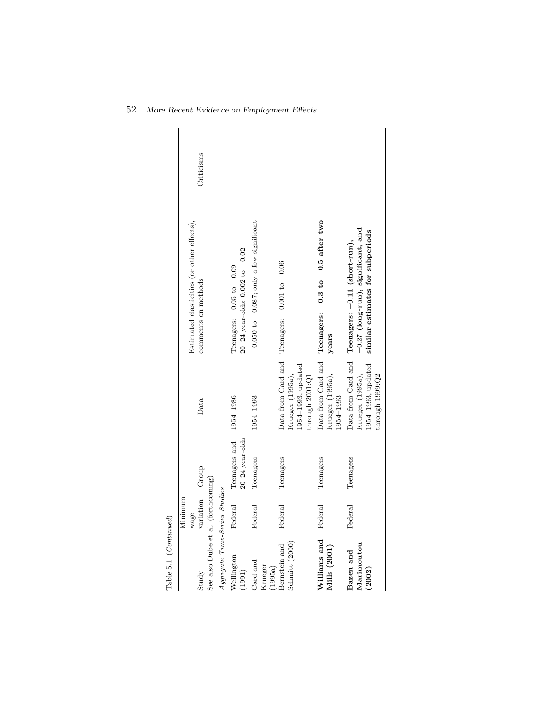| Table 5.1 (Continued)              |                 |                                      |                                                                                 |                                                                                                           |  |
|------------------------------------|-----------------|--------------------------------------|---------------------------------------------------------------------------------|-----------------------------------------------------------------------------------------------------------|--|
|                                    | Minimum         |                                      |                                                                                 |                                                                                                           |  |
|                                    | wage            |                                      |                                                                                 | Estimated elasticities (or other effects),                                                                |  |
| Study                              | variation Group |                                      | Data                                                                            | Criticisms<br>comments on methods                                                                         |  |
| See also Dube et al. (forthcoming) |                 |                                      |                                                                                 |                                                                                                           |  |
| Aggregate Time-Series Studies      |                 |                                      |                                                                                 |                                                                                                           |  |
| Wellington<br>(1991)               | Federal         | Teenagers and<br>$20 - 24$ year-olds | 1954-1986                                                                       | $20 - 24$ year-olds: 0.002 to $-0.02$<br>Teenagers: $-0.05$ to $-0.09$                                    |  |
| Card and<br>Krueger<br>(1995a)     | Federal         | Teenagers                            | 1954-1993                                                                       | $-0.050$ to $-0.087$ ; only a few significant                                                             |  |
| Schmitt (2000)<br>Bernstein and    | Federal         | Teenagers                            | 1954-1993, updated<br>Krueger (1995a),<br>through 2001:Q1                       | Data from Card and Teenagers: -0.001 to -0.06                                                             |  |
| Williams and<br>$Mills$ $(2001)$   | Federal         | Teenagers                            | Krueger (1995a),<br>1954-1993                                                   | Data from Card and Teenagers: -0.3 to -0.5 after two<br>years                                             |  |
| Marimoutou<br>Bazen and<br>(2002)  | Federal         | Teenagers                            | Data from Card and<br>1954-1993, updated<br>Krueger (1995a),<br>through 1999:Q2 | $-0.27$ (long-run), significant, and<br>similar estimates for subperiods<br>Teenagers: -0.11 (short-run), |  |
|                                    |                 |                                      |                                                                                 |                                                                                                           |  |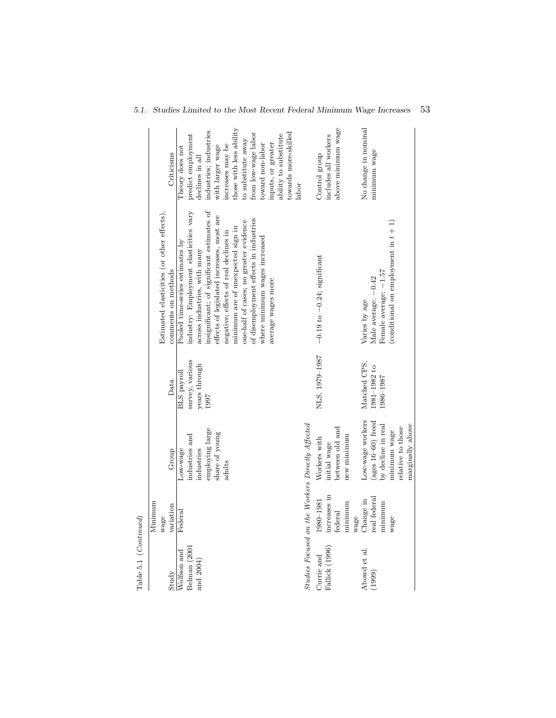| Table 5.1 (Continued)                     |                                                         |                                                                                                                          |                                                                |                                                                                                                                                                                                                                                                                                                                                                                                                               |                                                                                                                                                                                                                                                                                                        |
|-------------------------------------------|---------------------------------------------------------|--------------------------------------------------------------------------------------------------------------------------|----------------------------------------------------------------|-------------------------------------------------------------------------------------------------------------------------------------------------------------------------------------------------------------------------------------------------------------------------------------------------------------------------------------------------------------------------------------------------------------------------------|--------------------------------------------------------------------------------------------------------------------------------------------------------------------------------------------------------------------------------------------------------------------------------------------------------|
|                                           | Minimum                                                 |                                                                                                                          |                                                                |                                                                                                                                                                                                                                                                                                                                                                                                                               |                                                                                                                                                                                                                                                                                                        |
| Study                                     | variation<br>wage                                       | Group                                                                                                                    | Data                                                           | Estimated elasticities (or other effects),<br>comments on methods                                                                                                                                                                                                                                                                                                                                                             | Criticisms                                                                                                                                                                                                                                                                                             |
| Belman (2001<br>Wolfson and<br>and $2004$ | Federal                                                 | employing large<br>share of young<br>industries and<br>industries<br>Low-wage<br>adults                                  | survey, various<br>years through<br><b>BLS</b> payroll<br>1997 | industry: Employment elasticities vary<br>insignificant; of significant estimates of<br>effects of legislated increases, most are<br>of disemployment effects in industries<br>one-half of cases; no greater evidence<br>minimum are of unexpected sign in<br>negative; effects of real declines in<br>where minimum wages increased<br>Pooled time-series estimates by<br>across industries, with many<br>average wages more | those with less ability<br>industries; industries<br>towards more-skilled<br>from low-wage labor<br>predict employment<br>ability to substitute<br>to substitute away<br>inputs, or greater<br>toward non-labor<br>increases may be<br>Theory does not<br>with larger wage<br>declines in all<br>labor |
|                                           |                                                         | Studies Focused on the Workers Directly Affected                                                                         |                                                                |                                                                                                                                                                                                                                                                                                                                                                                                                               |                                                                                                                                                                                                                                                                                                        |
| Fallick (1996)<br>Currie and              | increases in<br>1980-1981<br>minimum<br>federal<br>wage | between old and<br>new minimum<br>Workers with<br>initial wage                                                           | NLS, 1979-1987                                                 | $-0.19$ to $-0.24$ ; significant                                                                                                                                                                                                                                                                                                                                                                                              | above minimum wage<br>includes all workers<br>Control group                                                                                                                                                                                                                                            |
| Abowd et al.<br>(1999)                    | real federal<br>Change in<br>minimum<br>wage            | Low-wage workers<br>(ages $16-60$ ) freed<br>by decline in real<br>marginally above<br>relative to those<br>minimum wage | Matched CPS,<br>1981-1982 to<br>1861-9861                      | (conditional on employment in $t + 1$ )<br>Female average: -1.57<br>Male average: $-0.42$<br>Varies by age                                                                                                                                                                                                                                                                                                                    | No change in nominal<br>minimum wage                                                                                                                                                                                                                                                                   |

*5.1. Studies Limited to the Most Recent Federal Minimum Wage Increases* 53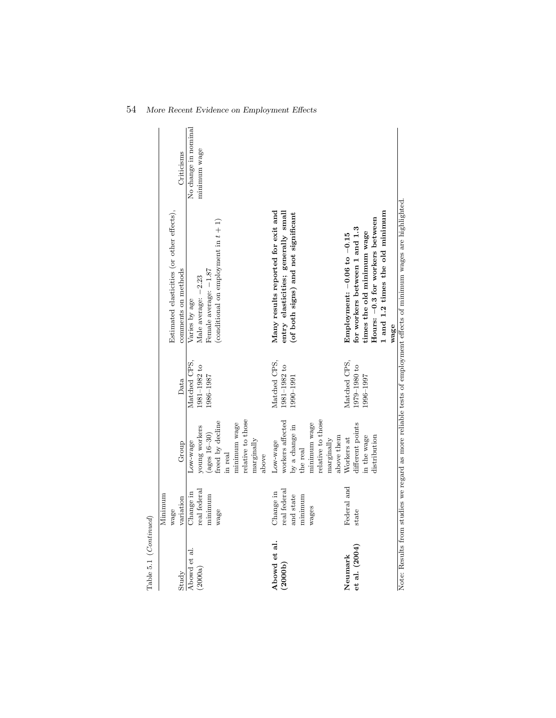| Table 5.1 (Continued) |                         |                                    |                           |                                                                                                                    |                      |
|-----------------------|-------------------------|------------------------------------|---------------------------|--------------------------------------------------------------------------------------------------------------------|----------------------|
|                       | Minimum<br>wage         |                                    |                           | Estimated elasticities (or other effects),                                                                         |                      |
| Study                 | variation               | Group                              | Data                      | comments on methods                                                                                                | Criticisms           |
| Abowd et al.          | Change in               | Low-wage                           | Matched CPS,              | Varies by age                                                                                                      | No change in nominal |
| (2000a)               | real federal<br>minimum | young workers<br>$(agses 16 - 30)$ | 1981-1982 to<br>1986-1987 | Female average: $-1.87$<br>Male average: -2.23                                                                     | minimum wage         |
|                       | wage                    | freed by decline<br>in real        |                           | (conditional on employment in $t + 1$ )                                                                            |                      |
|                       |                         | relative to those<br>minimum wage  |                           |                                                                                                                    |                      |
|                       |                         | marginally<br>above                |                           |                                                                                                                    |                      |
| Abowd et al.          | Change in               | Low-wage                           | Matched CPS,              | Many results reported for exit and                                                                                 |                      |
| (2000b)               | real federal            | workers affected                   | 1981-1982 to              | entry elasticities; generally small                                                                                |                      |
|                       | and state<br>minimum    | by a change in                     | 1990-1991                 | (of both signs) and not significant                                                                                |                      |
|                       |                         | the real                           |                           |                                                                                                                    |                      |
|                       | wages                   | relative to those<br>minimum wage  |                           |                                                                                                                    |                      |
|                       |                         | marginally                         |                           |                                                                                                                    |                      |
|                       |                         | above them                         |                           |                                                                                                                    |                      |
| Neumark               | Federal and             | Workers at                         | Matched CPS,              | Employment: $-0.06$ to $-0.15$                                                                                     |                      |
| $et$ al. $(2004)$     | state                   | different points                   | 1979-1980 to              | for workers between 1 and 1.3                                                                                      |                      |
|                       |                         | in the wage                        | 1661-9661                 | times the old minimum wage                                                                                         |                      |
|                       |                         | distribution                       |                           | Hours: -0.3 for workers between                                                                                    |                      |
|                       |                         |                                    |                           | 1 and 1.2 times the old minimum                                                                                    |                      |
|                       |                         |                                    |                           | wage                                                                                                               |                      |
|                       |                         |                                    |                           | Note: Results from studies we regard as more reliable tests of employment effects of minimum wages are highlighted |                      |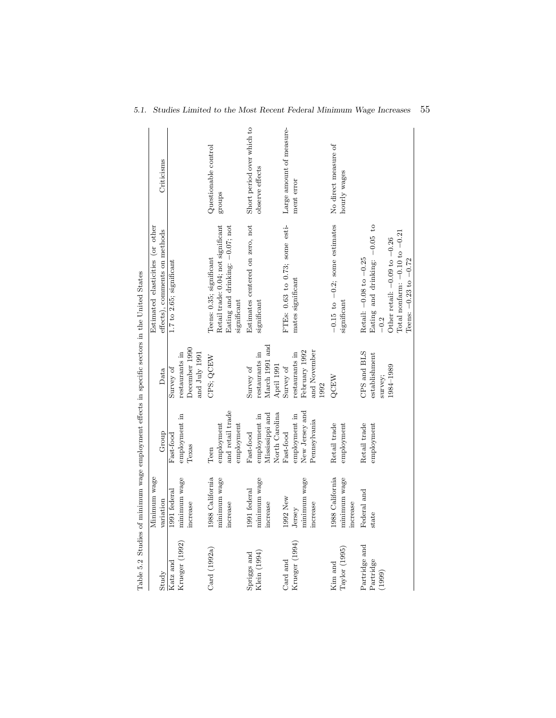| Retail: $-0.08$ to $-0.25$<br>Teens: 0.35; significant<br>Teens: $-0.23$ to $-0.72$<br>$1.7$ to $2.65$ ; significant<br>mates significant<br>significant<br>significant<br>significant<br>$-0.2$<br>March 1991 and<br>December 1990<br>and November<br>February 1992<br>CPS and BLS<br>and July 1991<br>restaurants in<br>restaurants in<br>restaurants in<br>establishment<br>CPS; QCEW<br>April 1991<br>1984-1989<br>Survey of<br>Survey of<br>Survey of<br>Data<br>survey;<br>QCEW<br>1992<br>and retail trade<br>New Jersey and<br>North Carolina<br>Mississippi and<br>employment in<br>employment in<br>employment in<br>Pennsylvania<br>Retail trade<br>Retail trade<br>employment<br>employment<br>employment<br>employment<br>Group<br>Fast-food<br>Fast-food<br>Fast-food<br>Texas<br>Teen<br>1988 California<br>1988 California<br>minimum wage<br>minimum wage<br>minimum wage<br>minimum wage<br>minimum wage<br>1991 federal<br>1991 federal<br>Federal and<br>1992 New<br>variation<br>increase<br>increase<br>increase<br>increase<br>increase<br>Jersey<br>state<br>Krueger (1994)<br>Krueger (1992)<br>Partridge and<br>Card $(1992a)$<br>Taylor (1995)<br>Klein (1994)<br>Spriggs and<br>Card and<br>Partridge<br>Katz and<br>Kim and<br>(1999)<br>Study | Minimum wage |  | Estimated elasticities (or other                                                                       |                                      |
|-----------------------------------------------------------------------------------------------------------------------------------------------------------------------------------------------------------------------------------------------------------------------------------------------------------------------------------------------------------------------------------------------------------------------------------------------------------------------------------------------------------------------------------------------------------------------------------------------------------------------------------------------------------------------------------------------------------------------------------------------------------------------------------------------------------------------------------------------------------------------------------------------------------------------------------------------------------------------------------------------------------------------------------------------------------------------------------------------------------------------------------------------------------------------------------------------------------------------------------------------------------------------------|--------------|--|--------------------------------------------------------------------------------------------------------|--------------------------------------|
|                                                                                                                                                                                                                                                                                                                                                                                                                                                                                                                                                                                                                                                                                                                                                                                                                                                                                                                                                                                                                                                                                                                                                                                                                                                                             |              |  | effects), comments on methods                                                                          | Criticisms                           |
|                                                                                                                                                                                                                                                                                                                                                                                                                                                                                                                                                                                                                                                                                                                                                                                                                                                                                                                                                                                                                                                                                                                                                                                                                                                                             |              |  |                                                                                                        |                                      |
|                                                                                                                                                                                                                                                                                                                                                                                                                                                                                                                                                                                                                                                                                                                                                                                                                                                                                                                                                                                                                                                                                                                                                                                                                                                                             |              |  |                                                                                                        |                                      |
|                                                                                                                                                                                                                                                                                                                                                                                                                                                                                                                                                                                                                                                                                                                                                                                                                                                                                                                                                                                                                                                                                                                                                                                                                                                                             |              |  | Retail trade: 0.04; not significant<br>Eating and drinking: -0.07; not                                 | Questionable control<br>groups       |
|                                                                                                                                                                                                                                                                                                                                                                                                                                                                                                                                                                                                                                                                                                                                                                                                                                                                                                                                                                                                                                                                                                                                                                                                                                                                             |              |  | Estimates centered on zero, not                                                                        | Short period over which to           |
|                                                                                                                                                                                                                                                                                                                                                                                                                                                                                                                                                                                                                                                                                                                                                                                                                                                                                                                                                                                                                                                                                                                                                                                                                                                                             |              |  |                                                                                                        | observe effects                      |
|                                                                                                                                                                                                                                                                                                                                                                                                                                                                                                                                                                                                                                                                                                                                                                                                                                                                                                                                                                                                                                                                                                                                                                                                                                                                             |              |  | FTEs: 0.63 to 0.73; some esti-                                                                         | Large amount of measure-             |
|                                                                                                                                                                                                                                                                                                                                                                                                                                                                                                                                                                                                                                                                                                                                                                                                                                                                                                                                                                                                                                                                                                                                                                                                                                                                             |              |  |                                                                                                        | ment error                           |
|                                                                                                                                                                                                                                                                                                                                                                                                                                                                                                                                                                                                                                                                                                                                                                                                                                                                                                                                                                                                                                                                                                                                                                                                                                                                             |              |  | $-0.15$ to $-0.2$ ; some estimates                                                                     | No direct measure of<br>hourly wages |
|                                                                                                                                                                                                                                                                                                                                                                                                                                                                                                                                                                                                                                                                                                                                                                                                                                                                                                                                                                                                                                                                                                                                                                                                                                                                             |              |  | Eating and drinking: -0.05 to<br>Total nonfarm: $-0.10$ to $-0.21$<br>Other retail: $-0.09$ to $-0.26$ |                                      |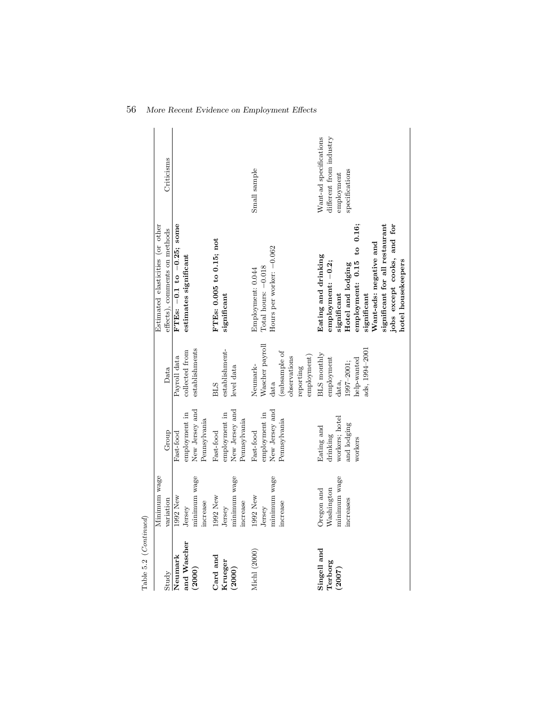| Table 5.2 (Continued)            |                                                       |                                                                    |                                                                                                  |                                                                                                                                                                                                                                           |                                                                                   |
|----------------------------------|-------------------------------------------------------|--------------------------------------------------------------------|--------------------------------------------------------------------------------------------------|-------------------------------------------------------------------------------------------------------------------------------------------------------------------------------------------------------------------------------------------|-----------------------------------------------------------------------------------|
| Study                            | Minimum wage<br>variation                             | Group                                                              | Data                                                                                             | Estimated elasticities (or other<br>effects), comments on methods                                                                                                                                                                         | Criticisms                                                                        |
| Neumark                          | 1992 New                                              | Fast-food                                                          | Payroll data                                                                                     | FTEs: $-0.1$ to $-0.25$ ; some                                                                                                                                                                                                            |                                                                                   |
| and Wascher<br>(2000)            | minimum wage<br>increase<br>Jersey                    | New Jersey and<br>employment in<br>Pennsylvania                    | establishments<br>collected from                                                                 | estimates significant                                                                                                                                                                                                                     |                                                                                   |
| Card and<br>Krueger<br>(2000)    | minimum wage<br>1992 New<br>increase<br>Jersey        | New Jersey and<br>employment in<br>Pennsylvania<br>Fast-food       | establishment-<br>level data<br><b>BLS</b>                                                       | FTEs: 0.005 to 0.15; not<br>significant                                                                                                                                                                                                   |                                                                                   |
| Michl (2000)                     | minimum wage<br>1992 New<br>increase<br>Jersey        | New Jersey and<br>employment in<br>Pennsylvania<br>Fast-food       | Wascher payroll<br>(subsample of<br>employment)<br>observations<br>Neumark-<br>reporting<br>data | Hours per worker: -0.062<br>Total hours: -0.018<br>Employment: 0.044                                                                                                                                                                      | Small sample                                                                      |
| Singell and<br>Terborg<br>(2007) | minimum wage<br>Washington<br>Oregon and<br>increases | workers; hotel<br>and lodging<br>Eating and<br>drinking<br>workers | ads, 1994–2001<br><b>BLS</b> monthly<br>employment<br>help-wanted<br>$1997 - 2001;$<br>data,     | jobs except cooks, and for<br>employment: 0.15 to 0.16;<br>significant for all restaurant<br>Want-ads: negative and<br>Eating and drinking<br>hotel housekeepers<br>$emplyment: -0.2;$<br>Hotel and lodging<br>significant<br>significant | Want-ad specifications<br>different from industry<br>specifications<br>employment |

Table 5.2 (Continued)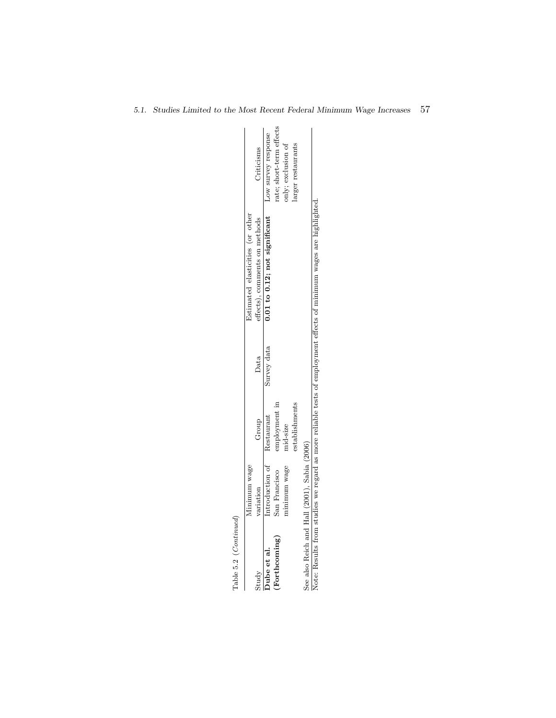|               | Minimum wage                                 |                |             | Estimated elasticities (or other                                                                                   |                          |
|---------------|----------------------------------------------|----------------|-------------|--------------------------------------------------------------------------------------------------------------------|--------------------------|
| Study         | variation                                    | Group          | Data        | effects), comments on methods                                                                                      | Criticisms               |
| Dube et al.   | Introduction of                              | Restaurant     | Survey data | $0.01$ to $0.12$ ; not significant                                                                                 | Low survey response      |
| (Forthcoming) | San Francisco                                | employment in  |             |                                                                                                                    | rate; short-term effects |
|               | minimum wage                                 | mid-size       |             |                                                                                                                    | only; exclusion of       |
|               |                                              | establishments |             |                                                                                                                    | larger restaurants       |
|               | See also Reich and Hall (2001), Sabia (2006) |                |             |                                                                                                                    |                          |
|               |                                              |                |             | Note: Results from studies we regard as more reliable tests of employment effects of minimum wages are highlighted |                          |

Table 5.2 (Continued)

*5.1. Studies Limited to the Most Recent Federal Minimum Wage Increases* 57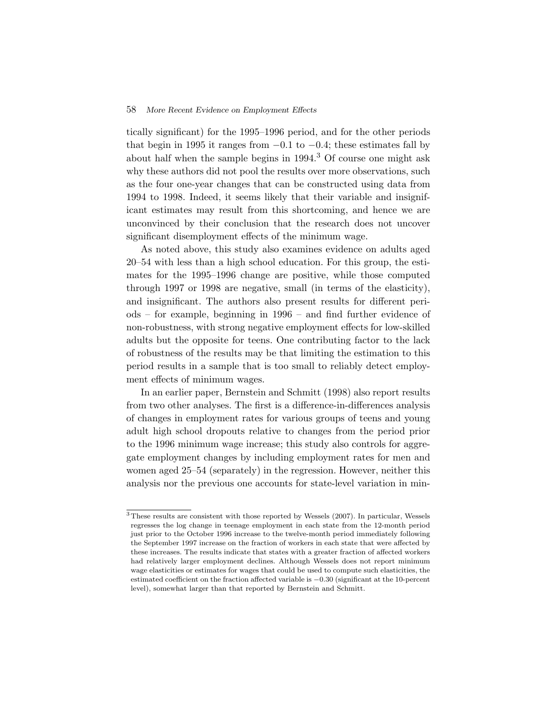tically significant) for the 1995–1996 period, and for the other periods that begin in 1995 it ranges from  $-0.1$  to  $-0.4$ ; these estimates fall by about half when the sample begins in 1994.<sup>3</sup> Of course one might ask why these authors did not pool the results over more observations, such as the four one-year changes that can be constructed using data from 1994 to 1998. Indeed, it seems likely that their variable and insignificant estimates may result from this shortcoming, and hence we are unconvinced by their conclusion that the research does not uncover significant disemployment effects of the minimum wage.

As noted above, this study also examines evidence on adults aged 20–54 with less than a high school education. For this group, the estimates for the 1995–1996 change are positive, while those computed through 1997 or 1998 are negative, small (in terms of the elasticity), and insignificant. The authors also present results for different periods – for example, beginning in 1996 – and find further evidence of non-robustness, with strong negative employment effects for low-skilled adults but the opposite for teens. One contributing factor to the lack of robustness of the results may be that limiting the estimation to this period results in a sample that is too small to reliably detect employment effects of minimum wages.

In an earlier paper, Bernstein and Schmitt (1998) also report results from two other analyses. The first is a difference-in-differences analysis of changes in employment rates for various groups of teens and young adult high school dropouts relative to changes from the period prior to the 1996 minimum wage increase; this study also controls for aggregate employment changes by including employment rates for men and women aged 25–54 (separately) in the regression. However, neither this analysis nor the previous one accounts for state-level variation in min-

<sup>3</sup> These results are consistent with those reported by Wessels (2007). In particular, Wessels regresses the log change in teenage employment in each state from the 12-month period just prior to the October 1996 increase to the twelve-month period immediately following the September 1997 increase on the fraction of workers in each state that were affected by these increases. The results indicate that states with a greater fraction of affected workers had relatively larger employment declines. Although Wessels does not report minimum wage elasticities or estimates for wages that could be used to compute such elasticities, the estimated coefficient on the fraction affected variable is −0.30 (significant at the 10-percent level), somewhat larger than that reported by Bernstein and Schmitt.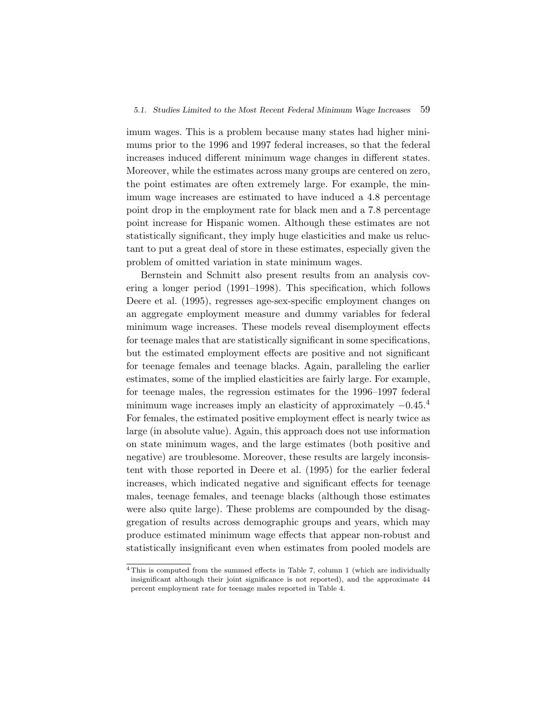imum wages. This is a problem because many states had higher minimums prior to the 1996 and 1997 federal increases, so that the federal increases induced different minimum wage changes in different states. Moreover, while the estimates across many groups are centered on zero, the point estimates are often extremely large. For example, the minimum wage increases are estimated to have induced a 4.8 percentage point drop in the employment rate for black men and a 7.8 percentage point increase for Hispanic women. Although these estimates are not statistically significant, they imply huge elasticities and make us reluctant to put a great deal of store in these estimates, especially given the problem of omitted variation in state minimum wages.

Bernstein and Schmitt also present results from an analysis covering a longer period (1991–1998). This specification, which follows Deere et al. (1995), regresses age-sex-specific employment changes on an aggregate employment measure and dummy variables for federal minimum wage increases. These models reveal disemployment effects for teenage males that are statistically significant in some specifications, but the estimated employment effects are positive and not significant for teenage females and teenage blacks. Again, paralleling the earlier estimates, some of the implied elasticities are fairly large. For example, for teenage males, the regression estimates for the 1996–1997 federal minimum wage increases imply an elasticity of approximately  $-0.45$ <sup>4</sup> For females, the estimated positive employment effect is nearly twice as large (in absolute value). Again, this approach does not use information on state minimum wages, and the large estimates (both positive and negative) are troublesome. Moreover, these results are largely inconsistent with those reported in Deere et al. (1995) for the earlier federal increases, which indicated negative and significant effects for teenage males, teenage females, and teenage blacks (although those estimates were also quite large). These problems are compounded by the disaggregation of results across demographic groups and years, which may produce estimated minimum wage effects that appear non-robust and statistically insignificant even when estimates from pooled models are

<sup>&</sup>lt;sup>4</sup> This is computed from the summed effects in Table 7, column 1 (which are individually insignificant although their joint significance is not reported), and the approximate 44 percent employment rate for teenage males reported in Table 4.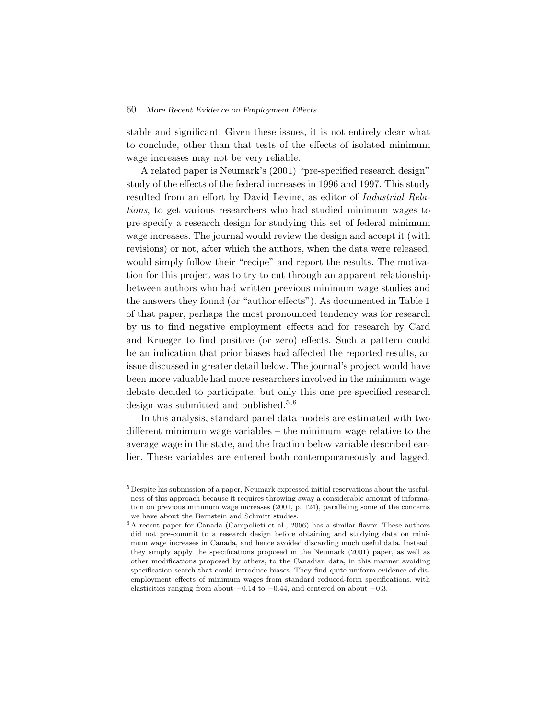stable and significant. Given these issues, it is not entirely clear what to conclude, other than that tests of the effects of isolated minimum wage increases may not be very reliable.

A related paper is Neumark's (2001) "pre-specified research design" study of the effects of the federal increases in 1996 and 1997. This study resulted from an effort by David Levine, as editor of *Industrial Relations*, to get various researchers who had studied minimum wages to pre-specify a research design for studying this set of federal minimum wage increases. The journal would review the design and accept it (with revisions) or not, after which the authors, when the data were released, would simply follow their "recipe" and report the results. The motivation for this project was to try to cut through an apparent relationship between authors who had written previous minimum wage studies and the answers they found (or "author effects"). As documented in Table 1 of that paper, perhaps the most pronounced tendency was for research by us to find negative employment effects and for research by Card and Krueger to find positive (or zero) effects. Such a pattern could be an indication that prior biases had affected the reported results, an issue discussed in greater detail below. The journal's project would have been more valuable had more researchers involved in the minimum wage debate decided to participate, but only this one pre-specified research design was submitted and published.<sup>5,6</sup>

In this analysis, standard panel data models are estimated with two different minimum wage variables – the minimum wage relative to the average wage in the state, and the fraction below variable described earlier. These variables are entered both contemporaneously and lagged,

<sup>5</sup> Despite his submission of a paper, Neumark expressed initial reservations about the usefulness of this approach because it requires throwing away a considerable amount of information on previous minimum wage increases (2001, p. 124), paralleling some of the concerns we have about the Bernstein and Schmitt studies.

<sup>6</sup> A recent paper for Canada (Campolieti et al., 2006) has a similar flavor. These authors did not pre-commit to a research design before obtaining and studying data on minimum wage increases in Canada, and hence avoided discarding much useful data. Instead, they simply apply the specifications proposed in the Neumark (2001) paper, as well as other modifications proposed by others, to the Canadian data, in this manner avoiding specification search that could introduce biases. They find quite uniform evidence of disemployment effects of minimum wages from standard reduced-form specifications, with elasticities ranging from about −0.14 to −0.44, and centered on about −0.3.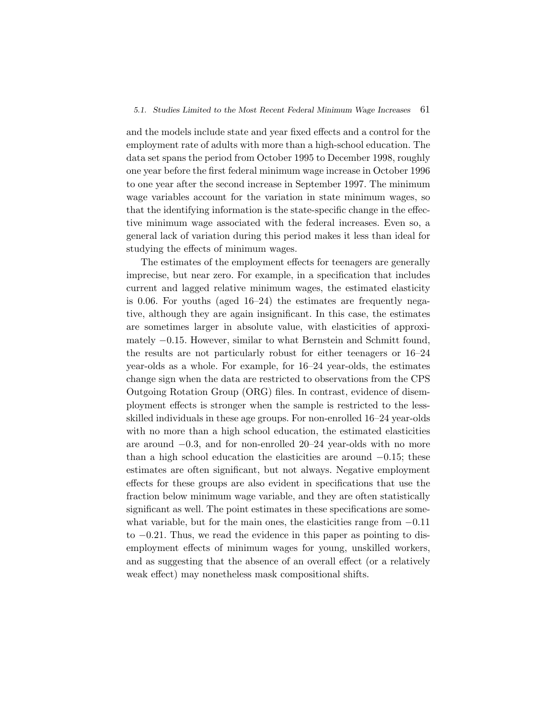and the models include state and year fixed effects and a control for the employment rate of adults with more than a high-school education. The data set spans the period from October 1995 to December 1998, roughly one year before the first federal minimum wage increase in October 1996 to one year after the second increase in September 1997. The minimum wage variables account for the variation in state minimum wages, so that the identifying information is the state-specific change in the effective minimum wage associated with the federal increases. Even so, a general lack of variation during this period makes it less than ideal for studying the effects of minimum wages.

The estimates of the employment effects for teenagers are generally imprecise, but near zero. For example, in a specification that includes current and lagged relative minimum wages, the estimated elasticity is 0.06. For youths (aged 16–24) the estimates are frequently negative, although they are again insignificant. In this case, the estimates are sometimes larger in absolute value, with elasticities of approximately −0.15. However, similar to what Bernstein and Schmitt found, the results are not particularly robust for either teenagers or 16–24 year-olds as a whole. For example, for 16–24 year-olds, the estimates change sign when the data are restricted to observations from the CPS Outgoing Rotation Group (ORG) files. In contrast, evidence of disemployment effects is stronger when the sample is restricted to the lessskilled individuals in these age groups. For non-enrolled 16–24 year-olds with no more than a high school education, the estimated elasticities are around −0.3, and for non-enrolled 20–24 year-olds with no more than a high school education the elasticities are around −0.15; these estimates are often significant, but not always. Negative employment effects for these groups are also evident in specifications that use the fraction below minimum wage variable, and they are often statistically significant as well. The point estimates in these specifications are somewhat variable, but for the main ones, the elasticities range from −0.11 to −0.21. Thus, we read the evidence in this paper as pointing to disemployment effects of minimum wages for young, unskilled workers, and as suggesting that the absence of an overall effect (or a relatively weak effect) may nonetheless mask compositional shifts.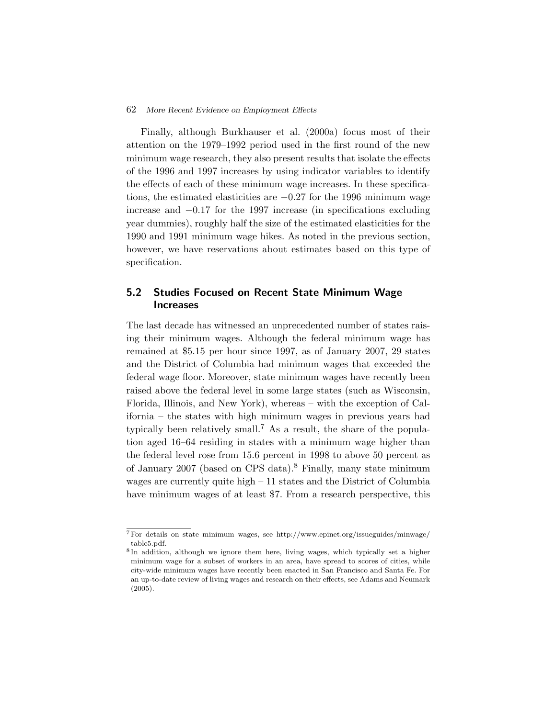Finally, although Burkhauser et al. (2000a) focus most of their attention on the 1979–1992 period used in the first round of the new minimum wage research, they also present results that isolate the effects of the 1996 and 1997 increases by using indicator variables to identify the effects of each of these minimum wage increases. In these specifications, the estimated elasticities are −0.27 for the 1996 minimum wage increase and −0.17 for the 1997 increase (in specifications excluding year dummies), roughly half the size of the estimated elasticities for the 1990 and 1991 minimum wage hikes. As noted in the previous section, however, we have reservations about estimates based on this type of specification.

## **5.2 Studies Focused on Recent State Minimum Wage Increases**

The last decade has witnessed an unprecedented number of states raising their minimum wages. Although the federal minimum wage has remained at \$5.15 per hour since 1997, as of January 2007, 29 states and the District of Columbia had minimum wages that exceeded the federal wage floor. Moreover, state minimum wages have recently been raised above the federal level in some large states (such as Wisconsin, Florida, Illinois, and New York), whereas – with the exception of California – the states with high minimum wages in previous years had typically been relatively small.<sup>7</sup> As a result, the share of the population aged 16–64 residing in states with a minimum wage higher than the federal level rose from 15.6 percent in 1998 to above 50 percent as of January 2007 (based on CPS data).<sup>8</sup> Finally, many state minimum wages are currently quite high – 11 states and the District of Columbia have minimum wages of at least \$7. From a research perspective, this

 $^7\rm{For}$  details on state minimum wages, see http://www.epinet.org/issueguides/minwage/ table5.pdf.

<sup>8</sup> In addition, although we ignore them here, living wages, which typically set a higher minimum wage for a subset of workers in an area, have spread to scores of cities, while city-wide minimum wages have recently been enacted in San Francisco and Santa Fe. For an up-to-date review of living wages and research on their effects, see Adams and Neumark (2005).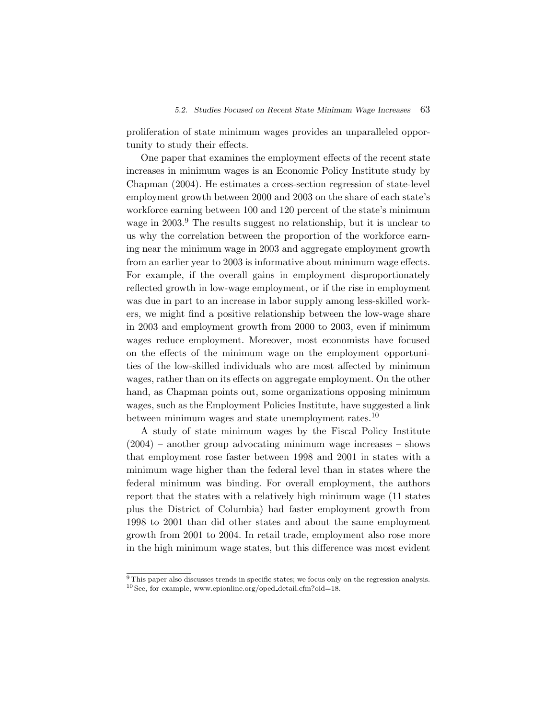proliferation of state minimum wages provides an unparalleled opportunity to study their effects.

One paper that examines the employment effects of the recent state increases in minimum wages is an Economic Policy Institute study by Chapman (2004). He estimates a cross-section regression of state-level employment growth between 2000 and 2003 on the share of each state's workforce earning between 100 and 120 percent of the state's minimum wage in 2003.<sup>9</sup> The results suggest no relationship, but it is unclear to us why the correlation between the proportion of the workforce earning near the minimum wage in 2003 and aggregate employment growth from an earlier year to 2003 is informative about minimum wage effects. For example, if the overall gains in employment disproportionately reflected growth in low-wage employment, or if the rise in employment was due in part to an increase in labor supply among less-skilled workers, we might find a positive relationship between the low-wage share in 2003 and employment growth from 2000 to 2003, even if minimum wages reduce employment. Moreover, most economists have focused on the effects of the minimum wage on the employment opportunities of the low-skilled individuals who are most affected by minimum wages, rather than on its effects on aggregate employment. On the other hand, as Chapman points out, some organizations opposing minimum wages, such as the Employment Policies Institute, have suggested a link between minimum wages and state unemployment rates.<sup>10</sup>

A study of state minimum wages by the Fiscal Policy Institute (2004) – another group advocating minimum wage increases – shows that employment rose faster between 1998 and 2001 in states with a minimum wage higher than the federal level than in states where the federal minimum was binding. For overall employment, the authors report that the states with a relatively high minimum wage (11 states plus the District of Columbia) had faster employment growth from 1998 to 2001 than did other states and about the same employment growth from 2001 to 2004. In retail trade, employment also rose more in the high minimum wage states, but this difference was most evident

 $\overline{9}$ This paper also discusses trends in specific states; we focus only on the regression analysis.  $10$  See, for example, www.epionline.org/oped\_detail.cfm?oid=18.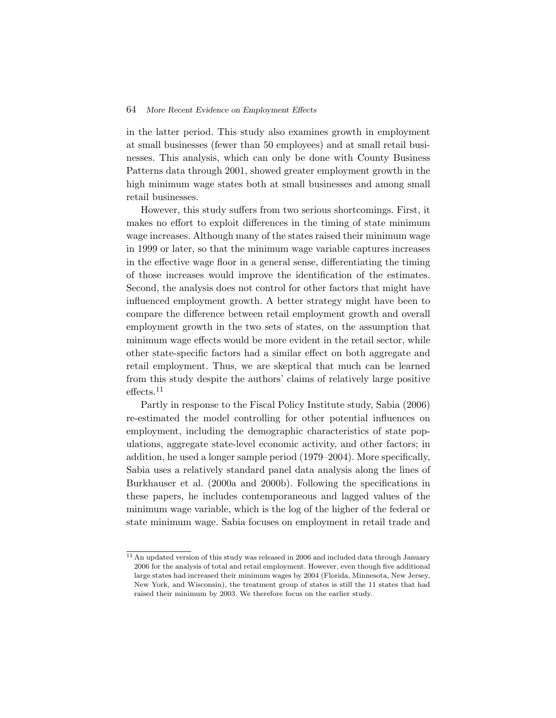in the latter period. This study also examines growth in employment at small businesses (fewer than 50 employees) and at small retail businesses. This analysis, which can only be done with County Business Patterns data through 2001, showed greater employment growth in the high minimum wage states both at small businesses and among small retail businesses.

However, this study suffers from two serious shortcomings. First, it makes no effort to exploit differences in the timing of state minimum wage increases. Although many of the states raised their minimum wage in 1999 or later, so that the minimum wage variable captures increases in the effective wage floor in a general sense, differentiating the timing of those increases would improve the identification of the estimates. Second, the analysis does not control for other factors that might have influenced employment growth. A better strategy might have been to compare the difference between retail employment growth and overall employment growth in the two sets of states, on the assumption that minimum wage effects would be more evident in the retail sector, while other state-specific factors had a similar effect on both aggregate and retail employment. Thus, we are skeptical that much can be learned from this study despite the authors' claims of relatively large positive effects.<sup>11</sup>

Partly in response to the Fiscal Policy Institute study, Sabia (2006) re-estimated the model controlling for other potential influences on employment, including the demographic characteristics of state populations, aggregate state-level economic activity, and other factors; in addition, he used a longer sample period (1979–2004). More specifically, Sabia uses a relatively standard panel data analysis along the lines of Burkhauser et al. (2000a and 2000b). Following the specifications in these papers, he includes contemporaneous and lagged values of the minimum wage variable, which is the log of the higher of the federal or state minimum wage. Sabia focuses on employment in retail trade and

 $^{11}\!$  An updated version of this study was released in 2006 and included data through January 2006 for the analysis of total and retail employment. However, even though five additional large states had increased their minimum wages by 2004 (Florida, Minnesota, New Jersey, New York, and Wisconsin), the treatment group of states is still the 11 states that had raised their minimum by 2003. We therefore focus on the earlier study.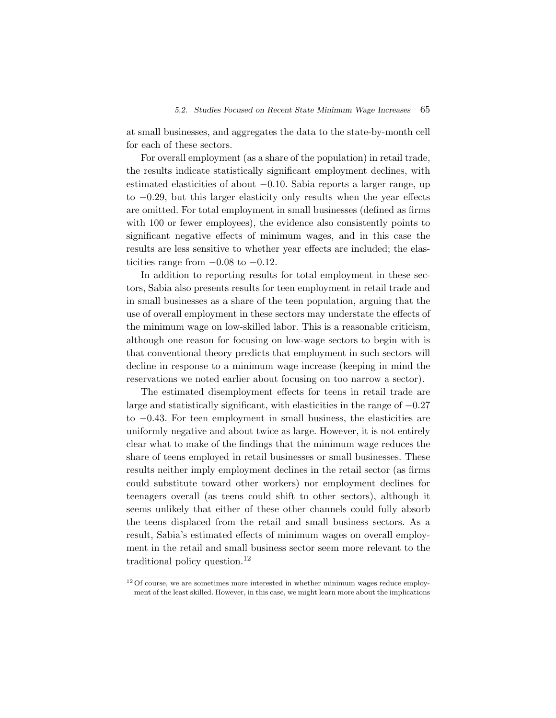at small businesses, and aggregates the data to the state-by-month cell for each of these sectors.

For overall employment (as a share of the population) in retail trade, the results indicate statistically significant employment declines, with estimated elasticities of about −0.10. Sabia reports a larger range, up to −0.29, but this larger elasticity only results when the year effects are omitted. For total employment in small businesses (defined as firms with 100 or fewer employees), the evidence also consistently points to significant negative effects of minimum wages, and in this case the results are less sensitive to whether year effects are included; the elasticities range from  $-0.08$  to  $-0.12$ .

In addition to reporting results for total employment in these sectors, Sabia also presents results for teen employment in retail trade and in small businesses as a share of the teen population, arguing that the use of overall employment in these sectors may understate the effects of the minimum wage on low-skilled labor. This is a reasonable criticism, although one reason for focusing on low-wage sectors to begin with is that conventional theory predicts that employment in such sectors will decline in response to a minimum wage increase (keeping in mind the reservations we noted earlier about focusing on too narrow a sector).

The estimated disemployment effects for teens in retail trade are large and statistically significant, with elasticities in the range of −0.27 to −0.43. For teen employment in small business, the elasticities are uniformly negative and about twice as large. However, it is not entirely clear what to make of the findings that the minimum wage reduces the share of teens employed in retail businesses or small businesses. These results neither imply employment declines in the retail sector (as firms could substitute toward other workers) nor employment declines for teenagers overall (as teens could shift to other sectors), although it seems unlikely that either of these other channels could fully absorb the teens displaced from the retail and small business sectors. As a result, Sabia's estimated effects of minimum wages on overall employment in the retail and small business sector seem more relevant to the traditional policy question.<sup>12</sup>

 $12$  Of course, we are sometimes more interested in whether minimum wages reduce employment of the least skilled. However, in this case, we might learn more about the implications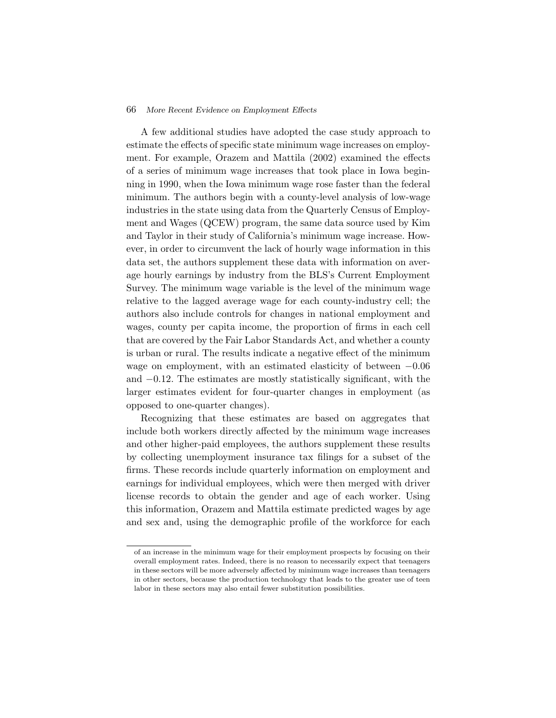A few additional studies have adopted the case study approach to estimate the effects of specific state minimum wage increases on employment. For example, Orazem and Mattila (2002) examined the effects of a series of minimum wage increases that took place in Iowa beginning in 1990, when the Iowa minimum wage rose faster than the federal minimum. The authors begin with a county-level analysis of low-wage industries in the state using data from the Quarterly Census of Employment and Wages (QCEW) program, the same data source used by Kim and Taylor in their study of California's minimum wage increase. However, in order to circumvent the lack of hourly wage information in this data set, the authors supplement these data with information on average hourly earnings by industry from the BLS's Current Employment Survey. The minimum wage variable is the level of the minimum wage relative to the lagged average wage for each county-industry cell; the authors also include controls for changes in national employment and wages, county per capita income, the proportion of firms in each cell that are covered by the Fair Labor Standards Act, and whether a county is urban or rural. The results indicate a negative effect of the minimum wage on employment, with an estimated elasticity of between −0.06 and −0.12. The estimates are mostly statistically significant, with the larger estimates evident for four-quarter changes in employment (as opposed to one-quarter changes).

Recognizing that these estimates are based on aggregates that include both workers directly affected by the minimum wage increases and other higher-paid employees, the authors supplement these results by collecting unemployment insurance tax filings for a subset of the firms. These records include quarterly information on employment and earnings for individual employees, which were then merged with driver license records to obtain the gender and age of each worker. Using this information, Orazem and Mattila estimate predicted wages by age and sex and, using the demographic profile of the workforce for each

of an increase in the minimum wage for their employment prospects by focusing on their overall employment rates. Indeed, there is no reason to necessarily expect that teenagers in these sectors will be more adversely affected by minimum wage increases than teenagers in other sectors, because the production technology that leads to the greater use of teen labor in these sectors may also entail fewer substitution possibilities.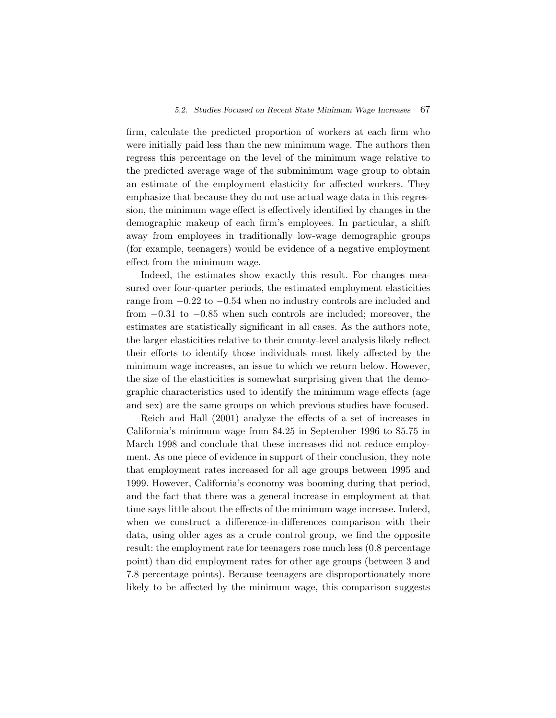firm, calculate the predicted proportion of workers at each firm who were initially paid less than the new minimum wage. The authors then regress this percentage on the level of the minimum wage relative to the predicted average wage of the subminimum wage group to obtain an estimate of the employment elasticity for affected workers. They emphasize that because they do not use actual wage data in this regression, the minimum wage effect is effectively identified by changes in the demographic makeup of each firm's employees. In particular, a shift away from employees in traditionally low-wage demographic groups (for example, teenagers) would be evidence of a negative employment effect from the minimum wage.

Indeed, the estimates show exactly this result. For changes measured over four-quarter periods, the estimated employment elasticities range from −0.22 to −0.54 when no industry controls are included and from −0.31 to −0.85 when such controls are included; moreover, the estimates are statistically significant in all cases. As the authors note, the larger elasticities relative to their county-level analysis likely reflect their efforts to identify those individuals most likely affected by the minimum wage increases, an issue to which we return below. However, the size of the elasticities is somewhat surprising given that the demographic characteristics used to identify the minimum wage effects (age and sex) are the same groups on which previous studies have focused.

Reich and Hall (2001) analyze the effects of a set of increases in California's minimum wage from \$4.25 in September 1996 to \$5.75 in March 1998 and conclude that these increases did not reduce employment. As one piece of evidence in support of their conclusion, they note that employment rates increased for all age groups between 1995 and 1999. However, California's economy was booming during that period, and the fact that there was a general increase in employment at that time says little about the effects of the minimum wage increase. Indeed, when we construct a difference-in-differences comparison with their data, using older ages as a crude control group, we find the opposite result: the employment rate for teenagers rose much less (0.8 percentage point) than did employment rates for other age groups (between 3 and 7.8 percentage points). Because teenagers are disproportionately more likely to be affected by the minimum wage, this comparison suggests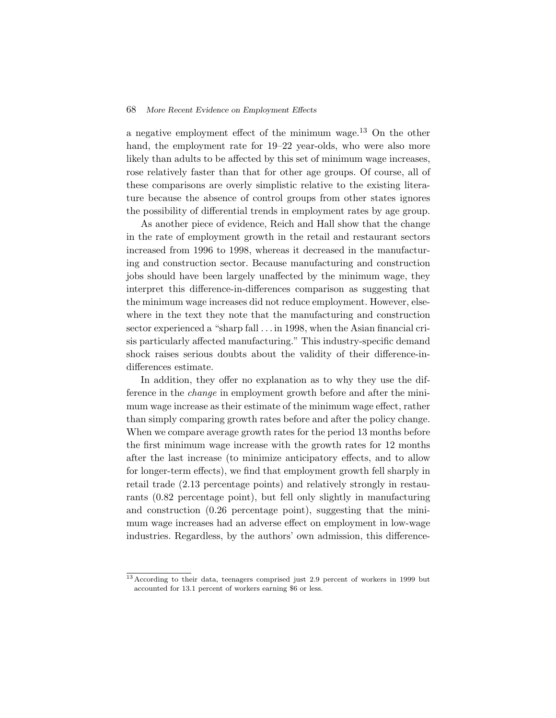a negative employment effect of the minimum wage.<sup>13</sup> On the other hand, the employment rate for 19–22 year-olds, who were also more likely than adults to be affected by this set of minimum wage increases, rose relatively faster than that for other age groups. Of course, all of these comparisons are overly simplistic relative to the existing literature because the absence of control groups from other states ignores the possibility of differential trends in employment rates by age group.

As another piece of evidence, Reich and Hall show that the change in the rate of employment growth in the retail and restaurant sectors increased from 1996 to 1998, whereas it decreased in the manufacturing and construction sector. Because manufacturing and construction jobs should have been largely unaffected by the minimum wage, they interpret this difference-in-differences comparison as suggesting that the minimum wage increases did not reduce employment. However, elsewhere in the text they note that the manufacturing and construction sector experienced a "sharp fall . . . in 1998, when the Asian financial crisis particularly affected manufacturing." This industry-specific demand shock raises serious doubts about the validity of their difference-indifferences estimate.

In addition, they offer no explanation as to why they use the difference in the *change* in employment growth before and after the minimum wage increase as their estimate of the minimum wage effect, rather than simply comparing growth rates before and after the policy change. When we compare average growth rates for the period 13 months before the first minimum wage increase with the growth rates for 12 months after the last increase (to minimize anticipatory effects, and to allow for longer-term effects), we find that employment growth fell sharply in retail trade (2.13 percentage points) and relatively strongly in restaurants (0.82 percentage point), but fell only slightly in manufacturing and construction (0.26 percentage point), suggesting that the minimum wage increases had an adverse effect on employment in low-wage industries. Regardless, by the authors' own admission, this difference-

 $13$  According to their data, teenagers comprised just 2.9 percent of workers in 1999 but accounted for 13.1 percent of workers earning \$6 or less.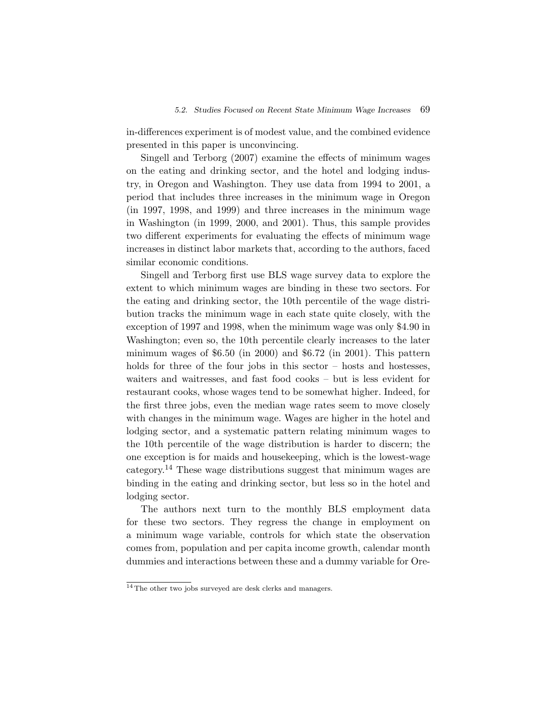in-differences experiment is of modest value, and the combined evidence presented in this paper is unconvincing.

Singell and Terborg (2007) examine the effects of minimum wages on the eating and drinking sector, and the hotel and lodging industry, in Oregon and Washington. They use data from 1994 to 2001, a period that includes three increases in the minimum wage in Oregon (in 1997, 1998, and 1999) and three increases in the minimum wage in Washington (in 1999, 2000, and 2001). Thus, this sample provides two different experiments for evaluating the effects of minimum wage increases in distinct labor markets that, according to the authors, faced similar economic conditions.

Singell and Terborg first use BLS wage survey data to explore the extent to which minimum wages are binding in these two sectors. For the eating and drinking sector, the 10th percentile of the wage distribution tracks the minimum wage in each state quite closely, with the exception of 1997 and 1998, when the minimum wage was only \$4.90 in Washington; even so, the 10th percentile clearly increases to the later minimum wages of \$6.50 (in 2000) and \$6.72 (in 2001). This pattern holds for three of the four jobs in this sector – hosts and hostesses, waiters and waitresses, and fast food cooks – but is less evident for restaurant cooks, whose wages tend to be somewhat higher. Indeed, for the first three jobs, even the median wage rates seem to move closely with changes in the minimum wage. Wages are higher in the hotel and lodging sector, and a systematic pattern relating minimum wages to the 10th percentile of the wage distribution is harder to discern; the one exception is for maids and housekeeping, which is the lowest-wage category.<sup>14</sup> These wage distributions suggest that minimum wages are binding in the eating and drinking sector, but less so in the hotel and lodging sector.

The authors next turn to the monthly BLS employment data for these two sectors. They regress the change in employment on a minimum wage variable, controls for which state the observation comes from, population and per capita income growth, calendar month dummies and interactions between these and a dummy variable for Ore-

<sup>&</sup>lt;sup>14</sup> The other two jobs surveyed are desk clerks and managers.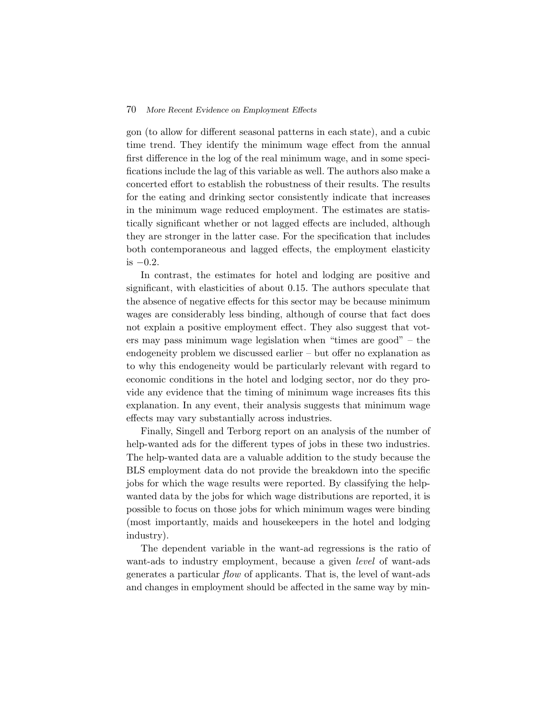gon (to allow for different seasonal patterns in each state), and a cubic time trend. They identify the minimum wage effect from the annual first difference in the log of the real minimum wage, and in some specifications include the lag of this variable as well. The authors also make a concerted effort to establish the robustness of their results. The results for the eating and drinking sector consistently indicate that increases in the minimum wage reduced employment. The estimates are statistically significant whether or not lagged effects are included, although they are stronger in the latter case. For the specification that includes both contemporaneous and lagged effects, the employment elasticity is  $-0.2$ .

In contrast, the estimates for hotel and lodging are positive and significant, with elasticities of about 0.15. The authors speculate that the absence of negative effects for this sector may be because minimum wages are considerably less binding, although of course that fact does not explain a positive employment effect. They also suggest that voters may pass minimum wage legislation when "times are good" – the endogeneity problem we discussed earlier – but offer no explanation as to why this endogeneity would be particularly relevant with regard to economic conditions in the hotel and lodging sector, nor do they provide any evidence that the timing of minimum wage increases fits this explanation. In any event, their analysis suggests that minimum wage effects may vary substantially across industries.

Finally, Singell and Terborg report on an analysis of the number of help-wanted ads for the different types of jobs in these two industries. The help-wanted data are a valuable addition to the study because the BLS employment data do not provide the breakdown into the specific jobs for which the wage results were reported. By classifying the helpwanted data by the jobs for which wage distributions are reported, it is possible to focus on those jobs for which minimum wages were binding (most importantly, maids and housekeepers in the hotel and lodging industry).

The dependent variable in the want-ad regressions is the ratio of want-ads to industry employment, because a given *level* of want-ads generates a particular *flow* of applicants. That is, the level of want-ads and changes in employment should be affected in the same way by min-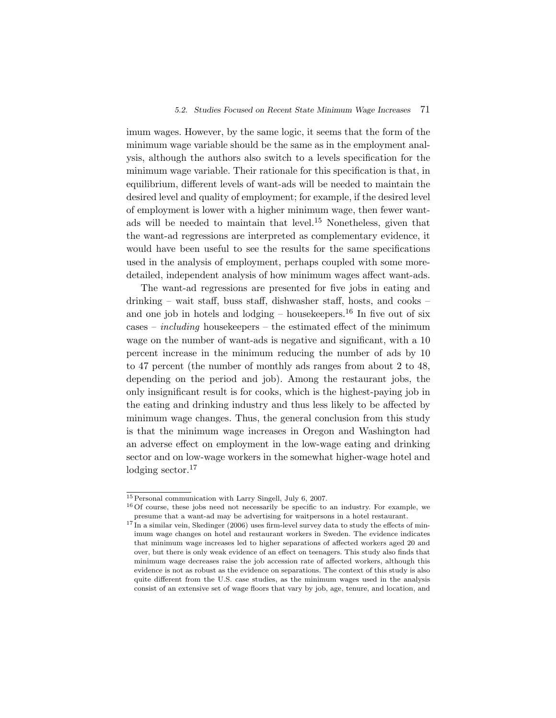#### *5.2. Studies Focused on Recent State Minimum Wage Increases* 71

imum wages. However, by the same logic, it seems that the form of the minimum wage variable should be the same as in the employment analysis, although the authors also switch to a levels specification for the minimum wage variable. Their rationale for this specification is that, in equilibrium, different levels of want-ads will be needed to maintain the desired level and quality of employment; for example, if the desired level of employment is lower with a higher minimum wage, then fewer wantads will be needed to maintain that level.<sup>15</sup> Nonetheless, given that the want-ad regressions are interpreted as complementary evidence, it would have been useful to see the results for the same specifications used in the analysis of employment, perhaps coupled with some moredetailed, independent analysis of how minimum wages affect want-ads.

The want-ad regressions are presented for five jobs in eating and drinking – wait staff, buss staff, dishwasher staff, hosts, and cooks – and one job in hotels and lodging – housekeepers.<sup>16</sup> In five out of six cases – *including* housekeepers – the estimated effect of the minimum wage on the number of want-ads is negative and significant, with a 10 percent increase in the minimum reducing the number of ads by 10 to 47 percent (the number of monthly ads ranges from about 2 to 48, depending on the period and job). Among the restaurant jobs, the only insignificant result is for cooks, which is the highest-paying job in the eating and drinking industry and thus less likely to be affected by minimum wage changes. Thus, the general conclusion from this study is that the minimum wage increases in Oregon and Washington had an adverse effect on employment in the low-wage eating and drinking sector and on low-wage workers in the somewhat higher-wage hotel and lodging sector.<sup>17</sup>

<sup>&</sup>lt;sup>15</sup> Personal communication with Larry Singell, July 6, 2007.

<sup>&</sup>lt;sup>16</sup> Of course, these jobs need not necessarily be specific to an industry. For example, we presume that a want-ad may be advertising for waitpersons in a hotel restaurant.

 $17$  In a similar vein, Skedinger (2006) uses firm-level survey data to study the effects of minimum wage changes on hotel and restaurant workers in Sweden. The evidence indicates that minimum wage increases led to higher separations of affected workers aged 20 and over, but there is only weak evidence of an effect on teenagers. This study also finds that minimum wage decreases raise the job accession rate of affected workers, although this evidence is not as robust as the evidence on separations. The context of this study is also quite different from the U.S. case studies, as the minimum wages used in the analysis consist of an extensive set of wage floors that vary by job, age, tenure, and location, and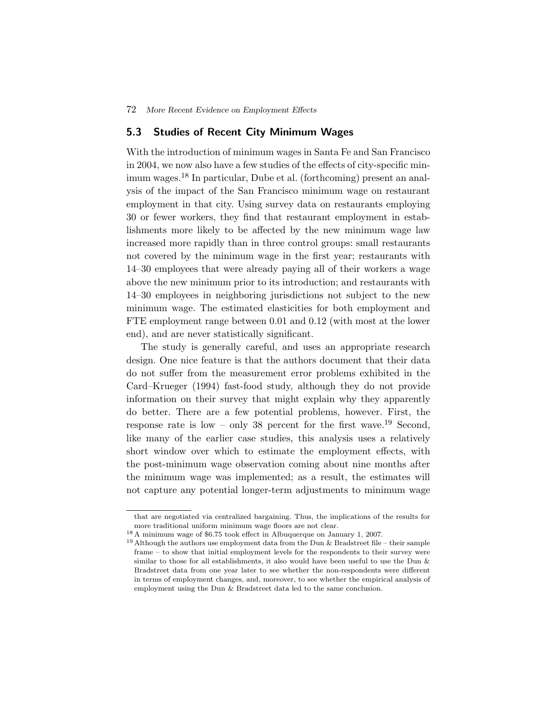#### **5.3 Studies of Recent City Minimum Wages**

With the introduction of minimum wages in Santa Fe and San Francisco in 2004, we now also have a few studies of the effects of city-specific minimum wages.<sup>18</sup> In particular, Dube et al. (forthcoming) present an analysis of the impact of the San Francisco minimum wage on restaurant employment in that city. Using survey data on restaurants employing 30 or fewer workers, they find that restaurant employment in establishments more likely to be affected by the new minimum wage law increased more rapidly than in three control groups: small restaurants not covered by the minimum wage in the first year; restaurants with 14–30 employees that were already paying all of their workers a wage above the new minimum prior to its introduction; and restaurants with 14–30 employees in neighboring jurisdictions not subject to the new minimum wage. The estimated elasticities for both employment and FTE employment range between 0.01 and 0.12 (with most at the lower end), and are never statistically significant.

The study is generally careful, and uses an appropriate research design. One nice feature is that the authors document that their data do not suffer from the measurement error problems exhibited in the Card–Krueger (1994) fast-food study, although they do not provide information on their survey that might explain why they apparently do better. There are a few potential problems, however. First, the response rate is low – only 38 percent for the first wave.<sup>19</sup> Second, like many of the earlier case studies, this analysis uses a relatively short window over which to estimate the employment effects, with the post-minimum wage observation coming about nine months after the minimum wage was implemented; as a result, the estimates will not capture any potential longer-term adjustments to minimum wage

that are negotiated via centralized bargaining. Thus, the implications of the results for more traditional uniform minimum wage floors are not clear.

 $^{18}\,\mathrm{A}$  minimum wage of \$6.75 took effect in Albuquerque on January 1, 2007.

<sup>&</sup>lt;sup>19</sup> Although the authors use employment data from the Dun & Bradstreet file – their sample frame – to show that initial employment levels for the respondents to their survey were similar to those for all establishments, it also would have been useful to use the Dun & Bradstreet data from one year later to see whether the non-respondents were different in terms of employment changes, and, moreover, to see whether the empirical analysis of employment using the Dun & Bradstreet data led to the same conclusion.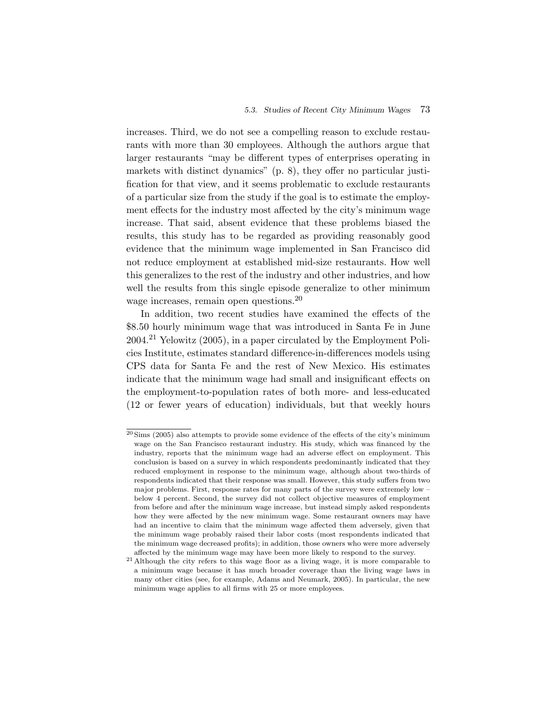increases. Third, we do not see a compelling reason to exclude restaurants with more than 30 employees. Although the authors argue that larger restaurants "may be different types of enterprises operating in markets with distinct dynamics" (p. 8), they offer no particular justification for that view, and it seems problematic to exclude restaurants of a particular size from the study if the goal is to estimate the employment effects for the industry most affected by the city's minimum wage increase. That said, absent evidence that these problems biased the results, this study has to be regarded as providing reasonably good evidence that the minimum wage implemented in San Francisco did not reduce employment at established mid-size restaurants. How well this generalizes to the rest of the industry and other industries, and how well the results from this single episode generalize to other minimum wage increases, remain open questions.<sup>20</sup>

In addition, two recent studies have examined the effects of the \$8.50 hourly minimum wage that was introduced in Santa Fe in June  $2004.<sup>21</sup>$  Yelowitz (2005), in a paper circulated by the Employment Policies Institute, estimates standard difference-in-differences models using CPS data for Santa Fe and the rest of New Mexico. His estimates indicate that the minimum wage had small and insignificant effects on the employment-to-population rates of both more- and less-educated (12 or fewer years of education) individuals, but that weekly hours

 $20$  Sims (2005) also attempts to provide some evidence of the effects of the city's minimum wage on the San Francisco restaurant industry. His study, which was financed by the industry, reports that the minimum wage had an adverse effect on employment. This conclusion is based on a survey in which respondents predominantly indicated that they reduced employment in response to the minimum wage, although about two-thirds of respondents indicated that their response was small. However, this study suffers from two major problems. First, response rates for many parts of the survey were extremely low – below 4 percent. Second, the survey did not collect objective measures of employment from before and after the minimum wage increase, but instead simply asked respondents how they were affected by the new minimum wage. Some restaurant owners may have had an incentive to claim that the minimum wage affected them adversely, given that the minimum wage probably raised their labor costs (most respondents indicated that the minimum wage decreased profits); in addition, those owners who were more adversely affected by the minimum wage may have been more likely to respond to the survey.

<sup>21</sup> Although the city refers to this wage floor as a living wage, it is more comparable to a minimum wage because it has much broader coverage than the living wage laws in many other cities (see, for example, Adams and Neumark, 2005). In particular, the new minimum wage applies to all firms with 25 or more employees.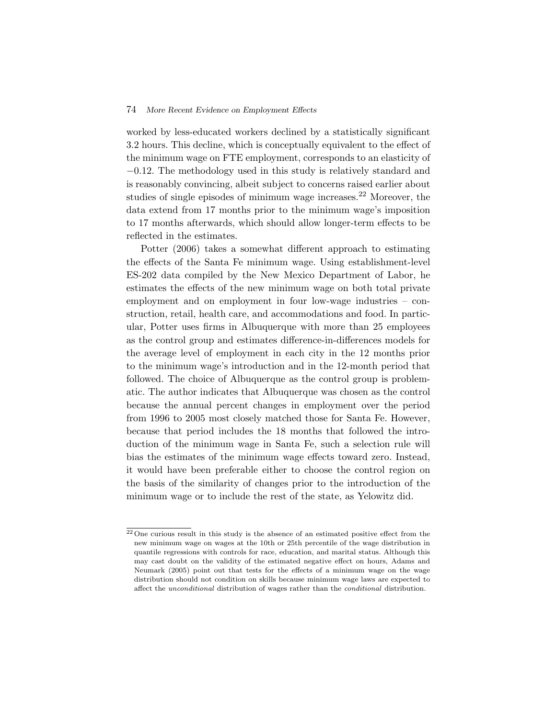worked by less-educated workers declined by a statistically significant 3.2 hours. This decline, which is conceptually equivalent to the effect of the minimum wage on FTE employment, corresponds to an elasticity of −0.12. The methodology used in this study is relatively standard and is reasonably convincing, albeit subject to concerns raised earlier about studies of single episodes of minimum wage increases.<sup>22</sup> Moreover, the data extend from 17 months prior to the minimum wage's imposition to 17 months afterwards, which should allow longer-term effects to be reflected in the estimates.

Potter (2006) takes a somewhat different approach to estimating the effects of the Santa Fe minimum wage. Using establishment-level ES-202 data compiled by the New Mexico Department of Labor, he estimates the effects of the new minimum wage on both total private employment and on employment in four low-wage industries – construction, retail, health care, and accommodations and food. In particular, Potter uses firms in Albuquerque with more than 25 employees as the control group and estimates difference-in-differences models for the average level of employment in each city in the 12 months prior to the minimum wage's introduction and in the 12-month period that followed. The choice of Albuquerque as the control group is problematic. The author indicates that Albuquerque was chosen as the control because the annual percent changes in employment over the period from 1996 to 2005 most closely matched those for Santa Fe. However, because that period includes the 18 months that followed the introduction of the minimum wage in Santa Fe, such a selection rule will bias the estimates of the minimum wage effects toward zero. Instead, it would have been preferable either to choose the control region on the basis of the similarity of changes prior to the introduction of the minimum wage or to include the rest of the state, as Yelowitz did.

<sup>22</sup> One curious result in this study is the absence of an estimated positive effect from the new minimum wage on wages at the 10th or 25th percentile of the wage distribution in quantile regressions with controls for race, education, and marital status. Although this may cast doubt on the validity of the estimated negative effect on hours, Adams and Neumark (2005) point out that tests for the effects of a minimum wage on the wage distribution should not condition on skills because minimum wage laws are expected to affect the unconditional distribution of wages rather than the conditional distribution.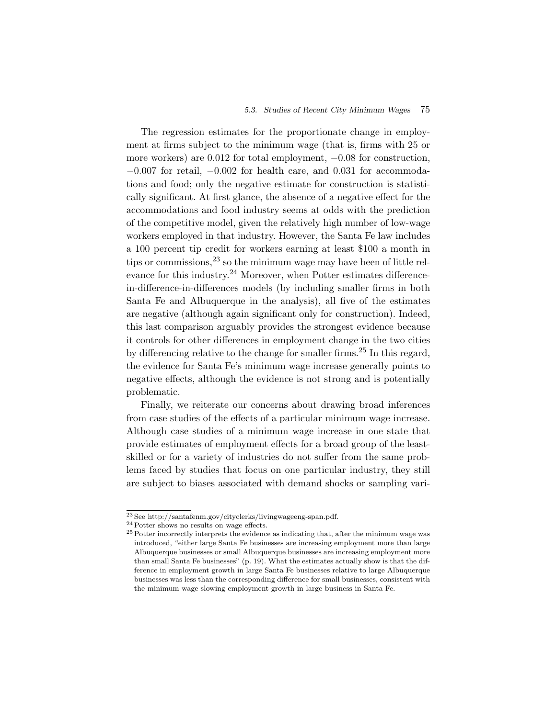#### *5.3. Studies of Recent City Minimum Wages* 75

The regression estimates for the proportionate change in employment at firms subject to the minimum wage (that is, firms with 25 or more workers) are 0.012 for total employment, −0.08 for construction,  $-0.007$  for retail,  $-0.002$  for health care, and 0.031 for accommodations and food; only the negative estimate for construction is statistically significant. At first glance, the absence of a negative effect for the accommodations and food industry seems at odds with the prediction of the competitive model, given the relatively high number of low-wage workers employed in that industry. However, the Santa Fe law includes a 100 percent tip credit for workers earning at least \$100 a month in tips or commissions,  $23$  so the minimum wage may have been of little relevance for this industry.<sup>24</sup> Moreover, when Potter estimates differencein-difference-in-differences models (by including smaller firms in both Santa Fe and Albuquerque in the analysis), all five of the estimates are negative (although again significant only for construction). Indeed, this last comparison arguably provides the strongest evidence because it controls for other differences in employment change in the two cities by differencing relative to the change for smaller firms.<sup>25</sup> In this regard, the evidence for Santa Fe's minimum wage increase generally points to negative effects, although the evidence is not strong and is potentially problematic.

Finally, we reiterate our concerns about drawing broad inferences from case studies of the effects of a particular minimum wage increase. Although case studies of a minimum wage increase in one state that provide estimates of employment effects for a broad group of the leastskilled or for a variety of industries do not suffer from the same problems faced by studies that focus on one particular industry, they still are subject to biases associated with demand shocks or sampling vari-

<sup>23</sup> See http://santafenm.gov/cityclerks/livingwageeng-span.pdf.

<sup>24</sup> Potter shows no results on wage effects.

<sup>&</sup>lt;sup>25</sup> Potter incorrectly interprets the evidence as indicating that, after the minimum wage was introduced, "either large Santa Fe businesses are increasing employment more than large Albuquerque businesses or small Albuquerque businesses are increasing employment more than small Santa Fe businesses" (p. 19). What the estimates actually show is that the difference in employment growth in large Santa Fe businesses relative to large Albuquerque businesses was less than the corresponding difference for small businesses, consistent with the minimum wage slowing employment growth in large business in Santa Fe.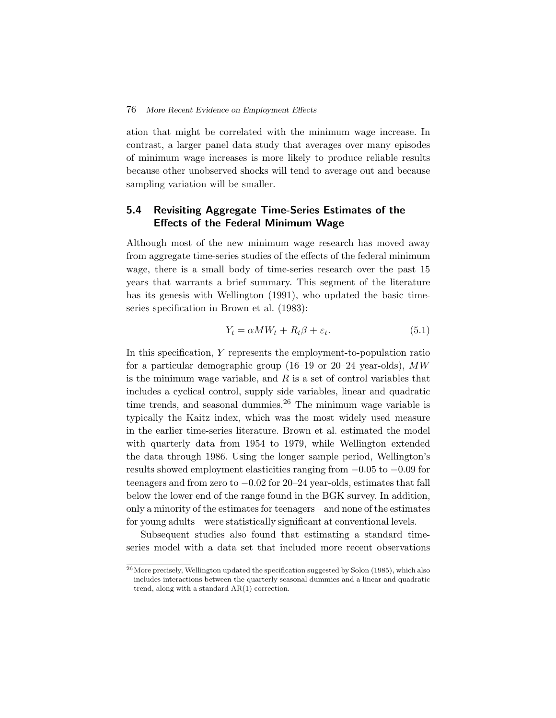ation that might be correlated with the minimum wage increase. In contrast, a larger panel data study that averages over many episodes of minimum wage increases is more likely to produce reliable results because other unobserved shocks will tend to average out and because sampling variation will be smaller.

## **5.4 Revisiting Aggregate Time-Series Estimates of the Effects of the Federal Minimum Wage**

Although most of the new minimum wage research has moved away from aggregate time-series studies of the effects of the federal minimum wage, there is a small body of time-series research over the past 15 years that warrants a brief summary. This segment of the literature has its genesis with Wellington (1991), who updated the basic timeseries specification in Brown et al. (1983):

$$
Y_t = \alpha M W_t + R_t \beta + \varepsilon_t. \tag{5.1}
$$

In this specification, Y represents the employment-to-population ratio for a particular demographic group (16–19 or 20–24 year-olds),  $MW$ is the minimum wage variable, and  $R$  is a set of control variables that includes a cyclical control, supply side variables, linear and quadratic time trends, and seasonal dummies. $26$  The minimum wage variable is typically the Kaitz index, which was the most widely used measure in the earlier time-series literature. Brown et al. estimated the model with quarterly data from 1954 to 1979, while Wellington extended the data through 1986. Using the longer sample period, Wellington's results showed employment elasticities ranging from −0.05 to −0.09 for teenagers and from zero to −0.02 for 20–24 year-olds, estimates that fall below the lower end of the range found in the BGK survey. In addition, only a minority of the estimates for teenagers – and none of the estimates for young adults – were statistically significant at conventional levels.

Subsequent studies also found that estimating a standard timeseries model with a data set that included more recent observations

 $^{26}$ More precisely, Wellington updated the specification suggested by Solon (1985), which also includes interactions between the quarterly seasonal dummies and a linear and quadratic trend, along with a standard AR(1) correction.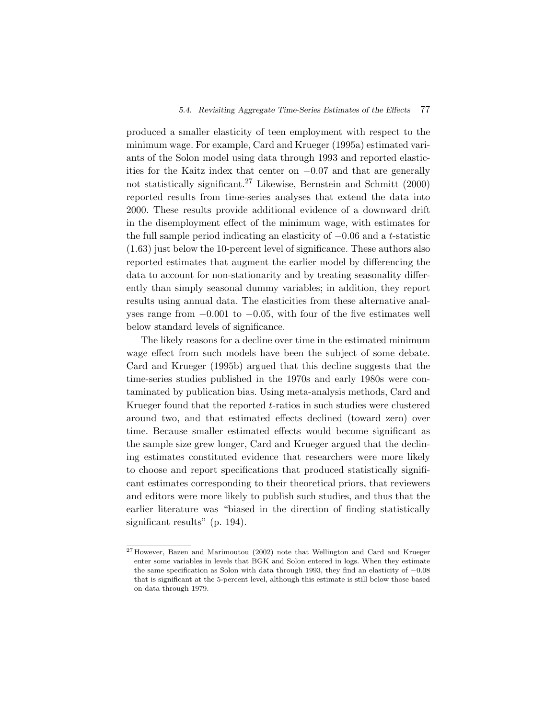#### *5.4. Revisiting Aggregate Time-Series Estimates of the Effects* 77

produced a smaller elasticity of teen employment with respect to the minimum wage. For example, Card and Krueger (1995a) estimated variants of the Solon model using data through 1993 and reported elasticities for the Kaitz index that center on −0.07 and that are generally not statistically significant.<sup>27</sup> Likewise, Bernstein and Schmitt (2000) reported results from time-series analyses that extend the data into 2000. These results provide additional evidence of a downward drift in the disemployment effect of the minimum wage, with estimates for the full sample period indicating an elasticity of  $-0.06$  and a t-statistic (1.63) just below the 10-percent level of significance. These authors also reported estimates that augment the earlier model by differencing the data to account for non-stationarity and by treating seasonality differently than simply seasonal dummy variables; in addition, they report results using annual data. The elasticities from these alternative analyses range from  $-0.001$  to  $-0.05$ , with four of the five estimates well below standard levels of significance.

The likely reasons for a decline over time in the estimated minimum wage effect from such models have been the subject of some debate. Card and Krueger (1995b) argued that this decline suggests that the time-series studies published in the 1970s and early 1980s were contaminated by publication bias. Using meta-analysis methods, Card and Krueger found that the reported  $t$ -ratios in such studies were clustered around two, and that estimated effects declined (toward zero) over time. Because smaller estimated effects would become significant as the sample size grew longer, Card and Krueger argued that the declining estimates constituted evidence that researchers were more likely to choose and report specifications that produced statistically significant estimates corresponding to their theoretical priors, that reviewers and editors were more likely to publish such studies, and thus that the earlier literature was "biased in the direction of finding statistically significant results" (p. 194).

 $^{27}\rm{However, \, Bazen$  and Marimoutou (2002) note that Wellington and Card and Krueger enter some variables in levels that BGK and Solon entered in logs. When they estimate the same specification as Solon with data through 1993, they find an elasticity of −0.08 that is significant at the 5-percent level, although this estimate is still below those based on data through 1979.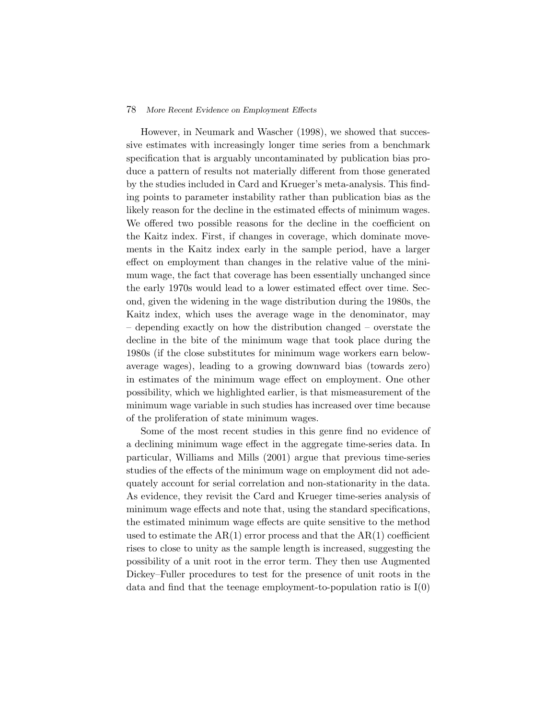However, in Neumark and Wascher (1998), we showed that successive estimates with increasingly longer time series from a benchmark specification that is arguably uncontaminated by publication bias produce a pattern of results not materially different from those generated by the studies included in Card and Krueger's meta-analysis. This finding points to parameter instability rather than publication bias as the likely reason for the decline in the estimated effects of minimum wages. We offered two possible reasons for the decline in the coefficient on the Kaitz index. First, if changes in coverage, which dominate movements in the Kaitz index early in the sample period, have a larger effect on employment than changes in the relative value of the minimum wage, the fact that coverage has been essentially unchanged since the early 1970s would lead to a lower estimated effect over time. Second, given the widening in the wage distribution during the 1980s, the Kaitz index, which uses the average wage in the denominator, may – depending exactly on how the distribution changed – overstate the decline in the bite of the minimum wage that took place during the 1980s (if the close substitutes for minimum wage workers earn belowaverage wages), leading to a growing downward bias (towards zero) in estimates of the minimum wage effect on employment. One other possibility, which we highlighted earlier, is that mismeasurement of the minimum wage variable in such studies has increased over time because of the proliferation of state minimum wages.

Some of the most recent studies in this genre find no evidence of a declining minimum wage effect in the aggregate time-series data. In particular, Williams and Mills (2001) argue that previous time-series studies of the effects of the minimum wage on employment did not adequately account for serial correlation and non-stationarity in the data. As evidence, they revisit the Card and Krueger time-series analysis of minimum wage effects and note that, using the standard specifications, the estimated minimum wage effects are quite sensitive to the method used to estimate the  $AR(1)$  error process and that the  $AR(1)$  coefficient rises to close to unity as the sample length is increased, suggesting the possibility of a unit root in the error term. They then use Augmented Dickey–Fuller procedures to test for the presence of unit roots in the data and find that the teenage employment-to-population ratio is  $I(0)$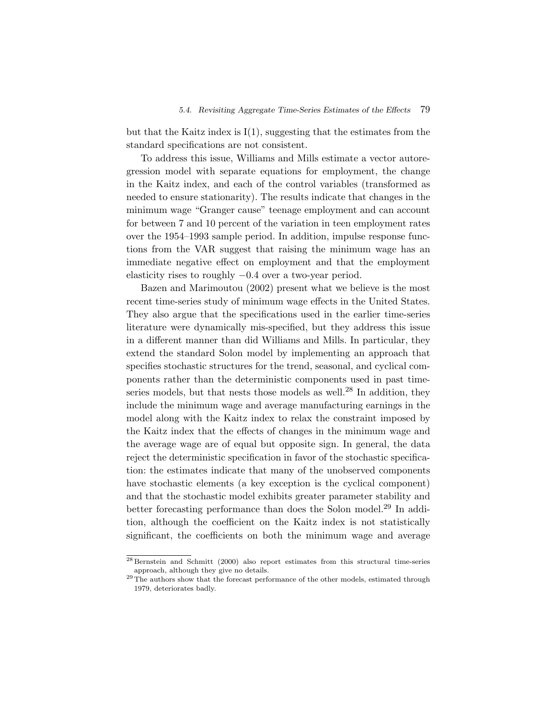but that the Kaitz index is  $I(1)$ , suggesting that the estimates from the standard specifications are not consistent.

To address this issue, Williams and Mills estimate a vector autoregression model with separate equations for employment, the change in the Kaitz index, and each of the control variables (transformed as needed to ensure stationarity). The results indicate that changes in the minimum wage "Granger cause" teenage employment and can account for between 7 and 10 percent of the variation in teen employment rates over the 1954–1993 sample period. In addition, impulse response functions from the VAR suggest that raising the minimum wage has an immediate negative effect on employment and that the employment elasticity rises to roughly −0.4 over a two-year period.

Bazen and Marimoutou (2002) present what we believe is the most recent time-series study of minimum wage effects in the United States. They also argue that the specifications used in the earlier time-series literature were dynamically mis-specified, but they address this issue in a different manner than did Williams and Mills. In particular, they extend the standard Solon model by implementing an approach that specifies stochastic structures for the trend, seasonal, and cyclical components rather than the deterministic components used in past timeseries models, but that nests those models as well.<sup>28</sup> In addition, they include the minimum wage and average manufacturing earnings in the model along with the Kaitz index to relax the constraint imposed by the Kaitz index that the effects of changes in the minimum wage and the average wage are of equal but opposite sign. In general, the data reject the deterministic specification in favor of the stochastic specification: the estimates indicate that many of the unobserved components have stochastic elements (a key exception is the cyclical component) and that the stochastic model exhibits greater parameter stability and better forecasting performance than does the Solon model.<sup>29</sup> In addition, although the coefficient on the Kaitz index is not statistically significant, the coefficients on both the minimum wage and average

<sup>28</sup> Bernstein and Schmitt (2000) also report estimates from this structural time-series approach, although they give no details.

 $29$  The authors show that the forecast performance of the other models, estimated through 1979, deteriorates badly.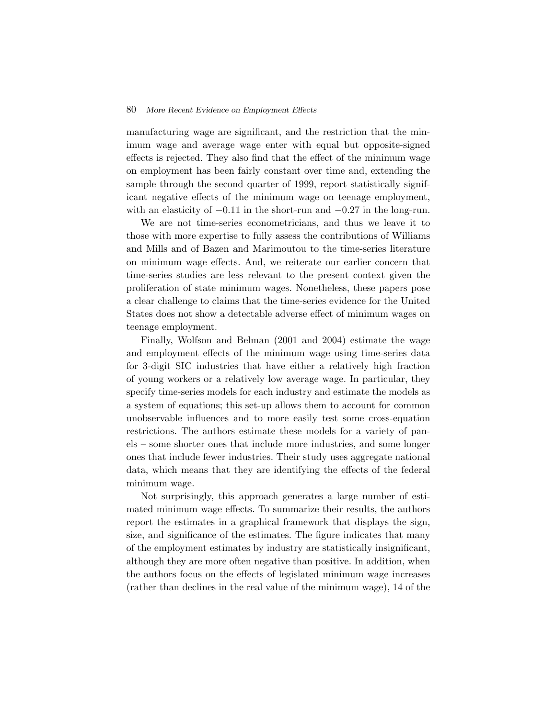manufacturing wage are significant, and the restriction that the minimum wage and average wage enter with equal but opposite-signed effects is rejected. They also find that the effect of the minimum wage on employment has been fairly constant over time and, extending the sample through the second quarter of 1999, report statistically significant negative effects of the minimum wage on teenage employment, with an elasticity of  $-0.11$  in the short-run and  $-0.27$  in the long-run.

We are not time-series econometricians, and thus we leave it to those with more expertise to fully assess the contributions of Williams and Mills and of Bazen and Marimoutou to the time-series literature on minimum wage effects. And, we reiterate our earlier concern that time-series studies are less relevant to the present context given the proliferation of state minimum wages. Nonetheless, these papers pose a clear challenge to claims that the time-series evidence for the United States does not show a detectable adverse effect of minimum wages on teenage employment.

Finally, Wolfson and Belman (2001 and 2004) estimate the wage and employment effects of the minimum wage using time-series data for 3-digit SIC industries that have either a relatively high fraction of young workers or a relatively low average wage. In particular, they specify time-series models for each industry and estimate the models as a system of equations; this set-up allows them to account for common unobservable influences and to more easily test some cross-equation restrictions. The authors estimate these models for a variety of panels – some shorter ones that include more industries, and some longer ones that include fewer industries. Their study uses aggregate national data, which means that they are identifying the effects of the federal minimum wage.

Not surprisingly, this approach generates a large number of estimated minimum wage effects. To summarize their results, the authors report the estimates in a graphical framework that displays the sign, size, and significance of the estimates. The figure indicates that many of the employment estimates by industry are statistically insignificant, although they are more often negative than positive. In addition, when the authors focus on the effects of legislated minimum wage increases (rather than declines in the real value of the minimum wage), 14 of the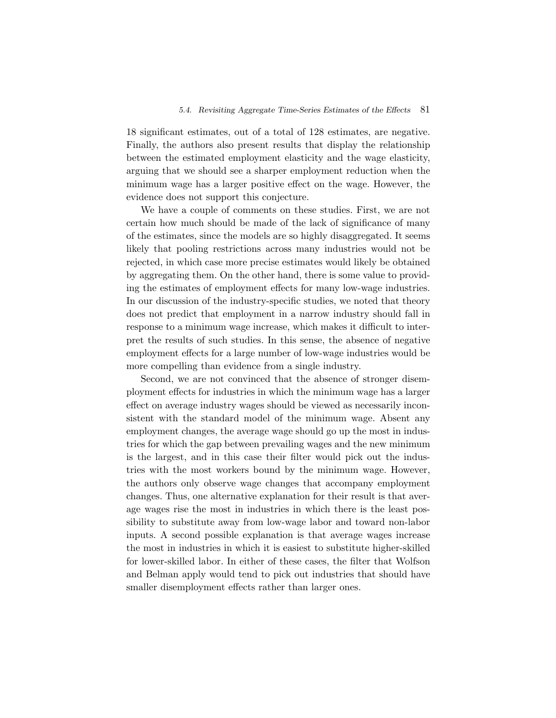#### *5.4. Revisiting Aggregate Time-Series Estimates of the Effects* 81

18 significant estimates, out of a total of 128 estimates, are negative. Finally, the authors also present results that display the relationship between the estimated employment elasticity and the wage elasticity, arguing that we should see a sharper employment reduction when the minimum wage has a larger positive effect on the wage. However, the evidence does not support this conjecture.

We have a couple of comments on these studies. First, we are not certain how much should be made of the lack of significance of many of the estimates, since the models are so highly disaggregated. It seems likely that pooling restrictions across many industries would not be rejected, in which case more precise estimates would likely be obtained by aggregating them. On the other hand, there is some value to providing the estimates of employment effects for many low-wage industries. In our discussion of the industry-specific studies, we noted that theory does not predict that employment in a narrow industry should fall in response to a minimum wage increase, which makes it difficult to interpret the results of such studies. In this sense, the absence of negative employment effects for a large number of low-wage industries would be more compelling than evidence from a single industry.

Second, we are not convinced that the absence of stronger disemployment effects for industries in which the minimum wage has a larger effect on average industry wages should be viewed as necessarily inconsistent with the standard model of the minimum wage. Absent any employment changes, the average wage should go up the most in industries for which the gap between prevailing wages and the new minimum is the largest, and in this case their filter would pick out the industries with the most workers bound by the minimum wage. However, the authors only observe wage changes that accompany employment changes. Thus, one alternative explanation for their result is that average wages rise the most in industries in which there is the least possibility to substitute away from low-wage labor and toward non-labor inputs. A second possible explanation is that average wages increase the most in industries in which it is easiest to substitute higher-skilled for lower-skilled labor. In either of these cases, the filter that Wolfson and Belman apply would tend to pick out industries that should have smaller disemployment effects rather than larger ones.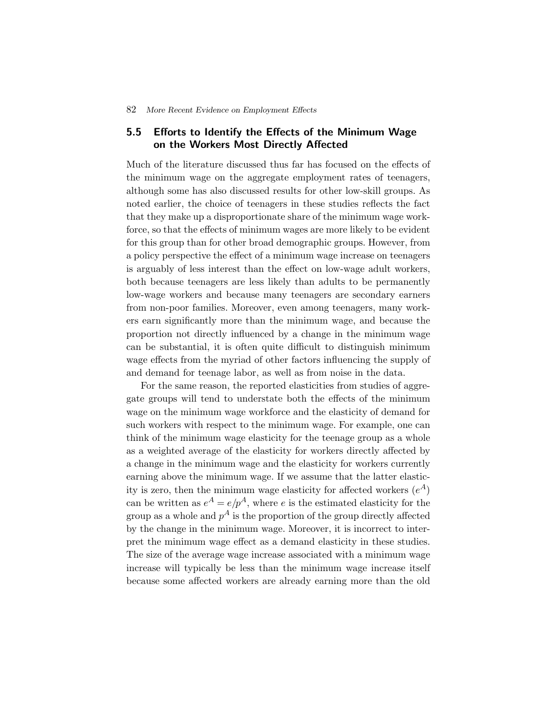# **5.5 Efforts to Identify the Effects of the Minimum Wage on the Workers Most Directly Affected**

Much of the literature discussed thus far has focused on the effects of the minimum wage on the aggregate employment rates of teenagers, although some has also discussed results for other low-skill groups. As noted earlier, the choice of teenagers in these studies reflects the fact that they make up a disproportionate share of the minimum wage workforce, so that the effects of minimum wages are more likely to be evident for this group than for other broad demographic groups. However, from a policy perspective the effect of a minimum wage increase on teenagers is arguably of less interest than the effect on low-wage adult workers, both because teenagers are less likely than adults to be permanently low-wage workers and because many teenagers are secondary earners from non-poor families. Moreover, even among teenagers, many workers earn significantly more than the minimum wage, and because the proportion not directly influenced by a change in the minimum wage can be substantial, it is often quite difficult to distinguish minimum wage effects from the myriad of other factors influencing the supply of and demand for teenage labor, as well as from noise in the data.

For the same reason, the reported elasticities from studies of aggregate groups will tend to understate both the effects of the minimum wage on the minimum wage workforce and the elasticity of demand for such workers with respect to the minimum wage. For example, one can think of the minimum wage elasticity for the teenage group as a whole as a weighted average of the elasticity for workers directly affected by a change in the minimum wage and the elasticity for workers currently earning above the minimum wage. If we assume that the latter elasticity is zero, then the minimum wage elasticity for affected workers  $(e^A)$ can be written as  $e^A = e/p^A$ , where e is the estimated elasticity for the group as a whole and  $p^A$  is the proportion of the group directly affected by the change in the minimum wage. Moreover, it is incorrect to interpret the minimum wage effect as a demand elasticity in these studies. The size of the average wage increase associated with a minimum wage increase will typically be less than the minimum wage increase itself because some affected workers are already earning more than the old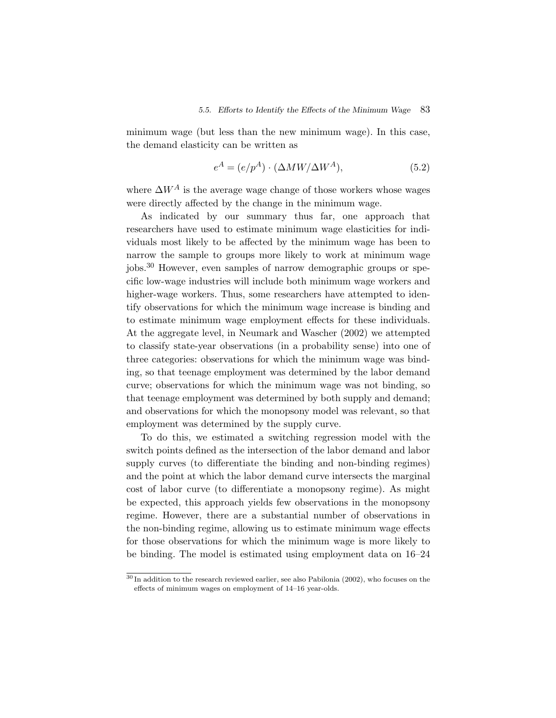minimum wage (but less than the new minimum wage). In this case, the demand elasticity can be written as

$$
e^{A} = (e/p^{A}) \cdot (\Delta MW/\Delta W^{A}), \qquad (5.2)
$$

where  $\Delta W^A$  is the average wage change of those workers whose wages were directly affected by the change in the minimum wage.

As indicated by our summary thus far, one approach that researchers have used to estimate minimum wage elasticities for individuals most likely to be affected by the minimum wage has been to narrow the sample to groups more likely to work at minimum wage jobs.<sup>30</sup> However, even samples of narrow demographic groups or specific low-wage industries will include both minimum wage workers and higher-wage workers. Thus, some researchers have attempted to identify observations for which the minimum wage increase is binding and to estimate minimum wage employment effects for these individuals. At the aggregate level, in Neumark and Wascher (2002) we attempted to classify state-year observations (in a probability sense) into one of three categories: observations for which the minimum wage was binding, so that teenage employment was determined by the labor demand curve; observations for which the minimum wage was not binding, so that teenage employment was determined by both supply and demand; and observations for which the monopsony model was relevant, so that employment was determined by the supply curve.

To do this, we estimated a switching regression model with the switch points defined as the intersection of the labor demand and labor supply curves (to differentiate the binding and non-binding regimes) and the point at which the labor demand curve intersects the marginal cost of labor curve (to differentiate a monopsony regime). As might be expected, this approach yields few observations in the monopsony regime. However, there are a substantial number of observations in the non-binding regime, allowing us to estimate minimum wage effects for those observations for which the minimum wage is more likely to be binding. The model is estimated using employment data on 16–24

 $30 \text{ In addition to the research reviewed earlier, see also Pabilonia (2002), who focuses on the$ effects of minimum wages on employment of 14–16 year-olds.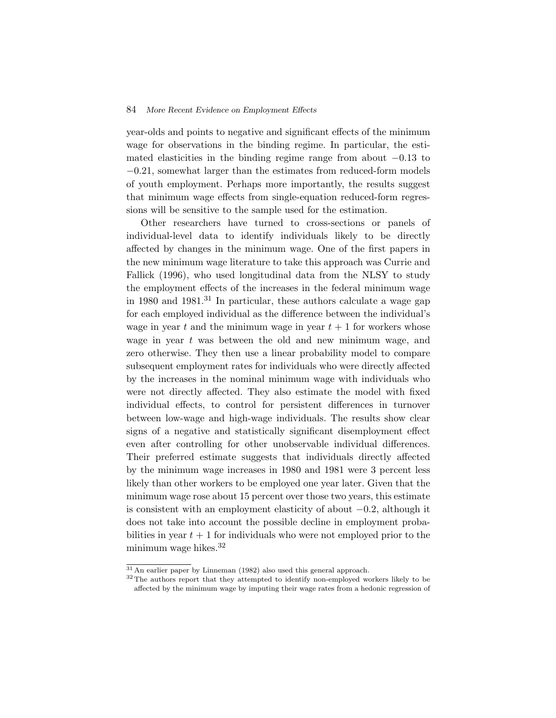year-olds and points to negative and significant effects of the minimum wage for observations in the binding regime. In particular, the estimated elasticities in the binding regime range from about −0.13 to −0.21, somewhat larger than the estimates from reduced-form models of youth employment. Perhaps more importantly, the results suggest that minimum wage effects from single-equation reduced-form regressions will be sensitive to the sample used for the estimation.

Other researchers have turned to cross-sections or panels of individual-level data to identify individuals likely to be directly affected by changes in the minimum wage. One of the first papers in the new minimum wage literature to take this approach was Currie and Fallick (1996), who used longitudinal data from the NLSY to study the employment effects of the increases in the federal minimum wage in 1980 and 1981.<sup>31</sup> In particular, these authors calculate a wage gap for each employed individual as the difference between the individual's wage in year t and the minimum wage in year  $t + 1$  for workers whose wage in year  $t$  was between the old and new minimum wage, and zero otherwise. They then use a linear probability model to compare subsequent employment rates for individuals who were directly affected by the increases in the nominal minimum wage with individuals who were not directly affected. They also estimate the model with fixed individual effects, to control for persistent differences in turnover between low-wage and high-wage individuals. The results show clear signs of a negative and statistically significant disemployment effect even after controlling for other unobservable individual differences. Their preferred estimate suggests that individuals directly affected by the minimum wage increases in 1980 and 1981 were 3 percent less likely than other workers to be employed one year later. Given that the minimum wage rose about 15 percent over those two years, this estimate is consistent with an employment elasticity of about −0.2, although it does not take into account the possible decline in employment probabilities in year  $t + 1$  for individuals who were not employed prior to the minimum wage hikes.<sup>32</sup>

 $\overline{{}^{31}\mathrm{An}}$  earlier paper by Linneman (1982) also used this general approach.

<sup>&</sup>lt;sup>32</sup> The authors report that they attempted to identify non-employed workers likely to be affected by the minimum wage by imputing their wage rates from a hedonic regression of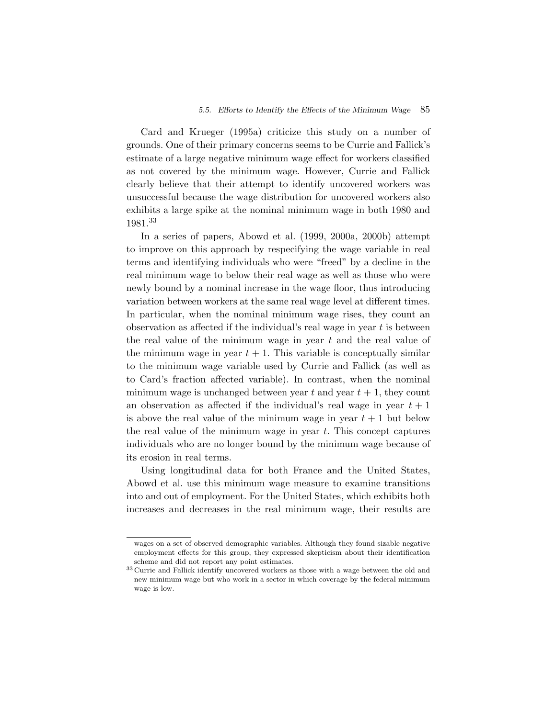Card and Krueger (1995a) criticize this study on a number of grounds. One of their primary concerns seems to be Currie and Fallick's estimate of a large negative minimum wage effect for workers classified as not covered by the minimum wage. However, Currie and Fallick clearly believe that their attempt to identify uncovered workers was unsuccessful because the wage distribution for uncovered workers also exhibits a large spike at the nominal minimum wage in both 1980 and 1981.<sup>33</sup>

In a series of papers, Abowd et al. (1999, 2000a, 2000b) attempt to improve on this approach by respecifying the wage variable in real terms and identifying individuals who were "freed" by a decline in the real minimum wage to below their real wage as well as those who were newly bound by a nominal increase in the wage floor, thus introducing variation between workers at the same real wage level at different times. In particular, when the nominal minimum wage rises, they count an observation as affected if the individual's real wage in year t is between the real value of the minimum wage in year  $t$  and the real value of the minimum wage in year  $t + 1$ . This variable is conceptually similar to the minimum wage variable used by Currie and Fallick (as well as to Card's fraction affected variable). In contrast, when the nominal minimum wage is unchanged between year t and year  $t + 1$ , they count an observation as affected if the individual's real wage in year  $t + 1$ is above the real value of the minimum wage in year  $t + 1$  but below the real value of the minimum wage in year  $t$ . This concept captures individuals who are no longer bound by the minimum wage because of its erosion in real terms.

Using longitudinal data for both France and the United States, Abowd et al. use this minimum wage measure to examine transitions into and out of employment. For the United States, which exhibits both increases and decreases in the real minimum wage, their results are

wages on a set of observed demographic variables. Although they found sizable negative employment effects for this group, they expressed skepticism about their identification scheme and did not report any point estimates.

<sup>&</sup>lt;sup>33</sup> Currie and Fallick identify uncovered workers as those with a wage between the old and new minimum wage but who work in a sector in which coverage by the federal minimum wage is low.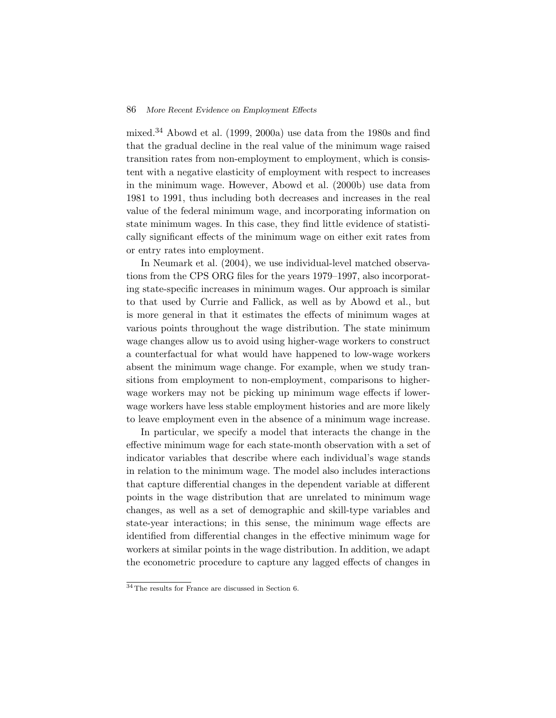mixed.<sup>34</sup> Abowd et al. (1999, 2000a) use data from the 1980s and find that the gradual decline in the real value of the minimum wage raised transition rates from non-employment to employment, which is consistent with a negative elasticity of employment with respect to increases in the minimum wage. However, Abowd et al. (2000b) use data from 1981 to 1991, thus including both decreases and increases in the real value of the federal minimum wage, and incorporating information on state minimum wages. In this case, they find little evidence of statistically significant effects of the minimum wage on either exit rates from or entry rates into employment.

In Neumark et al. (2004), we use individual-level matched observations from the CPS ORG files for the years 1979–1997, also incorporating state-specific increases in minimum wages. Our approach is similar to that used by Currie and Fallick, as well as by Abowd et al., but is more general in that it estimates the effects of minimum wages at various points throughout the wage distribution. The state minimum wage changes allow us to avoid using higher-wage workers to construct a counterfactual for what would have happened to low-wage workers absent the minimum wage change. For example, when we study transitions from employment to non-employment, comparisons to higherwage workers may not be picking up minimum wage effects if lowerwage workers have less stable employment histories and are more likely to leave employment even in the absence of a minimum wage increase.

In particular, we specify a model that interacts the change in the effective minimum wage for each state-month observation with a set of indicator variables that describe where each individual's wage stands in relation to the minimum wage. The model also includes interactions that capture differential changes in the dependent variable at different points in the wage distribution that are unrelated to minimum wage changes, as well as a set of demographic and skill-type variables and state-year interactions; in this sense, the minimum wage effects are identified from differential changes in the effective minimum wage for workers at similar points in the wage distribution. In addition, we adapt the econometric procedure to capture any lagged effects of changes in

<sup>34</sup> The results for France are discussed in Section 6.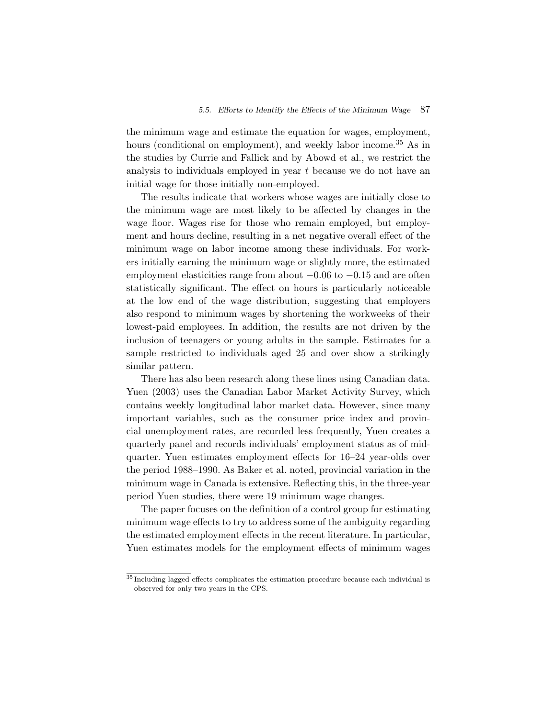the minimum wage and estimate the equation for wages, employment, hours (conditional on employment), and weekly labor income.<sup>35</sup> As in the studies by Currie and Fallick and by Abowd et al., we restrict the analysis to individuals employed in year t because we do not have an initial wage for those initially non-employed.

The results indicate that workers whose wages are initially close to the minimum wage are most likely to be affected by changes in the wage floor. Wages rise for those who remain employed, but employment and hours decline, resulting in a net negative overall effect of the minimum wage on labor income among these individuals. For workers initially earning the minimum wage or slightly more, the estimated employment elasticities range from about  $-0.06$  to  $-0.15$  and are often statistically significant. The effect on hours is particularly noticeable at the low end of the wage distribution, suggesting that employers also respond to minimum wages by shortening the workweeks of their lowest-paid employees. In addition, the results are not driven by the inclusion of teenagers or young adults in the sample. Estimates for a sample restricted to individuals aged 25 and over show a strikingly similar pattern.

There has also been research along these lines using Canadian data. Yuen (2003) uses the Canadian Labor Market Activity Survey, which contains weekly longitudinal labor market data. However, since many important variables, such as the consumer price index and provincial unemployment rates, are recorded less frequently, Yuen creates a quarterly panel and records individuals' employment status as of midquarter. Yuen estimates employment effects for 16–24 year-olds over the period 1988–1990. As Baker et al. noted, provincial variation in the minimum wage in Canada is extensive. Reflecting this, in the three-year period Yuen studies, there were 19 minimum wage changes.

The paper focuses on the definition of a control group for estimating minimum wage effects to try to address some of the ambiguity regarding the estimated employment effects in the recent literature. In particular, Yuen estimates models for the employment effects of minimum wages

<sup>&</sup>lt;sup>35</sup> Including lagged effects complicates the estimation procedure because each individual is observed for only two years in the CPS.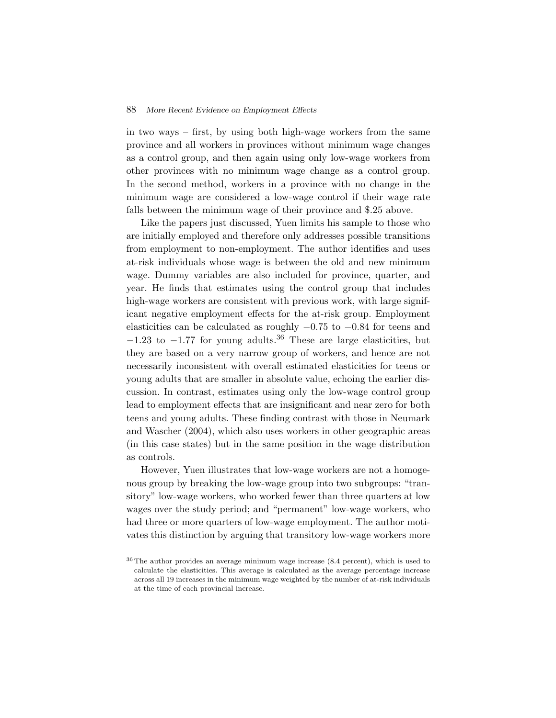in two ways – first, by using both high-wage workers from the same province and all workers in provinces without minimum wage changes as a control group, and then again using only low-wage workers from other provinces with no minimum wage change as a control group. In the second method, workers in a province with no change in the minimum wage are considered a low-wage control if their wage rate falls between the minimum wage of their province and \$.25 above.

Like the papers just discussed, Yuen limits his sample to those who are initially employed and therefore only addresses possible transitions from employment to non-employment. The author identifies and uses at-risk individuals whose wage is between the old and new minimum wage. Dummy variables are also included for province, quarter, and year. He finds that estimates using the control group that includes high-wage workers are consistent with previous work, with large significant negative employment effects for the at-risk group. Employment elasticities can be calculated as roughly  $-0.75$  to  $-0.84$  for teens and  $-1.23$  to  $-1.77$  for young adults.<sup>36</sup> These are large elasticities, but they are based on a very narrow group of workers, and hence are not necessarily inconsistent with overall estimated elasticities for teens or young adults that are smaller in absolute value, echoing the earlier discussion. In contrast, estimates using only the low-wage control group lead to employment effects that are insignificant and near zero for both teens and young adults. These finding contrast with those in Neumark and Wascher (2004), which also uses workers in other geographic areas (in this case states) but in the same position in the wage distribution as controls.

However, Yuen illustrates that low-wage workers are not a homogenous group by breaking the low-wage group into two subgroups: "transitory" low-wage workers, who worked fewer than three quarters at low wages over the study period; and "permanent" low-wage workers, who had three or more quarters of low-wage employment. The author motivates this distinction by arguing that transitory low-wage workers more

<sup>36</sup> The author provides an average minimum wage increase (8.4 percent), which is used to calculate the elasticities. This average is calculated as the average percentage increase across all 19 increases in the minimum wage weighted by the number of at-risk individuals at the time of each provincial increase.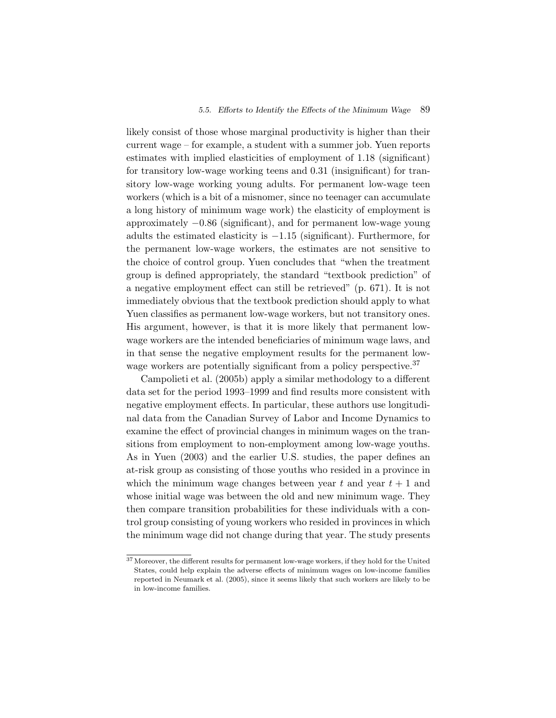#### *5.5. Efforts to Identify the Effects of the Minimum Wage* 89

likely consist of those whose marginal productivity is higher than their current wage – for example, a student with a summer job. Yuen reports estimates with implied elasticities of employment of 1.18 (significant) for transitory low-wage working teens and 0.31 (insignificant) for transitory low-wage working young adults. For permanent low-wage teen workers (which is a bit of a misnomer, since no teenager can accumulate a long history of minimum wage work) the elasticity of employment is approximately −0.86 (significant), and for permanent low-wage young adults the estimated elasticity is −1.15 (significant). Furthermore, for the permanent low-wage workers, the estimates are not sensitive to the choice of control group. Yuen concludes that "when the treatment group is defined appropriately, the standard "textbook prediction" of a negative employment effect can still be retrieved" (p. 671). It is not immediately obvious that the textbook prediction should apply to what Yuen classifies as permanent low-wage workers, but not transitory ones. His argument, however, is that it is more likely that permanent lowwage workers are the intended beneficiaries of minimum wage laws, and in that sense the negative employment results for the permanent lowwage workers are potentially significant from a policy perspective.<sup>37</sup>

Campolieti et al. (2005b) apply a similar methodology to a different data set for the period 1993–1999 and find results more consistent with negative employment effects. In particular, these authors use longitudinal data from the Canadian Survey of Labor and Income Dynamics to examine the effect of provincial changes in minimum wages on the transitions from employment to non-employment among low-wage youths. As in Yuen (2003) and the earlier U.S. studies, the paper defines an at-risk group as consisting of those youths who resided in a province in which the minimum wage changes between year t and year  $t + 1$  and whose initial wage was between the old and new minimum wage. They then compare transition probabilities for these individuals with a control group consisting of young workers who resided in provinces in which the minimum wage did not change during that year. The study presents

 $^{37}\rm{Moreover},$  the different results for permanent low-wage workers, if they hold for the United States, could help explain the adverse effects of minimum wages on low-income families reported in Neumark et al. (2005), since it seems likely that such workers are likely to be in low-income families.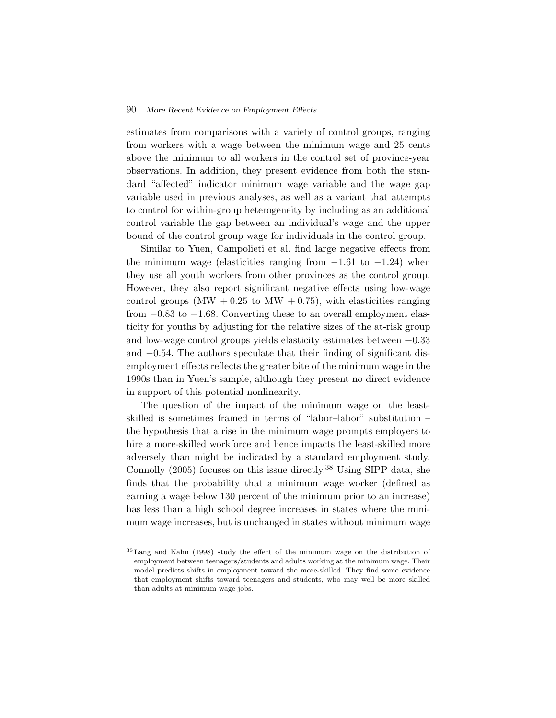estimates from comparisons with a variety of control groups, ranging from workers with a wage between the minimum wage and 25 cents above the minimum to all workers in the control set of province-year observations. In addition, they present evidence from both the standard "affected" indicator minimum wage variable and the wage gap variable used in previous analyses, as well as a variant that attempts to control for within-group heterogeneity by including as an additional control variable the gap between an individual's wage and the upper bound of the control group wage for individuals in the control group.

Similar to Yuen, Campolieti et al. find large negative effects from the minimum wage (elasticities ranging from  $-1.61$  to  $-1.24$ ) when they use all youth workers from other provinces as the control group. However, they also report significant negative effects using low-wage control groups  $(MW + 0.25$  to  $MW + 0.75)$ , with elasticities ranging from −0.83 to −1.68. Converting these to an overall employment elasticity for youths by adjusting for the relative sizes of the at-risk group and low-wage control groups yields elasticity estimates between −0.33 and −0.54. The authors speculate that their finding of significant disemployment effects reflects the greater bite of the minimum wage in the 1990s than in Yuen's sample, although they present no direct evidence in support of this potential nonlinearity.

The question of the impact of the minimum wage on the leastskilled is sometimes framed in terms of "labor–labor" substitution – the hypothesis that a rise in the minimum wage prompts employers to hire a more-skilled workforce and hence impacts the least-skilled more adversely than might be indicated by a standard employment study. Connolly  $(2005)$  focuses on this issue directly.<sup>38</sup> Using SIPP data, she finds that the probability that a minimum wage worker (defined as earning a wage below 130 percent of the minimum prior to an increase) has less than a high school degree increases in states where the minimum wage increases, but is unchanged in states without minimum wage

<sup>38</sup> Lang and Kahn (1998) study the effect of the minimum wage on the distribution of employment between teenagers/students and adults working at the minimum wage. Their model predicts shifts in employment toward the more-skilled. They find some evidence that employment shifts toward teenagers and students, who may well be more skilled than adults at minimum wage jobs.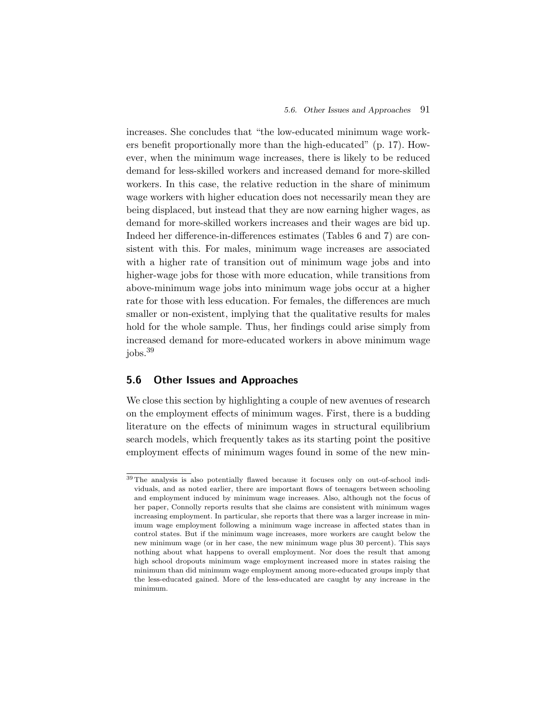increases. She concludes that "the low-educated minimum wage workers benefit proportionally more than the high-educated" (p. 17). However, when the minimum wage increases, there is likely to be reduced demand for less-skilled workers and increased demand for more-skilled workers. In this case, the relative reduction in the share of minimum wage workers with higher education does not necessarily mean they are being displaced, but instead that they are now earning higher wages, as demand for more-skilled workers increases and their wages are bid up. Indeed her difference-in-differences estimates (Tables 6 and 7) are consistent with this. For males, minimum wage increases are associated with a higher rate of transition out of minimum wage jobs and into higher-wage jobs for those with more education, while transitions from above-minimum wage jobs into minimum wage jobs occur at a higher rate for those with less education. For females, the differences are much smaller or non-existent, implying that the qualitative results for males hold for the whole sample. Thus, her findings could arise simply from increased demand for more-educated workers in above minimum wage jobs.<sup>39</sup>

### **5.6 Other Issues and Approaches**

We close this section by highlighting a couple of new avenues of research on the employment effects of minimum wages. First, there is a budding literature on the effects of minimum wages in structural equilibrium search models, which frequently takes as its starting point the positive employment effects of minimum wages found in some of the new min-

<sup>&</sup>lt;sup>39</sup> The analysis is also potentially flawed because it focuses only on out-of-school individuals, and as noted earlier, there are important flows of teenagers between schooling and employment induced by minimum wage increases. Also, although not the focus of her paper, Connolly reports results that she claims are consistent with minimum wages increasing employment. In particular, she reports that there was a larger increase in minimum wage employment following a minimum wage increase in affected states than in control states. But if the minimum wage increases, more workers are caught below the new minimum wage (or in her case, the new minimum wage plus 30 percent). This says nothing about what happens to overall employment. Nor does the result that among high school dropouts minimum wage employment increased more in states raising the minimum than did minimum wage employment among more-educated groups imply that the less-educated gained. More of the less-educated are caught by any increase in the minimum.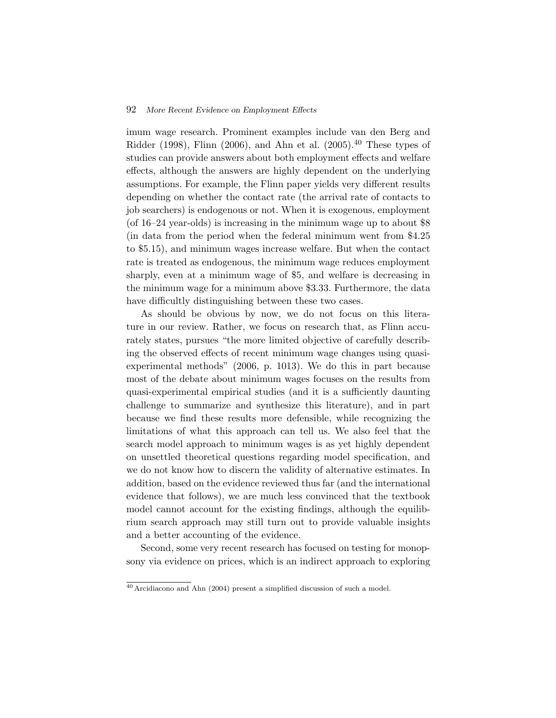imum wage research. Prominent examples include van den Berg and Ridder (1998), Flinn (2006), and Ahn et al. (2005).<sup>40</sup> These types of studies can provide answers about both employment effects and welfare effects, although the answers are highly dependent on the underlying assumptions. For example, the Flinn paper yields very different results depending on whether the contact rate (the arrival rate of contacts to job searchers) is endogenous or not. When it is exogenous, employment (of 16–24 year-olds) is increasing in the minimum wage up to about \$8 (in data from the period when the federal minimum went from \$4.25 to \$5.15), and minimum wages increase welfare. But when the contact rate is treated as endogenous, the minimum wage reduces employment sharply, even at a minimum wage of \$5, and welfare is decreasing in the minimum wage for a minimum above \$3.33. Furthermore, the data have difficultly distinguishing between these two cases.

As should be obvious by now, we do not focus on this literature in our review. Rather, we focus on research that, as Flinn accurately states, pursues "the more limited objective of carefully describing the observed effects of recent minimum wage changes using quasiexperimental methods" (2006, p. 1013). We do this in part because most of the debate about minimum wages focuses on the results from quasi-experimental empirical studies (and it is a sufficiently daunting challenge to summarize and synthesize this literature), and in part because we find these results more defensible, while recognizing the limitations of what this approach can tell us. We also feel that the search model approach to minimum wages is as yet highly dependent on unsettled theoretical questions regarding model specification, and we do not know how to discern the validity of alternative estimates. In addition, based on the evidence reviewed thus far (and the international evidence that follows), we are much less convinced that the textbook model cannot account for the existing findings, although the equilibrium search approach may still turn out to provide valuable insights and a better accounting of the evidence.

Second, some very recent research has focused on testing for monopsony via evidence on prices, which is an indirect approach to exploring

<sup>40</sup> Arcidiacono and Ahn (2004) present a simplified discussion of such a model.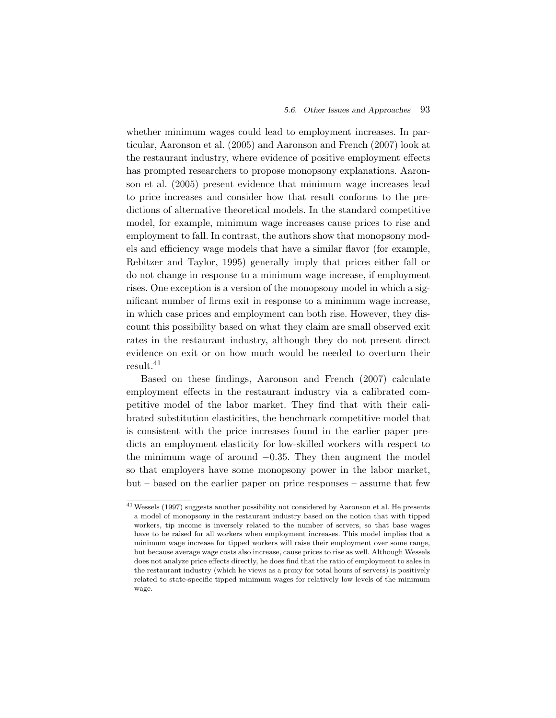whether minimum wages could lead to employment increases. In particular, Aaronson et al. (2005) and Aaronson and French (2007) look at the restaurant industry, where evidence of positive employment effects has prompted researchers to propose monopsony explanations. Aaronson et al. (2005) present evidence that minimum wage increases lead to price increases and consider how that result conforms to the predictions of alternative theoretical models. In the standard competitive model, for example, minimum wage increases cause prices to rise and employment to fall. In contrast, the authors show that monopsony models and efficiency wage models that have a similar flavor (for example, Rebitzer and Taylor, 1995) generally imply that prices either fall or do not change in response to a minimum wage increase, if employment rises. One exception is a version of the monopsony model in which a significant number of firms exit in response to a minimum wage increase, in which case prices and employment can both rise. However, they discount this possibility based on what they claim are small observed exit rates in the restaurant industry, although they do not present direct evidence on exit or on how much would be needed to overturn their result.<sup>41</sup>

Based on these findings, Aaronson and French (2007) calculate employment effects in the restaurant industry via a calibrated competitive model of the labor market. They find that with their calibrated substitution elasticities, the benchmark competitive model that is consistent with the price increases found in the earlier paper predicts an employment elasticity for low-skilled workers with respect to the minimum wage of around  $-0.35$ . They then augment the model so that employers have some monopsony power in the labor market, but – based on the earlier paper on price responses – assume that few

 $^{41}$  Wessels (1997) suggests another possibility not considered by Aaronson et al. He presents a model of monopsony in the restaurant industry based on the notion that with tipped workers, tip income is inversely related to the number of servers, so that base wages have to be raised for all workers when employment increases. This model implies that a minimum wage increase for tipped workers will raise their employment over some range, but because average wage costs also increase, cause prices to rise as well. Although Wessels does not analyze price effects directly, he does find that the ratio of employment to sales in the restaurant industry (which he views as a proxy for total hours of servers) is positively related to state-specific tipped minimum wages for relatively low levels of the minimum wage.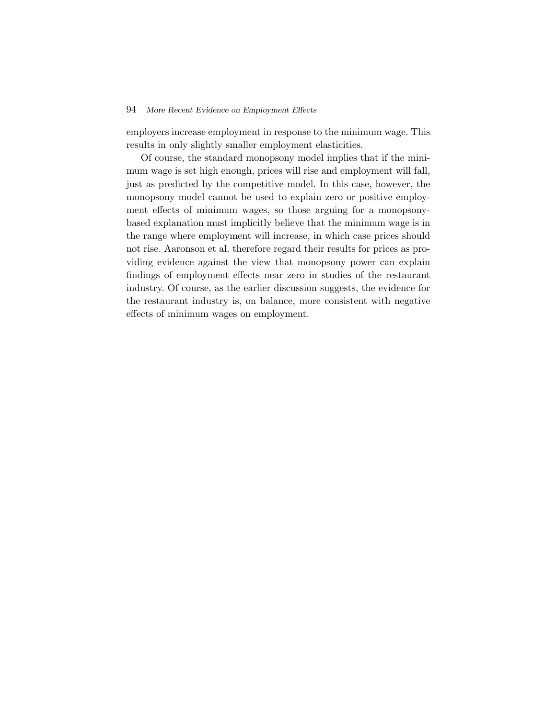employers increase employment in response to the minimum wage. This results in only slightly smaller employment elasticities.

Of course, the standard monopsony model implies that if the minimum wage is set high enough, prices will rise and employment will fall, just as predicted by the competitive model. In this case, however, the monopsony model cannot be used to explain zero or positive employment effects of minimum wages, so those arguing for a monopsonybased explanation must implicitly believe that the minimum wage is in the range where employment will increase, in which case prices should not rise. Aaronson et al. therefore regard their results for prices as providing evidence against the view that monopsony power can explain findings of employment effects near zero in studies of the restaurant industry. Of course, as the earlier discussion suggests, the evidence for the restaurant industry is, on balance, more consistent with negative effects of minimum wages on employment.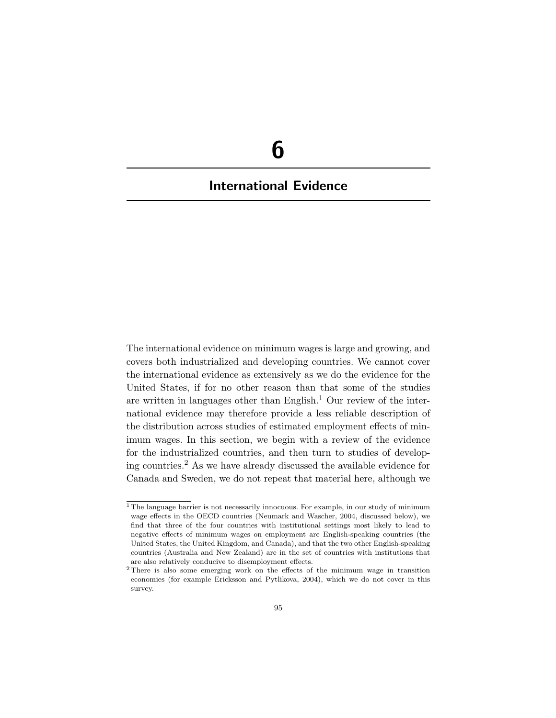# **6**

# **International Evidence**

The international evidence on minimum wages is large and growing, and covers both industrialized and developing countries. We cannot cover the international evidence as extensively as we do the evidence for the United States, if for no other reason than that some of the studies are written in languages other than English.<sup>1</sup> Our review of the international evidence may therefore provide a less reliable description of the distribution across studies of estimated employment effects of minimum wages. In this section, we begin with a review of the evidence for the industrialized countries, and then turn to studies of developing countries.<sup>2</sup> As we have already discussed the available evidence for Canada and Sweden, we do not repeat that material here, although we

 $^{\rm 1}$  The language barrier is not necessarily innocuous. For example, in our study of minimum wage effects in the OECD countries (Neumark and Wascher, 2004, discussed below), we find that three of the four countries with institutional settings most likely to lead to negative effects of minimum wages on employment are English-speaking countries (the United States, the United Kingdom, and Canada), and that the two other English-speaking countries (Australia and New Zealand) are in the set of countries with institutions that are also relatively conducive to disemployment effects.

<sup>2</sup> There is also some emerging work on the effects of the minimum wage in transition economies (for example Ericksson and Pytlikova, 2004), which we do not cover in this survey.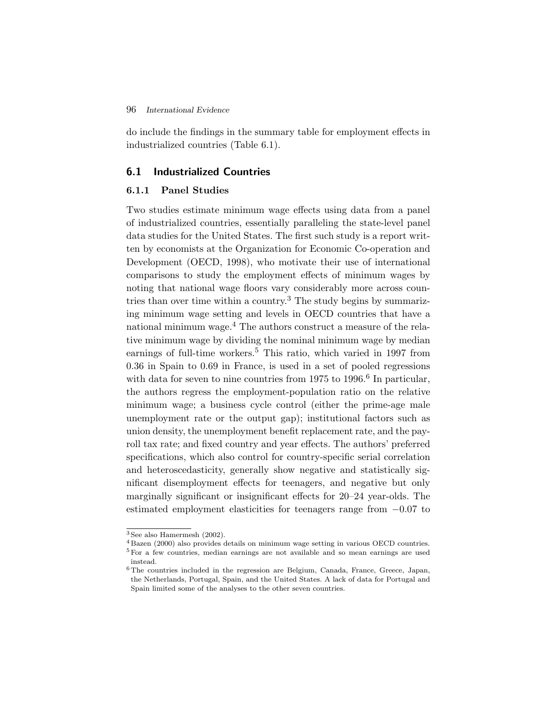#### 96 *International Evidence*

do include the findings in the summary table for employment effects in industrialized countries (Table 6.1).

#### **6.1 Industrialized Countries**

#### **6.1.1 Panel Studies**

Two studies estimate minimum wage effects using data from a panel of industrialized countries, essentially paralleling the state-level panel data studies for the United States. The first such study is a report written by economists at the Organization for Economic Co-operation and Development (OECD, 1998), who motivate their use of international comparisons to study the employment effects of minimum wages by noting that national wage floors vary considerably more across countries than over time within a country.<sup>3</sup> The study begins by summarizing minimum wage setting and levels in OECD countries that have a national minimum wage.<sup>4</sup> The authors construct a measure of the relative minimum wage by dividing the nominal minimum wage by median earnings of full-time workers.<sup>5</sup> This ratio, which varied in 1997 from 0.36 in Spain to 0.69 in France, is used in a set of pooled regressions with data for seven to nine countries from  $1975$  to  $1996.6$  In particular, the authors regress the employment-population ratio on the relative minimum wage; a business cycle control (either the prime-age male unemployment rate or the output gap); institutional factors such as union density, the unemployment benefit replacement rate, and the payroll tax rate; and fixed country and year effects. The authors' preferred specifications, which also control for country-specific serial correlation and heteroscedasticity, generally show negative and statistically significant disemployment effects for teenagers, and negative but only marginally significant or insignificant effects for 20–24 year-olds. The estimated employment elasticities for teenagers range from −0.07 to

<sup>3</sup> See also Hamermesh (2002).

<sup>4</sup> Bazen (2000) also provides details on minimum wage setting in various OECD countries. <sup>5</sup>For a few countries, median earnings are not available and so mean earnings are used instead.

 $6$  The countries included in the regression are Belgium, Canada, France, Greece, Japan, the Netherlands, Portugal, Spain, and the United States. A lack of data for Portugal and Spain limited some of the analyses to the other seven countries.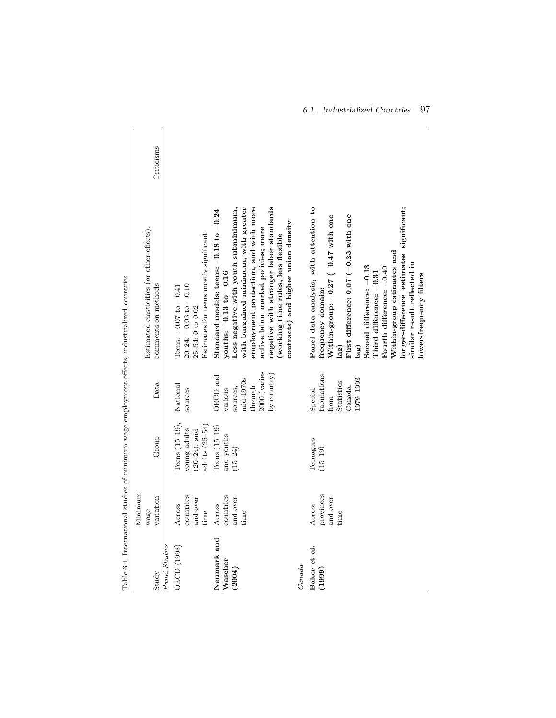|                                  |                                         |                                                                                   |                                                                                                  | Table 6.1 International studies of minimum wage employment effects, industrialized countries                                                                                                                                                                                                                                                                                               |            |
|----------------------------------|-----------------------------------------|-----------------------------------------------------------------------------------|--------------------------------------------------------------------------------------------------|--------------------------------------------------------------------------------------------------------------------------------------------------------------------------------------------------------------------------------------------------------------------------------------------------------------------------------------------------------------------------------------------|------------|
| Study                            | Minimum<br>variation<br>wage            | Group                                                                             | Data                                                                                             | Estimated elasticities (or other effects),<br>comments on methods                                                                                                                                                                                                                                                                                                                          | Criticisms |
| Panel Studies                    |                                         |                                                                                   |                                                                                                  |                                                                                                                                                                                                                                                                                                                                                                                            |            |
| <b>OECD</b> (1998)               | countries<br>and over<br>Across<br>time | Teens $(15-19)$ ,<br>$_{\rm adduts}$ (25–54)<br>young adults<br>$(20 - 24)$ , and | National<br>sources                                                                              | Estimates for teens mostly significant<br>$20 - 24$ : $-0.03$ to $-0.10$<br>Teens: $-0.07$ to $-0.41$<br>$25 - 54:0 to 0.02$                                                                                                                                                                                                                                                               |            |
| Neumark and<br>Wascher<br>(2004) | countries<br>and over<br>Across<br>time | Teens $(15-19)$<br>and youths<br>$(15 - 24)$                                      | 2000 (varies<br>by $\text{country}$ )<br>OECD and<br>mid-1970s<br>through<br>sources,<br>rarious | Less negative with youth subminimum,<br>employment protection, and with more<br>negative with stronger labor standards<br>with bargained minimum, with greater<br>Standard models: teens: $-0.18$ to $-0.24$<br>contracts) and higher union density<br>active labor market policies; more<br>(working time rules, less flexible<br>youths: $-0.13$ to $-0.16$                              |            |
| Canada                           |                                         |                                                                                   |                                                                                                  |                                                                                                                                                                                                                                                                                                                                                                                            |            |
| Baker et al.<br>(1999)           | provinces<br>and over<br>Across<br>time | Teenagers<br>$(15 - 19)$                                                          | tabulations<br>$.979 - 1993$<br>Statistics<br>Canada,<br>Special<br>from                         | Panel data analysis, with attention to<br>longer-difference estimates significant;<br>First difference: $0.07$ (-0.23 with one<br>Within-group: $-0.27$ ( $-0.47$ with one<br>Within-group estimates and<br>similar result reflected in<br>Second difference: -0.13<br>Fourth difference: -0.40<br>Third difference: -0.31<br>lower-frequency filters<br>frequency domain:<br>lag)<br>lag) |            |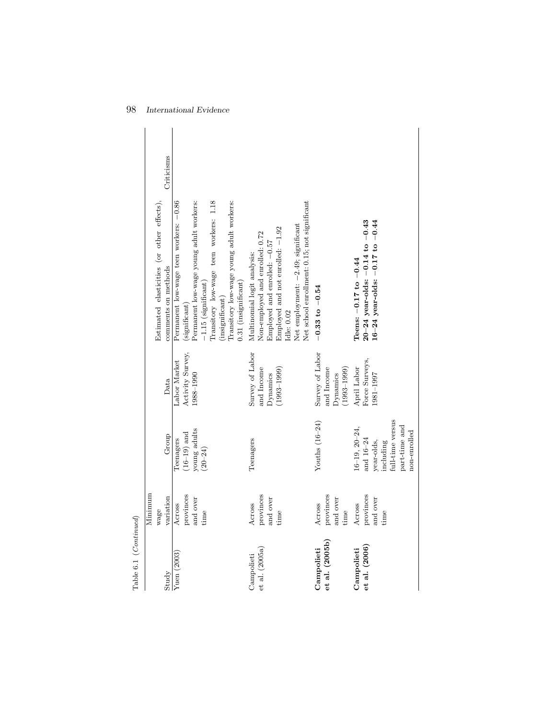| Table 6.1 (Continued)            |                                         |                                                                                                                      |                                                              |                                                                                                                                                                                                                                                                |            |
|----------------------------------|-----------------------------------------|----------------------------------------------------------------------------------------------------------------------|--------------------------------------------------------------|----------------------------------------------------------------------------------------------------------------------------------------------------------------------------------------------------------------------------------------------------------------|------------|
|                                  | Minimum<br>wage                         |                                                                                                                      |                                                              | Estimated elasticities (or other effects),                                                                                                                                                                                                                     |            |
| Study                            | variation                               | Group                                                                                                                | Data                                                         | comments on methods                                                                                                                                                                                                                                            | Criticisms |
| $\overline{\text{Y}}$ uen (2003) | provinces<br>and over<br>Across<br>time | young adults<br>$(16-19)$ and<br>Teenagers<br>$(20 - 24)$                                                            | Activity Survey,<br>Labor Market<br>1988-1990                | Transitory low-wage teen workers: 1.18<br>Permanent low-wage teen workers: -0.86<br>Permanent low-wage young adult workers:<br>Transitory low-wage young adult workers:<br>$0.31$ (insignificant)<br>$-1.15$ (significant)<br>(insignificant)<br>(significant) |            |
| et al. (2005a)<br>Campolieti     | provinces<br>and over<br>Across<br>time | Teenagers                                                                                                            | Survey of Labor<br>$(1993 - 1999)$<br>and Income<br>Oynamics | Net school enrollment: 0.15; not significant<br>Net employment: -2.49; significant<br>Employed and not enrolled: -1.92<br>Non-employed and enrolled: 0.72<br>Employed and enrolled: -0.57<br>Multinomial logit analysis:<br>Idle: 0.02                         |            |
| et al. (2005b)<br>Campolieti     | provinces<br>and over<br>Across<br>time | Youths $(16-24)$                                                                                                     | Survey of Labor<br>and Income<br>$(1993 - 1999)$<br>Dynamics | $-0.33$ to $-0.54$                                                                                                                                                                                                                                             |            |
| $et$ al. $(2006)$<br>Campolieti  | provinces<br>and over<br>Across<br>time | full-time versus<br>part-time and<br>$16 - 19, 20 - 24,$<br>non-enrolled<br>and $16 - 24$<br>year-olds,<br>including | Force Surveys,<br>April Labor<br>1661-186                    | $20-24$ year-olds: $-0.14$ to $-0.43$<br>$16-24$ year-olds: $-0.17$ to $-0.44$<br>Teens: $-0.17$ to $-0.44$                                                                                                                                                    |            |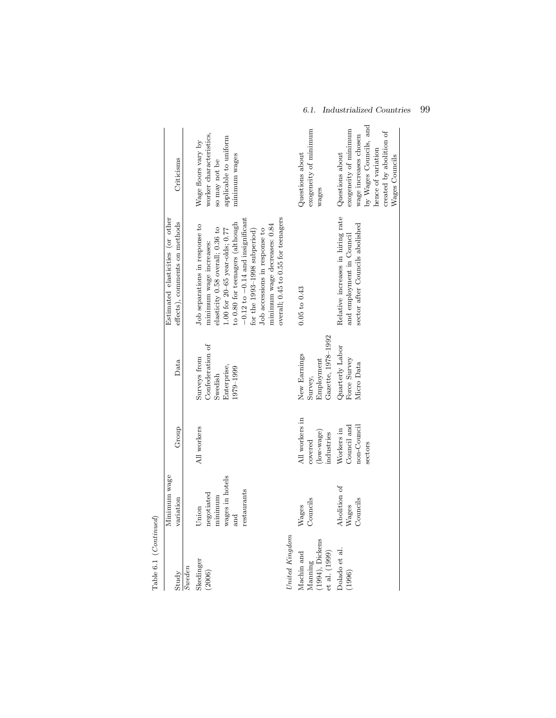| Table 6.1 (Continued)                                        |                                                                         |                                                       |                                                                         |                                                                                                                                                                                                                                                                                                                                                       |                                                                                                                                                                |
|--------------------------------------------------------------|-------------------------------------------------------------------------|-------------------------------------------------------|-------------------------------------------------------------------------|-------------------------------------------------------------------------------------------------------------------------------------------------------------------------------------------------------------------------------------------------------------------------------------------------------------------------------------------------------|----------------------------------------------------------------------------------------------------------------------------------------------------------------|
| Study                                                        | Minimum wage<br>variation                                               | Group                                                 | Data                                                                    | Estimated elasticities (or other<br>effects), comments on methods                                                                                                                                                                                                                                                                                     | Criticisms                                                                                                                                                     |
| Sweden                                                       |                                                                         |                                                       |                                                                         |                                                                                                                                                                                                                                                                                                                                                       |                                                                                                                                                                |
| United Kingdom<br>Skedinger<br>(2006)                        | wages in hotels<br>restaurants<br>negotiated<br>minimum<br>Union<br>and | All workers                                           | Confederation of<br>Surveys from<br>Enterprise,<br>1979-1999<br>Swedish | overall; 0.45 to 0.55 for teenagers<br>$-0.12$ to $-0.14$ and insignificant<br>to 0.80 for teenagers (although<br>Job separations in response to<br>minimum wage decreases: 0.84<br>elasticity 0.58 overall; 0.36 to<br>Job accessions in response to<br>.00 for $20 - 65$ year-olds; 0.77<br>for the 1993-1998 subperiod)<br>minimum wage increases: | worker characteristics,<br>applicable to uniform<br>Wage floors vary by<br>minimum wages<br>so may not be                                                      |
| $(1994)$ , Dickens<br>et al. (1999)<br>Machin and<br>Manning | Councils<br>Wages                                                       | All workers in<br>(low-wage)<br>industries<br>covered | Gazette, 1978-1992<br>New Earnings<br>Employment<br>Survey,             | $0.05$ to $0.43$                                                                                                                                                                                                                                                                                                                                      | exogeneity of minimum<br>Questions about<br>wages                                                                                                              |
| Dolado et al.<br>(1996)                                      | Abolition of<br>Councils<br>Wages                                       | Council and<br>non-Council<br>Workers in<br>sectors   | Quarterly Labor<br>Force Survey<br>Micro Data                           | Relative increases in hiring rate<br>sector after Councils abolished<br>and employment in Council                                                                                                                                                                                                                                                     | by Wages Councils, and<br>exogeneity of minimum<br>created by abolition of<br>wage increases chosen<br>hence of variation<br>Questions about<br>Wages Councils |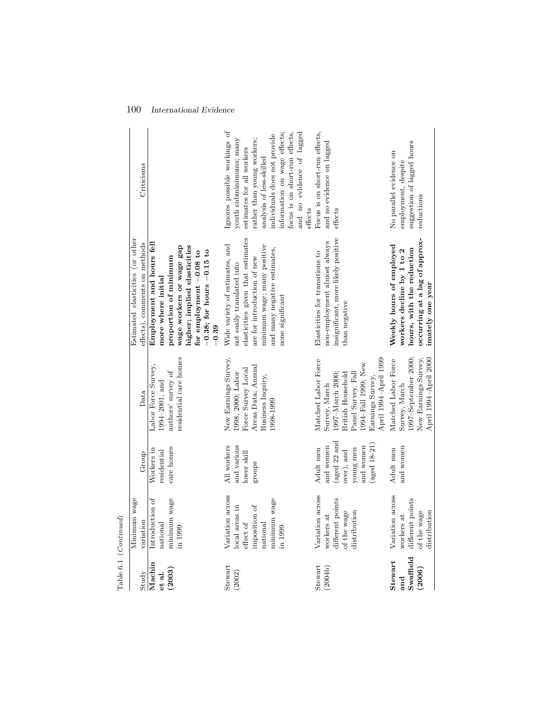|                   | Minimum wage                       |                            |                                           | Estimated elasticities (or other                                                                                                 |                                                         |
|-------------------|------------------------------------|----------------------------|-------------------------------------------|----------------------------------------------------------------------------------------------------------------------------------|---------------------------------------------------------|
| Study             | variation                          | Group                      | Data                                      | effects), comments on methods                                                                                                    | Criticisms                                              |
| Machin            | Introduction of                    | Workers in                 | Labor Force Survey,                       | Employment and hours fel                                                                                                         |                                                         |
| et al.            | national                           | residential                | $1994 - 2001$ , and                       | more where initial                                                                                                               |                                                         |
| (2003)            | minimum wage                       | care homes                 | authors' survey of                        | proportion of minimum                                                                                                            |                                                         |
|                   | in 1999                            |                            | residential care homes                    | higher; implied elasticities<br>wage workers or wage gap<br>$-0.38$ ; for hours $-0.15$ to<br>for employment -0.08 to<br>$-0.39$ |                                                         |
| Stewart<br>(2002) | Variation across<br>local areas in | and various<br>All workers | New Earnings Survey,<br>1998, 2000; Labor | Wide variety of estimates, and<br>not easily translated into                                                                     | Ignores possible workings of<br>youth subminimums; many |
|                   | effect of                          | ower skill                 | Force Survey Local                        | elasticities given that estimates                                                                                                | estimates for all workers                               |
|                   | imposition of<br>national          | groups                     | Areas Data; Annual<br>Business Inquiry,   | minimum wage; many positive<br>are for introduction of new                                                                       | rather than young workers;<br>analysis of less-skilled  |
|                   | minimum wage                       |                            | 1998-1999                                 | and many negative estimates,                                                                                                     | individuals does not provide                            |
|                   | in 1999                            |                            |                                           | none significant                                                                                                                 | information on wage effects;                            |
|                   |                                    |                            |                                           |                                                                                                                                  | focus is on short-run effects,                          |
|                   |                                    |                            |                                           |                                                                                                                                  | and no evidence of lagged<br>effects                    |
| Stewart           | Variation across                   | Adult men                  | Matched Labor Force                       | Elasticities for transitions to                                                                                                  | Focus is on short-run effects,                          |
| (2004b)           | workers at                         | and women                  | Survey, March                             | non-employment almost always                                                                                                     | and no evidence on lagged                               |
|                   | different points                   | (aged 22 and               | 1997-March 2000;                          | insignificant, more likely positive                                                                                              | effects                                                 |
|                   | of the wage                        | over), and                 | <b>British Household</b>                  | than negative                                                                                                                    |                                                         |
|                   | distribution                       | and women<br>young men     | 1994-Fall 1999; New<br>Panel Survey, Fall |                                                                                                                                  |                                                         |
|                   |                                    | $(aged 18-21)$             | April 1994–April 1999<br>Earnings Survey, |                                                                                                                                  |                                                         |
| Stewart           | Variation across                   | Adult men                  | Matched Labor Force                       | Weekly hours of employed                                                                                                         | No parallel evidence on                                 |
| and               | workers at                         | and women                  | Survey, March                             | workers decline by 1 to 2                                                                                                        | employment, despite                                     |
| Swaffield         | different points                   |                            | 1997–September 2000;                      | hours, with the reduction                                                                                                        | suggestion of lagged hours                              |
| (2006)            | of the wage                        |                            | New Earnings Survey,                      | occurring at a lag of approx-                                                                                                    | reductions                                              |
|                   | distribution                       |                            | April 1994-April 2000                     | imately one year                                                                                                                 |                                                         |

# 100 *International Evidence*

Table 6.1 (Continued)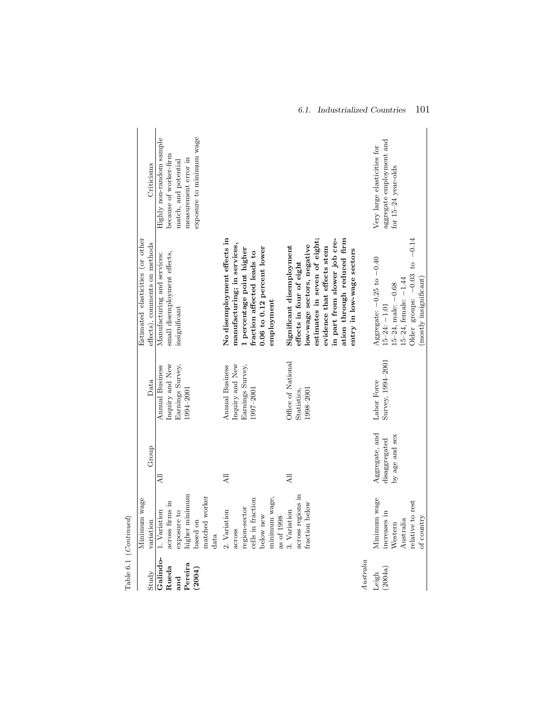|                   | Minimum wage                                         |                                                   |                                     | Estimated elasticities (or other                                                                                                                       |                                                                                  |
|-------------------|------------------------------------------------------|---------------------------------------------------|-------------------------------------|--------------------------------------------------------------------------------------------------------------------------------------------------------|----------------------------------------------------------------------------------|
| Study             | variation                                            | Group                                             | Data                                | effects), comments on methods                                                                                                                          | Criticisms                                                                       |
| Galindo-          | 1. Variation                                         | Дl                                                | Annual Business                     | Manufacturing and services:                                                                                                                            | Highly non-random sample                                                         |
| Rueda<br>and      | across firms in<br>exposure to                       |                                                   | Earnings Survey,<br>Inquiry and New | small disemployment effects,<br>insignificant                                                                                                          | because of worker-firm<br>match, and potential                                   |
| Pereira<br>(2004) | higher minimum<br>matched worker<br>based on<br>data |                                                   | 1994-2001                           |                                                                                                                                                        | exposure to minimum wage<br>measurement error in                                 |
|                   | 2. Variation                                         | $\overline{AB}$                                   | Annual Business                     | No disemployment effects in                                                                                                                            |                                                                                  |
|                   | across                                               |                                                   | Inquiry and New                     | manufacturing; in services,                                                                                                                            |                                                                                  |
|                   | cells in fraction<br>region-sector                   |                                                   | Earnings Survey,<br>1997-2001       | 1 percentage point higher<br>fraction affected leads to                                                                                                |                                                                                  |
|                   | below new                                            |                                                   |                                     | $0.06$ to $0.12$ percent lower                                                                                                                         |                                                                                  |
|                   | minimum wage,<br>as of 1998                          |                                                   |                                     | employment                                                                                                                                             |                                                                                  |
|                   | 3. Variation                                         | $\overline{A}$ ll                                 | Office of National                  | Significant disemployment                                                                                                                              |                                                                                  |
|                   | across regions in                                    |                                                   | Statistics,                         | effects in four of eight                                                                                                                               |                                                                                  |
|                   | fraction below                                       |                                                   | 1998–2001                           | estimates in seven of eight;<br>in part from slower job cre-<br>ation through reduced firm<br>low-wage sectors, negative<br>evidence that effects stem |                                                                                  |
| Australia         |                                                      |                                                   |                                     | entry in low-wage sectors                                                                                                                              |                                                                                  |
| (2004a)<br>Leigh  | Minimum wage<br>increases in<br>Western              | Aggregate, and<br>by age and sex<br>disaggregated | Survey, 1994–2001<br>Labor Force    | Aggregate: $-0.25$ to $-0.40$<br>$15-24$ , male: $-0.68$<br>$15 - 24: -1.01$                                                                           | aggregate employment and<br>Very large elasticities for<br>for $15-24$ year-olds |
|                   | relative to rest<br>of country<br>Australia          |                                                   |                                     | Older groups: $-0.03$ to $-0.14$<br>$15-24$ , female: $-1.44$<br>(mostly insignificant)                                                                |                                                                                  |
|                   |                                                      |                                                   |                                     |                                                                                                                                                        |                                                                                  |

Table 6.1 (Continued)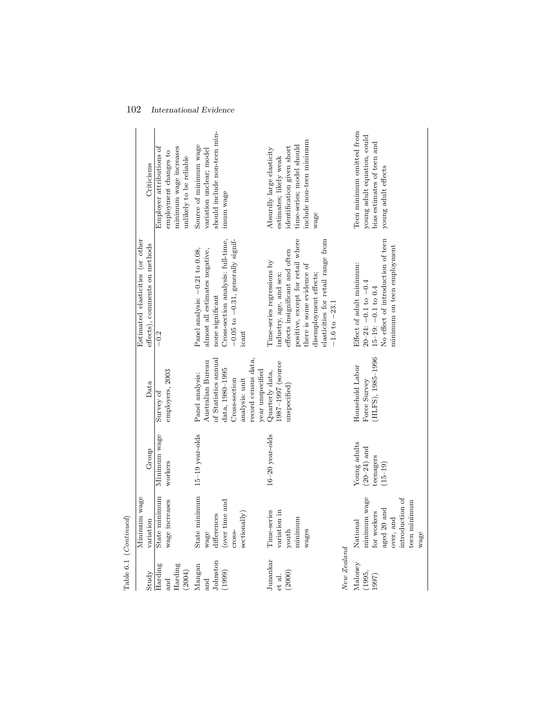|                                     | Table 6.1 (Continued)                                                                                          |                                                             |                                                                                                                                                                   |                                                                                                                                                                                                                                                 |                                                                                                                                                    |
|-------------------------------------|----------------------------------------------------------------------------------------------------------------|-------------------------------------------------------------|-------------------------------------------------------------------------------------------------------------------------------------------------------------------|-------------------------------------------------------------------------------------------------------------------------------------------------------------------------------------------------------------------------------------------------|----------------------------------------------------------------------------------------------------------------------------------------------------|
|                                     | Minimum wage                                                                                                   |                                                             |                                                                                                                                                                   | Estimated elasticities (or other                                                                                                                                                                                                                |                                                                                                                                                    |
| Study                               | variation                                                                                                      | Group                                                       | Data                                                                                                                                                              | effects), comments on methods                                                                                                                                                                                                                   | Criticisms                                                                                                                                         |
| Harding<br>Harding<br>(2004)<br>and | State minimum<br>wage increases                                                                                | Minimum wage<br>workers                                     | employers, 2003<br>$S$ urvey of                                                                                                                                   | $-0.2$                                                                                                                                                                                                                                          | Employer attributions of<br>minimum wage increases<br>employment changes to<br>unlikely to be reliable                                             |
| Johnston<br>Mangan<br>(1999)<br>and | State minimum<br>(over time and<br>sectionally)<br>differences<br>cross-<br>wage                               | 15-19 year-olds                                             | of Statistics annual<br>record census data,<br>Australian Bureau<br>$data, 1980 - 1995$<br>year unspecified<br>Panel analysis:<br>analysis: unit<br>Cross-section | Cross-section analysis: full-time,<br>$-0.05$ to $-0.31$ , generally signif-<br>almost all estimates negative,<br>Panel analysis: $-0.21$ to 0.08,<br>none significant<br>icant                                                                 | should include non-teen min-<br>Source of minimum wage<br>variation unclear; model<br>imum wage                                                    |
| Junankar<br>(2000)<br>et al.        | Time-series<br>variation in<br>minimum<br>youth<br>wages                                                       | $16 - 20$ year-olds                                         | .987-1997 (source<br>Quarterly data,<br>unspecified)                                                                                                              | positive, except for retail where<br>elasticities for retail range from<br>effects insignificant and often<br>Time-series regressions by<br>there is some evidence of<br>disemployment effects;<br>industry, age, and sex:<br>$-1.6$ to $-23.1$ | include non-teen minimum<br>time-series; model should<br>identification given short<br>Absurdly large elasticity<br>estimates; likely weak<br>wage |
| New Zealand                         |                                                                                                                |                                                             |                                                                                                                                                                   |                                                                                                                                                                                                                                                 |                                                                                                                                                    |
| Maloney<br>(1995,<br>1997)          | minimum wage<br>introduction of<br>teen minimum<br>aged 20 and<br>for workers<br>over, and<br>National<br>wage | Young adults<br>$(20 - 24)$ and<br>teenagers<br>$(15 - 19)$ | (HLFS), 1985-1996<br>Household Labor<br>Force Survey                                                                                                              | No effect of introduction of teen<br>minimum on teen employment<br>Effect of adult minimum:<br>$20-24: -0.1$ to $-0.4$<br>$15-19: -0.1$ to 0.4                                                                                                  | Teen minimum omitted from<br>young adult equation, could<br>bias estimates of teen and<br>young adult effects                                      |

# 102 *International Evidence*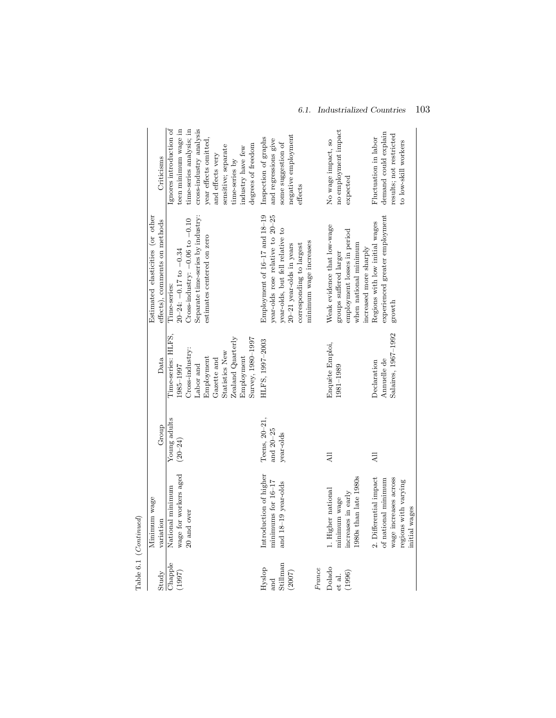|                            | Lable 0.1 (Communed)                                                              |                                |                                                      |                                                                                                                                         |                                                           |
|----------------------------|-----------------------------------------------------------------------------------|--------------------------------|------------------------------------------------------|-----------------------------------------------------------------------------------------------------------------------------------------|-----------------------------------------------------------|
|                            | Minimum wage                                                                      |                                |                                                      | Estimated elasticities (or other                                                                                                        |                                                           |
| Study                      | variation                                                                         | Group                          | Data                                                 | effects), comments on methods                                                                                                           | Criticisms                                                |
| Chapple<br>(1997)          | wage for workers aged<br>National minimum                                         | Young adults<br>$(20 - 24)$    | Time-series: HLFS,<br>1985-1997                      | $20 - 24$ : $-0.17$ to $-0.34$<br>Time-series:                                                                                          | Ignores introduction of<br>teen minimum wage in           |
|                            | $20$ and over                                                                     |                                | Cross-industry:<br>Labor and                         | Separate time-series by industry:<br>Cross-industry: $-0.06$ to $-0.10$                                                                 | cross-industry analysis<br>time-series analysis; in       |
|                            |                                                                                   |                                | Employment<br>Gazette and                            | estimates centered on zero                                                                                                              | year effects omitted,<br>and effects very                 |
|                            |                                                                                   |                                | Statistics New                                       |                                                                                                                                         | sensitive; separate                                       |
|                            |                                                                                   |                                | Zealand Quarterly<br>Survey, 1980-1997<br>Employment |                                                                                                                                         | degrees of freedom<br>industry have few<br>time-series by |
| Hyslop<br>and              | Introduction of higher<br>$minimums$ for $16-17$                                  | Teens, 20-21,<br>and $20 - 25$ | HLFS, 1997-2003                                      | Employment of 16-17 and 18-19<br>year-olds rose relative to 20-25                                                                       | Inspection of graphs<br>and regressions give              |
| Stillman<br>(2007)         | and 18-19 year-olds                                                               | year-olds                      |                                                      | year-olds, but fell relative to<br>20-21 year-olds in years<br>corresponding to largest                                                 | negative employment<br>some suggestion of<br>effects      |
| France                     |                                                                                   |                                |                                                      | minimum wage increases                                                                                                                  |                                                           |
| Dolado<br>(1996)<br>et al. | 1980s than late 1980s<br>1. Higher national<br>increases in early<br>minimum wage | $\overline{a}$                 | Enquête Emploi,<br>1981-1989                         | Weak evidence that low-wage<br>employment losses in period<br>when national minimum<br>increased more sharply<br>groups suffered larger | no employment impact<br>No wage impact, so<br>expected    |
|                            | 2. Differential impact<br>of national minimum                                     | $\overline{a}$                 | Annuelle de<br>Declaration                           | experienced greater employment<br>Regions with low initial wages                                                                        | demand could explain<br>Fluctuation in labor              |
|                            | wage increases across<br>regions with varying                                     |                                | Salaires, 1967-1992                                  | growth                                                                                                                                  | results; not restricted<br>to low-skill workers           |
|                            | initial wages                                                                     |                                |                                                      |                                                                                                                                         |                                                           |

Table 6.1 (Continued) Table 6.1 (Continued)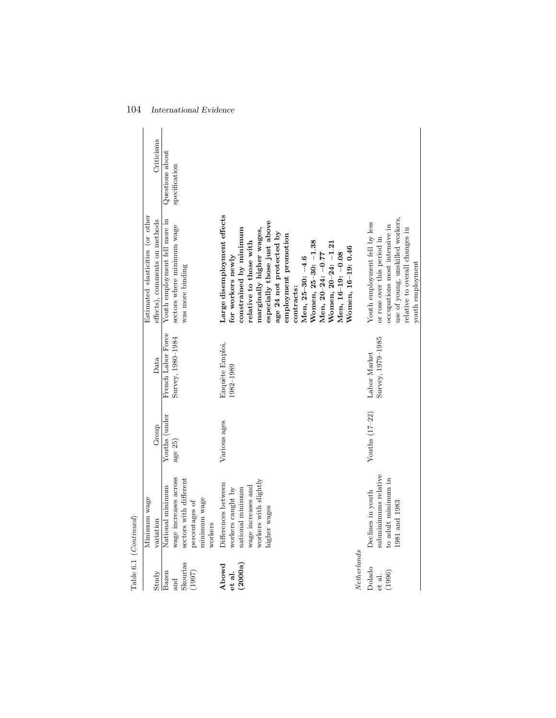|                                           | Table 6.1 (Continued)                                                                                                       |                          |                                         |                                                                                                                                                                                                                                                                                                                                                                          |                                  |
|-------------------------------------------|-----------------------------------------------------------------------------------------------------------------------------|--------------------------|-----------------------------------------|--------------------------------------------------------------------------------------------------------------------------------------------------------------------------------------------------------------------------------------------------------------------------------------------------------------------------------------------------------------------------|----------------------------------|
| Study                                     | Minimum wage<br>variation                                                                                                   | Group                    | Data                                    | Estimated elasticities (or other<br>effects), comments on methods                                                                                                                                                                                                                                                                                                        | Criticisms                       |
| Skourias<br>(1997)<br>Bazen<br>and        | wage increases across<br>sectors with different<br>National minimum<br>minimum wage<br>percentages of<br>workers            | Youths (under<br>age 25) | French Labor Force<br>Survey, 1980–1984 | Youth employment fell more in<br>sectors where minimum wage<br>was more binding                                                                                                                                                                                                                                                                                          | Questions about<br>specification |
| Netherlands<br>Abowd<br>(2000a)<br>et al. | workers with slightly<br>Differences between<br>wage increases and<br>national minimum<br>workers caught by<br>higher wages | Various ages             | Enquête Emploi,<br>1982-1989            | Large disemployment effects<br>especially those just above<br>constrained by minimum<br>marginally higher wages,<br>age 24 not protected by<br>employment promotion<br>Women, 25-30: -1.38<br>relative to those with<br>Women, $20 - 24: -1.21$<br>Women, 16-19: 0.46<br>Men, 16-19: -0.08<br>Men, 20-24: -0.77<br>Men, $25-30: -4.6$<br>for workers newly<br>contracts: |                                  |
| Dolado<br>(1996)<br>et al.                | subminimums relative<br>to adult minimum in<br>Declines in youth<br>1981 and 1983                                           | Youths $(17-22)$         | Survey, 1979-1985<br>Labor Market       | use of young, unskilled workers,<br>Youth employment fell by less<br>occupations most intensive in<br>relative to overall changes in<br>or rose over this period in<br>youth employment                                                                                                                                                                                  |                                  |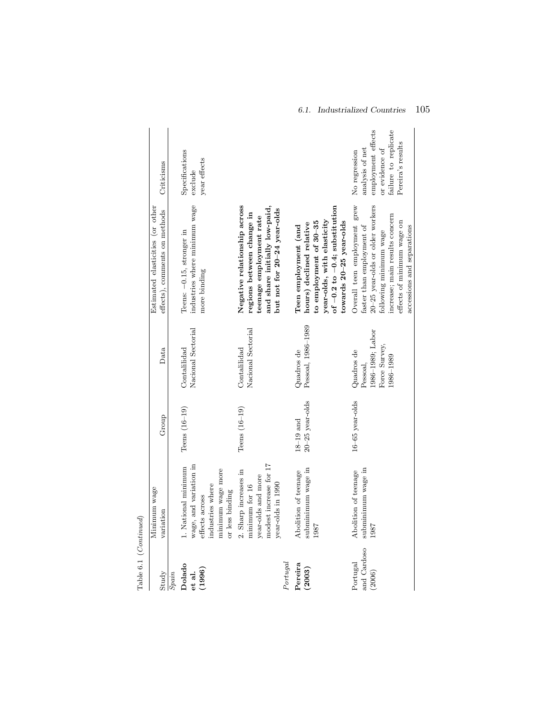|                                   | Minimum wage                                                                                                                |                                    |                                                                          | Estimated elasticities (or other                                                                                                                                                                                      |                                                                                                                       |
|-----------------------------------|-----------------------------------------------------------------------------------------------------------------------------|------------------------------------|--------------------------------------------------------------------------|-----------------------------------------------------------------------------------------------------------------------------------------------------------------------------------------------------------------------|-----------------------------------------------------------------------------------------------------------------------|
| Study<br>Span                     | variation                                                                                                                   | Group                              | Data                                                                     | effects), comments on methods                                                                                                                                                                                         | Criticisms                                                                                                            |
| Dolado<br>(1996)<br>et al.        | wage, and variation in<br>1. National minimum<br>minimum wage more<br>industries where<br>or less binding<br>effects across | Teens $(16-19)$                    | Nacional Sectorial<br>Contalilidad                                       | industries where minimum wage<br>Teens: -0.15, stronger in<br>more binding                                                                                                                                            | Specifications<br>year effects<br>exclude                                                                             |
|                                   | modest increase for 17<br>2. Sharp increases in<br>year-olds and more<br>year-olds in 1990<br>minimum for 16                | Teens $(16-19)$                    | Nacional Sectorial<br>Contalilidad                                       | Negative relationship across<br>and share initially low-paid,<br>but not for 20-24 year-olds<br>regions between change in<br>teenage employment rate                                                                  |                                                                                                                       |
| Portugal                          |                                                                                                                             |                                    |                                                                          |                                                                                                                                                                                                                       |                                                                                                                       |
| Pereira<br>(2003)                 | subminimum wage in<br>Abolition of teenage<br>1987                                                                          | $20 - 25$ year-olds<br>$18-19$ and | Pessoal, 1986-1989<br>Quadros de                                         | of $-0.2$ to $-0.4$ ; substitution<br>year-olds, with elasticity<br>to employment of 30-35<br>towards $20 - 25$ year-olds<br>hours) declined relative<br>Teen employment (and                                         |                                                                                                                       |
| and Cardoso<br>Portugal<br>(2006) | subminimum wage in<br>Abolition of teenage<br>1987                                                                          | $16-65$ year-olds                  | 1986-1989; Labor<br>Force Survey,<br>Quadros de<br>1986-1989<br>Pessoal, | Overall teen employment grew<br>20-25 year-olds or older workers<br>increase; main results concern<br>effects of minimum wage on<br>faster than employment of<br>accessions and separations<br>following minimum wage | failure to replicate<br>employment effects<br>Pereira's results<br>analysis of net<br>or evidence of<br>No regression |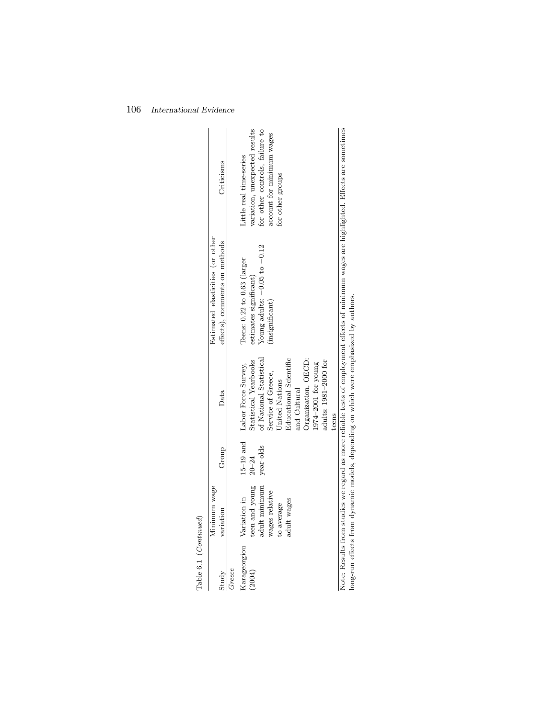| Table 6.1 (Continued) |                           |           |                                                                                      |                                                                                                                                           |                                |
|-----------------------|---------------------------|-----------|--------------------------------------------------------------------------------------|-------------------------------------------------------------------------------------------------------------------------------------------|--------------------------------|
| Study                 | Minimum wage<br>variation | Group     | Data                                                                                 | Estimated elasticities (or other<br>effects), comments on methods                                                                         | Criticisms                     |
| Greece                |                           |           |                                                                                      |                                                                                                                                           |                                |
|                       | Karageorgiou Variation in |           | 15-19 and Labor Force Survey,                                                        | Teens: 0.22 to 0.63 (larger                                                                                                               | Little real time-series        |
| (2004)                | teen and young            | $20 - 24$ | Statistical Yearbooks                                                                | estimates significant)                                                                                                                    | variation, unexpected results  |
|                       | adult minimum             | year-olds | of National Statistical                                                              | Young adults: $-0.05$ to $-0.12$                                                                                                          | for other controls, failure to |
|                       | wages relative            |           | Service of Greece,                                                                   | (insignificant)                                                                                                                           | account for minimum wages      |
|                       | to average                |           | United Nations                                                                       |                                                                                                                                           | for other groups               |
|                       | adult wages               |           | Educational Scientific                                                               |                                                                                                                                           |                                |
|                       |                           |           | and Cultural                                                                         |                                                                                                                                           |                                |
|                       |                           |           | Organization, OECD:                                                                  |                                                                                                                                           |                                |
|                       |                           |           | 1974-2001 for young                                                                  |                                                                                                                                           |                                |
|                       |                           |           | adults; 1981-2000 for                                                                |                                                                                                                                           |                                |
|                       |                           |           | teens                                                                                |                                                                                                                                           |                                |
|                       |                           |           |                                                                                      | Note: Results from studies we regard as more reliable tests of employment effects of minimum wages are highlighted. Effects are sometimes |                                |
|                       |                           |           | long-run effects from dynamic models, depending on which were emphasized by authors. |                                                                                                                                           |                                |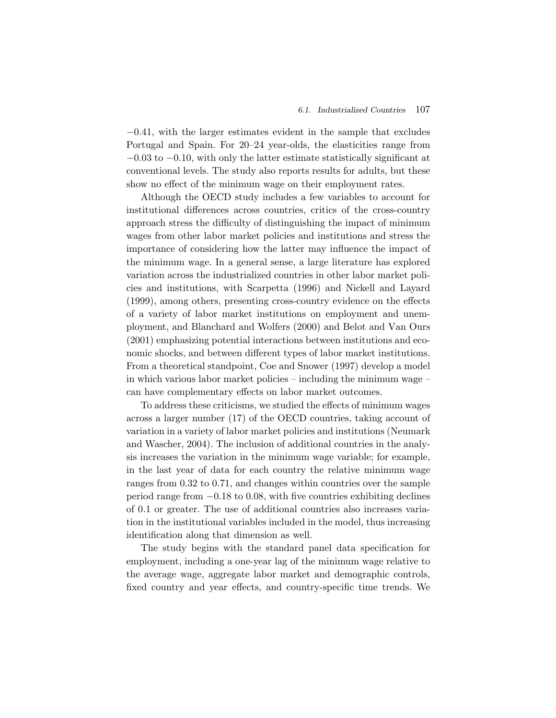−0.41, with the larger estimates evident in the sample that excludes Portugal and Spain. For 20–24 year-olds, the elasticities range from −0.03 to −0.10, with only the latter estimate statistically significant at conventional levels. The study also reports results for adults, but these show no effect of the minimum wage on their employment rates.

Although the OECD study includes a few variables to account for institutional differences across countries, critics of the cross-country approach stress the difficulty of distinguishing the impact of minimum wages from other labor market policies and institutions and stress the importance of considering how the latter may influence the impact of the minimum wage. In a general sense, a large literature has explored variation across the industrialized countries in other labor market policies and institutions, with Scarpetta (1996) and Nickell and Layard (1999), among others, presenting cross-country evidence on the effects of a variety of labor market institutions on employment and unemployment, and Blanchard and Wolfers (2000) and Belot and Van Ours (2001) emphasizing potential interactions between institutions and economic shocks, and between different types of labor market institutions. From a theoretical standpoint, Coe and Snower (1997) develop a model in which various labor market policies – including the minimum wage – can have complementary effects on labor market outcomes.

To address these criticisms, we studied the effects of minimum wages across a larger number (17) of the OECD countries, taking account of variation in a variety of labor market policies and institutions (Neumark and Wascher, 2004). The inclusion of additional countries in the analysis increases the variation in the minimum wage variable; for example, in the last year of data for each country the relative minimum wage ranges from 0.32 to 0.71, and changes within countries over the sample period range from −0.18 to 0.08, with five countries exhibiting declines of 0.1 or greater. The use of additional countries also increases variation in the institutional variables included in the model, thus increasing identification along that dimension as well.

The study begins with the standard panel data specification for employment, including a one-year lag of the minimum wage relative to the average wage, aggregate labor market and demographic controls, fixed country and year effects, and country-specific time trends. We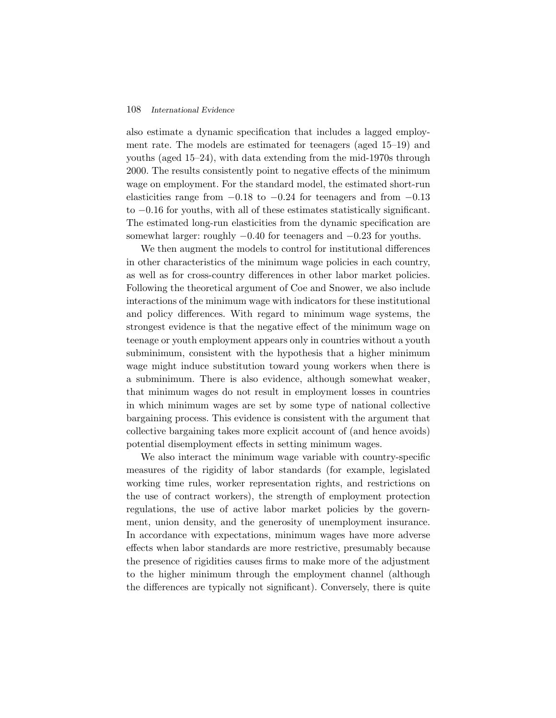also estimate a dynamic specification that includes a lagged employment rate. The models are estimated for teenagers (aged 15–19) and youths (aged 15–24), with data extending from the mid-1970s through 2000. The results consistently point to negative effects of the minimum wage on employment. For the standard model, the estimated short-run elasticities range from  $-0.18$  to  $-0.24$  for teenagers and from  $-0.13$ to −0.16 for youths, with all of these estimates statistically significant. The estimated long-run elasticities from the dynamic specification are somewhat larger: roughly  $-0.40$  for teenagers and  $-0.23$  for youths.

We then augment the models to control for institutional differences in other characteristics of the minimum wage policies in each country, as well as for cross-country differences in other labor market policies. Following the theoretical argument of Coe and Snower, we also include interactions of the minimum wage with indicators for these institutional and policy differences. With regard to minimum wage systems, the strongest evidence is that the negative effect of the minimum wage on teenage or youth employment appears only in countries without a youth subminimum, consistent with the hypothesis that a higher minimum wage might induce substitution toward young workers when there is a subminimum. There is also evidence, although somewhat weaker, that minimum wages do not result in employment losses in countries in which minimum wages are set by some type of national collective bargaining process. This evidence is consistent with the argument that collective bargaining takes more explicit account of (and hence avoids) potential disemployment effects in setting minimum wages.

We also interact the minimum wage variable with country-specific measures of the rigidity of labor standards (for example, legislated working time rules, worker representation rights, and restrictions on the use of contract workers), the strength of employment protection regulations, the use of active labor market policies by the government, union density, and the generosity of unemployment insurance. In accordance with expectations, minimum wages have more adverse effects when labor standards are more restrictive, presumably because the presence of rigidities causes firms to make more of the adjustment to the higher minimum through the employment channel (although the differences are typically not significant). Conversely, there is quite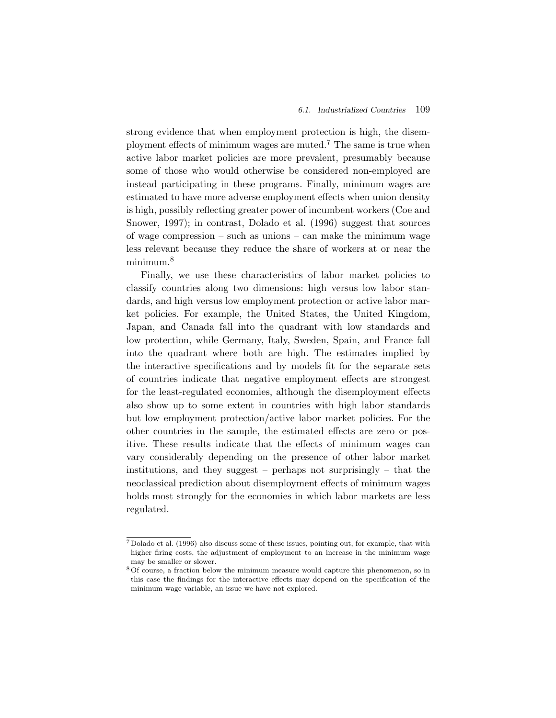strong evidence that when employment protection is high, the disemployment effects of minimum wages are muted.<sup>7</sup> The same is true when active labor market policies are more prevalent, presumably because some of those who would otherwise be considered non-employed are instead participating in these programs. Finally, minimum wages are estimated to have more adverse employment effects when union density is high, possibly reflecting greater power of incumbent workers (Coe and Snower, 1997); in contrast, Dolado et al. (1996) suggest that sources of wage compression – such as unions – can make the minimum wage less relevant because they reduce the share of workers at or near the minimum.<sup>8</sup>

Finally, we use these characteristics of labor market policies to classify countries along two dimensions: high versus low labor standards, and high versus low employment protection or active labor market policies. For example, the United States, the United Kingdom, Japan, and Canada fall into the quadrant with low standards and low protection, while Germany, Italy, Sweden, Spain, and France fall into the quadrant where both are high. The estimates implied by the interactive specifications and by models fit for the separate sets of countries indicate that negative employment effects are strongest for the least-regulated economies, although the disemployment effects also show up to some extent in countries with high labor standards but low employment protection/active labor market policies. For the other countries in the sample, the estimated effects are zero or positive. These results indicate that the effects of minimum wages can vary considerably depending on the presence of other labor market institutions, and they suggest – perhaps not surprisingly – that the neoclassical prediction about disemployment effects of minimum wages holds most strongly for the economies in which labor markets are less regulated.

<sup>7</sup> Dolado et al. (1996) also discuss some of these issues, pointing out, for example, that with higher firing costs, the adjustment of employment to an increase in the minimum wage may be smaller or slower.

<sup>8</sup> Of course, a fraction below the minimum measure would capture this phenomenon, so in this case the findings for the interactive effects may depend on the specification of the minimum wage variable, an issue we have not explored.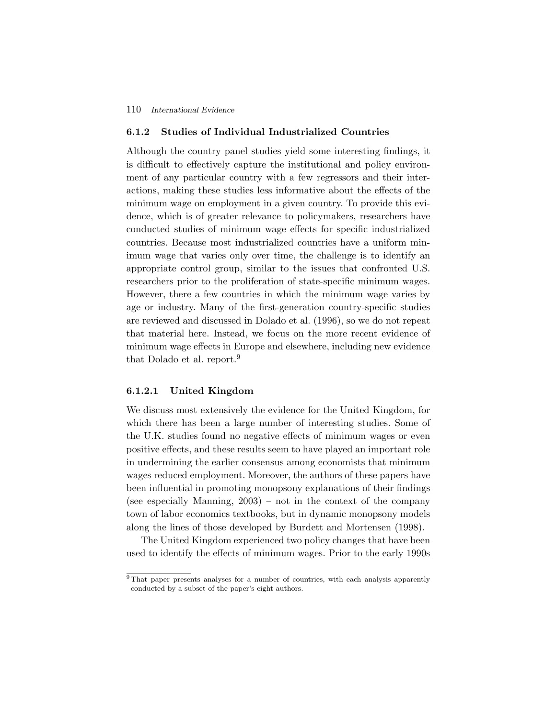#### **6.1.2 Studies of Individual Industrialized Countries**

Although the country panel studies yield some interesting findings, it is difficult to effectively capture the institutional and policy environment of any particular country with a few regressors and their interactions, making these studies less informative about the effects of the minimum wage on employment in a given country. To provide this evidence, which is of greater relevance to policymakers, researchers have conducted studies of minimum wage effects for specific industrialized countries. Because most industrialized countries have a uniform minimum wage that varies only over time, the challenge is to identify an appropriate control group, similar to the issues that confronted U.S. researchers prior to the proliferation of state-specific minimum wages. However, there a few countries in which the minimum wage varies by age or industry. Many of the first-generation country-specific studies are reviewed and discussed in Dolado et al. (1996), so we do not repeat that material here. Instead, we focus on the more recent evidence of minimum wage effects in Europe and elsewhere, including new evidence that Dolado et al. report.<sup>9</sup>

#### **6.1.2.1 United Kingdom**

We discuss most extensively the evidence for the United Kingdom, for which there has been a large number of interesting studies. Some of the U.K. studies found no negative effects of minimum wages or even positive effects, and these results seem to have played an important role in undermining the earlier consensus among economists that minimum wages reduced employment. Moreover, the authors of these papers have been influential in promoting monopsony explanations of their findings (see especially Manning,  $2003$ ) – not in the context of the company town of labor economics textbooks, but in dynamic monopsony models along the lines of those developed by Burdett and Mortensen (1998).

The United Kingdom experienced two policy changes that have been used to identify the effects of minimum wages. Prior to the early 1990s

 $9$ That paper presents analyses for a number of countries, with each analysis apparently conducted by a subset of the paper's eight authors.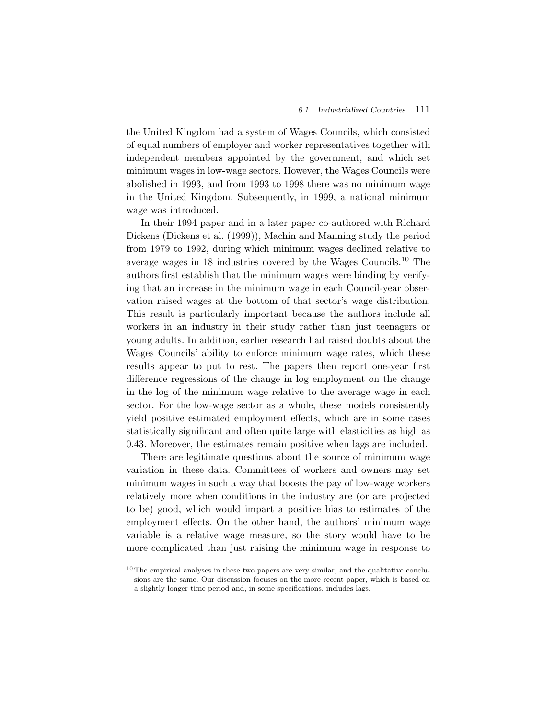the United Kingdom had a system of Wages Councils, which consisted of equal numbers of employer and worker representatives together with independent members appointed by the government, and which set minimum wages in low-wage sectors. However, the Wages Councils were abolished in 1993, and from 1993 to 1998 there was no minimum wage in the United Kingdom. Subsequently, in 1999, a national minimum wage was introduced.

In their 1994 paper and in a later paper co-authored with Richard Dickens (Dickens et al. (1999)), Machin and Manning study the period from 1979 to 1992, during which minimum wages declined relative to average wages in 18 industries covered by the Wages Councils.<sup>10</sup> The authors first establish that the minimum wages were binding by verifying that an increase in the minimum wage in each Council-year observation raised wages at the bottom of that sector's wage distribution. This result is particularly important because the authors include all workers in an industry in their study rather than just teenagers or young adults. In addition, earlier research had raised doubts about the Wages Councils' ability to enforce minimum wage rates, which these results appear to put to rest. The papers then report one-year first difference regressions of the change in log employment on the change in the log of the minimum wage relative to the average wage in each sector. For the low-wage sector as a whole, these models consistently yield positive estimated employment effects, which are in some cases statistically significant and often quite large with elasticities as high as 0.43. Moreover, the estimates remain positive when lags are included.

There are legitimate questions about the source of minimum wage variation in these data. Committees of workers and owners may set minimum wages in such a way that boosts the pay of low-wage workers relatively more when conditions in the industry are (or are projected to be) good, which would impart a positive bias to estimates of the employment effects. On the other hand, the authors' minimum wage variable is a relative wage measure, so the story would have to be more complicated than just raising the minimum wage in response to

 $10$  The empirical analyses in these two papers are very similar, and the qualitative conclusions are the same. Our discussion focuses on the more recent paper, which is based on a slightly longer time period and, in some specifications, includes lags.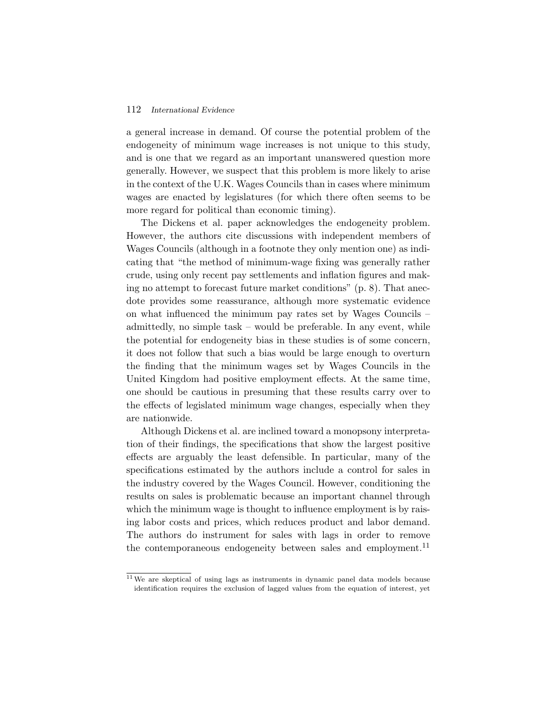a general increase in demand. Of course the potential problem of the endogeneity of minimum wage increases is not unique to this study, and is one that we regard as an important unanswered question more generally. However, we suspect that this problem is more likely to arise in the context of the U.K. Wages Councils than in cases where minimum wages are enacted by legislatures (for which there often seems to be more regard for political than economic timing).

The Dickens et al. paper acknowledges the endogeneity problem. However, the authors cite discussions with independent members of Wages Councils (although in a footnote they only mention one) as indicating that "the method of minimum-wage fixing was generally rather crude, using only recent pay settlements and inflation figures and making no attempt to forecast future market conditions" (p. 8). That anecdote provides some reassurance, although more systematic evidence on what influenced the minimum pay rates set by Wages Councils – admittedly, no simple task – would be preferable. In any event, while the potential for endogeneity bias in these studies is of some concern, it does not follow that such a bias would be large enough to overturn the finding that the minimum wages set by Wages Councils in the United Kingdom had positive employment effects. At the same time, one should be cautious in presuming that these results carry over to the effects of legislated minimum wage changes, especially when they are nationwide.

Although Dickens et al. are inclined toward a monopsony interpretation of their findings, the specifications that show the largest positive effects are arguably the least defensible. In particular, many of the specifications estimated by the authors include a control for sales in the industry covered by the Wages Council. However, conditioning the results on sales is problematic because an important channel through which the minimum wage is thought to influence employment is by raising labor costs and prices, which reduces product and labor demand. The authors do instrument for sales with lags in order to remove the contemporaneous endogeneity between sales and employment.<sup>11</sup>

 $11$ We are skeptical of using lags as instruments in dynamic panel data models because identification requires the exclusion of lagged values from the equation of interest, yet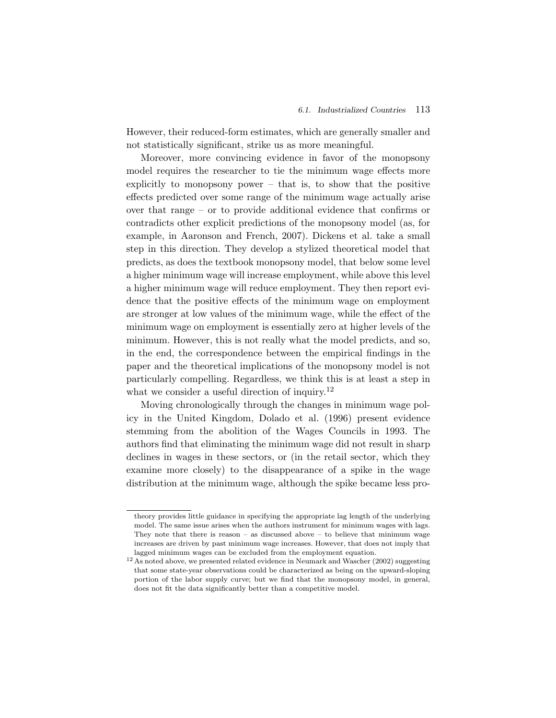However, their reduced-form estimates, which are generally smaller and not statistically significant, strike us as more meaningful.

Moreover, more convincing evidence in favor of the monopsony model requires the researcher to tie the minimum wage effects more explicitly to monopsony power – that is, to show that the positive effects predicted over some range of the minimum wage actually arise over that range – or to provide additional evidence that confirms or contradicts other explicit predictions of the monopsony model (as, for example, in Aaronson and French, 2007). Dickens et al. take a small step in this direction. They develop a stylized theoretical model that predicts, as does the textbook monopsony model, that below some level a higher minimum wage will increase employment, while above this level a higher minimum wage will reduce employment. They then report evidence that the positive effects of the minimum wage on employment are stronger at low values of the minimum wage, while the effect of the minimum wage on employment is essentially zero at higher levels of the minimum. However, this is not really what the model predicts, and so, in the end, the correspondence between the empirical findings in the paper and the theoretical implications of the monopsony model is not particularly compelling. Regardless, we think this is at least a step in what we consider a useful direction of inquiry.<sup>12</sup>

Moving chronologically through the changes in minimum wage policy in the United Kingdom, Dolado et al. (1996) present evidence stemming from the abolition of the Wages Councils in 1993. The authors find that eliminating the minimum wage did not result in sharp declines in wages in these sectors, or (in the retail sector, which they examine more closely) to the disappearance of a spike in the wage distribution at the minimum wage, although the spike became less pro-

theory provides little guidance in specifying the appropriate lag length of the underlying model. The same issue arises when the authors instrument for minimum wages with lags. They note that there is reason – as discussed above – to believe that minimum wage increases are driven by past minimum wage increases. However, that does not imply that lagged minimum wages can be excluded from the employment equation.

 $^{12}$  As noted above, we presented related evidence in Neumark and Wascher (2002) suggesting that some state-year observations could be characterized as being on the upward-sloping portion of the labor supply curve; but we find that the monopsony model, in general, does not fit the data significantly better than a competitive model.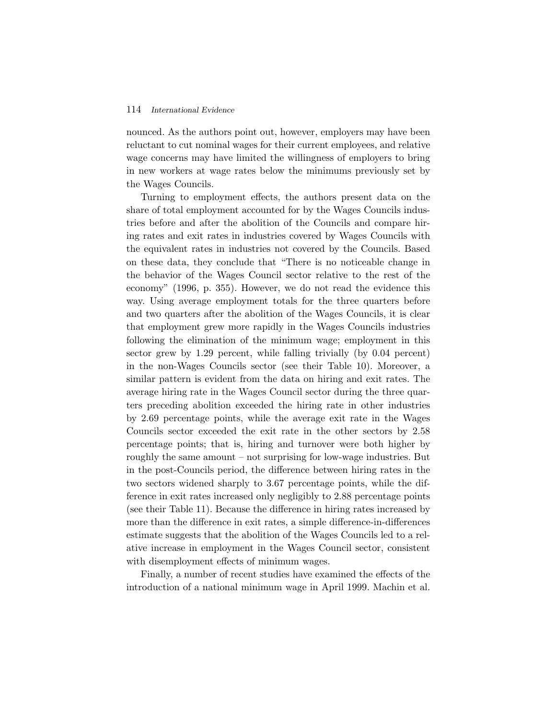nounced. As the authors point out, however, employers may have been reluctant to cut nominal wages for their current employees, and relative wage concerns may have limited the willingness of employers to bring in new workers at wage rates below the minimums previously set by the Wages Councils.

Turning to employment effects, the authors present data on the share of total employment accounted for by the Wages Councils industries before and after the abolition of the Councils and compare hiring rates and exit rates in industries covered by Wages Councils with the equivalent rates in industries not covered by the Councils. Based on these data, they conclude that "There is no noticeable change in the behavior of the Wages Council sector relative to the rest of the economy" (1996, p. 355). However, we do not read the evidence this way. Using average employment totals for the three quarters before and two quarters after the abolition of the Wages Councils, it is clear that employment grew more rapidly in the Wages Councils industries following the elimination of the minimum wage; employment in this sector grew by 1.29 percent, while falling trivially (by 0.04 percent) in the non-Wages Councils sector (see their Table 10). Moreover, a similar pattern is evident from the data on hiring and exit rates. The average hiring rate in the Wages Council sector during the three quarters preceding abolition exceeded the hiring rate in other industries by 2.69 percentage points, while the average exit rate in the Wages Councils sector exceeded the exit rate in the other sectors by 2.58 percentage points; that is, hiring and turnover were both higher by roughly the same amount – not surprising for low-wage industries. But in the post-Councils period, the difference between hiring rates in the two sectors widened sharply to 3.67 percentage points, while the difference in exit rates increased only negligibly to 2.88 percentage points (see their Table 11). Because the difference in hiring rates increased by more than the difference in exit rates, a simple difference-in-differences estimate suggests that the abolition of the Wages Councils led to a relative increase in employment in the Wages Council sector, consistent with disemployment effects of minimum wages.

Finally, a number of recent studies have examined the effects of the introduction of a national minimum wage in April 1999. Machin et al.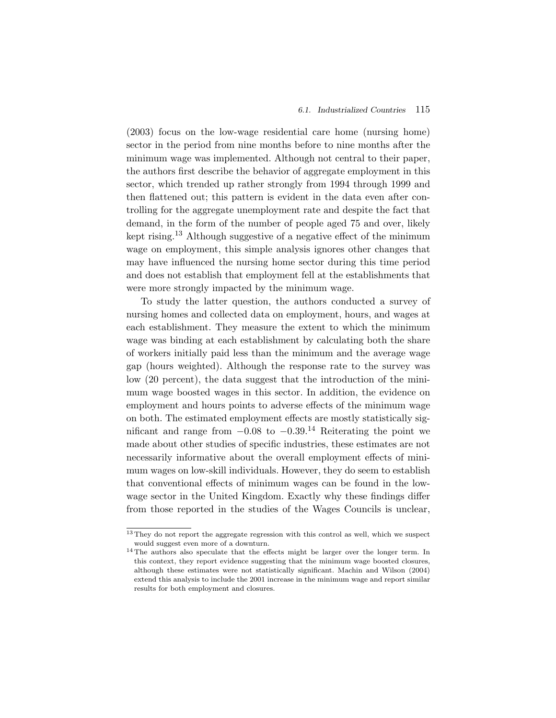#### *6.1. Industrialized Countries* 115

(2003) focus on the low-wage residential care home (nursing home) sector in the period from nine months before to nine months after the minimum wage was implemented. Although not central to their paper, the authors first describe the behavior of aggregate employment in this sector, which trended up rather strongly from 1994 through 1999 and then flattened out; this pattern is evident in the data even after controlling for the aggregate unemployment rate and despite the fact that demand, in the form of the number of people aged 75 and over, likely kept rising.<sup>13</sup> Although suggestive of a negative effect of the minimum wage on employment, this simple analysis ignores other changes that may have influenced the nursing home sector during this time period and does not establish that employment fell at the establishments that were more strongly impacted by the minimum wage.

To study the latter question, the authors conducted a survey of nursing homes and collected data on employment, hours, and wages at each establishment. They measure the extent to which the minimum wage was binding at each establishment by calculating both the share of workers initially paid less than the minimum and the average wage gap (hours weighted). Although the response rate to the survey was low (20 percent), the data suggest that the introduction of the minimum wage boosted wages in this sector. In addition, the evidence on employment and hours points to adverse effects of the minimum wage on both. The estimated employment effects are mostly statistically significant and range from  $-0.08$  to  $-0.39$ .<sup>14</sup> Reiterating the point we made about other studies of specific industries, these estimates are not necessarily informative about the overall employment effects of minimum wages on low-skill individuals. However, they do seem to establish that conventional effects of minimum wages can be found in the lowwage sector in the United Kingdom. Exactly why these findings differ from those reported in the studies of the Wages Councils is unclear,

 $^{13}\mathrm{They}$  do not report the aggregate regression with this control as well, which we suspect would suggest even more of a downturn.

<sup>&</sup>lt;sup>14</sup> The authors also speculate that the effects might be larger over the longer term. In this context, they report evidence suggesting that the minimum wage boosted closures, although these estimates were not statistically significant. Machin and Wilson (2004) extend this analysis to include the 2001 increase in the minimum wage and report similar results for both employment and closures.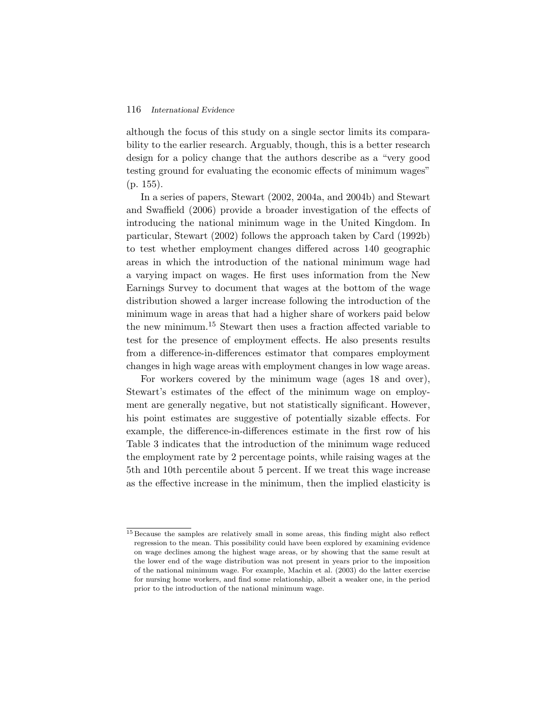although the focus of this study on a single sector limits its comparability to the earlier research. Arguably, though, this is a better research design for a policy change that the authors describe as a "very good testing ground for evaluating the economic effects of minimum wages" (p. 155).

In a series of papers, Stewart (2002, 2004a, and 2004b) and Stewart and Swaffield (2006) provide a broader investigation of the effects of introducing the national minimum wage in the United Kingdom. In particular, Stewart (2002) follows the approach taken by Card (1992b) to test whether employment changes differed across 140 geographic areas in which the introduction of the national minimum wage had a varying impact on wages. He first uses information from the New Earnings Survey to document that wages at the bottom of the wage distribution showed a larger increase following the introduction of the minimum wage in areas that had a higher share of workers paid below the new minimum.<sup>15</sup> Stewart then uses a fraction affected variable to test for the presence of employment effects. He also presents results from a difference-in-differences estimator that compares employment changes in high wage areas with employment changes in low wage areas.

For workers covered by the minimum wage (ages 18 and over), Stewart's estimates of the effect of the minimum wage on employment are generally negative, but not statistically significant. However, his point estimates are suggestive of potentially sizable effects. For example, the difference-in-differences estimate in the first row of his Table 3 indicates that the introduction of the minimum wage reduced the employment rate by 2 percentage points, while raising wages at the 5th and 10th percentile about 5 percent. If we treat this wage increase as the effective increase in the minimum, then the implied elasticity is

<sup>15</sup> Because the samples are relatively small in some areas, this finding might also reflect regression to the mean. This possibility could have been explored by examining evidence on wage declines among the highest wage areas, or by showing that the same result at the lower end of the wage distribution was not present in years prior to the imposition of the national minimum wage. For example, Machin et al. (2003) do the latter exercise for nursing home workers, and find some relationship, albeit a weaker one, in the period prior to the introduction of the national minimum wage.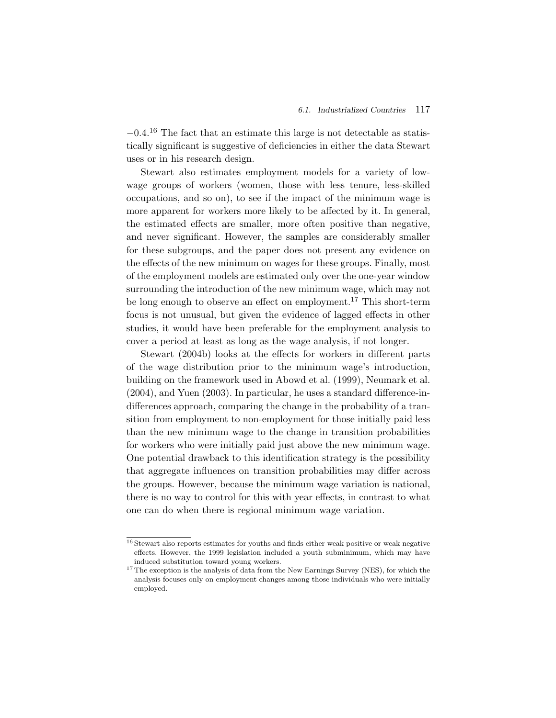$-0.4$ <sup>16</sup>. The fact that an estimate this large is not detectable as statistically significant is suggestive of deficiencies in either the data Stewart uses or in his research design.

Stewart also estimates employment models for a variety of lowwage groups of workers (women, those with less tenure, less-skilled occupations, and so on), to see if the impact of the minimum wage is more apparent for workers more likely to be affected by it. In general, the estimated effects are smaller, more often positive than negative, and never significant. However, the samples are considerably smaller for these subgroups, and the paper does not present any evidence on the effects of the new minimum on wages for these groups. Finally, most of the employment models are estimated only over the one-year window surrounding the introduction of the new minimum wage, which may not be long enough to observe an effect on employment.<sup>17</sup> This short-term focus is not unusual, but given the evidence of lagged effects in other studies, it would have been preferable for the employment analysis to cover a period at least as long as the wage analysis, if not longer.

Stewart (2004b) looks at the effects for workers in different parts of the wage distribution prior to the minimum wage's introduction, building on the framework used in Abowd et al. (1999), Neumark et al. (2004), and Yuen (2003). In particular, he uses a standard difference-indifferences approach, comparing the change in the probability of a transition from employment to non-employment for those initially paid less than the new minimum wage to the change in transition probabilities for workers who were initially paid just above the new minimum wage. One potential drawback to this identification strategy is the possibility that aggregate influences on transition probabilities may differ across the groups. However, because the minimum wage variation is national, there is no way to control for this with year effects, in contrast to what one can do when there is regional minimum wage variation.

<sup>&</sup>lt;sup>16</sup> Stewart also reports estimates for youths and finds either weak positive or weak negative effects. However, the 1999 legislation included a youth subminimum, which may have induced substitution toward young workers.

<sup>&</sup>lt;sup>17</sup> The exception is the analysis of data from the New Earnings Survey (NES), for which the analysis focuses only on employment changes among those individuals who were initially employed.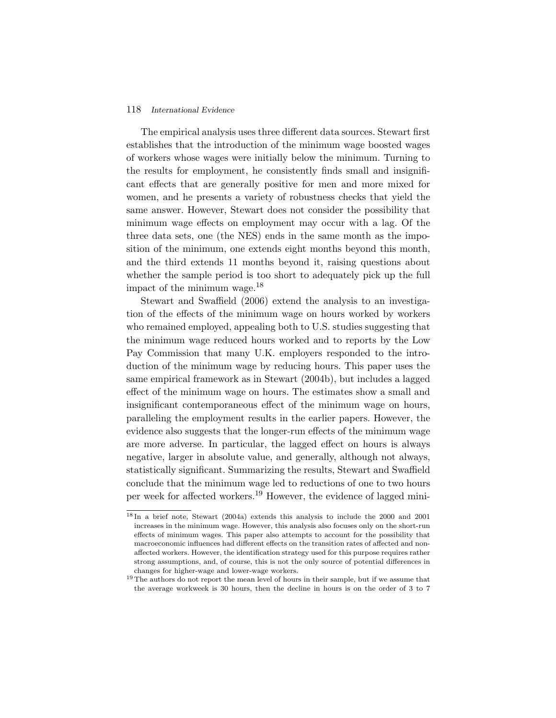The empirical analysis uses three different data sources. Stewart first establishes that the introduction of the minimum wage boosted wages of workers whose wages were initially below the minimum. Turning to the results for employment, he consistently finds small and insignificant effects that are generally positive for men and more mixed for women, and he presents a variety of robustness checks that yield the same answer. However, Stewart does not consider the possibility that minimum wage effects on employment may occur with a lag. Of the three data sets, one (the NES) ends in the same month as the imposition of the minimum, one extends eight months beyond this month, and the third extends 11 months beyond it, raising questions about whether the sample period is too short to adequately pick up the full impact of the minimum wage.<sup>18</sup>

Stewart and Swaffield (2006) extend the analysis to an investigation of the effects of the minimum wage on hours worked by workers who remained employed, appealing both to U.S. studies suggesting that the minimum wage reduced hours worked and to reports by the Low Pay Commission that many U.K. employers responded to the introduction of the minimum wage by reducing hours. This paper uses the same empirical framework as in Stewart (2004b), but includes a lagged effect of the minimum wage on hours. The estimates show a small and insignificant contemporaneous effect of the minimum wage on hours, paralleling the employment results in the earlier papers. However, the evidence also suggests that the longer-run effects of the minimum wage are more adverse. In particular, the lagged effect on hours is always negative, larger in absolute value, and generally, although not always, statistically significant. Summarizing the results, Stewart and Swaffield conclude that the minimum wage led to reductions of one to two hours per week for affected workers.<sup>19</sup> However, the evidence of lagged mini-

<sup>18</sup> In a brief note, Stewart (2004a) extends this analysis to include the 2000 and 2001 increases in the minimum wage. However, this analysis also focuses only on the short-run effects of minimum wages. This paper also attempts to account for the possibility that macroeconomic influences had different effects on the transition rates of affected and nonaffected workers. However, the identification strategy used for this purpose requires rather strong assumptions, and, of course, this is not the only source of potential differences in changes for higher-wage and lower-wage workers.

<sup>&</sup>lt;sup>19</sup> The authors do not report the mean level of hours in their sample, but if we assume that the average workweek is 30 hours, then the decline in hours is on the order of 3 to 7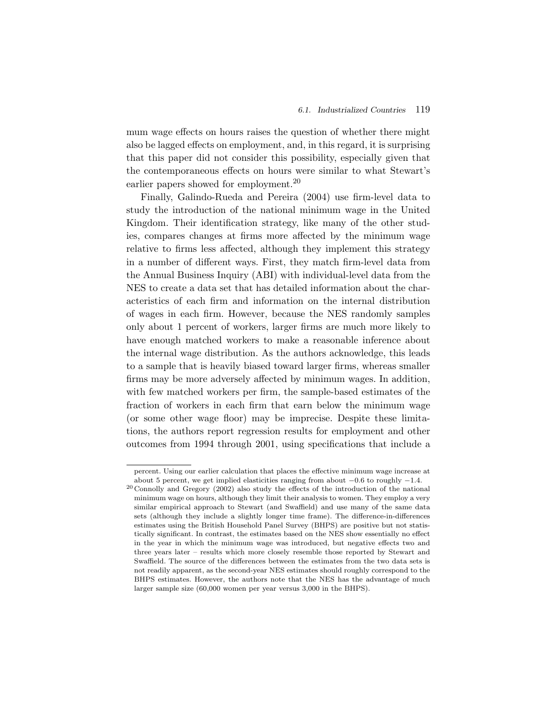mum wage effects on hours raises the question of whether there might also be lagged effects on employment, and, in this regard, it is surprising that this paper did not consider this possibility, especially given that the contemporaneous effects on hours were similar to what Stewart's earlier papers showed for employment.<sup>20</sup>

Finally, Galindo-Rueda and Pereira (2004) use firm-level data to study the introduction of the national minimum wage in the United Kingdom. Their identification strategy, like many of the other studies, compares changes at firms more affected by the minimum wage relative to firms less affected, although they implement this strategy in a number of different ways. First, they match firm-level data from the Annual Business Inquiry (ABI) with individual-level data from the NES to create a data set that has detailed information about the characteristics of each firm and information on the internal distribution of wages in each firm. However, because the NES randomly samples only about 1 percent of workers, larger firms are much more likely to have enough matched workers to make a reasonable inference about the internal wage distribution. As the authors acknowledge, this leads to a sample that is heavily biased toward larger firms, whereas smaller firms may be more adversely affected by minimum wages. In addition, with few matched workers per firm, the sample-based estimates of the fraction of workers in each firm that earn below the minimum wage (or some other wage floor) may be imprecise. Despite these limitations, the authors report regression results for employment and other outcomes from 1994 through 2001, using specifications that include a

percent. Using our earlier calculation that places the effective minimum wage increase at

about 5 percent, we get implied elasticities ranging from about  $-0.6$  to roughly  $-1.4$ . <sup>20</sup> Connolly and Gregory (2002) also study the effects of the introduction of the national minimum wage on hours, although they limit their analysis to women. They employ a very similar empirical approach to Stewart (and Swaffield) and use many of the same data sets (although they include a slightly longer time frame). The difference-in-differences estimates using the British Household Panel Survey (BHPS) are positive but not statistically significant. In contrast, the estimates based on the NES show essentially no effect in the year in which the minimum wage was introduced, but negative effects two and three years later – results which more closely resemble those reported by Stewart and Swaffield. The source of the differences between the estimates from the two data sets is not readily apparent, as the second-year NES estimates should roughly correspond to the BHPS estimates. However, the authors note that the NES has the advantage of much larger sample size (60,000 women per year versus 3,000 in the BHPS).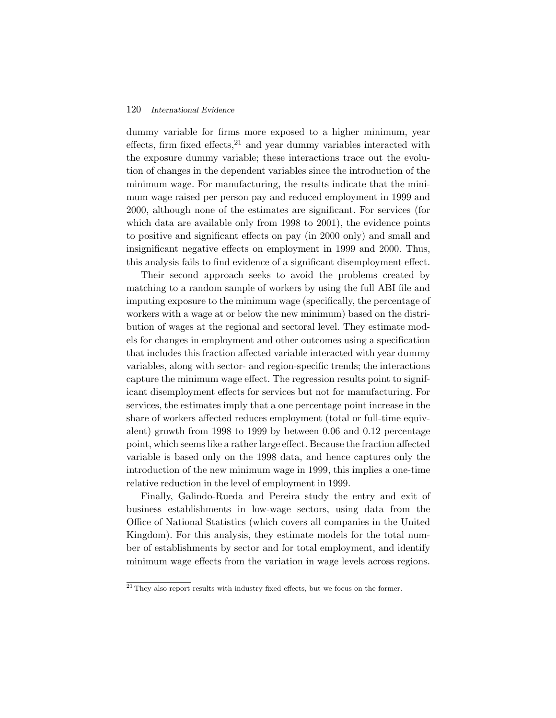dummy variable for firms more exposed to a higher minimum, year effects, firm fixed effects, $21$  and year dummy variables interacted with the exposure dummy variable; these interactions trace out the evolution of changes in the dependent variables since the introduction of the minimum wage. For manufacturing, the results indicate that the minimum wage raised per person pay and reduced employment in 1999 and 2000, although none of the estimates are significant. For services (for which data are available only from 1998 to 2001), the evidence points to positive and significant effects on pay (in 2000 only) and small and insignificant negative effects on employment in 1999 and 2000. Thus, this analysis fails to find evidence of a significant disemployment effect.

Their second approach seeks to avoid the problems created by matching to a random sample of workers by using the full ABI file and imputing exposure to the minimum wage (specifically, the percentage of workers with a wage at or below the new minimum) based on the distribution of wages at the regional and sectoral level. They estimate models for changes in employment and other outcomes using a specification that includes this fraction affected variable interacted with year dummy variables, along with sector- and region-specific trends; the interactions capture the minimum wage effect. The regression results point to significant disemployment effects for services but not for manufacturing. For services, the estimates imply that a one percentage point increase in the share of workers affected reduces employment (total or full-time equivalent) growth from 1998 to 1999 by between 0.06 and 0.12 percentage point, which seems like a rather large effect. Because the fraction affected variable is based only on the 1998 data, and hence captures only the introduction of the new minimum wage in 1999, this implies a one-time relative reduction in the level of employment in 1999.

Finally, Galindo-Rueda and Pereira study the entry and exit of business establishments in low-wage sectors, using data from the Office of National Statistics (which covers all companies in the United Kingdom). For this analysis, they estimate models for the total number of establishments by sector and for total employment, and identify minimum wage effects from the variation in wage levels across regions.

 $21$  They also report results with industry fixed effects, but we focus on the former.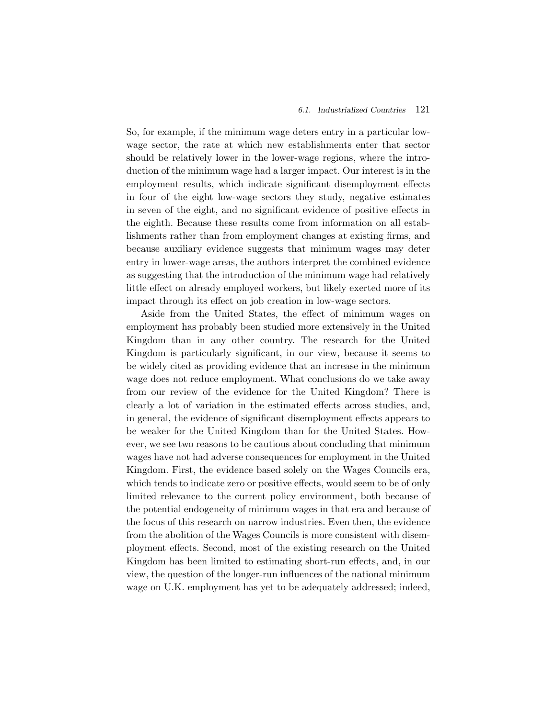So, for example, if the minimum wage deters entry in a particular lowwage sector, the rate at which new establishments enter that sector should be relatively lower in the lower-wage regions, where the introduction of the minimum wage had a larger impact. Our interest is in the employment results, which indicate significant disemployment effects in four of the eight low-wage sectors they study, negative estimates in seven of the eight, and no significant evidence of positive effects in the eighth. Because these results come from information on all establishments rather than from employment changes at existing firms, and because auxiliary evidence suggests that minimum wages may deter entry in lower-wage areas, the authors interpret the combined evidence as suggesting that the introduction of the minimum wage had relatively little effect on already employed workers, but likely exerted more of its impact through its effect on job creation in low-wage sectors.

Aside from the United States, the effect of minimum wages on employment has probably been studied more extensively in the United Kingdom than in any other country. The research for the United Kingdom is particularly significant, in our view, because it seems to be widely cited as providing evidence that an increase in the minimum wage does not reduce employment. What conclusions do we take away from our review of the evidence for the United Kingdom? There is clearly a lot of variation in the estimated effects across studies, and, in general, the evidence of significant disemployment effects appears to be weaker for the United Kingdom than for the United States. However, we see two reasons to be cautious about concluding that minimum wages have not had adverse consequences for employment in the United Kingdom. First, the evidence based solely on the Wages Councils era, which tends to indicate zero or positive effects, would seem to be of only limited relevance to the current policy environment, both because of the potential endogeneity of minimum wages in that era and because of the focus of this research on narrow industries. Even then, the evidence from the abolition of the Wages Councils is more consistent with disemployment effects. Second, most of the existing research on the United Kingdom has been limited to estimating short-run effects, and, in our view, the question of the longer-run influences of the national minimum wage on U.K. employment has yet to be adequately addressed; indeed,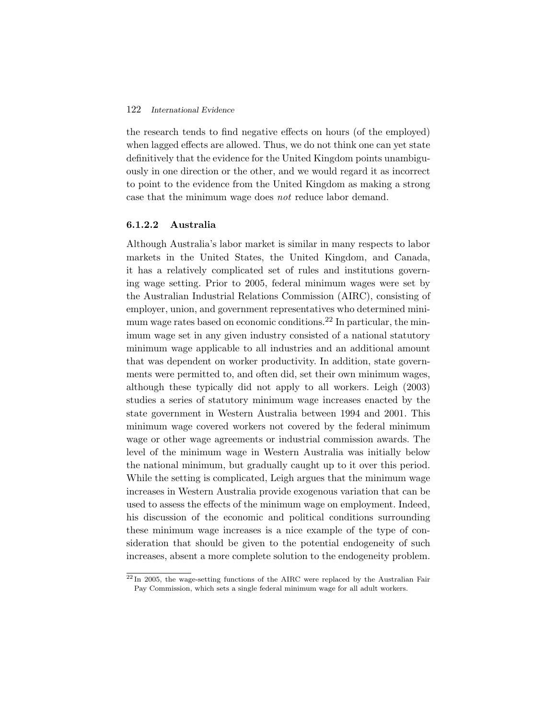the research tends to find negative effects on hours (of the employed) when lagged effects are allowed. Thus, we do not think one can yet state definitively that the evidence for the United Kingdom points unambiguously in one direction or the other, and we would regard it as incorrect to point to the evidence from the United Kingdom as making a strong case that the minimum wage does *not* reduce labor demand.

# **6.1.2.2 Australia**

Although Australia's labor market is similar in many respects to labor markets in the United States, the United Kingdom, and Canada, it has a relatively complicated set of rules and institutions governing wage setting. Prior to 2005, federal minimum wages were set by the Australian Industrial Relations Commission (AIRC), consisting of employer, union, and government representatives who determined minimum wage rates based on economic conditions.<sup>22</sup> In particular, the minimum wage set in any given industry consisted of a national statutory minimum wage applicable to all industries and an additional amount that was dependent on worker productivity. In addition, state governments were permitted to, and often did, set their own minimum wages, although these typically did not apply to all workers. Leigh (2003) studies a series of statutory minimum wage increases enacted by the state government in Western Australia between 1994 and 2001. This minimum wage covered workers not covered by the federal minimum wage or other wage agreements or industrial commission awards. The level of the minimum wage in Western Australia was initially below the national minimum, but gradually caught up to it over this period. While the setting is complicated, Leigh argues that the minimum wage increases in Western Australia provide exogenous variation that can be used to assess the effects of the minimum wage on employment. Indeed, his discussion of the economic and political conditions surrounding these minimum wage increases is a nice example of the type of consideration that should be given to the potential endogeneity of such increases, absent a more complete solution to the endogeneity problem.

 $22 \text{ In } 2005$ , the wage-setting functions of the AIRC were replaced by the Australian Fair Pay Commission, which sets a single federal minimum wage for all adult workers.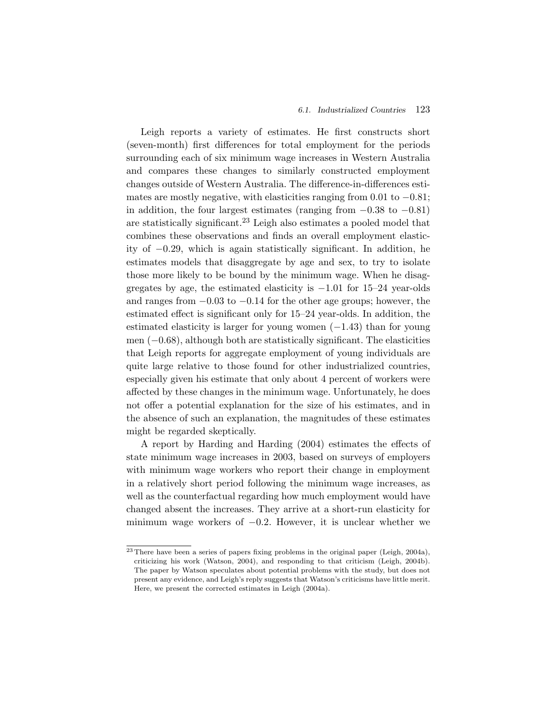#### *6.1. Industrialized Countries* 123

Leigh reports a variety of estimates. He first constructs short (seven-month) first differences for total employment for the periods surrounding each of six minimum wage increases in Western Australia and compares these changes to similarly constructed employment changes outside of Western Australia. The difference-in-differences estimates are mostly negative, with elasticities ranging from 0.01 to −0.81; in addition, the four largest estimates (ranging from −0.38 to −0.81) are statistically significant.<sup>23</sup> Leigh also estimates a pooled model that combines these observations and finds an overall employment elasticity of −0.29, which is again statistically significant. In addition, he estimates models that disaggregate by age and sex, to try to isolate those more likely to be bound by the minimum wage. When he disaggregates by age, the estimated elasticity is  $-1.01$  for 15–24 year-olds and ranges from −0.03 to −0.14 for the other age groups; however, the estimated effect is significant only for 15–24 year-olds. In addition, the estimated elasticity is larger for young women  $(-1.43)$  than for young men (−0.68), although both are statistically significant. The elasticities that Leigh reports for aggregate employment of young individuals are quite large relative to those found for other industrialized countries, especially given his estimate that only about 4 percent of workers were affected by these changes in the minimum wage. Unfortunately, he does not offer a potential explanation for the size of his estimates, and in the absence of such an explanation, the magnitudes of these estimates might be regarded skeptically.

A report by Harding and Harding (2004) estimates the effects of state minimum wage increases in 2003, based on surveys of employers with minimum wage workers who report their change in employment in a relatively short period following the minimum wage increases, as well as the counterfactual regarding how much employment would have changed absent the increases. They arrive at a short-run elasticity for minimum wage workers of  $-0.2$ . However, it is unclear whether we

<sup>23</sup> There have been a series of papers fixing problems in the original paper (Leigh, 2004a), criticizing his work (Watson, 2004), and responding to that criticism (Leigh, 2004b). The paper by Watson speculates about potential problems with the study, but does not present any evidence, and Leigh's reply suggests that Watson's criticisms have little merit. Here, we present the corrected estimates in Leigh (2004a).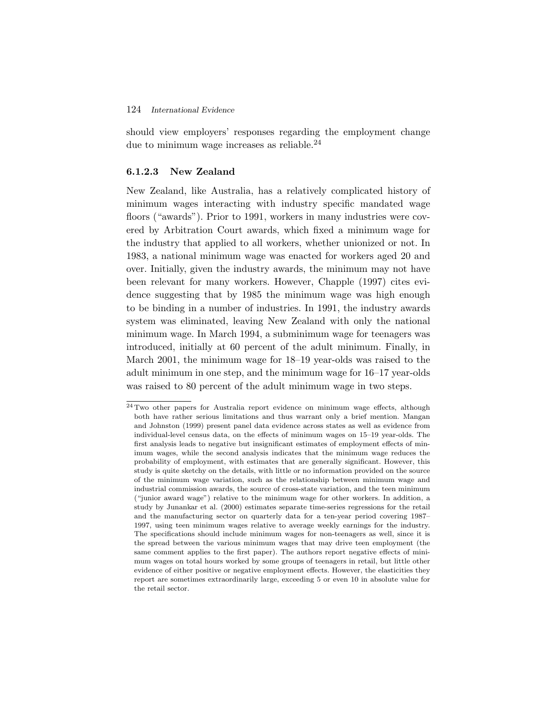should view employers' responses regarding the employment change due to minimum wage increases as reliable.<sup>24</sup>

# **6.1.2.3 New Zealand**

New Zealand, like Australia, has a relatively complicated history of minimum wages interacting with industry specific mandated wage floors ("awards"). Prior to 1991, workers in many industries were covered by Arbitration Court awards, which fixed a minimum wage for the industry that applied to all workers, whether unionized or not. In 1983, a national minimum wage was enacted for workers aged 20 and over. Initially, given the industry awards, the minimum may not have been relevant for many workers. However, Chapple (1997) cites evidence suggesting that by 1985 the minimum wage was high enough to be binding in a number of industries. In 1991, the industry awards system was eliminated, leaving New Zealand with only the national minimum wage. In March 1994, a subminimum wage for teenagers was introduced, initially at 60 percent of the adult minimum. Finally, in March 2001, the minimum wage for 18–19 year-olds was raised to the adult minimum in one step, and the minimum wage for 16–17 year-olds was raised to 80 percent of the adult minimum wage in two steps.

<sup>24</sup> Two other papers for Australia report evidence on minimum wage effects, although both have rather serious limitations and thus warrant only a brief mention. Mangan and Johnston (1999) present panel data evidence across states as well as evidence from individual-level census data, on the effects of minimum wages on 15–19 year-olds. The first analysis leads to negative but insignificant estimates of employment effects of minimum wages, while the second analysis indicates that the minimum wage reduces the probability of employment, with estimates that are generally significant. However, this study is quite sketchy on the details, with little or no information provided on the source of the minimum wage variation, such as the relationship between minimum wage and industrial commission awards, the source of cross-state variation, and the teen minimum ("junior award wage") relative to the minimum wage for other workers. In addition, a study by Junankar et al. (2000) estimates separate time-series regressions for the retail and the manufacturing sector on quarterly data for a ten-year period covering 1987– 1997, using teen minimum wages relative to average weekly earnings for the industry. The specifications should include minimum wages for non-teenagers as well, since it is the spread between the various minimum wages that may drive teen employment (the same comment applies to the first paper). The authors report negative effects of minimum wages on total hours worked by some groups of teenagers in retail, but little other evidence of either positive or negative employment effects. However, the elasticities they report are sometimes extraordinarily large, exceeding 5 or even 10 in absolute value for the retail sector.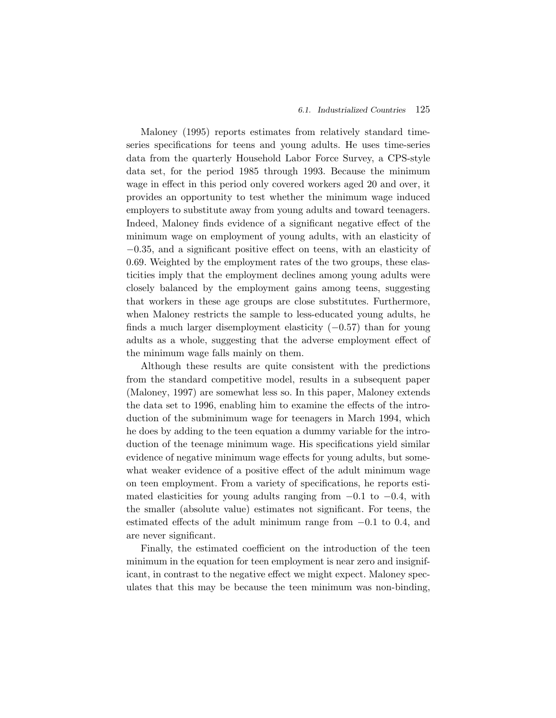#### *6.1. Industrialized Countries* 125

Maloney (1995) reports estimates from relatively standard timeseries specifications for teens and young adults. He uses time-series data from the quarterly Household Labor Force Survey, a CPS-style data set, for the period 1985 through 1993. Because the minimum wage in effect in this period only covered workers aged 20 and over, it provides an opportunity to test whether the minimum wage induced employers to substitute away from young adults and toward teenagers. Indeed, Maloney finds evidence of a significant negative effect of the minimum wage on employment of young adults, with an elasticity of −0.35, and a significant positive effect on teens, with an elasticity of 0.69. Weighted by the employment rates of the two groups, these elasticities imply that the employment declines among young adults were closely balanced by the employment gains among teens, suggesting that workers in these age groups are close substitutes. Furthermore, when Maloney restricts the sample to less-educated young adults, he finds a much larger disemployment elasticity  $(-0.57)$  than for young adults as a whole, suggesting that the adverse employment effect of the minimum wage falls mainly on them.

Although these results are quite consistent with the predictions from the standard competitive model, results in a subsequent paper (Maloney, 1997) are somewhat less so. In this paper, Maloney extends the data set to 1996, enabling him to examine the effects of the introduction of the subminimum wage for teenagers in March 1994, which he does by adding to the teen equation a dummy variable for the introduction of the teenage minimum wage. His specifications yield similar evidence of negative minimum wage effects for young adults, but somewhat weaker evidence of a positive effect of the adult minimum wage on teen employment. From a variety of specifications, he reports estimated elasticities for young adults ranging from  $-0.1$  to  $-0.4$ , with the smaller (absolute value) estimates not significant. For teens, the estimated effects of the adult minimum range from −0.1 to 0.4, and are never significant.

Finally, the estimated coefficient on the introduction of the teen minimum in the equation for teen employment is near zero and insignificant, in contrast to the negative effect we might expect. Maloney speculates that this may be because the teen minimum was non-binding,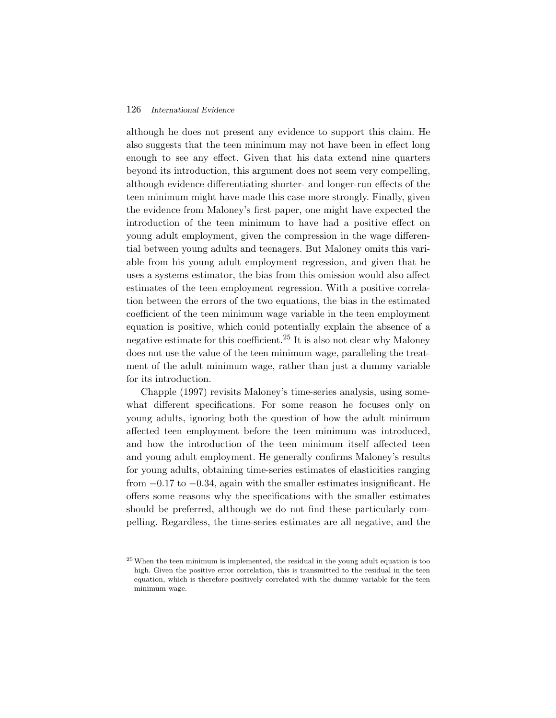although he does not present any evidence to support this claim. He also suggests that the teen minimum may not have been in effect long enough to see any effect. Given that his data extend nine quarters beyond its introduction, this argument does not seem very compelling, although evidence differentiating shorter- and longer-run effects of the teen minimum might have made this case more strongly. Finally, given the evidence from Maloney's first paper, one might have expected the introduction of the teen minimum to have had a positive effect on young adult employment, given the compression in the wage differential between young adults and teenagers. But Maloney omits this variable from his young adult employment regression, and given that he uses a systems estimator, the bias from this omission would also affect estimates of the teen employment regression. With a positive correlation between the errors of the two equations, the bias in the estimated coefficient of the teen minimum wage variable in the teen employment equation is positive, which could potentially explain the absence of a negative estimate for this coefficient.<sup>25</sup> It is also not clear why Maloney does not use the value of the teen minimum wage, paralleling the treatment of the adult minimum wage, rather than just a dummy variable for its introduction.

Chapple (1997) revisits Maloney's time-series analysis, using somewhat different specifications. For some reason he focuses only on young adults, ignoring both the question of how the adult minimum affected teen employment before the teen minimum was introduced, and how the introduction of the teen minimum itself affected teen and young adult employment. He generally confirms Maloney's results for young adults, obtaining time-series estimates of elasticities ranging from −0.17 to −0.34, again with the smaller estimates insignificant. He offers some reasons why the specifications with the smaller estimates should be preferred, although we do not find these particularly compelling. Regardless, the time-series estimates are all negative, and the

 $^{25}\!\!\!\,$  When the teen minimum is implemented, the residual in the young adult equation is too high. Given the positive error correlation, this is transmitted to the residual in the teen equation, which is therefore positively correlated with the dummy variable for the teen minimum wage.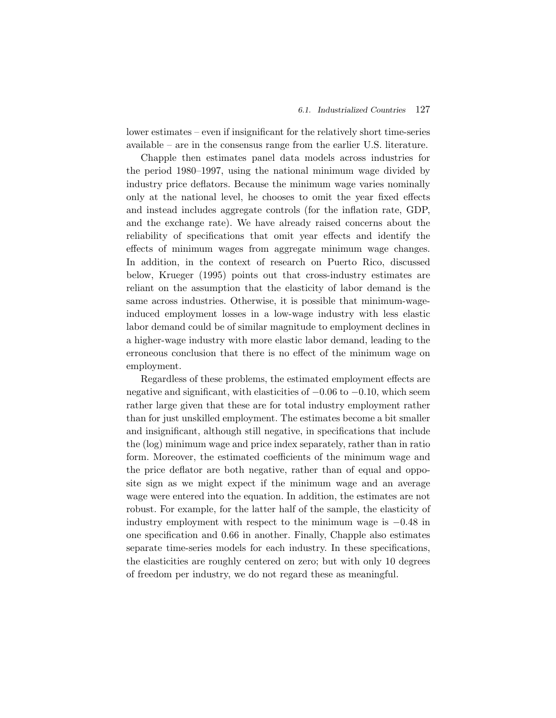lower estimates – even if insignificant for the relatively short time-series available – are in the consensus range from the earlier U.S. literature.

Chapple then estimates panel data models across industries for the period 1980–1997, using the national minimum wage divided by industry price deflators. Because the minimum wage varies nominally only at the national level, he chooses to omit the year fixed effects and instead includes aggregate controls (for the inflation rate, GDP, and the exchange rate). We have already raised concerns about the reliability of specifications that omit year effects and identify the effects of minimum wages from aggregate minimum wage changes. In addition, in the context of research on Puerto Rico, discussed below, Krueger (1995) points out that cross-industry estimates are reliant on the assumption that the elasticity of labor demand is the same across industries. Otherwise, it is possible that minimum-wageinduced employment losses in a low-wage industry with less elastic labor demand could be of similar magnitude to employment declines in a higher-wage industry with more elastic labor demand, leading to the erroneous conclusion that there is no effect of the minimum wage on employment.

Regardless of these problems, the estimated employment effects are negative and significant, with elasticities of  $-0.06$  to  $-0.10$ , which seem rather large given that these are for total industry employment rather than for just unskilled employment. The estimates become a bit smaller and insignificant, although still negative, in specifications that include the (log) minimum wage and price index separately, rather than in ratio form. Moreover, the estimated coefficients of the minimum wage and the price deflator are both negative, rather than of equal and opposite sign as we might expect if the minimum wage and an average wage were entered into the equation. In addition, the estimates are not robust. For example, for the latter half of the sample, the elasticity of industry employment with respect to the minimum wage is −0.48 in one specification and 0.66 in another. Finally, Chapple also estimates separate time-series models for each industry. In these specifications, the elasticities are roughly centered on zero; but with only 10 degrees of freedom per industry, we do not regard these as meaningful.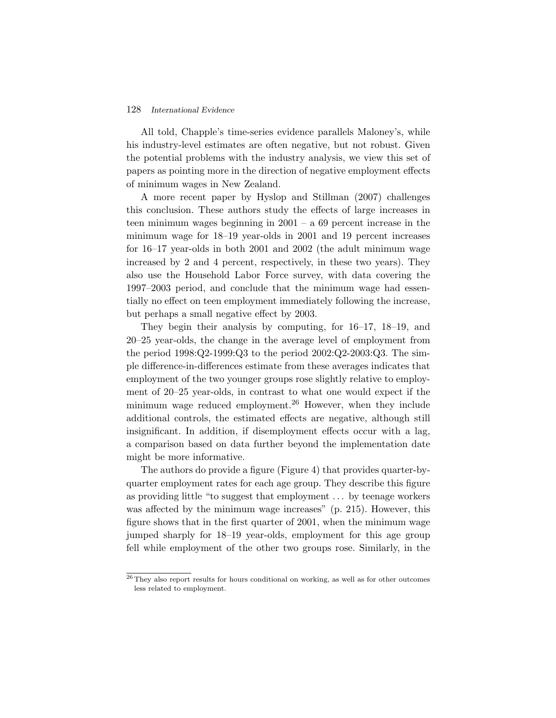All told, Chapple's time-series evidence parallels Maloney's, while his industry-level estimates are often negative, but not robust. Given the potential problems with the industry analysis, we view this set of papers as pointing more in the direction of negative employment effects of minimum wages in New Zealand.

A more recent paper by Hyslop and Stillman (2007) challenges this conclusion. These authors study the effects of large increases in teen minimum wages beginning in 2001 – a 69 percent increase in the minimum wage for 18–19 year-olds in 2001 and 19 percent increases for 16–17 year-olds in both 2001 and 2002 (the adult minimum wage increased by 2 and 4 percent, respectively, in these two years). They also use the Household Labor Force survey, with data covering the 1997–2003 period, and conclude that the minimum wage had essentially no effect on teen employment immediately following the increase, but perhaps a small negative effect by 2003.

They begin their analysis by computing, for 16–17, 18–19, and 20–25 year-olds, the change in the average level of employment from the period 1998:Q2-1999:Q3 to the period 2002:Q2-2003:Q3. The simple difference-in-differences estimate from these averages indicates that employment of the two younger groups rose slightly relative to employment of 20–25 year-olds, in contrast to what one would expect if the minimum wage reduced employment.<sup>26</sup> However, when they include additional controls, the estimated effects are negative, although still insignificant. In addition, if disemployment effects occur with a lag, a comparison based on data further beyond the implementation date might be more informative.

The authors do provide a figure (Figure 4) that provides quarter-byquarter employment rates for each age group. They describe this figure as providing little "to suggest that employment . . . by teenage workers was affected by the minimum wage increases" (p. 215). However, this figure shows that in the first quarter of 2001, when the minimum wage jumped sharply for 18–19 year-olds, employment for this age group fell while employment of the other two groups rose. Similarly, in the

 $26$  They also report results for hours conditional on working, as well as for other outcomes less related to employment.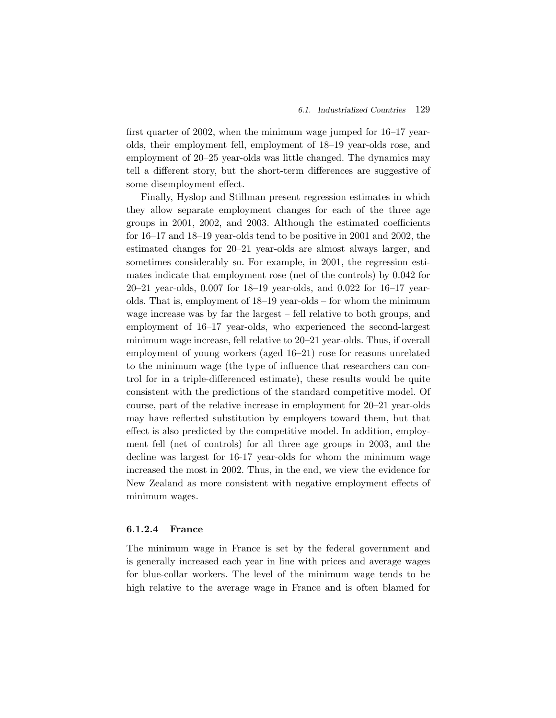first quarter of 2002, when the minimum wage jumped for 16–17 yearolds, their employment fell, employment of 18–19 year-olds rose, and employment of 20–25 year-olds was little changed. The dynamics may tell a different story, but the short-term differences are suggestive of some disemployment effect.

Finally, Hyslop and Stillman present regression estimates in which they allow separate employment changes for each of the three age groups in 2001, 2002, and 2003. Although the estimated coefficients for 16–17 and 18–19 year-olds tend to be positive in 2001 and 2002, the estimated changes for 20–21 year-olds are almost always larger, and sometimes considerably so. For example, in 2001, the regression estimates indicate that employment rose (net of the controls) by 0.042 for 20–21 year-olds, 0.007 for 18–19 year-olds, and 0.022 for 16–17 yearolds. That is, employment of 18–19 year-olds – for whom the minimum wage increase was by far the largest – fell relative to both groups, and employment of 16–17 year-olds, who experienced the second-largest minimum wage increase, fell relative to 20–21 year-olds. Thus, if overall employment of young workers (aged 16–21) rose for reasons unrelated to the minimum wage (the type of influence that researchers can control for in a triple-differenced estimate), these results would be quite consistent with the predictions of the standard competitive model. Of course, part of the relative increase in employment for 20–21 year-olds may have reflected substitution by employers toward them, but that effect is also predicted by the competitive model. In addition, employment fell (net of controls) for all three age groups in 2003, and the decline was largest for 16-17 year-olds for whom the minimum wage increased the most in 2002. Thus, in the end, we view the evidence for New Zealand as more consistent with negative employment effects of minimum wages.

## **6.1.2.4 France**

The minimum wage in France is set by the federal government and is generally increased each year in line with prices and average wages for blue-collar workers. The level of the minimum wage tends to be high relative to the average wage in France and is often blamed for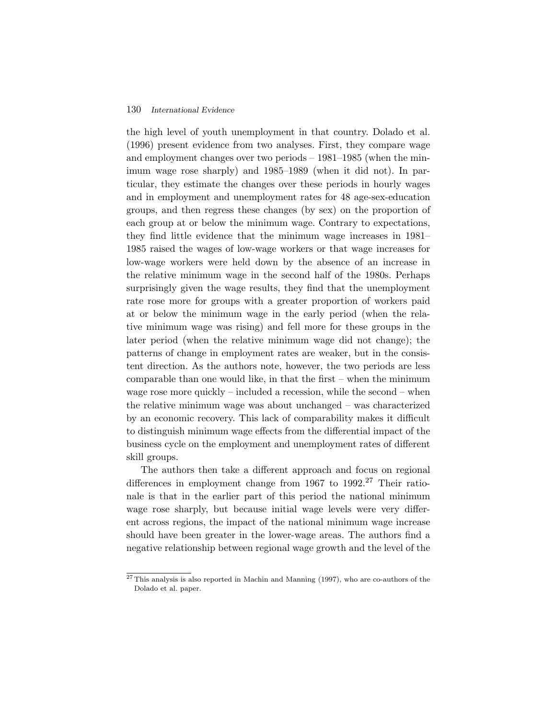the high level of youth unemployment in that country. Dolado et al. (1996) present evidence from two analyses. First, they compare wage and employment changes over two periods – 1981–1985 (when the minimum wage rose sharply) and 1985–1989 (when it did not). In particular, they estimate the changes over these periods in hourly wages and in employment and unemployment rates for 48 age-sex-education groups, and then regress these changes (by sex) on the proportion of each group at or below the minimum wage. Contrary to expectations, they find little evidence that the minimum wage increases in 1981– 1985 raised the wages of low-wage workers or that wage increases for low-wage workers were held down by the absence of an increase in the relative minimum wage in the second half of the 1980s. Perhaps surprisingly given the wage results, they find that the unemployment rate rose more for groups with a greater proportion of workers paid at or below the minimum wage in the early period (when the relative minimum wage was rising) and fell more for these groups in the later period (when the relative minimum wage did not change); the patterns of change in employment rates are weaker, but in the consistent direction. As the authors note, however, the two periods are less comparable than one would like, in that the first – when the minimum wage rose more quickly – included a recession, while the second – when the relative minimum wage was about unchanged – was characterized by an economic recovery. This lack of comparability makes it difficult to distinguish minimum wage effects from the differential impact of the business cycle on the employment and unemployment rates of different skill groups.

The authors then take a different approach and focus on regional differences in employment change from  $1967$  to  $1992.<sup>27</sup>$  Their rationale is that in the earlier part of this period the national minimum wage rose sharply, but because initial wage levels were very different across regions, the impact of the national minimum wage increase should have been greater in the lower-wage areas. The authors find a negative relationship between regional wage growth and the level of the

 $27$  This analysis is also reported in Machin and Manning (1997), who are co-authors of the Dolado et al. paper.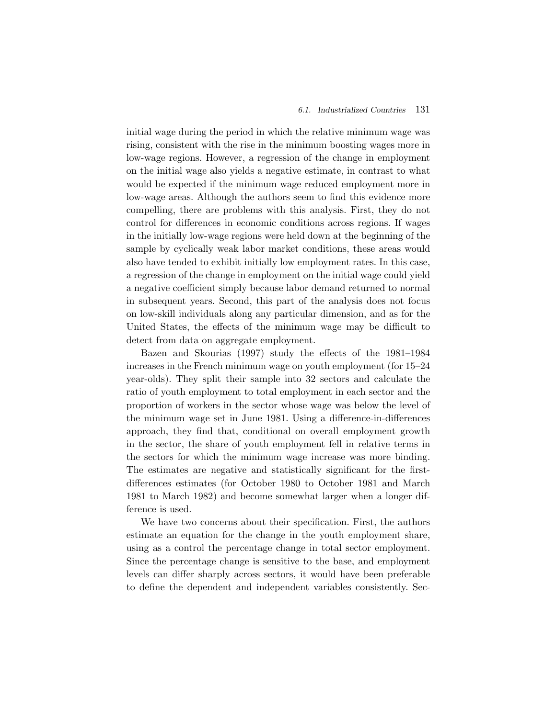#### *6.1. Industrialized Countries* 131

initial wage during the period in which the relative minimum wage was rising, consistent with the rise in the minimum boosting wages more in low-wage regions. However, a regression of the change in employment on the initial wage also yields a negative estimate, in contrast to what would be expected if the minimum wage reduced employment more in low-wage areas. Although the authors seem to find this evidence more compelling, there are problems with this analysis. First, they do not control for differences in economic conditions across regions. If wages in the initially low-wage regions were held down at the beginning of the sample by cyclically weak labor market conditions, these areas would also have tended to exhibit initially low employment rates. In this case, a regression of the change in employment on the initial wage could yield a negative coefficient simply because labor demand returned to normal in subsequent years. Second, this part of the analysis does not focus on low-skill individuals along any particular dimension, and as for the United States, the effects of the minimum wage may be difficult to detect from data on aggregate employment.

Bazen and Skourias (1997) study the effects of the 1981–1984 increases in the French minimum wage on youth employment (for 15–24 year-olds). They split their sample into 32 sectors and calculate the ratio of youth employment to total employment in each sector and the proportion of workers in the sector whose wage was below the level of the minimum wage set in June 1981. Using a difference-in-differences approach, they find that, conditional on overall employment growth in the sector, the share of youth employment fell in relative terms in the sectors for which the minimum wage increase was more binding. The estimates are negative and statistically significant for the firstdifferences estimates (for October 1980 to October 1981 and March 1981 to March 1982) and become somewhat larger when a longer difference is used.

We have two concerns about their specification. First, the authors estimate an equation for the change in the youth employment share, using as a control the percentage change in total sector employment. Since the percentage change is sensitive to the base, and employment levels can differ sharply across sectors, it would have been preferable to define the dependent and independent variables consistently. Sec-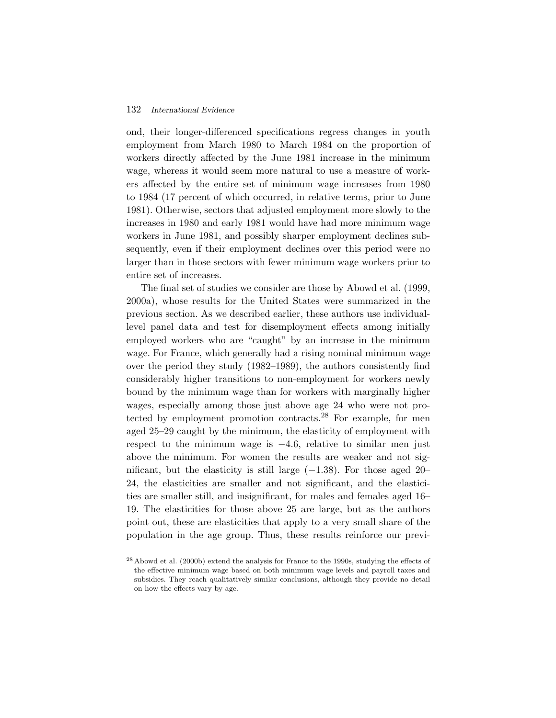ond, their longer-differenced specifications regress changes in youth employment from March 1980 to March 1984 on the proportion of workers directly affected by the June 1981 increase in the minimum wage, whereas it would seem more natural to use a measure of workers affected by the entire set of minimum wage increases from 1980 to 1984 (17 percent of which occurred, in relative terms, prior to June 1981). Otherwise, sectors that adjusted employment more slowly to the increases in 1980 and early 1981 would have had more minimum wage workers in June 1981, and possibly sharper employment declines subsequently, even if their employment declines over this period were no larger than in those sectors with fewer minimum wage workers prior to entire set of increases.

The final set of studies we consider are those by Abowd et al. (1999, 2000a), whose results for the United States were summarized in the previous section. As we described earlier, these authors use individuallevel panel data and test for disemployment effects among initially employed workers who are "caught" by an increase in the minimum wage. For France, which generally had a rising nominal minimum wage over the period they study (1982–1989), the authors consistently find considerably higher transitions to non-employment for workers newly bound by the minimum wage than for workers with marginally higher wages, especially among those just above age 24 who were not protected by employment promotion contracts.<sup>28</sup> For example, for men aged 25–29 caught by the minimum, the elasticity of employment with respect to the minimum wage is  $-4.6$ , relative to similar men just above the minimum. For women the results are weaker and not significant, but the elasticity is still large  $(-1.38)$ . For those aged 20– 24, the elasticities are smaller and not significant, and the elasticities are smaller still, and insignificant, for males and females aged 16– 19. The elasticities for those above 25 are large, but as the authors point out, these are elasticities that apply to a very small share of the population in the age group. Thus, these results reinforce our previ-

<sup>28</sup> Abowd et al. (2000b) extend the analysis for France to the 1990s, studying the effects of the effective minimum wage based on both minimum wage levels and payroll taxes and subsidies. They reach qualitatively similar conclusions, although they provide no detail on how the effects vary by age.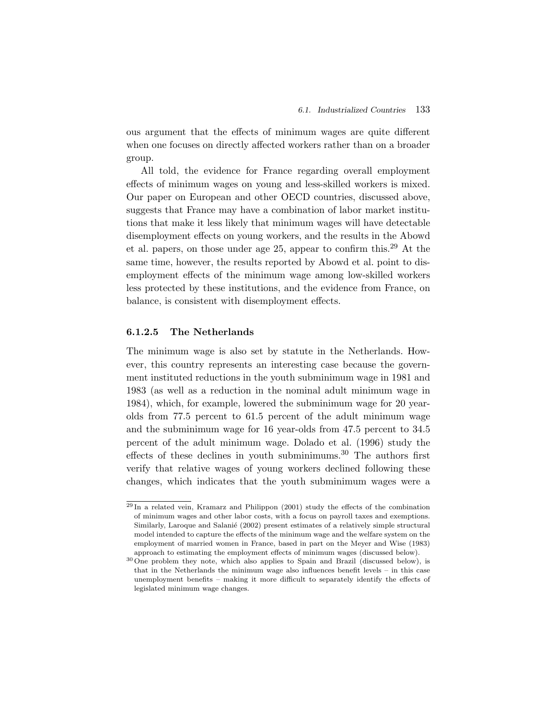ous argument that the effects of minimum wages are quite different when one focuses on directly affected workers rather than on a broader group.

All told, the evidence for France regarding overall employment effects of minimum wages on young and less-skilled workers is mixed. Our paper on European and other OECD countries, discussed above, suggests that France may have a combination of labor market institutions that make it less likely that minimum wages will have detectable disemployment effects on young workers, and the results in the Abowd et al. papers, on those under age 25, appear to confirm this.<sup>29</sup> At the same time, however, the results reported by Abowd et al. point to disemployment effects of the minimum wage among low-skilled workers less protected by these institutions, and the evidence from France, on balance, is consistent with disemployment effects.

#### **6.1.2.5 The Netherlands**

The minimum wage is also set by statute in the Netherlands. However, this country represents an interesting case because the government instituted reductions in the youth subminimum wage in 1981 and 1983 (as well as a reduction in the nominal adult minimum wage in 1984), which, for example, lowered the subminimum wage for 20 yearolds from 77.5 percent to 61.5 percent of the adult minimum wage and the subminimum wage for 16 year-olds from 47.5 percent to 34.5 percent of the adult minimum wage. Dolado et al. (1996) study the effects of these declines in youth subminimums.<sup>30</sup> The authors first verify that relative wages of young workers declined following these changes, which indicates that the youth subminimum wages were a

<sup>29</sup> In a related vein, Kramarz and Philippon (2001) study the effects of the combination of minimum wages and other labor costs, with a focus on payroll taxes and exemptions. Similarly, Laroque and Salanié (2002) present estimates of a relatively simple structural model intended to capture the effects of the minimum wage and the welfare system on the employment of married women in France, based in part on the Meyer and Wise (1983) approach to estimating the employment effects of minimum wages (discussed below).

<sup>30</sup> One problem they note, which also applies to Spain and Brazil (discussed below), is that in the Netherlands the minimum wage also influences benefit levels – in this case unemployment benefits – making it more difficult to separately identify the effects of legislated minimum wage changes.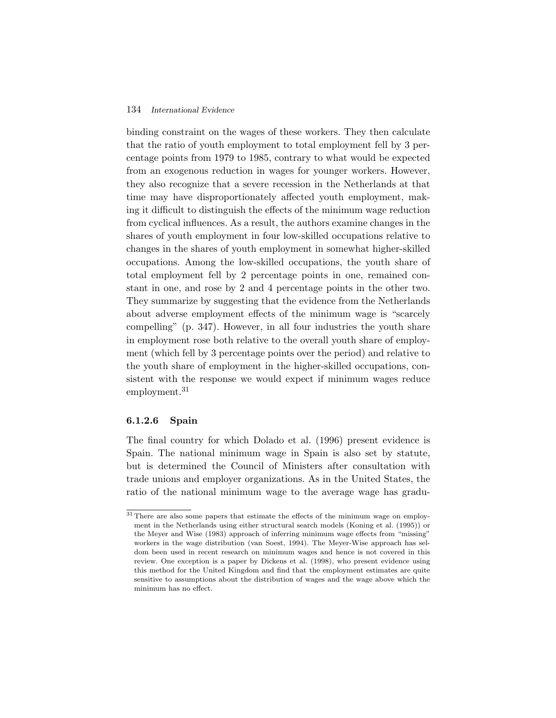binding constraint on the wages of these workers. They then calculate that the ratio of youth employment to total employment fell by 3 percentage points from 1979 to 1985, contrary to what would be expected from an exogenous reduction in wages for younger workers. However, they also recognize that a severe recession in the Netherlands at that time may have disproportionately affected youth employment, making it difficult to distinguish the effects of the minimum wage reduction from cyclical influences. As a result, the authors examine changes in the shares of youth employment in four low-skilled occupations relative to changes in the shares of youth employment in somewhat higher-skilled occupations. Among the low-skilled occupations, the youth share of total employment fell by 2 percentage points in one, remained constant in one, and rose by 2 and 4 percentage points in the other two. They summarize by suggesting that the evidence from the Netherlands about adverse employment effects of the minimum wage is "scarcely compelling" (p. 347). However, in all four industries the youth share in employment rose both relative to the overall youth share of employment (which fell by 3 percentage points over the period) and relative to the youth share of employment in the higher-skilled occupations, consistent with the response we would expect if minimum wages reduce employment.<sup>31</sup>

#### **6.1.2.6 Spain**

The final country for which Dolado et al. (1996) present evidence is Spain. The national minimum wage in Spain is also set by statute, but is determined the Council of Ministers after consultation with trade unions and employer organizations. As in the United States, the ratio of the national minimum wage to the average wage has gradu-

 $^{31}\!$  There are also some papers that estimate the effects of the minimum wage on employment in the Netherlands using either structural search models (Koning et al. (1995)) or the Meyer and Wise (1983) approach of inferring minimum wage effects from "missing" workers in the wage distribution (van Soest, 1994). The Meyer-Wise approach has seldom been used in recent research on minimum wages and hence is not covered in this review. One exception is a paper by Dickens et al. (1998), who present evidence using this method for the United Kingdom and find that the employment estimates are quite sensitive to assumptions about the distribution of wages and the wage above which the minimum has no effect.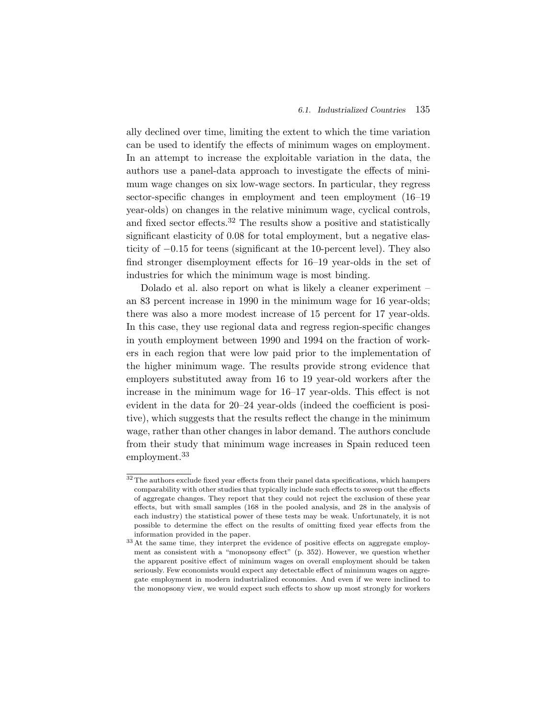ally declined over time, limiting the extent to which the time variation can be used to identify the effects of minimum wages on employment. In an attempt to increase the exploitable variation in the data, the authors use a panel-data approach to investigate the effects of minimum wage changes on six low-wage sectors. In particular, they regress sector-specific changes in employment and teen employment (16–19 year-olds) on changes in the relative minimum wage, cyclical controls, and fixed sector effects.<sup>32</sup> The results show a positive and statistically significant elasticity of 0.08 for total employment, but a negative elasticity of −0.15 for teens (significant at the 10-percent level). They also find stronger disemployment effects for 16–19 year-olds in the set of industries for which the minimum wage is most binding.

Dolado et al. also report on what is likely a cleaner experiment – an 83 percent increase in 1990 in the minimum wage for 16 year-olds; there was also a more modest increase of 15 percent for 17 year-olds. In this case, they use regional data and regress region-specific changes in youth employment between 1990 and 1994 on the fraction of workers in each region that were low paid prior to the implementation of the higher minimum wage. The results provide strong evidence that employers substituted away from 16 to 19 year-old workers after the increase in the minimum wage for 16–17 year-olds. This effect is not evident in the data for 20–24 year-olds (indeed the coefficient is positive), which suggests that the results reflect the change in the minimum wage, rather than other changes in labor demand. The authors conclude from their study that minimum wage increases in Spain reduced teen employment.<sup>33</sup>

<sup>&</sup>lt;sup>32</sup> The authors exclude fixed year effects from their panel data specifications, which hampers comparability with other studies that typically include such effects to sweep out the effects of aggregate changes. They report that they could not reject the exclusion of these year effects, but with small samples (168 in the pooled analysis, and 28 in the analysis of each industry) the statistical power of these tests may be weak. Unfortunately, it is not possible to determine the effect on the results of omitting fixed year effects from the information provided in the paper.

<sup>&</sup>lt;sup>33</sup> At the same time, they interpret the evidence of positive effects on aggregate employment as consistent with a "monopsony effect" (p. 352). However, we question whether the apparent positive effect of minimum wages on overall employment should be taken seriously. Few economists would expect any detectable effect of minimum wages on aggregate employment in modern industrialized economies. And even if we were inclined to the monopsony view, we would expect such effects to show up most strongly for workers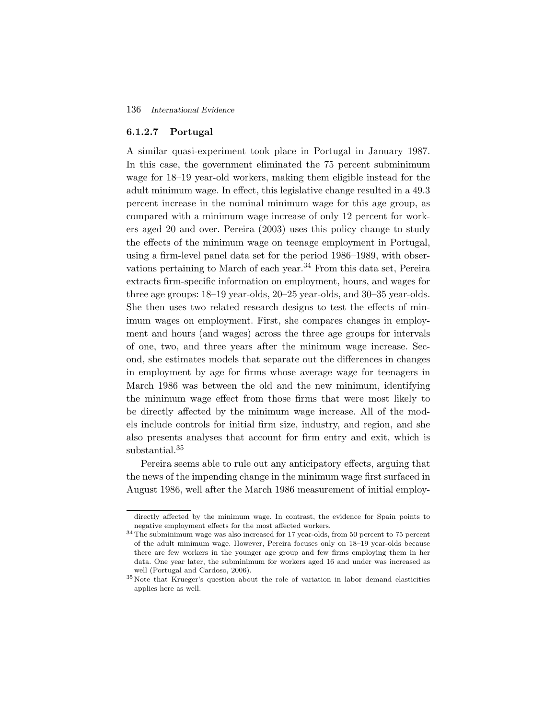#### **6.1.2.7 Portugal**

A similar quasi-experiment took place in Portugal in January 1987. In this case, the government eliminated the 75 percent subminimum wage for 18–19 year-old workers, making them eligible instead for the adult minimum wage. In effect, this legislative change resulted in a 49.3 percent increase in the nominal minimum wage for this age group, as compared with a minimum wage increase of only 12 percent for workers aged 20 and over. Pereira (2003) uses this policy change to study the effects of the minimum wage on teenage employment in Portugal, using a firm-level panel data set for the period 1986–1989, with observations pertaining to March of each year.<sup>34</sup> From this data set, Pereira extracts firm-specific information on employment, hours, and wages for three age groups: 18–19 year-olds, 20–25 year-olds, and 30–35 year-olds. She then uses two related research designs to test the effects of minimum wages on employment. First, she compares changes in employment and hours (and wages) across the three age groups for intervals of one, two, and three years after the minimum wage increase. Second, she estimates models that separate out the differences in changes in employment by age for firms whose average wage for teenagers in March 1986 was between the old and the new minimum, identifying the minimum wage effect from those firms that were most likely to be directly affected by the minimum wage increase. All of the models include controls for initial firm size, industry, and region, and she also presents analyses that account for firm entry and exit, which is substantial.<sup>35</sup>

Pereira seems able to rule out any anticipatory effects, arguing that the news of the impending change in the minimum wage first surfaced in August 1986, well after the March 1986 measurement of initial employ-

directly affected by the minimum wage. In contrast, the evidence for Spain points to negative employment effects for the most affected workers.

<sup>34</sup> The subminimum wage was also increased for 17 year-olds, from 50 percent to 75 percent of the adult minimum wage. However, Pereira focuses only on 18–19 year-olds because there are few workers in the younger age group and few firms employing them in her data. One year later, the subminimum for workers aged 16 and under was increased as well (Portugal and Cardoso, 2006).

<sup>35</sup> Note that Krueger's question about the role of variation in labor demand elasticities applies here as well.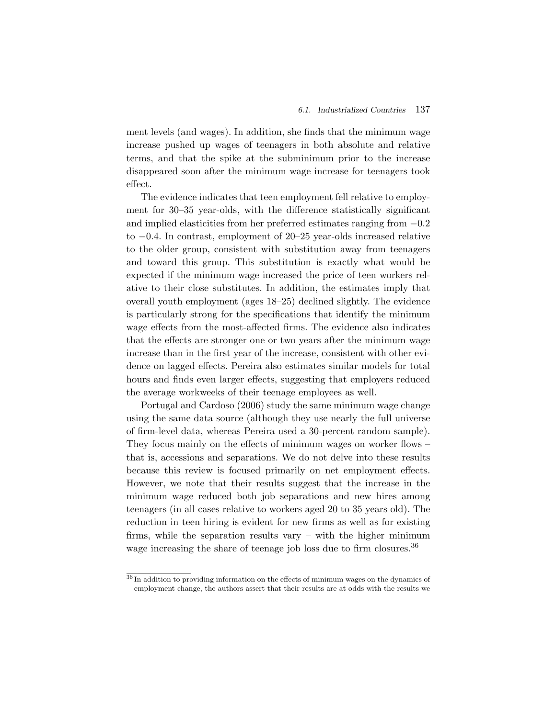ment levels (and wages). In addition, she finds that the minimum wage increase pushed up wages of teenagers in both absolute and relative terms, and that the spike at the subminimum prior to the increase disappeared soon after the minimum wage increase for teenagers took effect.

The evidence indicates that teen employment fell relative to employment for 30–35 year-olds, with the difference statistically significant and implied elasticities from her preferred estimates ranging from −0.2 to −0.4. In contrast, employment of 20–25 year-olds increased relative to the older group, consistent with substitution away from teenagers and toward this group. This substitution is exactly what would be expected if the minimum wage increased the price of teen workers relative to their close substitutes. In addition, the estimates imply that overall youth employment (ages 18–25) declined slightly. The evidence is particularly strong for the specifications that identify the minimum wage effects from the most-affected firms. The evidence also indicates that the effects are stronger one or two years after the minimum wage increase than in the first year of the increase, consistent with other evidence on lagged effects. Pereira also estimates similar models for total hours and finds even larger effects, suggesting that employers reduced the average workweeks of their teenage employees as well.

Portugal and Cardoso (2006) study the same minimum wage change using the same data source (although they use nearly the full universe of firm-level data, whereas Pereira used a 30-percent random sample). They focus mainly on the effects of minimum wages on worker flows – that is, accessions and separations. We do not delve into these results because this review is focused primarily on net employment effects. However, we note that their results suggest that the increase in the minimum wage reduced both job separations and new hires among teenagers (in all cases relative to workers aged 20 to 35 years old). The reduction in teen hiring is evident for new firms as well as for existing firms, while the separation results vary – with the higher minimum wage increasing the share of teenage job loss due to firm closures.<sup>36</sup>

 $36$  In addition to providing information on the effects of minimum wages on the dynamics of employment change, the authors assert that their results are at odds with the results we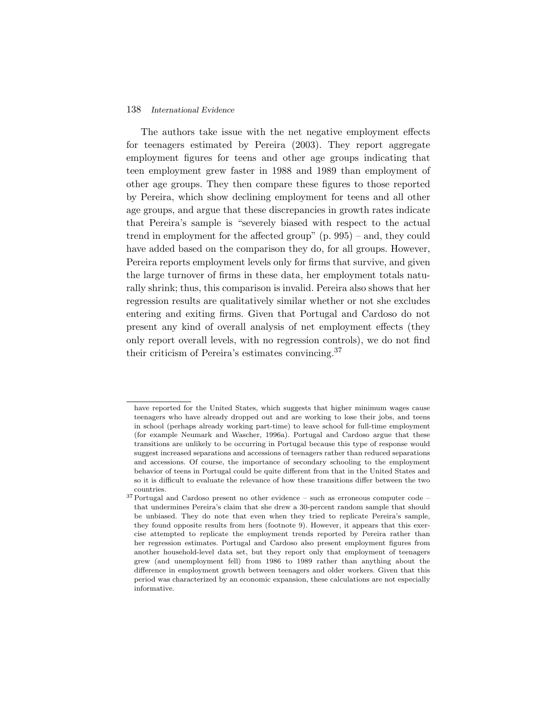The authors take issue with the net negative employment effects for teenagers estimated by Pereira (2003). They report aggregate employment figures for teens and other age groups indicating that teen employment grew faster in 1988 and 1989 than employment of other age groups. They then compare these figures to those reported by Pereira, which show declining employment for teens and all other age groups, and argue that these discrepancies in growth rates indicate that Pereira's sample is "severely biased with respect to the actual trend in employment for the affected group" (p. 995) – and, they could have added based on the comparison they do, for all groups. However, Pereira reports employment levels only for firms that survive, and given the large turnover of firms in these data, her employment totals naturally shrink; thus, this comparison is invalid. Pereira also shows that her regression results are qualitatively similar whether or not she excludes entering and exiting firms. Given that Portugal and Cardoso do not present any kind of overall analysis of net employment effects (they only report overall levels, with no regression controls), we do not find their criticism of Pereira's estimates convincing.<sup>37</sup>

have reported for the United States, which suggests that higher minimum wages cause teenagers who have already dropped out and are working to lose their jobs, and teens in school (perhaps already working part-time) to leave school for full-time employment (for example Neumark and Wascher, 1996a). Portugal and Cardoso argue that these transitions are unlikely to be occurring in Portugal because this type of response would suggest increased separations and accessions of teenagers rather than reduced separations and accessions. Of course, the importance of secondary schooling to the employment behavior of teens in Portugal could be quite different from that in the United States and so it is difficult to evaluate the relevance of how these transitions differ between the two countries.

 $^{37}\rm{Portugal}$  and Cardoso present no other evidence – such as erroneous computer code – that undermines Pereira's claim that she drew a 30-percent random sample that should be unbiased. They do note that even when they tried to replicate Pereira's sample, they found opposite results from hers (footnote 9). However, it appears that this exercise attempted to replicate the employment trends reported by Pereira rather than her regression estimates. Portugal and Cardoso also present employment figures from another household-level data set, but they report only that employment of teenagers grew (and unemployment fell) from 1986 to 1989 rather than anything about the difference in employment growth between teenagers and older workers. Given that this period was characterized by an economic expansion, these calculations are not especially informative.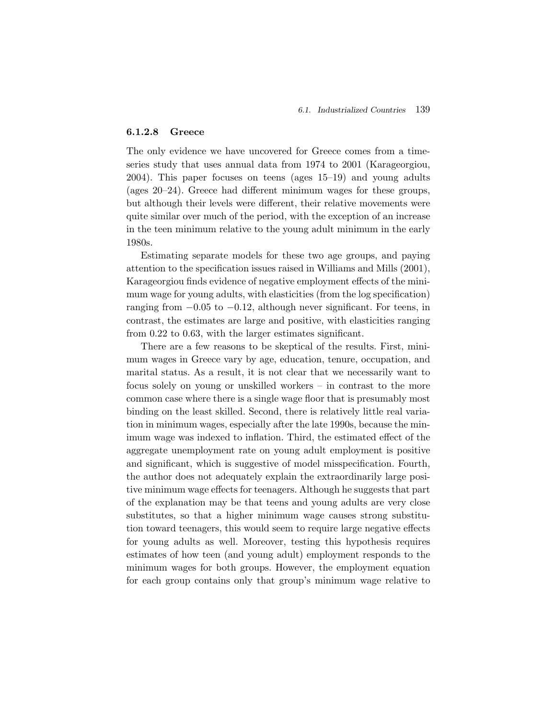### **6.1.2.8 Greece**

The only evidence we have uncovered for Greece comes from a timeseries study that uses annual data from 1974 to 2001 (Karageorgiou, 2004). This paper focuses on teens (ages 15–19) and young adults (ages 20–24). Greece had different minimum wages for these groups, but although their levels were different, their relative movements were quite similar over much of the period, with the exception of an increase in the teen minimum relative to the young adult minimum in the early 1980s.

Estimating separate models for these two age groups, and paying attention to the specification issues raised in Williams and Mills (2001), Karageorgiou finds evidence of negative employment effects of the minimum wage for young adults, with elasticities (from the log specification) ranging from  $-0.05$  to  $-0.12$ , although never significant. For teens, in contrast, the estimates are large and positive, with elasticities ranging from 0.22 to 0.63, with the larger estimates significant.

There are a few reasons to be skeptical of the results. First, minimum wages in Greece vary by age, education, tenure, occupation, and marital status. As a result, it is not clear that we necessarily want to focus solely on young or unskilled workers – in contrast to the more common case where there is a single wage floor that is presumably most binding on the least skilled. Second, there is relatively little real variation in minimum wages, especially after the late 1990s, because the minimum wage was indexed to inflation. Third, the estimated effect of the aggregate unemployment rate on young adult employment is positive and significant, which is suggestive of model misspecification. Fourth, the author does not adequately explain the extraordinarily large positive minimum wage effects for teenagers. Although he suggests that part of the explanation may be that teens and young adults are very close substitutes, so that a higher minimum wage causes strong substitution toward teenagers, this would seem to require large negative effects for young adults as well. Moreover, testing this hypothesis requires estimates of how teen (and young adult) employment responds to the minimum wages for both groups. However, the employment equation for each group contains only that group's minimum wage relative to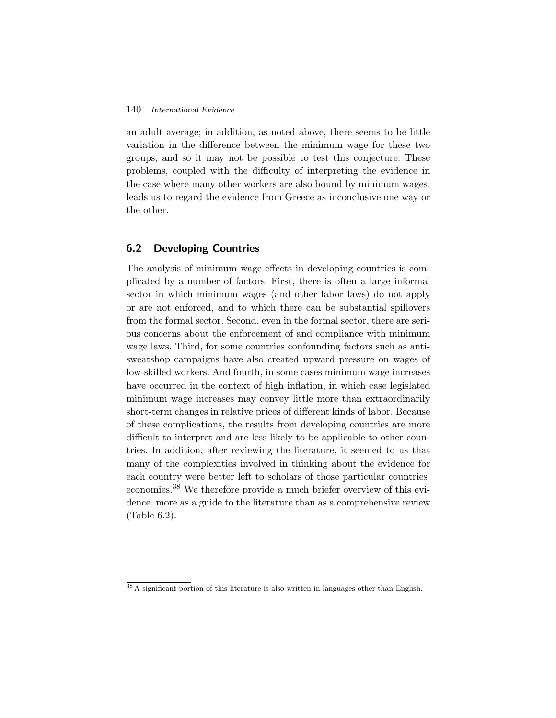an adult average; in addition, as noted above, there seems to be little variation in the difference between the minimum wage for these two groups, and so it may not be possible to test this conjecture. These problems, coupled with the difficulty of interpreting the evidence in the case where many other workers are also bound by minimum wages, leads us to regard the evidence from Greece as inconclusive one way or the other.

# **6.2 Developing Countries**

The analysis of minimum wage effects in developing countries is complicated by a number of factors. First, there is often a large informal sector in which minimum wages (and other labor laws) do not apply or are not enforced, and to which there can be substantial spillovers from the formal sector. Second, even in the formal sector, there are serious concerns about the enforcement of and compliance with minimum wage laws. Third, for some countries confounding factors such as antisweatshop campaigns have also created upward pressure on wages of low-skilled workers. And fourth, in some cases minimum wage increases have occurred in the context of high inflation, in which case legislated minimum wage increases may convey little more than extraordinarily short-term changes in relative prices of different kinds of labor. Because of these complications, the results from developing countries are more difficult to interpret and are less likely to be applicable to other countries. In addition, after reviewing the literature, it seemed to us that many of the complexities involved in thinking about the evidence for each country were better left to scholars of those particular countries' economies.<sup>38</sup> We therefore provide a much briefer overview of this evidence, more as a guide to the literature than as a comprehensive review (Table 6.2).

 $38$  A significant portion of this literature is also written in languages other than English.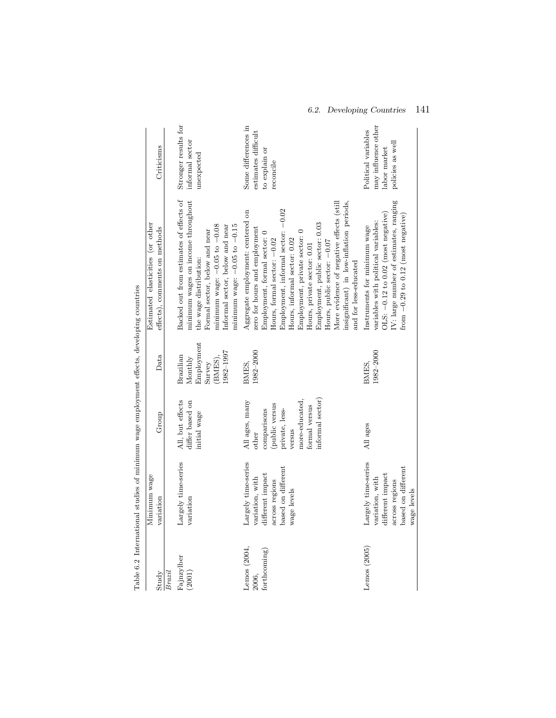| Study                                 | Minimum wage<br>variation                                                                                         | Group                                                                                                                                       | Data                                                                | Estimated elasticities (or other<br>effects), comments on methods                                                                                                                                                                                                                                                                                                                                                                                          | Criticisms                                                                     |
|---------------------------------------|-------------------------------------------------------------------------------------------------------------------|---------------------------------------------------------------------------------------------------------------------------------------------|---------------------------------------------------------------------|------------------------------------------------------------------------------------------------------------------------------------------------------------------------------------------------------------------------------------------------------------------------------------------------------------------------------------------------------------------------------------------------------------------------------------------------------------|--------------------------------------------------------------------------------|
| <b>Brazil</b>                         |                                                                                                                   |                                                                                                                                             |                                                                     |                                                                                                                                                                                                                                                                                                                                                                                                                                                            |                                                                                |
| Fajnzylber<br>(2001)                  | Largely time-series<br>variation                                                                                  | All, but effects<br>differ based on<br>initial wage                                                                                         | Employment<br>1982-1997<br>Brazilian<br>BMES),<br>Monthly<br>Survey | Backed out from estimates of effects of<br>minimum wages on income throughout<br>minimum wage: $-0.05$ to $-0.08$<br>minimum wage: $-0.05$ to $-0.15$<br>Informal sector, below and near<br>Formal sector, below and near<br>the wage distribution:                                                                                                                                                                                                        | Stronger results for<br>informal sector<br>unexpected                          |
| Lemos (2004,<br>forthcoming)<br>2006, | Largely time-series<br>based on different<br>different impact<br>variation, with<br>across regions<br>wage levels | informal sector)<br>more-educated,<br>All ages, many<br>(public versus<br>formal versus<br>comparisons<br>private, less-<br>versus<br>other | 1982-2000<br>BMES,                                                  | More evidence of negative effects (still<br>insignificant) in low-inflation periods,<br>Employment, informal sector: -0.02<br>Aggregate employment: centered on<br>Employment, public sector: 0.03<br>zero for hours and employment<br>Employment, private sector: 0<br>Employment, formal sector: 0<br>Hours, formal sector: -0.02<br>Hours, informal sector: 0.02<br>Hours, public sector: -0.07<br>Hours, private sector: 0.01<br>and for less-educated | Some differences in<br>estimates difficult<br>to explain or<br>reconcile       |
| Lemos $(2005)$                        | Largely time-series<br>based on different<br>different impact<br>variation, with<br>across regions<br>wage levels | All ages                                                                                                                                    | 1982-2000<br>BMES,                                                  | IV: large number of estimates, ranging<br>OLS: $-0.12$ to 0.02 (most negative)<br>from $-0.29$ to 0.12 (most negative)<br>variables with political variables:<br>Instruments for minimum wage                                                                                                                                                                                                                                                              | may influence other<br>Political variables<br>policies as well<br>labor market |

Table 6.2 International studies of minimum wage employment effects, developing countries Table 6.2 International studies of minimum wage employment effects, developing countries

*6.2. Developing Countries* 141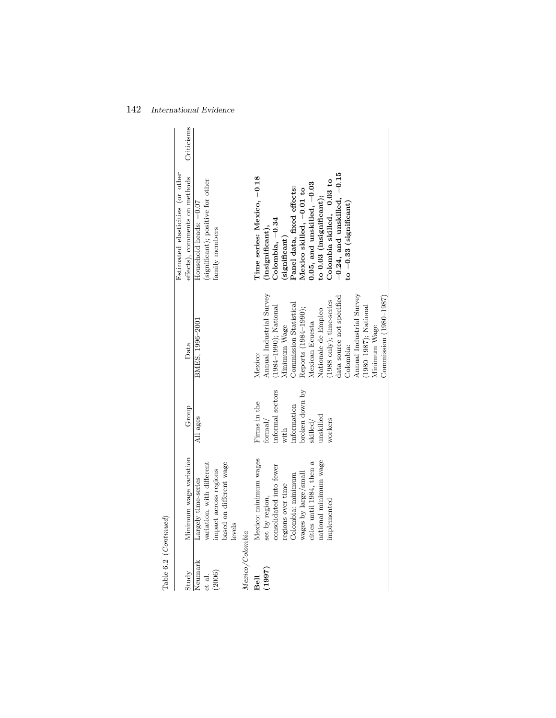| Table 6.2 (Continued) |                           |                  |                                     |                                   |            |
|-----------------------|---------------------------|------------------|-------------------------------------|-----------------------------------|------------|
|                       |                           |                  |                                     | Estimated elasticities (or other  |            |
| Study                 | Minimum wage variation    | Group            | Data                                | effects), comments on methods     | Criticisms |
| Neumark               | Largely time-series       | All ages         | BMES, 1996-2001                     | Household heads: -0.07            |            |
| et al.                | variation, with different |                  |                                     | (significant); positive for other |            |
| (2006)                | impact across regions     |                  |                                     | family members                    |            |
|                       | based on different wage   |                  |                                     |                                   |            |
|                       | levels                    |                  |                                     |                                   |            |
| Mexico/Colombia       |                           |                  |                                     |                                   |            |
| Bell                  | Mexico: minimum wages     | Firms in the     | Mexico:                             | Time series: Mexico, -0.18        |            |
| (1997)                | set by region,            | formal/          | Annual Industrial Survey            | (insignificant),                  |            |
|                       | consolidated into fewer   | informal sectors | $(1984 - 1990)$ ; National          | Colombia, -0.34                   |            |
|                       | regions over time         | with             | Minimum Wage                        | (significant)                     |            |
|                       | Colombia: minimum         | information      | Commission Statistical              | Panel data, fixed effects:        |            |
|                       | wages by large/small      | broken down by   | Reports (1984-1990);                | Mexico skilled, -0.01 to          |            |
|                       | cities until 1984, then a | skilled/         | Mexican Ecuesta                     | $0.05$ , and unskilled, $-0.03$   |            |
|                       | national minimum wage     | unskilled        | Nationale de Empleo                 | to 0.03 (insignificant);          |            |
|                       | implemented               | workers          | $(1988 \text{ only})$ ; time-series | Colombia skilled, -0.03 to        |            |
|                       |                           |                  | data source not specified           | $-0.24$ , and unskilled, $-0.15$  |            |
|                       |                           |                  | Colombia:                           | $to$ $-0.33$ (significant)        |            |
|                       |                           |                  | Annual Industrial Survey            |                                   |            |
|                       |                           |                  | $(1980 - 1987)$ ; National          |                                   |            |
|                       |                           |                  | Minimum Wage                        |                                   |            |
|                       |                           |                  | Commission $(1980 - 1987)$          |                                   |            |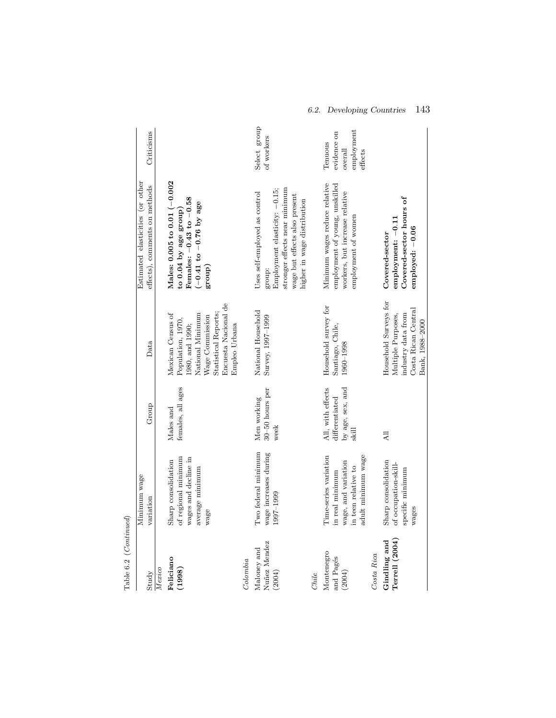| Study                                                                                                                                                                                                                                                                                                                                                                                        | Minimum wage<br>variation                                                                                    | Group                                                            | Data                                                                                                                                                              | Estimated elasticities (or other<br>effects), comments on methods                                                                                                         | Criticisms                                                 |
|----------------------------------------------------------------------------------------------------------------------------------------------------------------------------------------------------------------------------------------------------------------------------------------------------------------------------------------------------------------------------------------------|--------------------------------------------------------------------------------------------------------------|------------------------------------------------------------------|-------------------------------------------------------------------------------------------------------------------------------------------------------------------|---------------------------------------------------------------------------------------------------------------------------------------------------------------------------|------------------------------------------------------------|
| Mexico                                                                                                                                                                                                                                                                                                                                                                                       |                                                                                                              |                                                                  |                                                                                                                                                                   |                                                                                                                                                                           |                                                            |
| Feliciano<br>(1998)                                                                                                                                                                                                                                                                                                                                                                          | of regional minimum<br>wages and decline in<br>Sharp consolidation<br>average minimum<br>wage                | females, all ages<br>Males and                                   | Encuesta Nacional de<br>Statistical Reports;<br>Mexican Census of<br>National Minimum<br>Wage Commission<br>Population, 1970,<br>1980, and 1990;<br>Empleo Urbana | Males: $0.005$ to $0.01$ ( $-0.002$<br>Females: $-0.43$ to $-0.58$<br>$(-0.41$ to $-0.76$ by age<br>to 0.04 by age group)<br>group)                                       |                                                            |
| $Colombia% \begin{pmatrix} \vspace{0.8cm} \vspace{0.8cm} \vspace{0.8cm} \vspace{0.8cm} \vspace{0.8cm} \vspace{0.8cm} \vspace{0.8cm} \vspace{0.8cm} \vspace{0.8cm} \vspace{0.8cm} \vspace{0.8cm} \vspace{0.8cm} \vspace{0.8cm} \vspace{0.8cm} \vspace{0.8cm} \vspace{0.8cm} \vspace{0.8cm} \vspace{0.8cm} \vspace{0.8cm} \vspace{0.8cm} \vspace{0.8cm} \vspace{0.8cm} \vspace{0.8cm} \vspace$ |                                                                                                              |                                                                  |                                                                                                                                                                   |                                                                                                                                                                           |                                                            |
| Nuñez Mendez<br>Maloney and<br>(2004)                                                                                                                                                                                                                                                                                                                                                        | Two federal minimum<br>wage increases during<br>1997-1999                                                    | $30 - 50$ hours per<br>Men working<br>week                       | National Household<br>Survey, 1997-1999                                                                                                                           | stronger effects near minimum<br>Employment elasticity: -0.15;<br>Uses self-employed as control<br>wage but effects also present<br>higher in wage distribution<br>group: | Select group<br>of workers                                 |
| <b>Chile</b>                                                                                                                                                                                                                                                                                                                                                                                 |                                                                                                              |                                                                  |                                                                                                                                                                   |                                                                                                                                                                           |                                                            |
| Montenegro<br>and Pagés<br>(2004)                                                                                                                                                                                                                                                                                                                                                            | Time-series variation<br>adult minimum wage<br>wage, and variation<br>in teen relative to<br>in real minimum | by age, sex, and<br>All, with effects<br>differentiated<br>skill | Household survey for<br>Santiago, Chile,<br>1960-1998                                                                                                             | Minimum wages reduce relative<br>employment of young, unskilled<br>workers, but increase relative<br>employment of women                                                  | employment<br>evidence on<br>Tenuous<br>overall<br>effects |
| Costa Rica                                                                                                                                                                                                                                                                                                                                                                                   |                                                                                                              |                                                                  |                                                                                                                                                                   |                                                                                                                                                                           |                                                            |
| Terrell (2004)<br>Gindling and                                                                                                                                                                                                                                                                                                                                                               | Sharp consolidation<br>of occupation-skill-<br>specific minimum<br>wages                                     | All                                                              | Household Surveys for<br>Costa Rican Central<br>industry data from<br>Multiple Purposes,<br>Bank, 1988-2000                                                       | Covered-sector hours of<br>employment: -0.11<br>employed: -0.06<br>Covered-sector                                                                                         |                                                            |

Table 6.2  $\,(Continued)$ Table 6.2 (Continued)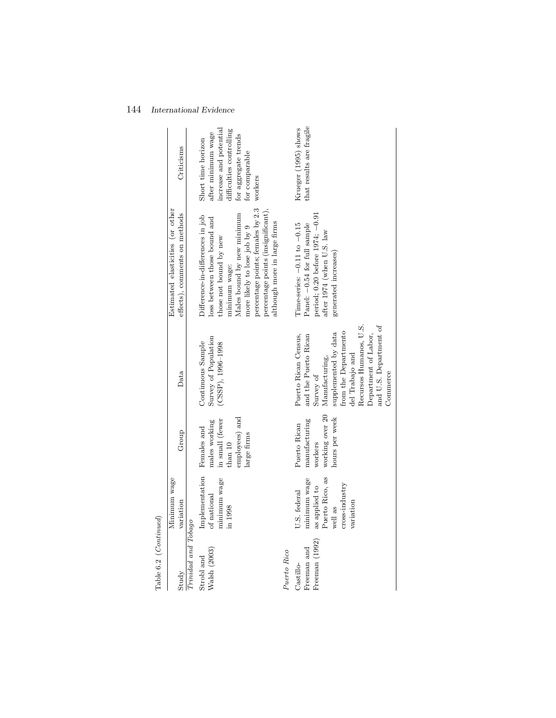|                                            | Minimum wage                                                                                               |                                                                                               |                                                                                                                                                                                                                                        | Estimated elasticities (or other                                                                                                                                                                                                                                                     |                                                                                                                                                     |
|--------------------------------------------|------------------------------------------------------------------------------------------------------------|-----------------------------------------------------------------------------------------------|----------------------------------------------------------------------------------------------------------------------------------------------------------------------------------------------------------------------------------------|--------------------------------------------------------------------------------------------------------------------------------------------------------------------------------------------------------------------------------------------------------------------------------------|-----------------------------------------------------------------------------------------------------------------------------------------------------|
| Study                                      | variation                                                                                                  | Group                                                                                         | Data                                                                                                                                                                                                                                   | effects), comments on methods                                                                                                                                                                                                                                                        | Criticisms                                                                                                                                          |
| Trinidad and Tobago                        |                                                                                                            |                                                                                               |                                                                                                                                                                                                                                        |                                                                                                                                                                                                                                                                                      |                                                                                                                                                     |
| Walsh (2003)<br>Strobl and                 | Implementation<br>minimum wage<br>of national<br>in 1998                                                   | employees) and<br>in small (fewer<br>males working<br>Females and<br>large firms<br>than $10$ | Survey of Population<br>Continuous Sample<br>$(CSSP)$ , $1996-1998$                                                                                                                                                                    | percentage points; females by 2.3<br>percentage points (insignificant),<br>Males bound by new minimum<br>Difference-in-differences in job<br>loss between those bound and<br>although more in large firms<br>more likely to lose job by 9<br>those not bound by new<br>minimum wage: | increase and potential<br>difficulties controlling<br>after minimum wage<br>for aggregate trends<br>Short time horizon<br>for comparable<br>workers |
| Puerto Rico                                |                                                                                                            |                                                                                               |                                                                                                                                                                                                                                        |                                                                                                                                                                                                                                                                                      |                                                                                                                                                     |
| Freeman (1992)<br>Freeman and<br>Castillo- | Puerto Rico, as<br>minimum wage<br>cross-industry<br>as applied to<br>U.S. federal<br>variation<br>well as | working over 20<br>hours per week<br>manufacturing<br>Puerto Rican<br>workers                 | Recursos Humanos, U.S.<br>and U.S. Department of<br>from the Departmento<br>supplemented by data<br>Department of Labor,<br>Puerto Rican Census,<br>and the Puerto Rican<br>del Trabajo and<br>Manufacturing,<br>Commerce<br>Survey of | period; 0.20 before 1974; -0.91<br>Time-series: $-0.11$ to $-0.15$<br>Panel: -0.54 for full sample<br>after 1974 (when U.S. law<br>generated increases)                                                                                                                              | that results are fragile<br>Krueger (1995) shows                                                                                                    |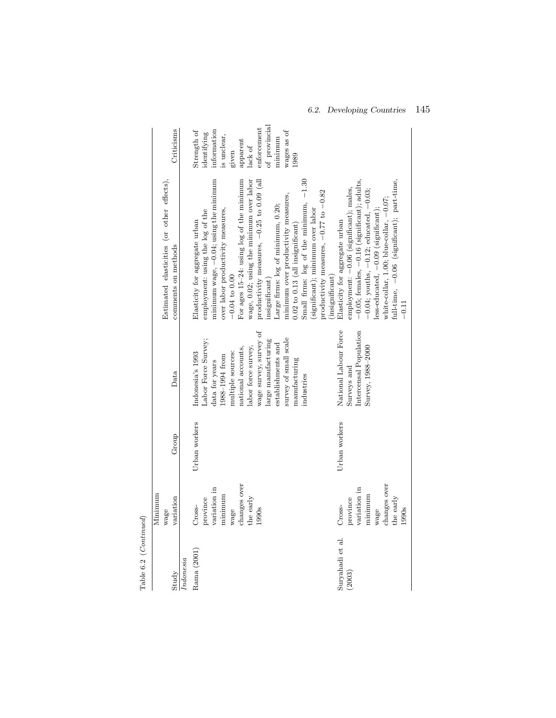| Study                      | Minimum<br>variation<br>wage                                                                | Group         | Data                                                                                                                                                                                                                                                                         | Estimated elasticities (or other effects),<br>comments on methods                                                                                                                                                                                                                                                                                                                                                                                                                                                                                                                             | Criticisms                                                                                                                                                 |
|----------------------------|---------------------------------------------------------------------------------------------|---------------|------------------------------------------------------------------------------------------------------------------------------------------------------------------------------------------------------------------------------------------------------------------------------|-----------------------------------------------------------------------------------------------------------------------------------------------------------------------------------------------------------------------------------------------------------------------------------------------------------------------------------------------------------------------------------------------------------------------------------------------------------------------------------------------------------------------------------------------------------------------------------------------|------------------------------------------------------------------------------------------------------------------------------------------------------------|
| Indonesia                  |                                                                                             |               |                                                                                                                                                                                                                                                                              |                                                                                                                                                                                                                                                                                                                                                                                                                                                                                                                                                                                               |                                                                                                                                                            |
| Rama (2001)                | changes over<br>variation in<br>minimum<br>the early<br>province<br>Cross-<br>1990s<br>wage | Urban workers | wage survey, survey of<br>survey of small scale<br>Labor Force Survey;<br>large manufacturing<br>establishments and<br>labor force survey,<br>national accounts,<br>multiple sources:<br>Indonesia's 1993<br>1988-1994 from<br>manufacturing<br>data for years<br>industries | wage, 0.02; using the minimum over labor<br>minimum wage, -0.04; using the minimum<br>For ages 15-24: using log of the minimum<br>productivity measures, -0.25 to 0.09 (all<br>Small firms: log of the minimum, -1.30<br>productivity measures, -0.77 to -0.82<br>minimum over productivity measures,<br>Large firms: log of minimum, 0.20;<br>over labor productivity measures,<br>(significant); minimum over labor<br>employment: using the log of the<br>Elasticity for aggregate urban<br>$0.02$ to $0.13$ (all insignificant)<br>$-0.04$ to $0.00$<br>(insignificant)<br>insignificant) | of provincial<br>enforcement<br>information<br>Strength of<br>wages as of<br>identifying<br>is unclear,<br>minimum<br>apparent<br>lack of<br>given<br>1989 |
| Suryahadi et al.<br>(2003) | changes over<br>variation in<br>minimum<br>the early<br>province<br>Cross-<br>1990s<br>wage | Urban workers | National Labour Force<br>Intercensal Population<br>Survey, 1988-2000<br>Surveys and                                                                                                                                                                                          | $-0.05$ ; females, $-0.16$ (significant); adults,<br>full-time, -0.06 (significant); part-time,<br>employment: -0.06 (significant); males,<br>$-0.04$ ; youths, $-0.12$ ; educated, $-0.03$ ;<br>white-collar, 1.00; blue-collar, -0.07;<br>less-educated, -0.09 (significant);<br>Elasticity for aggregate urban<br>$-0.11$                                                                                                                                                                                                                                                                  |                                                                                                                                                            |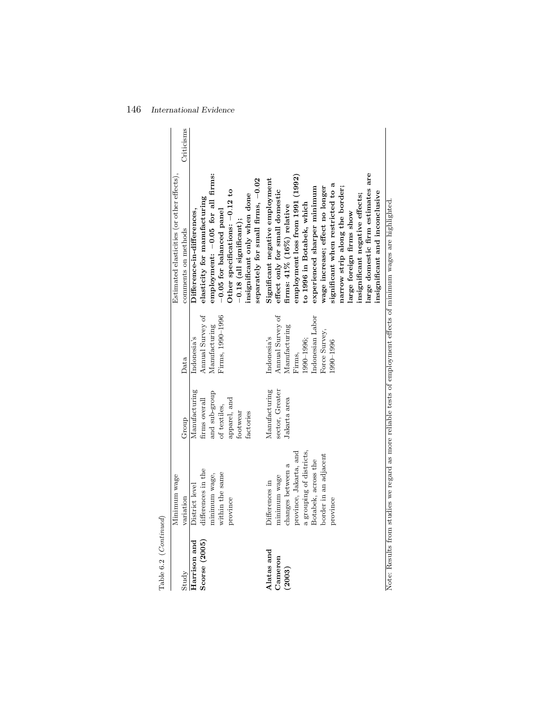| S |  |
|---|--|
|   |  |
|   |  |

| Table 6.2 (Continued) |                          |                 |                  |                                            |            |
|-----------------------|--------------------------|-----------------|------------------|--------------------------------------------|------------|
|                       | Minimum wage             |                 |                  | Estimated elasticities (or other effects), |            |
| Study                 | variation                | Group           | Data             | comments on methods                        | Criticisms |
| Harrison and          | District level           | Manufacturing   | Indonesia's      | Difference-in-differences,                 |            |
| Scorse $(2005)$       | differences in the       | firms overall   | Annual Survey of | elasticity for manufacturing               |            |
|                       | minimum wage,            | and sub-group   | Manufacturing    | employment: -0.05 for all firms:           |            |
|                       | within the same          | of textiles,    | Firms, 1990-1996 | $-0.05$ for balanced panel                 |            |
|                       | province                 | apparel, and    |                  | Other specifications: -0.12 to             |            |
|                       |                          | footwear        |                  | $-0.18$ (all significant);                 |            |
|                       |                          | factories       |                  | insignificant only when done               |            |
|                       |                          |                 |                  | separately for small firms, -0.02          |            |
| Alatas and            | Differences in           | Manufacturing   | Indonesia's      | Significant negative employment            |            |
| Cameron               | minimum wage             | sector, Greater | Annual Survey of | effect only for small domestic             |            |
| (2003)                | changes between a        | Jakarta area    | Manufacturing    | firms: $41\%$ (16%) relative               |            |
|                       | province, Jakarta, and   |                 | Firms,           | employment loss from 1991 (1992)           |            |
|                       | a grouping of districts, |                 | 1990-1996;       | to 1996 in Botabek, which                  |            |
|                       | Botabek, across the      |                 | ndonesian Labor  | experienced sharper minimum                |            |
|                       | border in an adjacent    |                 | Force Survey,    | wage increase; effect no longer            |            |
|                       | province                 |                 | 1990-1996        | significant when restricted to a           |            |
|                       |                          |                 |                  | narrow strip along the border;             |            |
|                       |                          |                 |                  | large foreign firms show                   |            |
|                       |                          |                 |                  | insignificant negative effects;            |            |
|                       |                          |                 |                  | large domestic firm estimates are          |            |
|                       |                          |                 |                  | insignificant and inconclusive             |            |

Note: Results from studies we regard as more reliable tests of employment effects of minimum wages are highlighted. Note: Results from studies we regard as more reliable tests of employment effects of minimum wages are highlighted.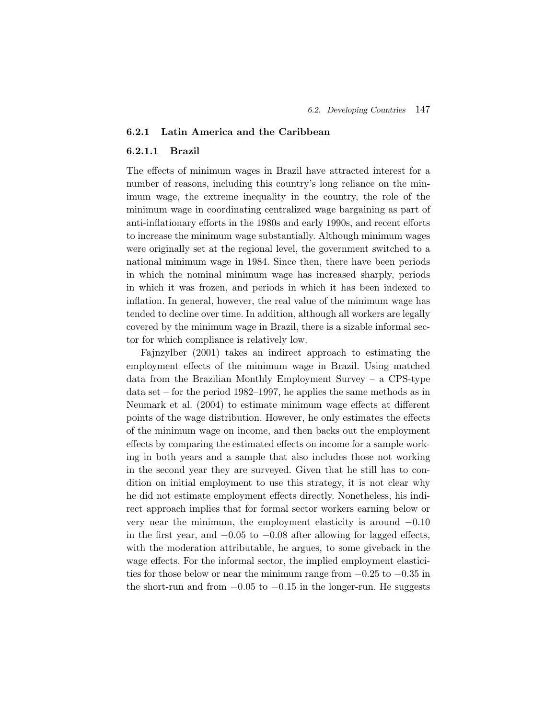#### **6.2.1 Latin America and the Caribbean**

#### **6.2.1.1 Brazil**

The effects of minimum wages in Brazil have attracted interest for a number of reasons, including this country's long reliance on the minimum wage, the extreme inequality in the country, the role of the minimum wage in coordinating centralized wage bargaining as part of anti-inflationary efforts in the 1980s and early 1990s, and recent efforts to increase the minimum wage substantially. Although minimum wages were originally set at the regional level, the government switched to a national minimum wage in 1984. Since then, there have been periods in which the nominal minimum wage has increased sharply, periods in which it was frozen, and periods in which it has been indexed to inflation. In general, however, the real value of the minimum wage has tended to decline over time. In addition, although all workers are legally covered by the minimum wage in Brazil, there is a sizable informal sector for which compliance is relatively low.

Fajnzylber (2001) takes an indirect approach to estimating the employment effects of the minimum wage in Brazil. Using matched data from the Brazilian Monthly Employment Survey – a CPS-type data set – for the period 1982–1997, he applies the same methods as in Neumark et al. (2004) to estimate minimum wage effects at different points of the wage distribution. However, he only estimates the effects of the minimum wage on income, and then backs out the employment effects by comparing the estimated effects on income for a sample working in both years and a sample that also includes those not working in the second year they are surveyed. Given that he still has to condition on initial employment to use this strategy, it is not clear why he did not estimate employment effects directly. Nonetheless, his indirect approach implies that for formal sector workers earning below or very near the minimum, the employment elasticity is around −0.10 in the first year, and  $-0.05$  to  $-0.08$  after allowing for lagged effects, with the moderation attributable, he argues, to some giveback in the wage effects. For the informal sector, the implied employment elasticities for those below or near the minimum range from −0.25 to −0.35 in the short-run and from  $-0.05$  to  $-0.15$  in the longer-run. He suggests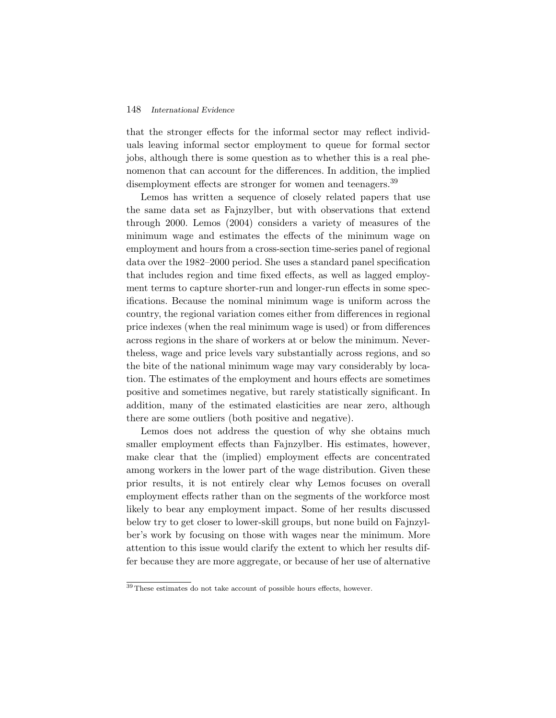that the stronger effects for the informal sector may reflect individuals leaving informal sector employment to queue for formal sector jobs, although there is some question as to whether this is a real phenomenon that can account for the differences. In addition, the implied disemployment effects are stronger for women and teenagers.<sup>39</sup>

Lemos has written a sequence of closely related papers that use the same data set as Fajnzylber, but with observations that extend through 2000. Lemos (2004) considers a variety of measures of the minimum wage and estimates the effects of the minimum wage on employment and hours from a cross-section time-series panel of regional data over the 1982–2000 period. She uses a standard panel specification that includes region and time fixed effects, as well as lagged employment terms to capture shorter-run and longer-run effects in some specifications. Because the nominal minimum wage is uniform across the country, the regional variation comes either from differences in regional price indexes (when the real minimum wage is used) or from differences across regions in the share of workers at or below the minimum. Nevertheless, wage and price levels vary substantially across regions, and so the bite of the national minimum wage may vary considerably by location. The estimates of the employment and hours effects are sometimes positive and sometimes negative, but rarely statistically significant. In addition, many of the estimated elasticities are near zero, although there are some outliers (both positive and negative).

Lemos does not address the question of why she obtains much smaller employment effects than Fajnzylber. His estimates, however, make clear that the (implied) employment effects are concentrated among workers in the lower part of the wage distribution. Given these prior results, it is not entirely clear why Lemos focuses on overall employment effects rather than on the segments of the workforce most likely to bear any employment impact. Some of her results discussed below try to get closer to lower-skill groups, but none build on Fajnzylber's work by focusing on those with wages near the minimum. More attention to this issue would clarify the extent to which her results differ because they are more aggregate, or because of her use of alternative

 $\overline{39}$  These estimates do not take account of possible hours effects, however.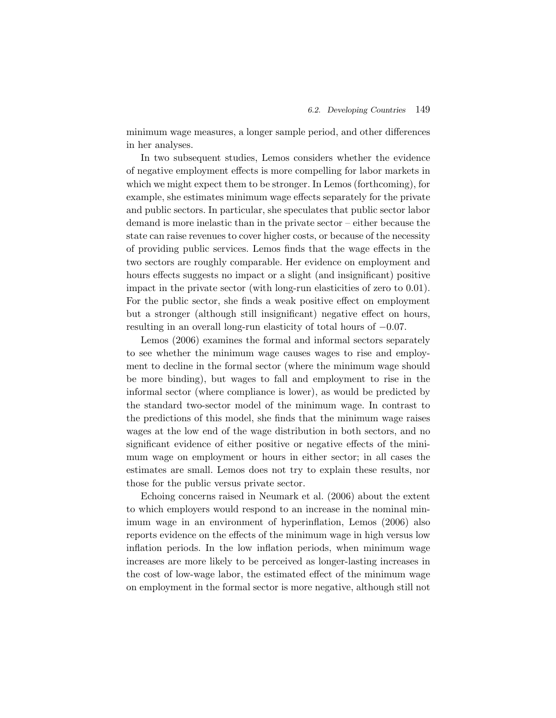minimum wage measures, a longer sample period, and other differences in her analyses.

In two subsequent studies, Lemos considers whether the evidence of negative employment effects is more compelling for labor markets in which we might expect them to be stronger. In Lemos (forthcoming), for example, she estimates minimum wage effects separately for the private and public sectors. In particular, she speculates that public sector labor demand is more inelastic than in the private sector – either because the state can raise revenues to cover higher costs, or because of the necessity of providing public services. Lemos finds that the wage effects in the two sectors are roughly comparable. Her evidence on employment and hours effects suggests no impact or a slight (and insignificant) positive impact in the private sector (with long-run elasticities of zero to 0.01). For the public sector, she finds a weak positive effect on employment but a stronger (although still insignificant) negative effect on hours, resulting in an overall long-run elasticity of total hours of −0.07.

Lemos (2006) examines the formal and informal sectors separately to see whether the minimum wage causes wages to rise and employment to decline in the formal sector (where the minimum wage should be more binding), but wages to fall and employment to rise in the informal sector (where compliance is lower), as would be predicted by the standard two-sector model of the minimum wage. In contrast to the predictions of this model, she finds that the minimum wage raises wages at the low end of the wage distribution in both sectors, and no significant evidence of either positive or negative effects of the minimum wage on employment or hours in either sector; in all cases the estimates are small. Lemos does not try to explain these results, nor those for the public versus private sector.

Echoing concerns raised in Neumark et al. (2006) about the extent to which employers would respond to an increase in the nominal minimum wage in an environment of hyperinflation, Lemos (2006) also reports evidence on the effects of the minimum wage in high versus low inflation periods. In the low inflation periods, when minimum wage increases are more likely to be perceived as longer-lasting increases in the cost of low-wage labor, the estimated effect of the minimum wage on employment in the formal sector is more negative, although still not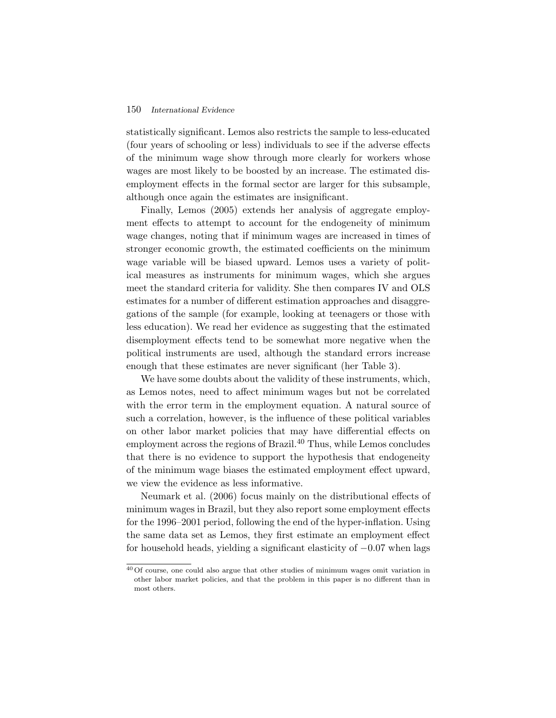statistically significant. Lemos also restricts the sample to less-educated (four years of schooling or less) individuals to see if the adverse effects of the minimum wage show through more clearly for workers whose wages are most likely to be boosted by an increase. The estimated disemployment effects in the formal sector are larger for this subsample, although once again the estimates are insignificant.

Finally, Lemos (2005) extends her analysis of aggregate employment effects to attempt to account for the endogeneity of minimum wage changes, noting that if minimum wages are increased in times of stronger economic growth, the estimated coefficients on the minimum wage variable will be biased upward. Lemos uses a variety of political measures as instruments for minimum wages, which she argues meet the standard criteria for validity. She then compares IV and OLS estimates for a number of different estimation approaches and disaggregations of the sample (for example, looking at teenagers or those with less education). We read her evidence as suggesting that the estimated disemployment effects tend to be somewhat more negative when the political instruments are used, although the standard errors increase enough that these estimates are never significant (her Table 3).

We have some doubts about the validity of these instruments, which, as Lemos notes, need to affect minimum wages but not be correlated with the error term in the employment equation. A natural source of such a correlation, however, is the influence of these political variables on other labor market policies that may have differential effects on employment across the regions of Brazil.<sup>40</sup> Thus, while Lemos concludes that there is no evidence to support the hypothesis that endogeneity of the minimum wage biases the estimated employment effect upward, we view the evidence as less informative.

Neumark et al. (2006) focus mainly on the distributional effects of minimum wages in Brazil, but they also report some employment effects for the 1996–2001 period, following the end of the hyper-inflation. Using the same data set as Lemos, they first estimate an employment effect for household heads, yielding a significant elasticity of −0.07 when lags

 $40$  Of course, one could also argue that other studies of minimum wages omit variation in other labor market policies, and that the problem in this paper is no different than in most others.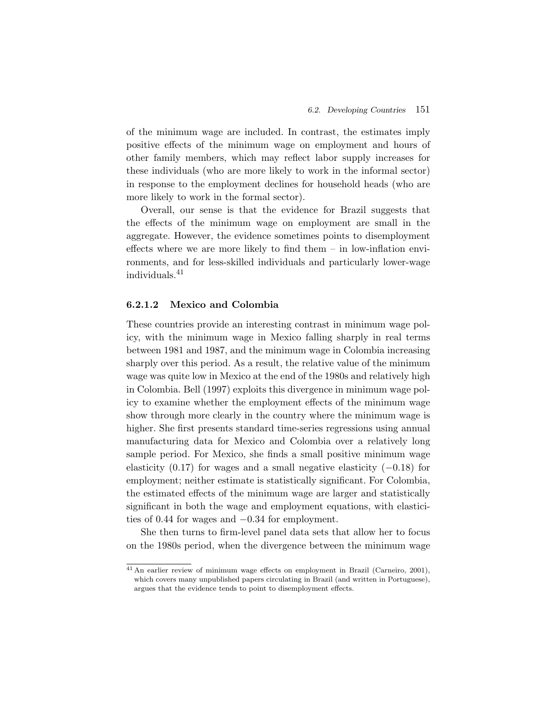of the minimum wage are included. In contrast, the estimates imply positive effects of the minimum wage on employment and hours of other family members, which may reflect labor supply increases for these individuals (who are more likely to work in the informal sector) in response to the employment declines for household heads (who are more likely to work in the formal sector).

Overall, our sense is that the evidence for Brazil suggests that the effects of the minimum wage on employment are small in the aggregate. However, the evidence sometimes points to disemployment effects where we are more likely to find them – in low-inflation environments, and for less-skilled individuals and particularly lower-wage individuals.<sup>41</sup>

## **6.2.1.2 Mexico and Colombia**

These countries provide an interesting contrast in minimum wage policy, with the minimum wage in Mexico falling sharply in real terms between 1981 and 1987, and the minimum wage in Colombia increasing sharply over this period. As a result, the relative value of the minimum wage was quite low in Mexico at the end of the 1980s and relatively high in Colombia. Bell (1997) exploits this divergence in minimum wage policy to examine whether the employment effects of the minimum wage show through more clearly in the country where the minimum wage is higher. She first presents standard time-series regressions using annual manufacturing data for Mexico and Colombia over a relatively long sample period. For Mexico, she finds a small positive minimum wage elasticity  $(0.17)$  for wages and a small negative elasticity  $(-0.18)$  for employment; neither estimate is statistically significant. For Colombia, the estimated effects of the minimum wage are larger and statistically significant in both the wage and employment equations, with elasticities of 0.44 for wages and −0.34 for employment.

She then turns to firm-level panel data sets that allow her to focus on the 1980s period, when the divergence between the minimum wage

<sup>41</sup> An earlier review of minimum wage effects on employment in Brazil (Carneiro, 2001), which covers many unpublished papers circulating in Brazil (and written in Portuguese), argues that the evidence tends to point to disemployment effects.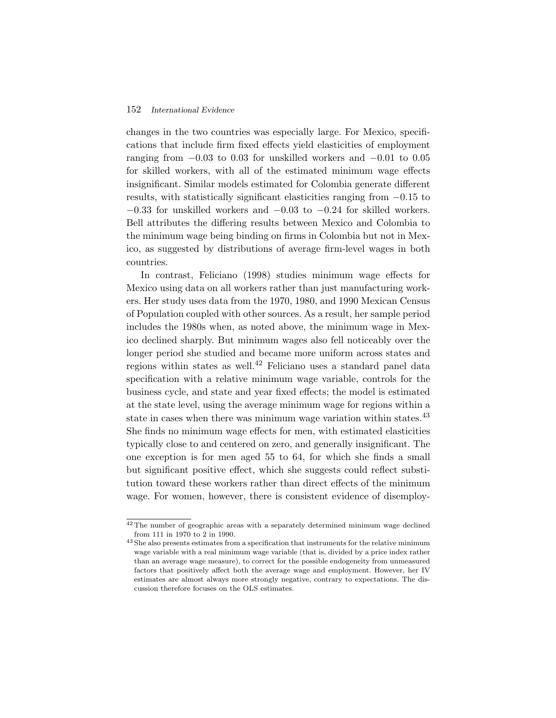changes in the two countries was especially large. For Mexico, specifications that include firm fixed effects yield elasticities of employment ranging from  $-0.03$  to 0.03 for unskilled workers and  $-0.01$  to 0.05 for skilled workers, with all of the estimated minimum wage effects insignificant. Similar models estimated for Colombia generate different results, with statistically significant elasticities ranging from −0.15 to  $-0.33$  for unskilled workers and  $-0.03$  to  $-0.24$  for skilled workers. Bell attributes the differing results between Mexico and Colombia to the minimum wage being binding on firms in Colombia but not in Mexico, as suggested by distributions of average firm-level wages in both countries.

In contrast, Feliciano (1998) studies minimum wage effects for Mexico using data on all workers rather than just manufacturing workers. Her study uses data from the 1970, 1980, and 1990 Mexican Census of Population coupled with other sources. As a result, her sample period includes the 1980s when, as noted above, the minimum wage in Mexico declined sharply. But minimum wages also fell noticeably over the longer period she studied and became more uniform across states and regions within states as well.<sup>42</sup> Feliciano uses a standard panel data specification with a relative minimum wage variable, controls for the business cycle, and state and year fixed effects; the model is estimated at the state level, using the average minimum wage for regions within a state in cases when there was minimum wage variation within states.<sup>43</sup> She finds no minimum wage effects for men, with estimated elasticities typically close to and centered on zero, and generally insignificant. The one exception is for men aged 55 to 64, for which she finds a small but significant positive effect, which she suggests could reflect substitution toward these workers rather than direct effects of the minimum wage. For women, however, there is consistent evidence of disemploy-

<sup>&</sup>lt;sup>42</sup> The number of geographic areas with a separately determined minimum wage declined from 111 in 1970 to 2 in 1990.

<sup>43</sup> She also presents estimates from a specification that instruments for the relative minimum wage variable with a real minimum wage variable (that is, divided by a price index rather than an average wage measure), to correct for the possible endogeneity from unmeasured factors that positively affect both the average wage and employment. However, her IV estimates are almost always more strongly negative, contrary to expectations. The discussion therefore focuses on the OLS estimates.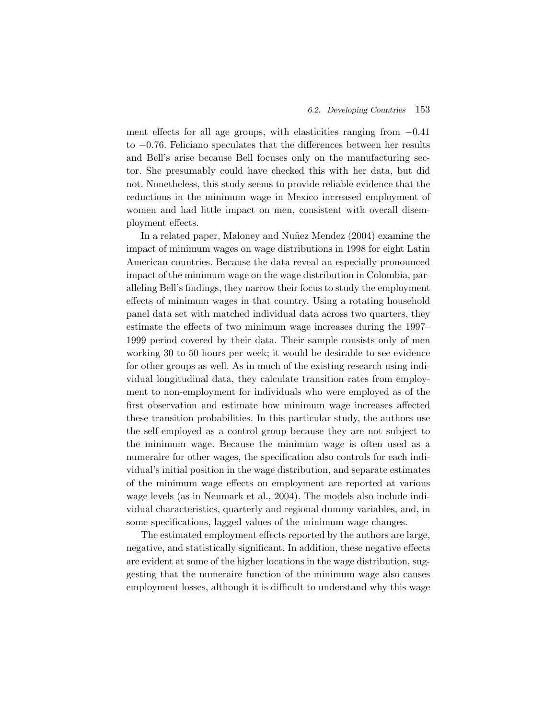#### *6.2. Developing Countries* 153

ment effects for all age groups, with elasticities ranging from −0.41 to −0.76. Feliciano speculates that the differences between her results and Bell's arise because Bell focuses only on the manufacturing sector. She presumably could have checked this with her data, but did not. Nonetheless, this study seems to provide reliable evidence that the reductions in the minimum wage in Mexico increased employment of women and had little impact on men, consistent with overall disemployment effects.

In a related paper, Maloney and Nuñez Mendez (2004) examine the impact of minimum wages on wage distributions in 1998 for eight Latin American countries. Because the data reveal an especially pronounced impact of the minimum wage on the wage distribution in Colombia, paralleling Bell's findings, they narrow their focus to study the employment effects of minimum wages in that country. Using a rotating household panel data set with matched individual data across two quarters, they estimate the effects of two minimum wage increases during the 1997– 1999 period covered by their data. Their sample consists only of men working 30 to 50 hours per week; it would be desirable to see evidence for other groups as well. As in much of the existing research using individual longitudinal data, they calculate transition rates from employment to non-employment for individuals who were employed as of the first observation and estimate how minimum wage increases affected these transition probabilities. In this particular study, the authors use the self-employed as a control group because they are not subject to the minimum wage. Because the minimum wage is often used as a numeraire for other wages, the specification also controls for each individual's initial position in the wage distribution, and separate estimates of the minimum wage effects on employment are reported at various wage levels (as in Neumark et al., 2004). The models also include individual characteristics, quarterly and regional dummy variables, and, in some specifications, lagged values of the minimum wage changes.

The estimated employment effects reported by the authors are large, negative, and statistically significant. In addition, these negative effects are evident at some of the higher locations in the wage distribution, suggesting that the numeraire function of the minimum wage also causes employment losses, although it is difficult to understand why this wage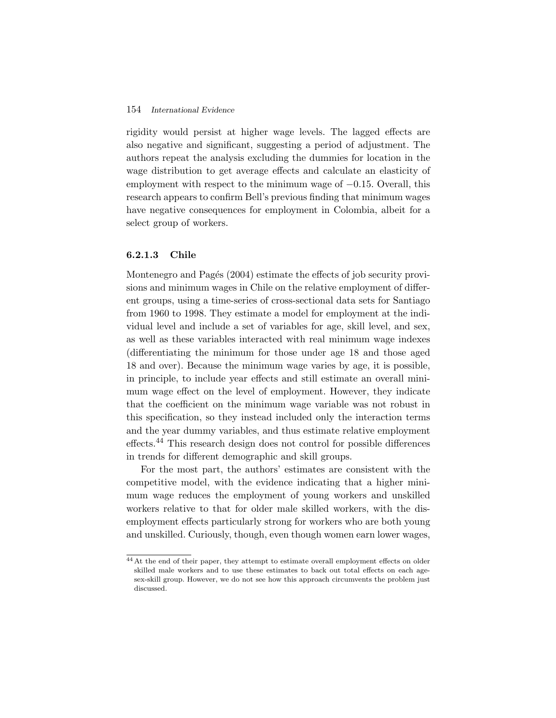rigidity would persist at higher wage levels. The lagged effects are also negative and significant, suggesting a period of adjustment. The authors repeat the analysis excluding the dummies for location in the wage distribution to get average effects and calculate an elasticity of employment with respect to the minimum wage of −0.15. Overall, this research appears to confirm Bell's previous finding that minimum wages have negative consequences for employment in Colombia, albeit for a select group of workers.

#### **6.2.1.3 Chile**

Montenegro and Pagés (2004) estimate the effects of job security provisions and minimum wages in Chile on the relative employment of different groups, using a time-series of cross-sectional data sets for Santiago from 1960 to 1998. They estimate a model for employment at the individual level and include a set of variables for age, skill level, and sex, as well as these variables interacted with real minimum wage indexes (differentiating the minimum for those under age 18 and those aged 18 and over). Because the minimum wage varies by age, it is possible, in principle, to include year effects and still estimate an overall minimum wage effect on the level of employment. However, they indicate that the coefficient on the minimum wage variable was not robust in this specification, so they instead included only the interaction terms and the year dummy variables, and thus estimate relative employment effects.<sup>44</sup> This research design does not control for possible differences in trends for different demographic and skill groups.

For the most part, the authors' estimates are consistent with the competitive model, with the evidence indicating that a higher minimum wage reduces the employment of young workers and unskilled workers relative to that for older male skilled workers, with the disemployment effects particularly strong for workers who are both young and unskilled. Curiously, though, even though women earn lower wages,

<sup>&</sup>lt;sup>44</sup> At the end of their paper, they attempt to estimate overall employment effects on older skilled male workers and to use these estimates to back out total effects on each agesex-skill group. However, we do not see how this approach circumvents the problem just discussed.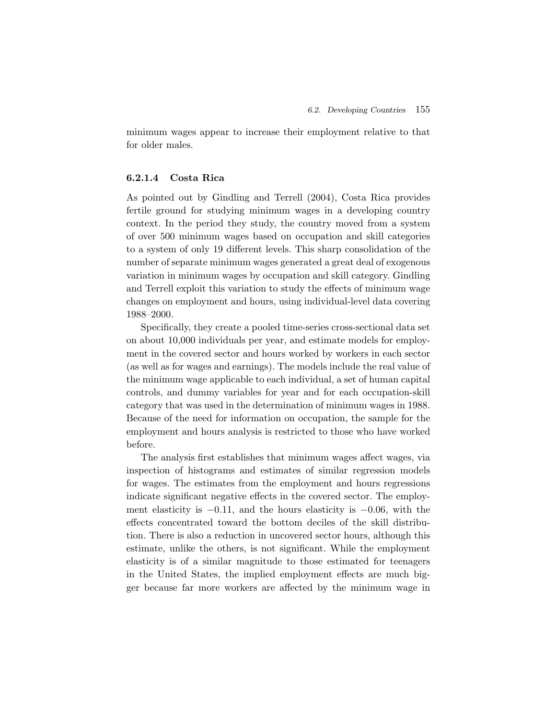minimum wages appear to increase their employment relative to that for older males.

#### **6.2.1.4 Costa Rica**

As pointed out by Gindling and Terrell (2004), Costa Rica provides fertile ground for studying minimum wages in a developing country context. In the period they study, the country moved from a system of over 500 minimum wages based on occupation and skill categories to a system of only 19 different levels. This sharp consolidation of the number of separate minimum wages generated a great deal of exogenous variation in minimum wages by occupation and skill category. Gindling and Terrell exploit this variation to study the effects of minimum wage changes on employment and hours, using individual-level data covering 1988–2000.

Specifically, they create a pooled time-series cross-sectional data set on about 10,000 individuals per year, and estimate models for employment in the covered sector and hours worked by workers in each sector (as well as for wages and earnings). The models include the real value of the minimum wage applicable to each individual, a set of human capital controls, and dummy variables for year and for each occupation-skill category that was used in the determination of minimum wages in 1988. Because of the need for information on occupation, the sample for the employment and hours analysis is restricted to those who have worked before.

The analysis first establishes that minimum wages affect wages, via inspection of histograms and estimates of similar regression models for wages. The estimates from the employment and hours regressions indicate significant negative effects in the covered sector. The employment elasticity is  $-0.11$ , and the hours elasticity is  $-0.06$ , with the effects concentrated toward the bottom deciles of the skill distribution. There is also a reduction in uncovered sector hours, although this estimate, unlike the others, is not significant. While the employment elasticity is of a similar magnitude to those estimated for teenagers in the United States, the implied employment effects are much bigger because far more workers are affected by the minimum wage in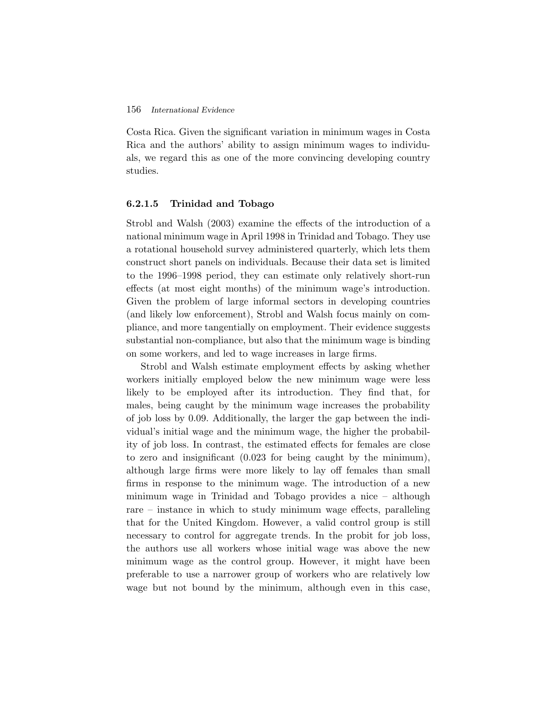Costa Rica. Given the significant variation in minimum wages in Costa Rica and the authors' ability to assign minimum wages to individuals, we regard this as one of the more convincing developing country studies.

### **6.2.1.5 Trinidad and Tobago**

Strobl and Walsh (2003) examine the effects of the introduction of a national minimum wage in April 1998 in Trinidad and Tobago. They use a rotational household survey administered quarterly, which lets them construct short panels on individuals. Because their data set is limited to the 1996–1998 period, they can estimate only relatively short-run effects (at most eight months) of the minimum wage's introduction. Given the problem of large informal sectors in developing countries (and likely low enforcement), Strobl and Walsh focus mainly on compliance, and more tangentially on employment. Their evidence suggests substantial non-compliance, but also that the minimum wage is binding on some workers, and led to wage increases in large firms.

Strobl and Walsh estimate employment effects by asking whether workers initially employed below the new minimum wage were less likely to be employed after its introduction. They find that, for males, being caught by the minimum wage increases the probability of job loss by 0.09. Additionally, the larger the gap between the individual's initial wage and the minimum wage, the higher the probability of job loss. In contrast, the estimated effects for females are close to zero and insignificant (0.023 for being caught by the minimum), although large firms were more likely to lay off females than small firms in response to the minimum wage. The introduction of a new minimum wage in Trinidad and Tobago provides a nice – although rare – instance in which to study minimum wage effects, paralleling that for the United Kingdom. However, a valid control group is still necessary to control for aggregate trends. In the probit for job loss, the authors use all workers whose initial wage was above the new minimum wage as the control group. However, it might have been preferable to use a narrower group of workers who are relatively low wage but not bound by the minimum, although even in this case,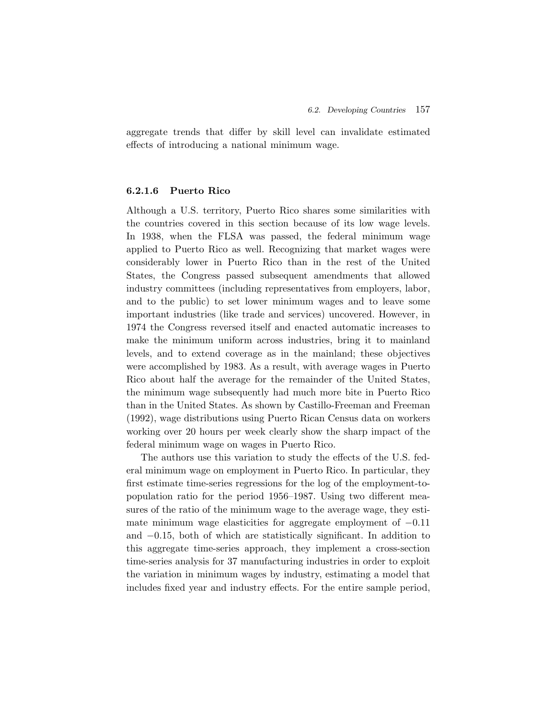aggregate trends that differ by skill level can invalidate estimated effects of introducing a national minimum wage.

#### **6.2.1.6 Puerto Rico**

Although a U.S. territory, Puerto Rico shares some similarities with the countries covered in this section because of its low wage levels. In 1938, when the FLSA was passed, the federal minimum wage applied to Puerto Rico as well. Recognizing that market wages were considerably lower in Puerto Rico than in the rest of the United States, the Congress passed subsequent amendments that allowed industry committees (including representatives from employers, labor, and to the public) to set lower minimum wages and to leave some important industries (like trade and services) uncovered. However, in 1974 the Congress reversed itself and enacted automatic increases to make the minimum uniform across industries, bring it to mainland levels, and to extend coverage as in the mainland; these objectives were accomplished by 1983. As a result, with average wages in Puerto Rico about half the average for the remainder of the United States, the minimum wage subsequently had much more bite in Puerto Rico than in the United States. As shown by Castillo-Freeman and Freeman (1992), wage distributions using Puerto Rican Census data on workers working over 20 hours per week clearly show the sharp impact of the federal minimum wage on wages in Puerto Rico.

The authors use this variation to study the effects of the U.S. federal minimum wage on employment in Puerto Rico. In particular, they first estimate time-series regressions for the log of the employment-topopulation ratio for the period 1956–1987. Using two different measures of the ratio of the minimum wage to the average wage, they estimate minimum wage elasticities for aggregate employment of −0.11 and −0.15, both of which are statistically significant. In addition to this aggregate time-series approach, they implement a cross-section time-series analysis for 37 manufacturing industries in order to exploit the variation in minimum wages by industry, estimating a model that includes fixed year and industry effects. For the entire sample period,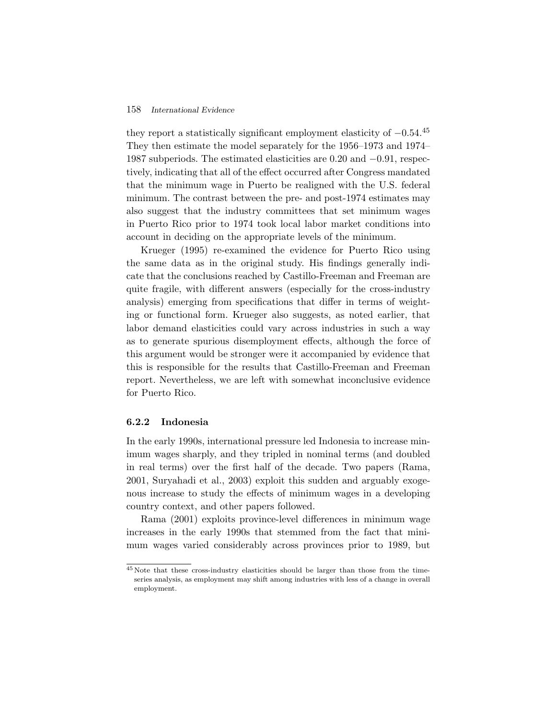they report a statistically significant employment elasticity of  $-0.54^{45}$ They then estimate the model separately for the 1956–1973 and 1974– 1987 subperiods. The estimated elasticities are 0.20 and −0.91, respectively, indicating that all of the effect occurred after Congress mandated that the minimum wage in Puerto be realigned with the U.S. federal minimum. The contrast between the pre- and post-1974 estimates may also suggest that the industry committees that set minimum wages in Puerto Rico prior to 1974 took local labor market conditions into account in deciding on the appropriate levels of the minimum.

Krueger (1995) re-examined the evidence for Puerto Rico using the same data as in the original study. His findings generally indicate that the conclusions reached by Castillo-Freeman and Freeman are quite fragile, with different answers (especially for the cross-industry analysis) emerging from specifications that differ in terms of weighting or functional form. Krueger also suggests, as noted earlier, that labor demand elasticities could vary across industries in such a way as to generate spurious disemployment effects, although the force of this argument would be stronger were it accompanied by evidence that this is responsible for the results that Castillo-Freeman and Freeman report. Nevertheless, we are left with somewhat inconclusive evidence for Puerto Rico.

#### **6.2.2 Indonesia**

In the early 1990s, international pressure led Indonesia to increase minimum wages sharply, and they tripled in nominal terms (and doubled in real terms) over the first half of the decade. Two papers (Rama, 2001, Suryahadi et al., 2003) exploit this sudden and arguably exogenous increase to study the effects of minimum wages in a developing country context, and other papers followed.

Rama (2001) exploits province-level differences in minimum wage increases in the early 1990s that stemmed from the fact that minimum wages varied considerably across provinces prior to 1989, but

<sup>45</sup> Note that these cross-industry elasticities should be larger than those from the timeseries analysis, as employment may shift among industries with less of a change in overall employment.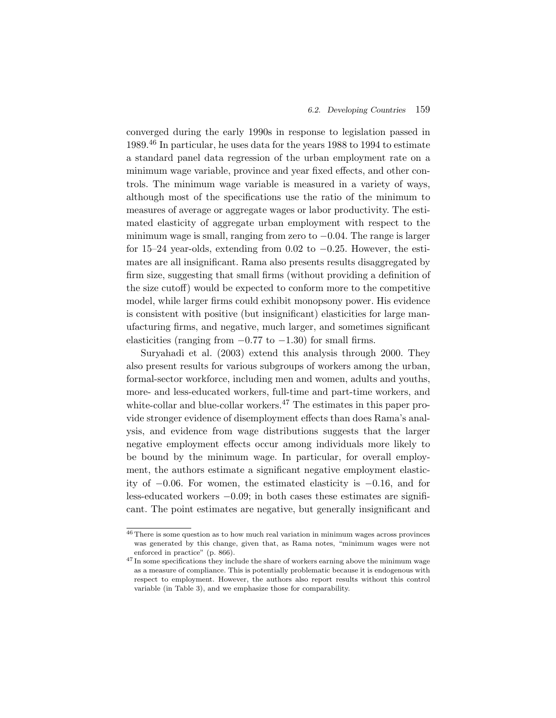#### *6.2. Developing Countries* 159

converged during the early 1990s in response to legislation passed in 1989.<sup>46</sup> In particular, he uses data for the years 1988 to 1994 to estimate a standard panel data regression of the urban employment rate on a minimum wage variable, province and year fixed effects, and other controls. The minimum wage variable is measured in a variety of ways, although most of the specifications use the ratio of the minimum to measures of average or aggregate wages or labor productivity. The estimated elasticity of aggregate urban employment with respect to the minimum wage is small, ranging from zero to −0.04. The range is larger for 15–24 year-olds, extending from 0.02 to −0.25. However, the estimates are all insignificant. Rama also presents results disaggregated by firm size, suggesting that small firms (without providing a definition of the size cutoff) would be expected to conform more to the competitive model, while larger firms could exhibit monopsony power. His evidence is consistent with positive (but insignificant) elasticities for large manufacturing firms, and negative, much larger, and sometimes significant elasticities (ranging from  $-0.77$  to  $-1.30$ ) for small firms.

Suryahadi et al. (2003) extend this analysis through 2000. They also present results for various subgroups of workers among the urban, formal-sector workforce, including men and women, adults and youths, more- and less-educated workers, full-time and part-time workers, and white-collar and blue-collar workers. $47$  The estimates in this paper provide stronger evidence of disemployment effects than does Rama's analysis, and evidence from wage distributions suggests that the larger negative employment effects occur among individuals more likely to be bound by the minimum wage. In particular, for overall employment, the authors estimate a significant negative employment elasticity of −0.06. For women, the estimated elasticity is −0.16, and for less-educated workers −0.09; in both cases these estimates are significant. The point estimates are negative, but generally insignificant and

<sup>46</sup> There is some question as to how much real variation in minimum wages across provinces was generated by this change, given that, as Rama notes, "minimum wages were not enforced in practice" (p. 866).

 $^{47}\!$  In some specifications they include the share of workers earning above the minimum wage as a measure of compliance. This is potentially problematic because it is endogenous with respect to employment. However, the authors also report results without this control variable (in Table 3), and we emphasize those for comparability.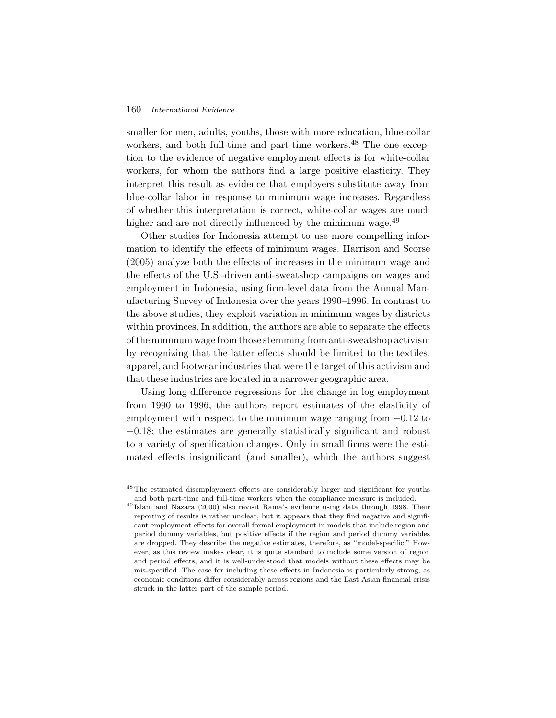smaller for men, adults, youths, those with more education, blue-collar workers, and both full-time and part-time workers.<sup>48</sup> The one exception to the evidence of negative employment effects is for white-collar workers, for whom the authors find a large positive elasticity. They interpret this result as evidence that employers substitute away from blue-collar labor in response to minimum wage increases. Regardless of whether this interpretation is correct, white-collar wages are much higher and are not directly influenced by the minimum wage.<sup>49</sup>

Other studies for Indonesia attempt to use more compelling information to identify the effects of minimum wages. Harrison and Scorse (2005) analyze both the effects of increases in the minimum wage and the effects of the U.S.-driven anti-sweatshop campaigns on wages and employment in Indonesia, using firm-level data from the Annual Manufacturing Survey of Indonesia over the years 1990–1996. In contrast to the above studies, they exploit variation in minimum wages by districts within provinces. In addition, the authors are able to separate the effects of the minimum wage from those stemming from anti-sweatshop activism by recognizing that the latter effects should be limited to the textiles, apparel, and footwear industries that were the target of this activism and that these industries are located in a narrower geographic area.

Using long-difference regressions for the change in log employment from 1990 to 1996, the authors report estimates of the elasticity of employment with respect to the minimum wage ranging from −0.12 to −0.18; the estimates are generally statistically significant and robust to a variety of specification changes. Only in small firms were the estimated effects insignificant (and smaller), which the authors suggest

<sup>48</sup> The estimated disemployment effects are considerably larger and significant for youths and both part-time and full-time workers when the compliance measure is included.

<sup>49</sup> Islam and Nazara (2000) also revisit Rama's evidence using data through 1998. Their reporting of results is rather unclear, but it appears that they find negative and significant employment effects for overall formal employment in models that include region and period dummy variables, but positive effects if the region and period dummy variables are dropped. They describe the negative estimates, therefore, as "model-specific." However, as this review makes clear, it is quite standard to include some version of region and period effects, and it is well-understood that models without these effects may be mis-specified. The case for including these effects in Indonesia is particularly strong, as economic conditions differ considerably across regions and the East Asian financial crisis struck in the latter part of the sample period.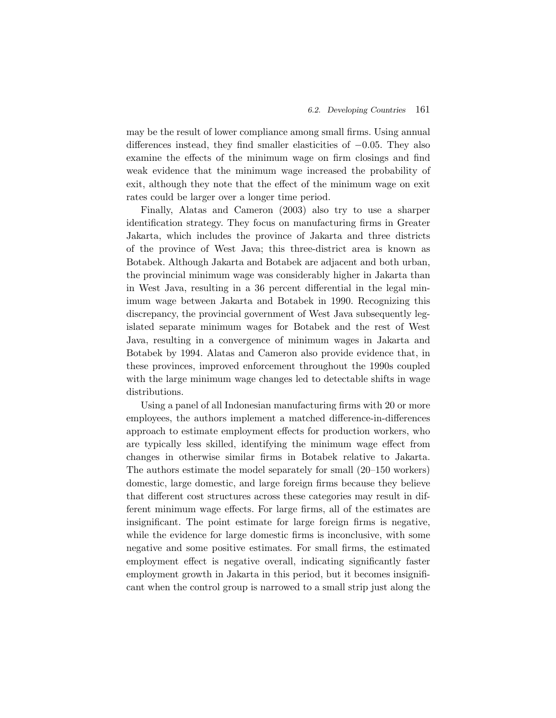may be the result of lower compliance among small firms. Using annual differences instead, they find smaller elasticities of −0.05. They also examine the effects of the minimum wage on firm closings and find weak evidence that the minimum wage increased the probability of exit, although they note that the effect of the minimum wage on exit rates could be larger over a longer time period.

Finally, Alatas and Cameron (2003) also try to use a sharper identification strategy. They focus on manufacturing firms in Greater Jakarta, which includes the province of Jakarta and three districts of the province of West Java; this three-district area is known as Botabek. Although Jakarta and Botabek are adjacent and both urban, the provincial minimum wage was considerably higher in Jakarta than in West Java, resulting in a 36 percent differential in the legal minimum wage between Jakarta and Botabek in 1990. Recognizing this discrepancy, the provincial government of West Java subsequently legislated separate minimum wages for Botabek and the rest of West Java, resulting in a convergence of minimum wages in Jakarta and Botabek by 1994. Alatas and Cameron also provide evidence that, in these provinces, improved enforcement throughout the 1990s coupled with the large minimum wage changes led to detectable shifts in wage distributions.

Using a panel of all Indonesian manufacturing firms with 20 or more employees, the authors implement a matched difference-in-differences approach to estimate employment effects for production workers, who are typically less skilled, identifying the minimum wage effect from changes in otherwise similar firms in Botabek relative to Jakarta. The authors estimate the model separately for small (20–150 workers) domestic, large domestic, and large foreign firms because they believe that different cost structures across these categories may result in different minimum wage effects. For large firms, all of the estimates are insignificant. The point estimate for large foreign firms is negative, while the evidence for large domestic firms is inconclusive, with some negative and some positive estimates. For small firms, the estimated employment effect is negative overall, indicating significantly faster employment growth in Jakarta in this period, but it becomes insignificant when the control group is narrowed to a small strip just along the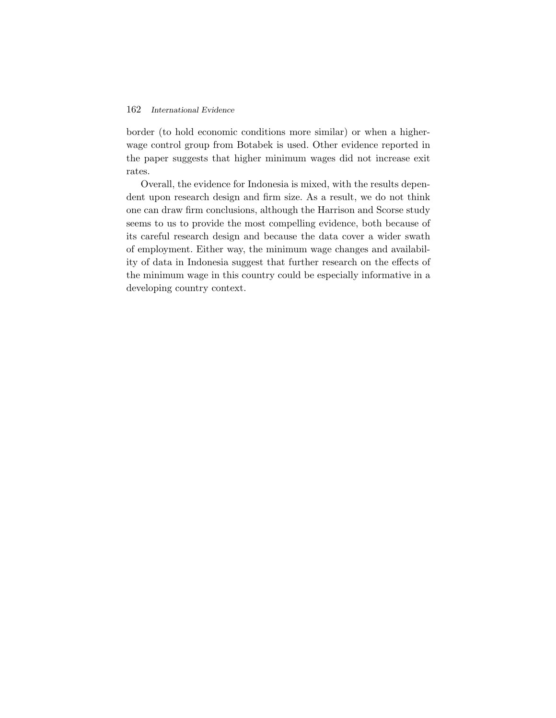border (to hold economic conditions more similar) or when a higherwage control group from Botabek is used. Other evidence reported in the paper suggests that higher minimum wages did not increase exit rates.

Overall, the evidence for Indonesia is mixed, with the results dependent upon research design and firm size. As a result, we do not think one can draw firm conclusions, although the Harrison and Scorse study seems to us to provide the most compelling evidence, both because of its careful research design and because the data cover a wider swath of employment. Either way, the minimum wage changes and availability of data in Indonesia suggest that further research on the effects of the minimum wage in this country could be especially informative in a developing country context.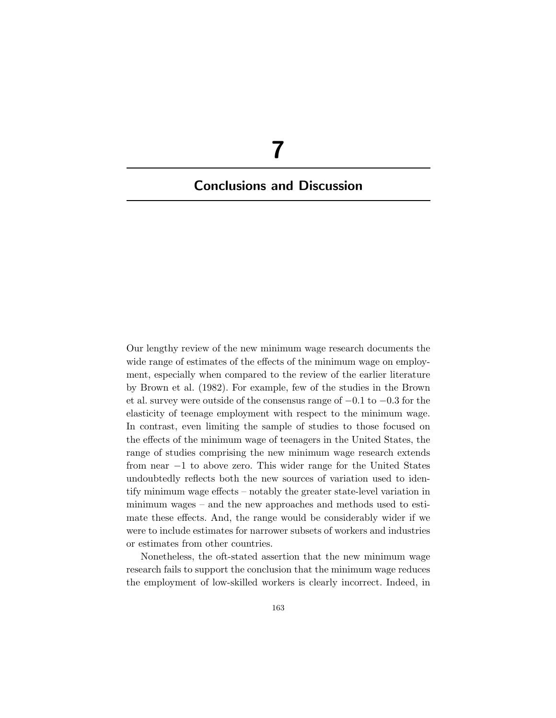# **7**

# **Conclusions and Discussion**

Our lengthy review of the new minimum wage research documents the wide range of estimates of the effects of the minimum wage on employment, especially when compared to the review of the earlier literature by Brown et al. (1982). For example, few of the studies in the Brown et al. survey were outside of the consensus range of −0.1 to −0.3 for the elasticity of teenage employment with respect to the minimum wage. In contrast, even limiting the sample of studies to those focused on the effects of the minimum wage of teenagers in the United States, the range of studies comprising the new minimum wage research extends from near −1 to above zero. This wider range for the United States undoubtedly reflects both the new sources of variation used to identify minimum wage effects – notably the greater state-level variation in minimum wages – and the new approaches and methods used to estimate these effects. And, the range would be considerably wider if we were to include estimates for narrower subsets of workers and industries or estimates from other countries.

Nonetheless, the oft-stated assertion that the new minimum wage research fails to support the conclusion that the minimum wage reduces the employment of low-skilled workers is clearly incorrect. Indeed, in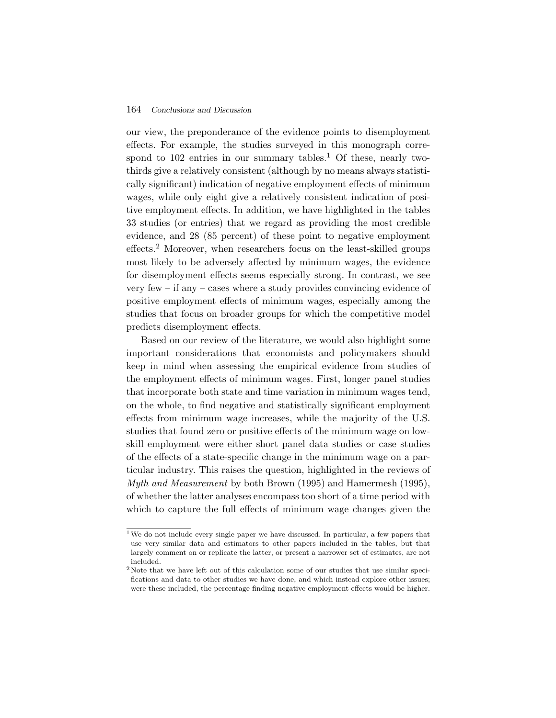#### 164 *Conclusions and Discussion*

our view, the preponderance of the evidence points to disemployment effects. For example, the studies surveyed in this monograph correspond to  $102$  entries in our summary tables.<sup>1</sup> Of these, nearly twothirds give a relatively consistent (although by no means always statistically significant) indication of negative employment effects of minimum wages, while only eight give a relatively consistent indication of positive employment effects. In addition, we have highlighted in the tables 33 studies (or entries) that we regard as providing the most credible evidence, and 28 (85 percent) of these point to negative employment effects.<sup>2</sup> Moreover, when researchers focus on the least-skilled groups most likely to be adversely affected by minimum wages, the evidence for disemployment effects seems especially strong. In contrast, we see very few – if any – cases where a study provides convincing evidence of positive employment effects of minimum wages, especially among the studies that focus on broader groups for which the competitive model predicts disemployment effects.

Based on our review of the literature, we would also highlight some important considerations that economists and policymakers should keep in mind when assessing the empirical evidence from studies of the employment effects of minimum wages. First, longer panel studies that incorporate both state and time variation in minimum wages tend, on the whole, to find negative and statistically significant employment effects from minimum wage increases, while the majority of the U.S. studies that found zero or positive effects of the minimum wage on lowskill employment were either short panel data studies or case studies of the effects of a state-specific change in the minimum wage on a particular industry. This raises the question, highlighted in the reviews of *Myth and Measurement* by both Brown (1995) and Hamermesh (1995), of whether the latter analyses encompass too short of a time period with which to capture the full effects of minimum wage changes given the

 $1$ We do not include every single paper we have discussed. In particular, a few papers that use very similar data and estimators to other papers included in the tables, but that largely comment on or replicate the latter, or present a narrower set of estimates, are not included.

<sup>2</sup> Note that we have left out of this calculation some of our studies that use similar specifications and data to other studies we have done, and which instead explore other issues; were these included, the percentage finding negative employment effects would be higher.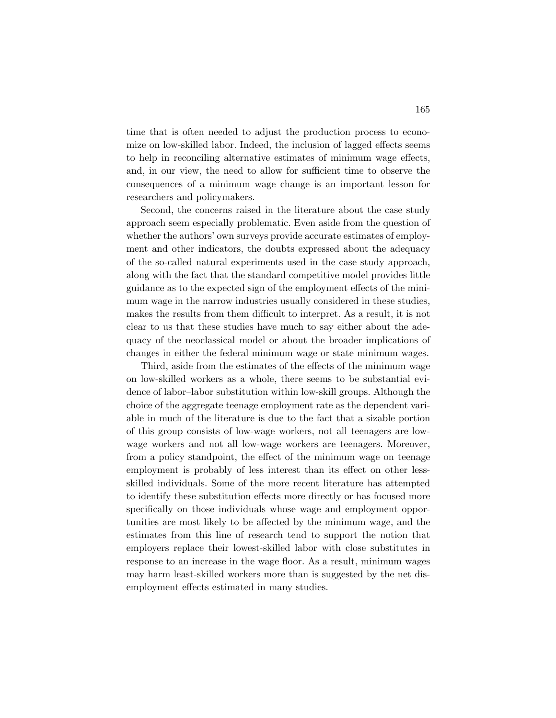time that is often needed to adjust the production process to economize on low-skilled labor. Indeed, the inclusion of lagged effects seems to help in reconciling alternative estimates of minimum wage effects, and, in our view, the need to allow for sufficient time to observe the consequences of a minimum wage change is an important lesson for researchers and policymakers.

Second, the concerns raised in the literature about the case study approach seem especially problematic. Even aside from the question of whether the authors' own surveys provide accurate estimates of employment and other indicators, the doubts expressed about the adequacy of the so-called natural experiments used in the case study approach, along with the fact that the standard competitive model provides little guidance as to the expected sign of the employment effects of the minimum wage in the narrow industries usually considered in these studies, makes the results from them difficult to interpret. As a result, it is not clear to us that these studies have much to say either about the adequacy of the neoclassical model or about the broader implications of changes in either the federal minimum wage or state minimum wages.

Third, aside from the estimates of the effects of the minimum wage on low-skilled workers as a whole, there seems to be substantial evidence of labor–labor substitution within low-skill groups. Although the choice of the aggregate teenage employment rate as the dependent variable in much of the literature is due to the fact that a sizable portion of this group consists of low-wage workers, not all teenagers are lowwage workers and not all low-wage workers are teenagers. Moreover, from a policy standpoint, the effect of the minimum wage on teenage employment is probably of less interest than its effect on other lessskilled individuals. Some of the more recent literature has attempted to identify these substitution effects more directly or has focused more specifically on those individuals whose wage and employment opportunities are most likely to be affected by the minimum wage, and the estimates from this line of research tend to support the notion that employers replace their lowest-skilled labor with close substitutes in response to an increase in the wage floor. As a result, minimum wages may harm least-skilled workers more than is suggested by the net disemployment effects estimated in many studies.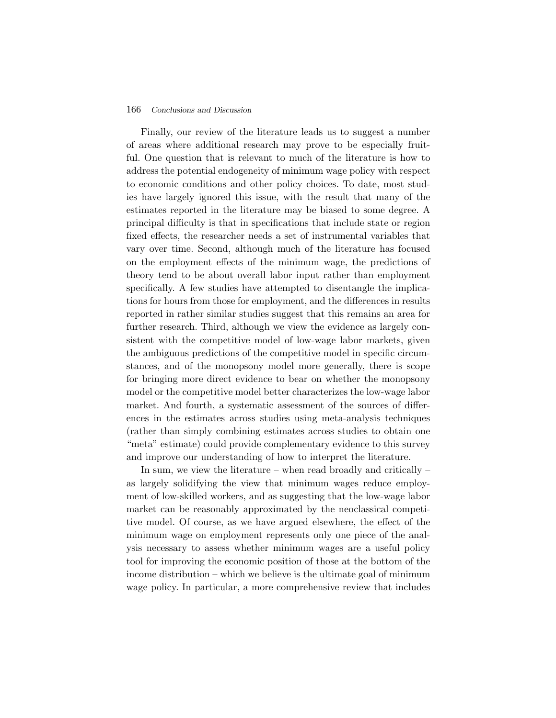#### 166 *Conclusions and Discussion*

Finally, our review of the literature leads us to suggest a number of areas where additional research may prove to be especially fruitful. One question that is relevant to much of the literature is how to address the potential endogeneity of minimum wage policy with respect to economic conditions and other policy choices. To date, most studies have largely ignored this issue, with the result that many of the estimates reported in the literature may be biased to some degree. A principal difficulty is that in specifications that include state or region fixed effects, the researcher needs a set of instrumental variables that vary over time. Second, although much of the literature has focused on the employment effects of the minimum wage, the predictions of theory tend to be about overall labor input rather than employment specifically. A few studies have attempted to disentangle the implications for hours from those for employment, and the differences in results reported in rather similar studies suggest that this remains an area for further research. Third, although we view the evidence as largely consistent with the competitive model of low-wage labor markets, given the ambiguous predictions of the competitive model in specific circumstances, and of the monopsony model more generally, there is scope for bringing more direct evidence to bear on whether the monopsony model or the competitive model better characterizes the low-wage labor market. And fourth, a systematic assessment of the sources of differences in the estimates across studies using meta-analysis techniques (rather than simply combining estimates across studies to obtain one "meta" estimate) could provide complementary evidence to this survey and improve our understanding of how to interpret the literature.

In sum, we view the literature – when read broadly and critically – as largely solidifying the view that minimum wages reduce employment of low-skilled workers, and as suggesting that the low-wage labor market can be reasonably approximated by the neoclassical competitive model. Of course, as we have argued elsewhere, the effect of the minimum wage on employment represents only one piece of the analysis necessary to assess whether minimum wages are a useful policy tool for improving the economic position of those at the bottom of the income distribution – which we believe is the ultimate goal of minimum wage policy. In particular, a more comprehensive review that includes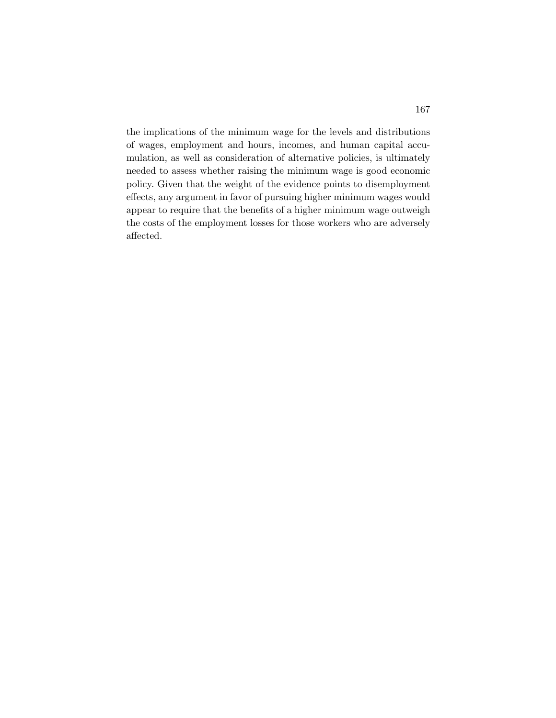the implications of the minimum wage for the levels and distributions of wages, employment and hours, incomes, and human capital accumulation, as well as consideration of alternative policies, is ultimately needed to assess whether raising the minimum wage is good economic policy. Given that the weight of the evidence points to disemployment effects, any argument in favor of pursuing higher minimum wages would appear to require that the benefits of a higher minimum wage outweigh the costs of the employment losses for those workers who are adversely affected.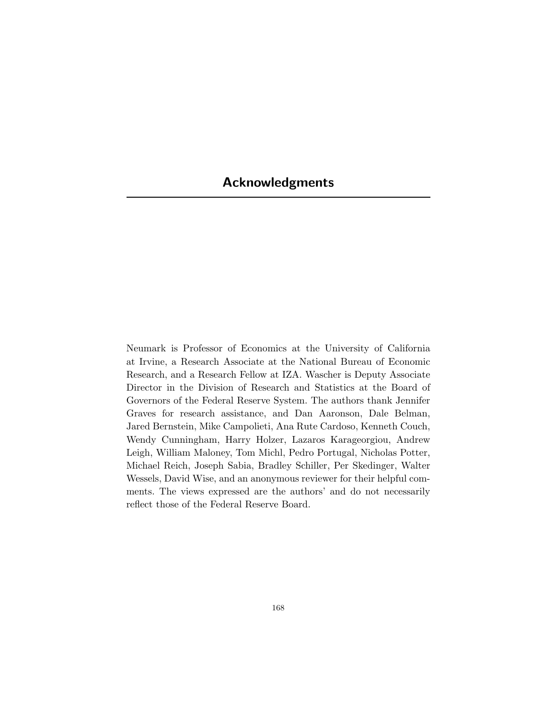## **Acknowledgments**

Neumark is Professor of Economics at the University of California at Irvine, a Research Associate at the National Bureau of Economic Research, and a Research Fellow at IZA. Wascher is Deputy Associate Director in the Division of Research and Statistics at the Board of Governors of the Federal Reserve System. The authors thank Jennifer Graves for research assistance, and Dan Aaronson, Dale Belman, Jared Bernstein, Mike Campolieti, Ana Rute Cardoso, Kenneth Couch, Wendy Cunningham, Harry Holzer, Lazaros Karageorgiou, Andrew Leigh, William Maloney, Tom Michl, Pedro Portugal, Nicholas Potter, Michael Reich, Joseph Sabia, Bradley Schiller, Per Skedinger, Walter Wessels, David Wise, and an anonymous reviewer for their helpful comments. The views expressed are the authors' and do not necessarily reflect those of the Federal Reserve Board.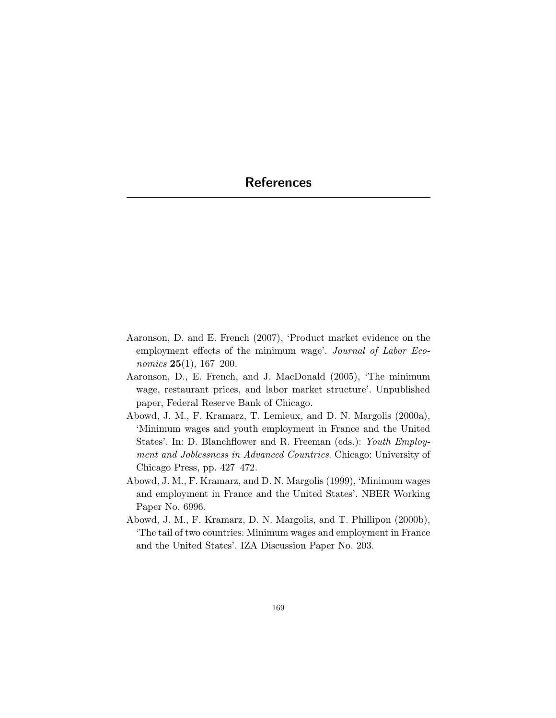- Aaronson, D. and E. French (2007), 'Product market evidence on the employment effects of the minimum wage'. *Journal of Labor Economics* **25**(1), 167–200.
- Aaronson, D., E. French, and J. MacDonald (2005), 'The minimum wage, restaurant prices, and labor market structure'. Unpublished paper, Federal Reserve Bank of Chicago.
- Abowd, J. M., F. Kramarz, T. Lemieux, and D. N. Margolis (2000a), 'Minimum wages and youth employment in France and the United States'. In: D. Blanchflower and R. Freeman (eds.): *Youth Employment and Joblessness in Advanced Countries*. Chicago: University of Chicago Press, pp. 427–472.
- Abowd, J. M., F. Kramarz, and D. N. Margolis (1999), 'Minimum wages and employment in France and the United States'. NBER Working Paper No. 6996.
- Abowd, J. M., F. Kramarz, D. N. Margolis, and T. Phillipon (2000b), 'The tail of two countries: Minimum wages and employment in France and the United States'. IZA Discussion Paper No. 203.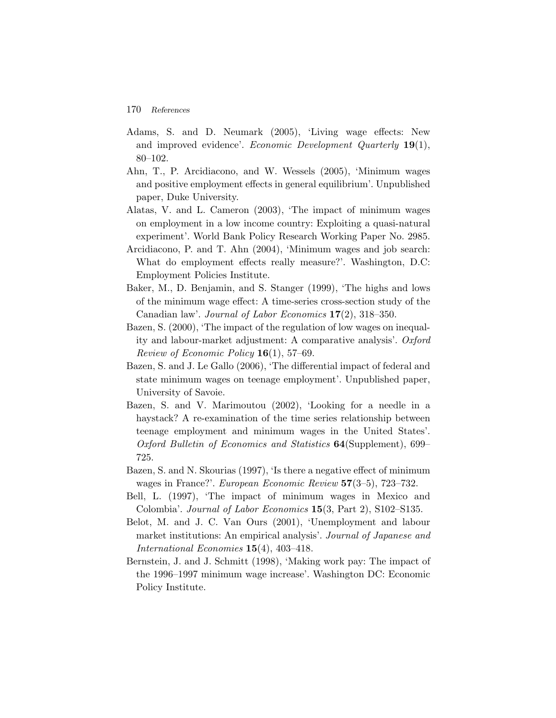- Adams, S. and D. Neumark (2005), 'Living wage effects: New and improved evidence'. *Economic Development Quarterly* **19**(1), 80–102.
- Ahn, T., P. Arcidiacono, and W. Wessels (2005), 'Minimum wages and positive employment effects in general equilibrium'. Unpublished paper, Duke University.
- Alatas, V. and L. Cameron (2003), 'The impact of minimum wages on employment in a low income country: Exploiting a quasi-natural experiment'. World Bank Policy Research Working Paper No. 2985.
- Arcidiacono, P. and T. Ahn (2004), 'Minimum wages and job search: What do employment effects really measure?'. Washington, D.C: Employment Policies Institute.
- Baker, M., D. Benjamin, and S. Stanger (1999), 'The highs and lows of the minimum wage effect: A time-series cross-section study of the Canadian law'. *Journal of Labor Economics* **17**(2), 318–350.
- Bazen, S. (2000), 'The impact of the regulation of low wages on inequality and labour-market adjustment: A comparative analysis'. *Oxford Review of Economic Policy* **16**(1), 57–69.
- Bazen, S. and J. Le Gallo (2006), 'The differential impact of federal and state minimum wages on teenage employment'. Unpublished paper, University of Savoie.
- Bazen, S. and V. Marimoutou (2002), 'Looking for a needle in a haystack? A re-examination of the time series relationship between teenage employment and minimum wages in the United States'. *Oxford Bulletin of Economics and Statistics* **64**(Supplement), 699– 725.
- Bazen, S. and N. Skourias (1997), 'Is there a negative effect of minimum wages in France?'. *European Economic Review* **57**(3–5), 723–732.
- Bell, L. (1997), 'The impact of minimum wages in Mexico and Colombia'. *Journal of Labor Economics* **15**(3, Part 2), S102–S135.
- Belot, M. and J. C. Van Ours (2001), 'Unemployment and labour market institutions: An empirical analysis'. *Journal of Japanese and International Economies* **15**(4), 403–418.
- Bernstein, J. and J. Schmitt (1998), 'Making work pay: The impact of the 1996–1997 minimum wage increase'. Washington DC: Economic Policy Institute.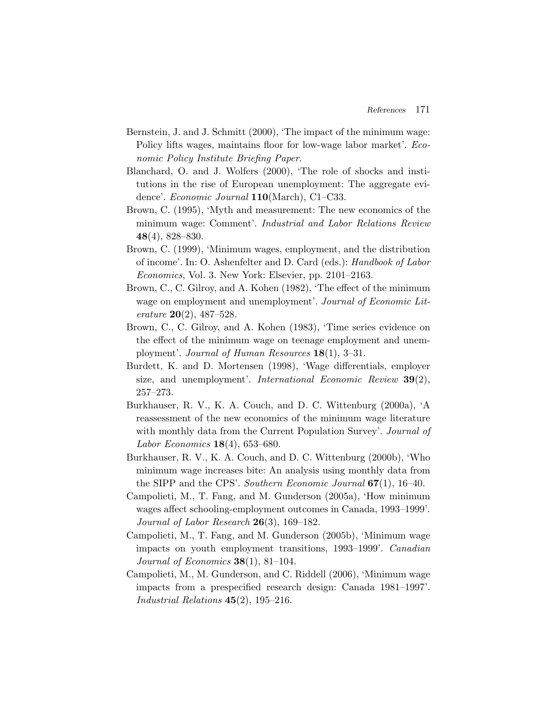- Bernstein, J. and J. Schmitt (2000), 'The impact of the minimum wage: Policy lifts wages, maintains floor for low-wage labor market'. *Economic Policy Institute Briefing Paper*.
- Blanchard, O. and J. Wolfers (2000), 'The role of shocks and institutions in the rise of European unemployment: The aggregate evidence'. *Economic Journal* **110**(March), C1–C33.
- Brown, C. (1995), 'Myth and measurement: The new economics of the minimum wage: Comment'. *Industrial and Labor Relations Review* **48**(4), 828–830.
- Brown, C. (1999), 'Minimum wages, employment, and the distribution of income'. In: O. Ashenfelter and D. Card (eds.): *Handbook of Labor Economics*, Vol. 3. New York: Elsevier, pp. 2101–2163.
- Brown, C., C. Gilroy, and A. Kohen (1982), 'The effect of the minimum wage on employment and unemployment'. *Journal of Economic Literature* **20**(2), 487–528.
- Brown, C., C. Gilroy, and A. Kohen (1983), 'Time series evidence on the effect of the minimum wage on teenage employment and unemployment'. *Journal of Human Resources* **18**(1), 3–31.
- Burdett, K. and D. Mortensen (1998), 'Wage differentials, employer size, and unemployment'. *International Economic Review* **39**(2), 257–273.
- Burkhauser, R. V., K. A. Couch, and D. C. Wittenburg (2000a), 'A reassessment of the new economics of the minimum wage literature with monthly data from the Current Population Survey'. *Journal of Labor Economics* **18**(4), 653–680.
- Burkhauser, R. V., K. A. Couch, and D. C. Wittenburg (2000b), 'Who minimum wage increases bite: An analysis using monthly data from the SIPP and the CPS'. *Southern Economic Journal* **67**(1), 16–40.
- Campolieti, M., T. Fang, and M. Gunderson (2005a), 'How minimum wages affect schooling-employment outcomes in Canada, 1993–1999'. *Journal of Labor Research* **26**(3), 169–182.
- Campolieti, M., T. Fang, and M. Gunderson (2005b), 'Minimum wage impacts on youth employment transitions, 1993–1999'. *Canadian Journal of Economics* **38**(1), 81–104.
- Campolieti, M., M. Gunderson, and C. Riddell (2006), 'Minimum wage impacts from a prespecified research design: Canada 1981–1997'. *Industrial Relations* **45**(2), 195–216.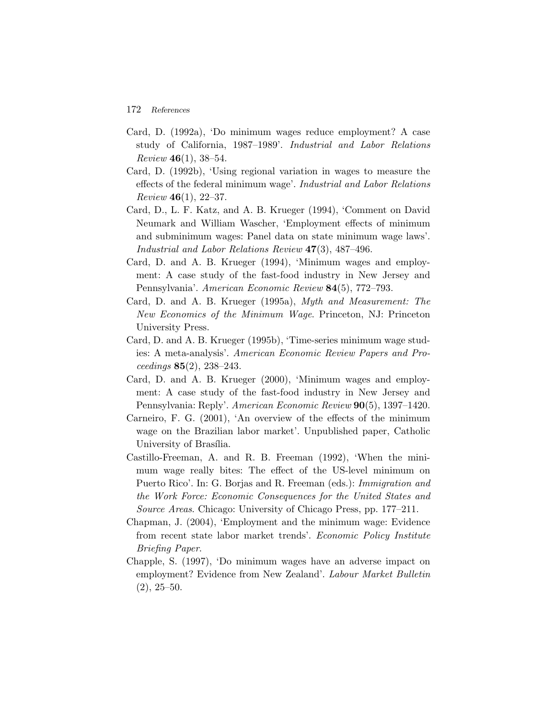- Card, D. (1992a), 'Do minimum wages reduce employment? A case study of California, 1987–1989'. *Industrial and Labor Relations Review* **46**(1), 38–54.
- Card, D. (1992b), 'Using regional variation in wages to measure the effects of the federal minimum wage'. *Industrial and Labor Relations Review* **46**(1), 22–37.
- Card, D., L. F. Katz, and A. B. Krueger (1994), 'Comment on David Neumark and William Wascher, 'Employment effects of minimum and subminimum wages: Panel data on state minimum wage laws'. *Industrial and Labor Relations Review* **47**(3), 487–496.
- Card, D. and A. B. Krueger (1994), 'Minimum wages and employment: A case study of the fast-food industry in New Jersey and Pennsylvania'. *American Economic Review* **84**(5), 772–793.
- Card, D. and A. B. Krueger (1995a), *Myth and Measurement: The New Economics of the Minimum Wage*. Princeton, NJ: Princeton University Press.
- Card, D. and A. B. Krueger (1995b), 'Time-series minimum wage studies: A meta-analysis'. *American Economic Review Papers and Proceedings* **85**(2), 238–243.
- Card, D. and A. B. Krueger (2000), 'Minimum wages and employment: A case study of the fast-food industry in New Jersey and Pennsylvania: Reply'. *American Economic Review* **90**(5), 1397–1420.
- Carneiro, F. G. (2001), 'An overview of the effects of the minimum wage on the Brazilian labor market'. Unpublished paper, Catholic University of Brasília.
- Castillo-Freeman, A. and R. B. Freeman (1992), 'When the minimum wage really bites: The effect of the US-level minimum on Puerto Rico'. In: G. Borjas and R. Freeman (eds.): *Immigration and the Work Force: Economic Consequences for the United States and Source Areas*. Chicago: University of Chicago Press, pp. 177–211.
- Chapman, J. (2004), 'Employment and the minimum wage: Evidence from recent state labor market trends'. *Economic Policy Institute Briefing Paper*.
- Chapple, S. (1997), 'Do minimum wages have an adverse impact on employment? Evidence from New Zealand'. *Labour Market Bulletin*  $(2), 25-50.$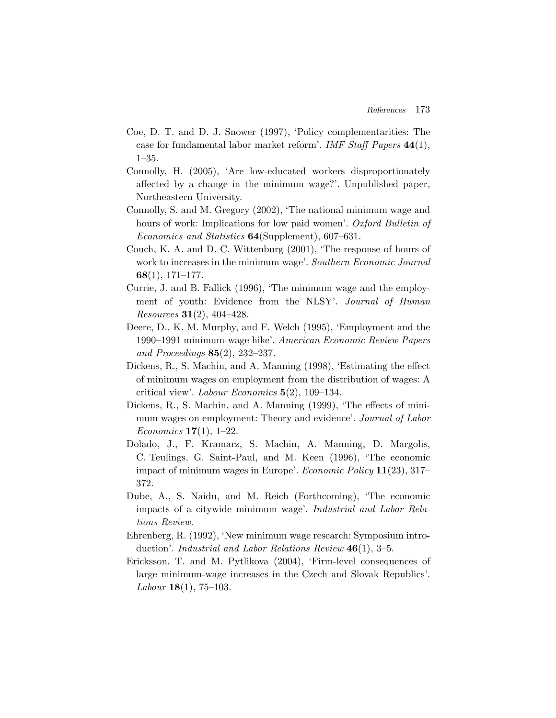- Coe, D. T. and D. J. Snower (1997), 'Policy complementarities: The case for fundamental labor market reform'. *IMF Staff Papers* **44**(1), 1–35.
- Connolly, H. (2005), 'Are low-educated workers disproportionately affected by a change in the minimum wage?'. Unpublished paper, Northeastern University.
- Connolly, S. and M. Gregory (2002), 'The national minimum wage and hours of work: Implications for low paid women'. *Oxford Bulletin of Economics and Statistics* **64**(Supplement), 607–631.
- Couch, K. A. and D. C. Wittenburg (2001), 'The response of hours of work to increases in the minimum wage'. *Southern Economic Journal* **68**(1), 171–177.
- Currie, J. and B. Fallick (1996), 'The minimum wage and the employment of youth: Evidence from the NLSY'. *Journal of Human Resources* **31**(2), 404–428.
- Deere, D., K. M. Murphy, and F. Welch (1995), 'Employment and the 1990–1991 minimum-wage hike'. *American Economic Review Papers and Proceedings* **85**(2), 232–237.
- Dickens, R., S. Machin, and A. Manning (1998), 'Estimating the effect of minimum wages on employment from the distribution of wages: A critical view'. *Labour Economics* **5**(2), 109–134.
- Dickens, R., S. Machin, and A. Manning (1999), 'The effects of minimum wages on employment: Theory and evidence'. *Journal of Labor Economics* **17**(1), 1–22.
- Dolado, J., F. Kramarz, S. Machin, A. Manning, D. Margolis, C. Teulings, G. Saint-Paul, and M. Keen (1996), 'The economic impact of minimum wages in Europe'. *Economic Policy* **11**(23), 317– 372.
- Dube, A., S. Naidu, and M. Reich (Forthcoming), 'The economic impacts of a citywide minimum wage'. *Industrial and Labor Relations Review*.
- Ehrenberg, R. (1992), 'New minimum wage research: Symposium introduction'. *Industrial and Labor Relations Review* **46**(1), 3–5.
- Ericksson, T. and M. Pytlikova (2004), 'Firm-level consequences of large minimum-wage increases in the Czech and Slovak Republics'. *Labour* **18**(1), 75–103.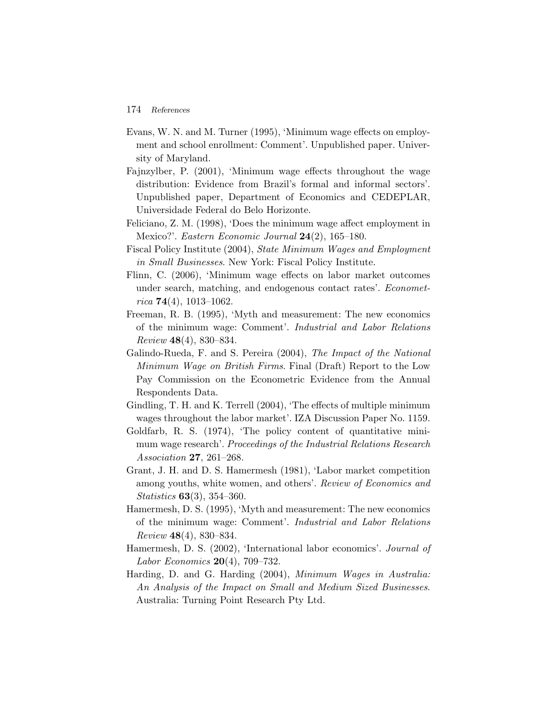- Evans, W. N. and M. Turner (1995), 'Minimum wage effects on employment and school enrollment: Comment'. Unpublished paper. University of Maryland.
- Fajnzylber, P. (2001), 'Minimum wage effects throughout the wage distribution: Evidence from Brazil's formal and informal sectors'. Unpublished paper, Department of Economics and CEDEPLAR, Universidade Federal do Belo Horizonte.
- Feliciano, Z. M. (1998), 'Does the minimum wage affect employment in Mexico?'. *Eastern Economic Journal* **24**(2), 165–180.
- Fiscal Policy Institute (2004), *State Minimum Wages and Employment in Small Businesses*. New York: Fiscal Policy Institute.
- Flinn, C. (2006), 'Minimum wage effects on labor market outcomes under search, matching, and endogenous contact rates'. *Econometrica* **74**(4), 1013–1062.
- Freeman, R. B. (1995), 'Myth and measurement: The new economics of the minimum wage: Comment'. *Industrial and Labor Relations Review* **48**(4), 830–834.
- Galindo-Rueda, F. and S. Pereira (2004), *The Impact of the National Minimum Wage on British Firms*. Final (Draft) Report to the Low Pay Commission on the Econometric Evidence from the Annual Respondents Data.
- Gindling, T. H. and K. Terrell (2004), 'The effects of multiple minimum wages throughout the labor market'. IZA Discussion Paper No. 1159.
- Goldfarb, R. S. (1974), 'The policy content of quantitative minimum wage research'. *Proceedings of the Industrial Relations Research Association* **27**, 261–268.
- Grant, J. H. and D. S. Hamermesh (1981), 'Labor market competition among youths, white women, and others'. *Review of Economics and Statistics* **63**(3), 354–360.
- Hamermesh, D. S. (1995), 'Myth and measurement: The new economics of the minimum wage: Comment'. *Industrial and Labor Relations Review* **48**(4), 830–834.
- Hamermesh, D. S. (2002), 'International labor economics'. *Journal of Labor Economics* **20**(4), 709–732.
- Harding, D. and G. Harding (2004), *Minimum Wages in Australia: An Analysis of the Impact on Small and Medium Sized Businesses*. Australia: Turning Point Research Pty Ltd.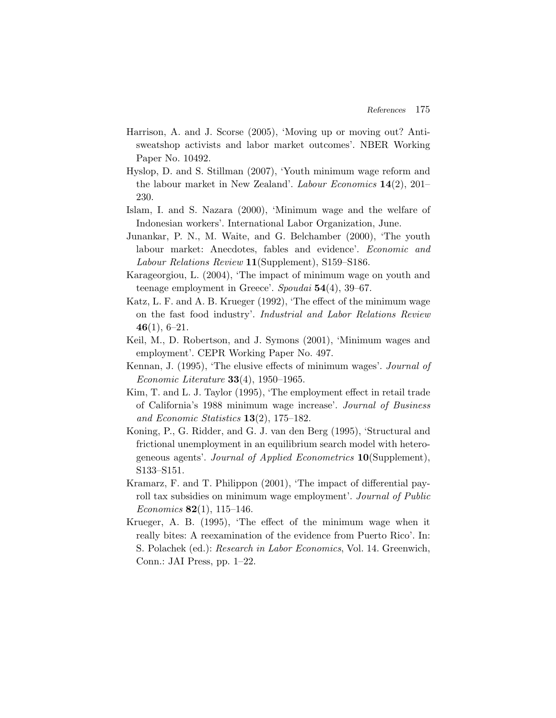- Harrison, A. and J. Scorse (2005), 'Moving up or moving out? Antisweatshop activists and labor market outcomes'. NBER Working Paper No. 10492.
- Hyslop, D. and S. Stillman (2007), 'Youth minimum wage reform and the labour market in New Zealand'. *Labour Economics* **14**(2), 201– 230.
- Islam, I. and S. Nazara (2000), 'Minimum wage and the welfare of Indonesian workers'. International Labor Organization, June.
- Junankar, P. N., M. Waite, and G. Belchamber (2000), 'The youth labour market: Anecdotes, fables and evidence'. *Economic and Labour Relations Review* **11**(Supplement), S159–S186.
- Karageorgiou, L. (2004), 'The impact of minimum wage on youth and teenage employment in Greece'. *Spoudai* **54**(4), 39–67.
- Katz, L. F. and A. B. Krueger (1992), 'The effect of the minimum wage on the fast food industry'. *Industrial and Labor Relations Review* **46**(1), 6–21.
- Keil, M., D. Robertson, and J. Symons (2001), 'Minimum wages and employment'. CEPR Working Paper No. 497.
- Kennan, J. (1995), 'The elusive effects of minimum wages'. *Journal of Economic Literature* **33**(4), 1950–1965.
- Kim, T. and L. J. Taylor (1995), 'The employment effect in retail trade of California's 1988 minimum wage increase'. *Journal of Business and Economic Statistics* **13**(2), 175–182.
- Koning, P., G. Ridder, and G. J. van den Berg (1995), 'Structural and frictional unemployment in an equilibrium search model with heterogeneous agents'. *Journal of Applied Econometrics* **10**(Supplement), S133–S151.
- Kramarz, F. and T. Philippon (2001), 'The impact of differential payroll tax subsidies on minimum wage employment'. *Journal of Public Economics* **82**(1), 115–146.
- Krueger, A. B. (1995), 'The effect of the minimum wage when it really bites: A reexamination of the evidence from Puerto Rico'. In: S. Polachek (ed.): *Research in Labor Economics*, Vol. 14. Greenwich, Conn.: JAI Press, pp. 1–22.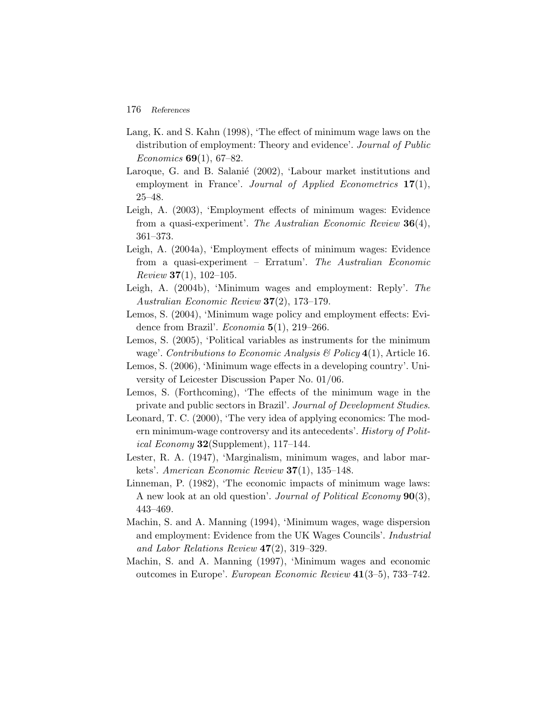- Lang, K. and S. Kahn (1998), 'The effect of minimum wage laws on the distribution of employment: Theory and evidence'. *Journal of Public Economics* **69**(1), 67–82.
- Laroque, G. and B. Salanié (2002), 'Labour market institutions and employment in France'. *Journal of Applied Econometrics* **17**(1), 25–48.
- Leigh, A. (2003), 'Employment effects of minimum wages: Evidence from a quasi-experiment'. *The Australian Economic Review* **36**(4), 361–373.
- Leigh, A. (2004a), 'Employment effects of minimum wages: Evidence from a quasi-experiment – Erratum'. *The Australian Economic Review* **37**(1), 102–105.
- Leigh, A. (2004b), 'Minimum wages and employment: Reply'. *The Australian Economic Review* **37**(2), 173–179.
- Lemos, S. (2004), 'Minimum wage policy and employment effects: Evidence from Brazil'. *Economia* **5**(1), 219–266.
- Lemos, S. (2005), 'Political variables as instruments for the minimum wage'. *Contributions to Economic Analysis & Policy* **4**(1), Article 16.
- Lemos, S. (2006), 'Minimum wage effects in a developing country'. University of Leicester Discussion Paper No. 01/06.
- Lemos, S. (Forthcoming), 'The effects of the minimum wage in the private and public sectors in Brazil'. *Journal of Development Studies*.
- Leonard, T. C. (2000), 'The very idea of applying economics: The modern minimum-wage controversy and its antecedents'. *History of Political Economy* **32**(Supplement), 117–144.
- Lester, R. A. (1947), 'Marginalism, minimum wages, and labor markets'. *American Economic Review* **37**(1), 135–148.
- Linneman, P. (1982), 'The economic impacts of minimum wage laws: A new look at an old question'. *Journal of Political Economy* **90**(3), 443–469.
- Machin, S. and A. Manning (1994), 'Minimum wages, wage dispersion and employment: Evidence from the UK Wages Councils'. *Industrial and Labor Relations Review* **47**(2), 319–329.
- Machin, S. and A. Manning (1997), 'Minimum wages and economic outcomes in Europe'. *European Economic Review* **41**(3–5), 733–742.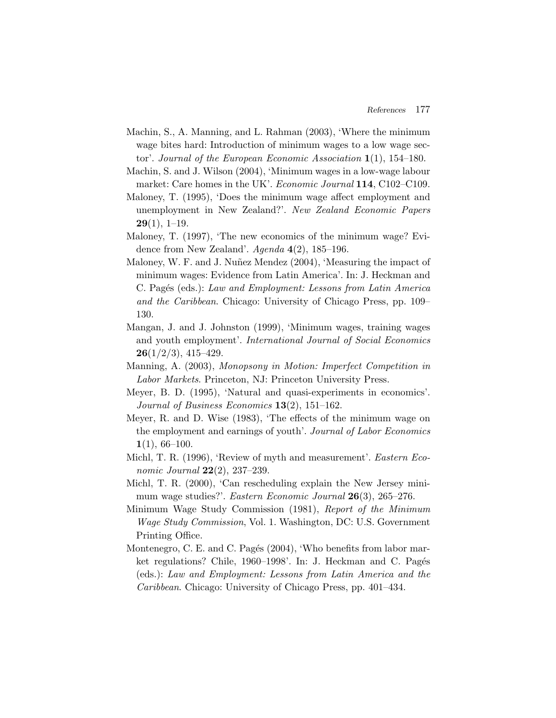- Machin, S., A. Manning, and L. Rahman (2003), 'Where the minimum wage bites hard: Introduction of minimum wages to a low wage sector'. *Journal of the European Economic Association* **1**(1), 154–180.
- Machin, S. and J. Wilson (2004), 'Minimum wages in a low-wage labour market: Care homes in the UK'. *Economic Journal* **114**, C102–C109.
- Maloney, T. (1995), 'Does the minimum wage affect employment and unemployment in New Zealand?'. *New Zealand Economic Papers* **29**(1), 1–19.
- Maloney, T. (1997), 'The new economics of the minimum wage? Evidence from New Zealand'. *Agenda* **4**(2), 185–196.
- Maloney, W. F. and J. Nuñez Mendez (2004), 'Measuring the impact of minimum wages: Evidence from Latin America'. In: J. Heckman and C. Pagés (eds.): *Law and Employment: Lessons from Latin America and the Caribbean*. Chicago: University of Chicago Press, pp. 109– 130.
- Mangan, J. and J. Johnston (1999), 'Minimum wages, training wages and youth employment'. *International Journal of Social Economics* **26**(1/2/3), 415–429.
- Manning, A. (2003), *Monopsony in Motion: Imperfect Competition in Labor Markets*. Princeton, NJ: Princeton University Press.
- Meyer, B. D. (1995), 'Natural and quasi-experiments in economics'. *Journal of Business Economics* **13**(2), 151–162.
- Meyer, R. and D. Wise (1983), 'The effects of the minimum wage on the employment and earnings of youth'. *Journal of Labor Economics* **1**(1), 66–100.
- Michl, T. R. (1996), 'Review of myth and measurement'. *Eastern Economic Journal* **22**(2), 237–239.
- Michl, T. R. (2000), 'Can rescheduling explain the New Jersey minimum wage studies?'. *Eastern Economic Journal* **26**(3), 265–276.
- Minimum Wage Study Commission (1981), *Report of the Minimum Wage Study Commission*, Vol. 1. Washington, DC: U.S. Government Printing Office.
- Montenegro, C. E. and C. Pagés (2004), 'Who benefits from labor market regulations? Chile, 1960–1998'. In: J. Heckman and C. Pagés (eds.): *Law and Employment: Lessons from Latin America and the Caribbean*. Chicago: University of Chicago Press, pp. 401–434.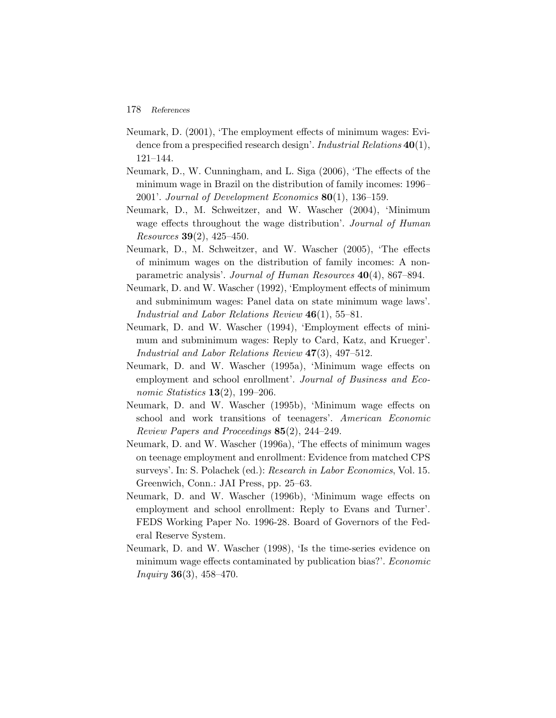- Neumark, D. (2001), 'The employment effects of minimum wages: Evidence from a prespecified research design'. *Industrial Relations* **40**(1), 121–144.
- Neumark, D., W. Cunningham, and L. Siga (2006), 'The effects of the minimum wage in Brazil on the distribution of family incomes: 1996– 2001'. *Journal of Development Economics* **80**(1), 136–159.
- Neumark, D., M. Schweitzer, and W. Wascher (2004), 'Minimum wage effects throughout the wage distribution'. *Journal of Human Resources* **39**(2), 425–450.
- Neumark, D., M. Schweitzer, and W. Wascher (2005), 'The effects of minimum wages on the distribution of family incomes: A nonparametric analysis'. *Journal of Human Resources* **40**(4), 867–894.
- Neumark, D. and W. Wascher (1992), 'Employment effects of minimum and subminimum wages: Panel data on state minimum wage laws'. *Industrial and Labor Relations Review* **46**(1), 55–81.
- Neumark, D. and W. Wascher (1994), 'Employment effects of minimum and subminimum wages: Reply to Card, Katz, and Krueger'. *Industrial and Labor Relations Review* **47**(3), 497–512.
- Neumark, D. and W. Wascher (1995a), 'Minimum wage effects on employment and school enrollment'. *Journal of Business and Economic Statistics* **13**(2), 199–206.
- Neumark, D. and W. Wascher (1995b), 'Minimum wage effects on school and work transitions of teenagers'. *American Economic Review Papers and Proceedings* **85**(2), 244–249.
- Neumark, D. and W. Wascher (1996a), 'The effects of minimum wages on teenage employment and enrollment: Evidence from matched CPS surveys'. In: S. Polachek (ed.): *Research in Labor Economics*, Vol. 15. Greenwich, Conn.: JAI Press, pp. 25–63.
- Neumark, D. and W. Wascher (1996b), 'Minimum wage effects on employment and school enrollment: Reply to Evans and Turner'. FEDS Working Paper No. 1996-28. Board of Governors of the Federal Reserve System.
- Neumark, D. and W. Wascher (1998), 'Is the time-series evidence on minimum wage effects contaminated by publication bias?'. *Economic Inquiry* **36**(3), 458–470.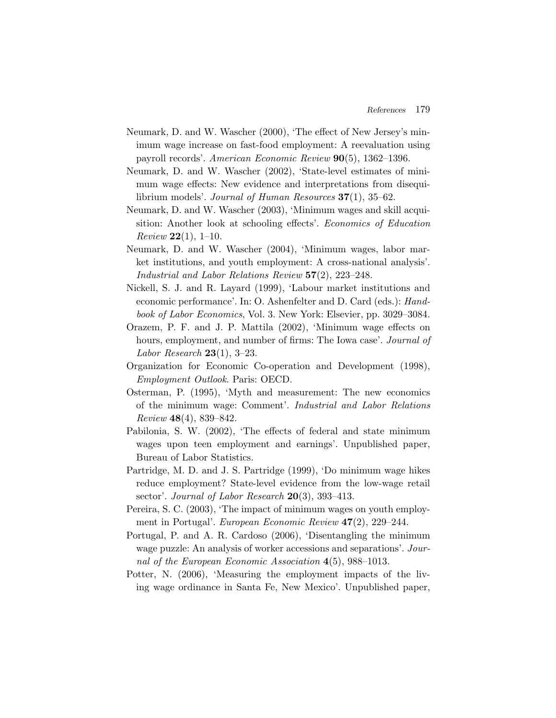- Neumark, D. and W. Wascher (2000), 'The effect of New Jersey's minimum wage increase on fast-food employment: A reevaluation using payroll records'. *American Economic Review* **90**(5), 1362–1396.
- Neumark, D. and W. Wascher (2002), 'State-level estimates of minimum wage effects: New evidence and interpretations from disequilibrium models'. *Journal of Human Resources* **37**(1), 35–62.
- Neumark, D. and W. Wascher (2003), 'Minimum wages and skill acquisition: Another look at schooling effects'. *Economics of Education Review* **22**(1), 1–10.
- Neumark, D. and W. Wascher (2004), 'Minimum wages, labor market institutions, and youth employment: A cross-national analysis'. *Industrial and Labor Relations Review* **57**(2), 223–248.
- Nickell, S. J. and R. Layard (1999), 'Labour market institutions and economic performance'. In: O. Ashenfelter and D. Card (eds.): *Handbook of Labor Economics*, Vol. 3. New York: Elsevier, pp. 3029–3084.
- Orazem, P. F. and J. P. Mattila (2002), 'Minimum wage effects on hours, employment, and number of firms: The Iowa case'. *Journal of Labor Research* **23**(1), 3–23.
- Organization for Economic Co-operation and Development (1998), *Employment Outlook*. Paris: OECD.
- Osterman, P. (1995), 'Myth and measurement: The new economics of the minimum wage: Comment'. *Industrial and Labor Relations Review* **48**(4), 839–842.
- Pabilonia, S. W. (2002), 'The effects of federal and state minimum wages upon teen employment and earnings'. Unpublished paper, Bureau of Labor Statistics.
- Partridge, M. D. and J. S. Partridge (1999), 'Do minimum wage hikes reduce employment? State-level evidence from the low-wage retail sector'. *Journal of Labor Research* **20**(3), 393–413.
- Pereira, S. C. (2003), 'The impact of minimum wages on youth employment in Portugal'. *European Economic Review* **47**(2), 229–244.
- Portugal, P. and A. R. Cardoso (2006), 'Disentangling the minimum wage puzzle: An analysis of worker accessions and separations'. *Journal of the European Economic Association* **4**(5), 988–1013.
- Potter, N. (2006), 'Measuring the employment impacts of the living wage ordinance in Santa Fe, New Mexico'. Unpublished paper,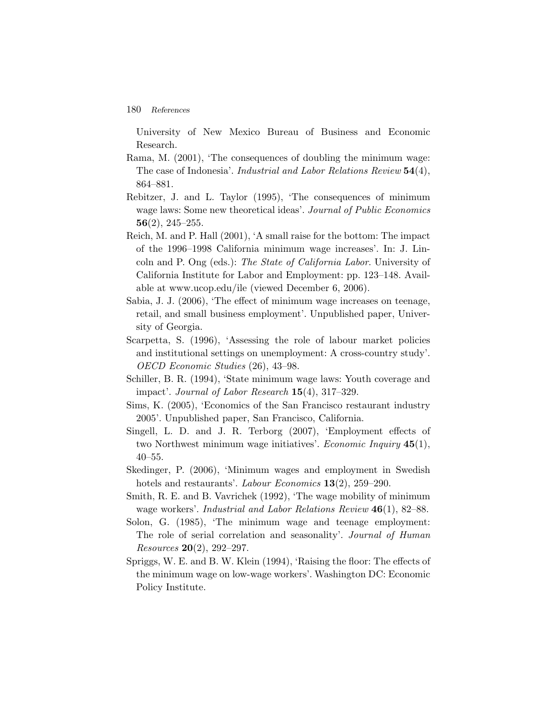## 180 *References*

University of New Mexico Bureau of Business and Economic Research.

- Rama, M. (2001), 'The consequences of doubling the minimum wage: The case of Indonesia'. *Industrial and Labor Relations Review* **54**(4), 864–881.
- Rebitzer, J. and L. Taylor (1995), 'The consequences of minimum wage laws: Some new theoretical ideas'. *Journal of Public Economics* **56**(2), 245–255.
- Reich, M. and P. Hall (2001), 'A small raise for the bottom: The impact of the 1996–1998 California minimum wage increases'. In: J. Lincoln and P. Ong (eds.): *The State of California Labor*. University of California Institute for Labor and Employment: pp. 123–148. Available at www.ucop.edu/ile (viewed December 6, 2006).
- Sabia, J. J. (2006), 'The effect of minimum wage increases on teenage, retail, and small business employment'. Unpublished paper, University of Georgia.
- Scarpetta, S. (1996), 'Assessing the role of labour market policies and institutional settings on unemployment: A cross-country study'. *OECD Economic Studies* (26), 43–98.
- Schiller, B. R. (1994), 'State minimum wage laws: Youth coverage and impact'. *Journal of Labor Research* **15**(4), 317–329.
- Sims, K. (2005), 'Economics of the San Francisco restaurant industry 2005'. Unpublished paper, San Francisco, California.
- Singell, L. D. and J. R. Terborg (2007), 'Employment effects of two Northwest minimum wage initiatives'. *Economic Inquiry* **45**(1), 40–55.
- Skedinger, P. (2006), 'Minimum wages and employment in Swedish hotels and restaurants'. *Labour Economics* **13**(2), 259–290.
- Smith, R. E. and B. Vavrichek (1992), 'The wage mobility of minimum wage workers'. *Industrial and Labor Relations Review* **46**(1), 82–88.
- Solon, G. (1985), 'The minimum wage and teenage employment: The role of serial correlation and seasonality'. *Journal of Human Resources* **20**(2), 292–297.
- Spriggs, W. E. and B. W. Klein (1994), 'Raising the floor: The effects of the minimum wage on low-wage workers'. Washington DC: Economic Policy Institute.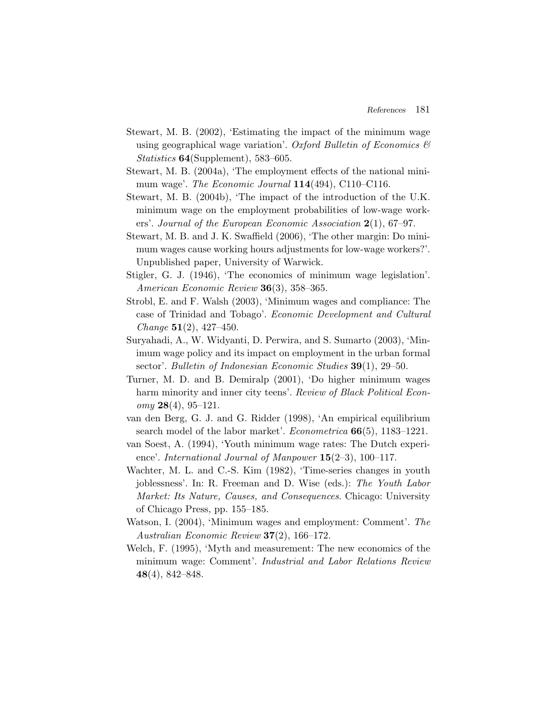- Stewart, M. B. (2002), 'Estimating the impact of the minimum wage using geographical wage variation'. *Oxford Bulletin of Economics & Statistics* **64**(Supplement), 583–605.
- Stewart, M. B. (2004a), 'The employment effects of the national minimum wage'. *The Economic Journal* **114**(494), C110–C116.
- Stewart, M. B. (2004b), 'The impact of the introduction of the U.K. minimum wage on the employment probabilities of low-wage workers'. *Journal of the European Economic Association* **2**(1), 67–97.
- Stewart, M. B. and J. K. Swaffield (2006), 'The other margin: Do minimum wages cause working hours adjustments for low-wage workers?'. Unpublished paper, University of Warwick.
- Stigler, G. J. (1946), 'The economics of minimum wage legislation'. *American Economic Review* **36**(3), 358–365.
- Strobl, E. and F. Walsh (2003), 'Minimum wages and compliance: The case of Trinidad and Tobago'. *Economic Development and Cultural Change* **51**(2), 427–450.
- Suryahadi, A., W. Widyanti, D. Perwira, and S. Sumarto (2003), 'Minimum wage policy and its impact on employment in the urban formal sector'. *Bulletin of Indonesian Economic Studies* **39**(1), 29–50.
- Turner, M. D. and B. Demiralp (2001), 'Do higher minimum wages harm minority and inner city teens'. *Review of Black Political Economy* **28**(4), 95–121.
- van den Berg, G. J. and G. Ridder (1998), 'An empirical equilibrium search model of the labor market'. *Econometrica* **66**(5), 1183–1221.
- van Soest, A. (1994), 'Youth minimum wage rates: The Dutch experience'. *International Journal of Manpower* **15**(2–3), 100–117.
- Wachter, M. L. and C.-S. Kim (1982), 'Time-series changes in youth joblessness'. In: R. Freeman and D. Wise (eds.): *The Youth Labor Market: Its Nature, Causes, and Consequences*. Chicago: University of Chicago Press, pp. 155–185.
- Watson, I. (2004), 'Minimum wages and employment: Comment'. *The Australian Economic Review* **37**(2), 166–172.
- Welch, F. (1995), 'Myth and measurement: The new economics of the minimum wage: Comment'. *Industrial and Labor Relations Review* **48**(4), 842–848.